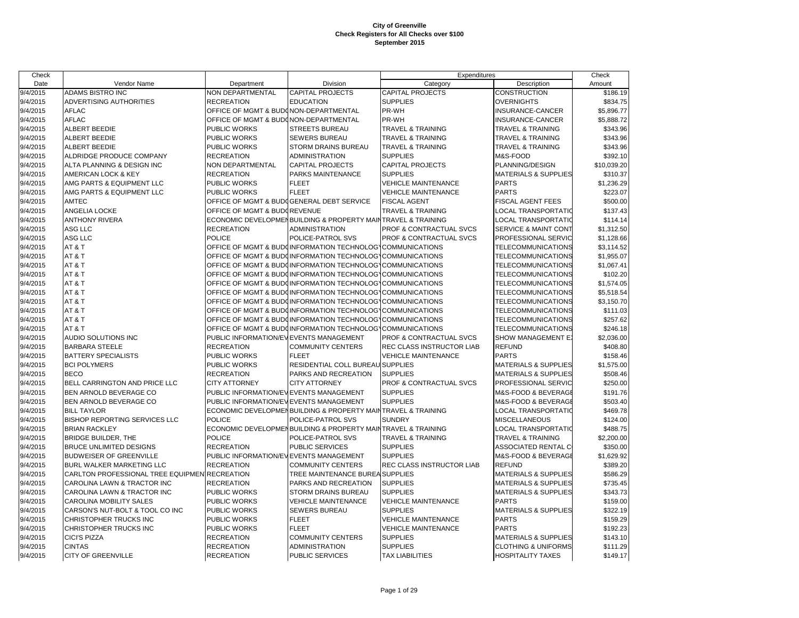| Check    |                                               |                                        |                                                              | Expenditures                 |                                 | Check       |
|----------|-----------------------------------------------|----------------------------------------|--------------------------------------------------------------|------------------------------|---------------------------------|-------------|
| Date     | Vendor Name                                   | Department                             | Division                                                     | Category                     | Description                     | Amount      |
| 9/4/2015 | ADAMS BISTRO INC                              | NON DEPARTMENTAL                       | <b>CAPITAL PROJECTS</b>                                      | <b>CAPITAL PROJECTS</b>      | <b>CONSTRUCTION</b>             | \$186.19    |
| 9/4/2015 | ADVERTISING AUTHORITIES                       | <b>RECREATION</b>                      | <b>EDUCATION</b>                                             | <b>SUPPLIES</b>              | <b>OVERNIGHTS</b>               | \$834.75    |
| 9/4/2015 | <b>AFLAC</b>                                  | OFFICE OF MGMT & BUDONON-DEPARTMENTAL  |                                                              | PR-WH                        | INSURANCE-CANCER                | \$5,896.77  |
| 9/4/2015 | <b>AFLAC</b>                                  | OFFICE OF MGMT & BUDONON-DEPARTMENTAL  |                                                              | PR-WH                        | INSURANCE-CANCER                | \$5,888.72  |
| 9/4/2015 | ALBERT BEEDIE                                 | PUBLIC WORKS                           | STREETS BUREAU                                               | <b>TRAVEL &amp; TRAINING</b> | <b>TRAVEL &amp; TRAINING</b>    | \$343.96    |
| 9/4/2015 | <b>ALBERT BEEDIE</b>                          | PUBLIC WORKS                           | <b>SEWERS BUREAU</b>                                         | <b>TRAVEL &amp; TRAINING</b> | <b>TRAVEL &amp; TRAINING</b>    | \$343.96    |
| 9/4/2015 | <b>ALBERT BEEDIE</b>                          | PUBLIC WORKS                           | <b>STORM DRAINS BUREAU</b>                                   | <b>TRAVEL &amp; TRAINING</b> | <b>TRAVEL &amp; TRAINING</b>    | \$343.96    |
| 9/4/2015 | ALDRIDGE PRODUCE COMPANY                      | <b>RECREATION</b>                      | <b>ADMINISTRATION</b>                                        | <b>SUPPLIES</b>              | M&S-FOOD                        | \$392.10    |
| 9/4/2015 | ALTA PLANNING & DESIGN INC                    | NON DEPARTMENTAL                       | <b>CAPITAL PROJECTS</b>                                      | <b>CAPITAL PROJECTS</b>      | PLANNING/DESIGN                 | \$10,039.20 |
| 9/4/2015 | AMERICAN LOCK & KEY                           | <b>RECREATION</b>                      | PARKS MAINTENANCE                                            | <b>SUPPLIES</b>              | <b>MATERIALS &amp; SUPPLIES</b> | \$310.37    |
| 9/4/2015 | AMG PARTS & EQUIPMENT LLC                     | PUBLIC WORKS                           | <b>FLEET</b>                                                 | <b>VEHICLE MAINTENANCE</b>   | <b>PARTS</b>                    | \$1,236.29  |
| 9/4/2015 | AMG PARTS & EQUIPMENT LLC                     | PUBLIC WORKS                           | <b>FLEET</b>                                                 | <b>VEHICLE MAINTENANCE</b>   | <b>PARTS</b>                    | \$223.07    |
| 9/4/2015 | <b>AMTEC</b>                                  |                                        | OFFICE OF MGMT & BUDGGENERAL DEBT SERVICE                    | <b>FISCAL AGENT</b>          | <b>FISCAL AGENT FEES</b>        | \$500.00    |
| 9/4/2015 | ANGELIA LOCKE                                 | OFFICE OF MGMT & BUDGREVENUE           |                                                              | TRAVEL & TRAINING            | LOCAL TRANSPORTATIO             | \$137.43    |
| 9/4/2015 | <b>ANTHONY RIVERA</b>                         |                                        | ECONOMIC DEVELOPMENBUILDING & PROPERTY MAINTRAVEL & TRAINING |                              | LOCAL TRANSPORTATIC             | \$114.14    |
| 9/4/2015 | ASG LLC                                       | <b>RECREATION</b>                      | <b>ADMINISTRATION</b>                                        | PROF & CONTRACTUAL SVCS      | SERVICE & MAINT CONT            | \$1,312.50  |
| 9/4/2015 | ASG LLC                                       | <b>POLICE</b>                          | POLICE-PATROL SVS                                            | PROF & CONTRACTUAL SVCS      | PROFESSIONAL SERVIC             | \$1,128.66  |
| 9/4/2015 | AT&T                                          |                                        | OFFICE OF MGMT & BUDCINFORMATION TECHNOLOGYCOMMUNICATIONS    |                              | TELECOMMUNICATIONS              | \$3,114.52  |
| 9/4/2015 | AT&T                                          |                                        | OFFICE OF MGMT & BUDOINFORMATION TECHNOLOG\COMMUNICATIONS    |                              | TELECOMMUNICATIONS              | \$1,955.07  |
| 9/4/2015 | AT&T                                          |                                        | OFFICE OF MGMT & BUDCINFORMATION TECHNOLOGYCOMMUNICATIONS    |                              | TELECOMMUNICATIONS              | \$1,067.41  |
| 9/4/2015 | AT&T                                          |                                        | OFFICE OF MGMT & BUDGINFORMATION TECHNOLOG COMMUNICATIONS    |                              | TELECOMMUNICATIONS              | \$102.20    |
| 9/4/2015 | AT&T                                          |                                        | OFFICE OF MGMT & BUDGINFORMATION TECHNOLOG COMMUNICATIONS    |                              | TELECOMMUNICATIONS              | \$1,574.05  |
| 9/4/2015 | AT&T                                          |                                        | OFFICE OF MGMT & BUDCINFORMATION TECHNOLOG\COMMUNICATIONS    |                              | TELECOMMUNICATIONS              | \$5,518.54  |
| 9/4/2015 | AT&T                                          |                                        | OFFICE OF MGMT & BUDGINFORMATION TECHNOLOG COMMUNICATIONS    |                              | TELECOMMUNICATIONS              | \$3,150.70  |
| 9/4/2015 | AT&T                                          |                                        | OFFICE OF MGMT & BUDOINFORMATION TECHNOLOG\COMMUNICATIONS    |                              | TELECOMMUNICATIONS              | \$111.03    |
| 9/4/2015 | AT&T                                          |                                        | OFFICE OF MGMT & BUDOINFORMATION TECHNOLOG\COMMUNICATIONS    |                              | TELECOMMUNICATIONS              | \$257.62    |
| 9/4/2015 | AT&T                                          |                                        | OFFICE OF MGMT & BUDOINFORMATION TECHNOLOGYCOMMUNICATIONS    |                              | TELECOMMUNICATIONS              | \$246.18    |
| 9/4/2015 | AUDIO SOLUTIONS INC                           | PUBLIC INFORMATION/EVEVENTS MANAGEMENT |                                                              | PROF & CONTRACTUAL SVCS      | SHOW MANAGEMENT E)              | \$2,036.00  |
| 9/4/2015 | <b>BARBARA STEELE</b>                         | <b>RECREATION</b>                      | <b>COMMUNITY CENTERS</b>                                     | REC CLASS INSTRUCTOR LIAB    | <b>REFUND</b>                   | \$408.80    |
| 9/4/2015 | <b>BATTERY SPECIALISTS</b>                    | PUBLIC WORKS                           | <b>FLEET</b>                                                 | <b>VEHICLE MAINTENANCE</b>   | <b>PARTS</b>                    | \$158.46    |
| 9/4/2015 | <b>BCI POLYMERS</b>                           | PUBLIC WORKS                           | RESIDENTIAL COLL BUREAU SUPPLIES                             |                              | <b>MATERIALS &amp; SUPPLIES</b> | \$1,575.00  |
| 9/4/2015 | <b>BECO</b>                                   | <b>RECREATION</b>                      | PARKS AND RECREATION                                         | <b>SUPPLIES</b>              | <b>MATERIALS &amp; SUPPLIES</b> | \$508.46    |
| 9/4/2015 | BELL CARRINGTON AND PRICE LLC                 | <b>CITY ATTORNEY</b>                   | <b>CITY ATTORNEY</b>                                         | PROF & CONTRACTUAL SVCS      | PROFESSIONAL SERVIC             | \$250.00    |
| 9/4/2015 | BEN ARNOLD BEVERAGE CO                        | PUBLIC INFORMATION/EVEVENTS MANAGEMENT |                                                              | <b>SUPPLIES</b>              | M&S-FOOD & BEVERAGE             | \$191.76    |
| 9/4/2015 | BEN ARNOLD BEVERAGE CO                        | PUBLIC INFORMATION/EVEVENTS MANAGEMENT |                                                              | <b>SUPPLIES</b>              | M&S-FOOD & BEVERAGE             | \$503.40    |
| 9/4/2015 | <b>BILL TAYLOR</b>                            |                                        | ECONOMIC DEVELOPMENBUILDING & PROPERTY MAINTRAVEL & TRAINING |                              | LOCAL TRANSPORTATIC             | \$469.78    |
| 9/4/2015 | <b>BISHOP REPORTING SERVICES LLC</b>          | <b>POLICE</b>                          | POLICE-PATROL SVS                                            | <b>SUNDRY</b>                | <b>MISCELLANEOUS</b>            | \$124.00    |
| 9/4/2015 | <b>BRIAN RACKLEY</b>                          |                                        | ECONOMIC DEVELOPMENBUILDING & PROPERTY MAINTRAVEL & TRAINING |                              | LOCAL TRANSPORTATIO             | \$488.75    |
| 9/4/2015 | <b>BRIDGE BUILDER, THE</b>                    | <b>POLICE</b>                          | POLICE-PATROL SVS                                            | <b>TRAVEL &amp; TRAINING</b> | TRAVEL & TRAINING               | \$2,200.00  |
| 9/4/2015 | <b>BRUCE UNLIMITED DESIGNS</b>                | <b>RECREATION</b>                      | PUBLIC SERVICES                                              | <b>SUPPLIES</b>              | <b>ASSOCIATED RENTAL C</b>      | \$350.00    |
| 9/4/2015 | <b>BUDWEISER OF GREENVILLE</b>                | PUBLIC INFORMATION/EVEVENTS MANAGEMENT |                                                              | <b>SUPPLIES</b>              | M&S-FOOD & BEVERAGE             | \$1,629.92  |
| 9/4/2015 | BURL WALKER MARKETING LLC                     | <b>RECREATION</b>                      | <b>COMMUNITY CENTERS</b>                                     | REC CLASS INSTRUCTOR LIAB    | <b>REFUND</b>                   | \$389.20    |
| 9/4/2015 | CARLTON PROFESSIONAL TREE EQUIPMEN RECREATION |                                        | TREE MAINTENANCE BUREA SUPPLIES                              |                              | <b>MATERIALS &amp; SUPPLIES</b> | \$586.29    |
| 9/4/2015 | CAROLINA LAWN & TRACTOR INC                   | <b>RECREATION</b>                      | PARKS AND RECREATION                                         | <b>SUPPLIES</b>              | <b>MATERIALS &amp; SUPPLIES</b> | \$735.45    |
| 9/4/2015 | CAROLINA LAWN & TRACTOR INC                   | <b>PUBLIC WORKS</b>                    | <b>STORM DRAINS BUREAU</b>                                   | <b>SUPPLIES</b>              | <b>MATERIALS &amp; SUPPLIES</b> | \$343.73    |
| 9/4/2015 | CAROLINA MOBILITY SALES                       | PUBLIC WORKS                           | VEHICLE MAINTENANCE                                          | <b>VEHICLE MAINTENANCE</b>   | <b>PARTS</b>                    | \$159.00    |
| 9/4/2015 | CARSON'S NUT-BOLT & TOOL CO INC               | PUBLIC WORKS                           | SEWERS BUREAU                                                | <b>SUPPLIES</b>              | <b>MATERIALS &amp; SUPPLIES</b> | \$322.19    |
| 9/4/2015 | CHRISTOPHER TRUCKS INC                        | PUBLIC WORKS                           | <b>FLEET</b>                                                 | <b>VEHICLE MAINTENANCE</b>   | <b>PARTS</b>                    | \$159.29    |
| 9/4/2015 | CHRISTOPHER TRUCKS INC                        | PUBLIC WORKS                           | <b>FLEET</b>                                                 | <b>VEHICLE MAINTENANCE</b>   | <b>PARTS</b>                    | \$192.23    |
| 9/4/2015 | <b>CICI'S PIZZA</b>                           | <b>RECREATION</b>                      | <b>COMMUNITY CENTERS</b>                                     | <b>SUPPLIES</b>              | <b>MATERIALS &amp; SUPPLIES</b> | \$143.10    |
| 9/4/2015 | <b>CINTAS</b>                                 | <b>RECREATION</b>                      | <b>ADMINISTRATION</b>                                        | <b>SUPPLIES</b>              | <b>CLOTHING &amp; UNIFORMS</b>  | \$111.29    |
| 9/4/2015 | <b>CITY OF GREENVILLE</b>                     | <b>RECREATION</b>                      | <b>PUBLIC SERVICES</b>                                       | <b>TAX LIABILITIES</b>       | <b>HOSPITALITY TAXES</b>        | \$149.17    |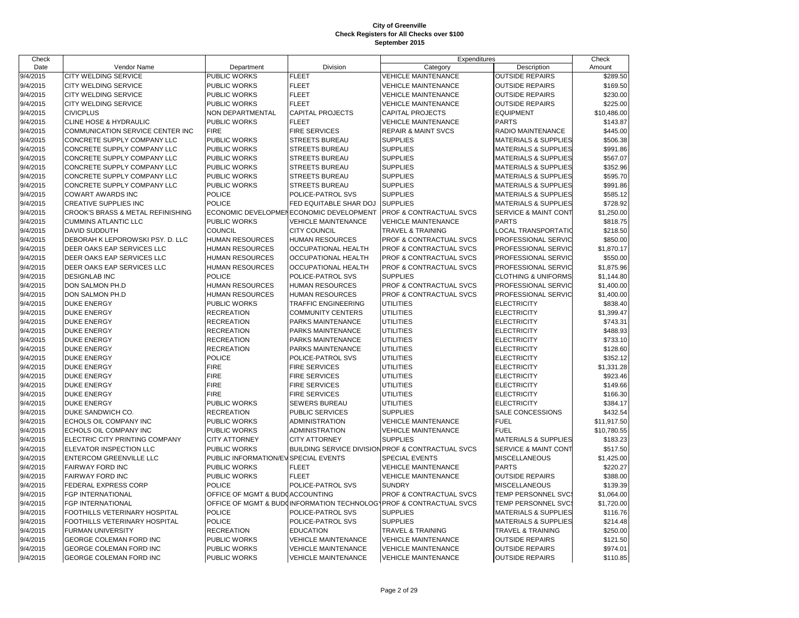| Check              |                                   |                                      |                                         | Expenditures                                                       |                                 | Check       |
|--------------------|-----------------------------------|--------------------------------------|-----------------------------------------|--------------------------------------------------------------------|---------------------------------|-------------|
| Date               | Vendor Name                       | Department                           | Division                                | Category                                                           | Description                     | Amount      |
| $\frac{9}{4/2015}$ | <b>CITY WELDING SERVICE</b>       | PUBLIC WORKS                         | <b>FLEET</b>                            | <b>VEHICLE MAINTENANCE</b>                                         | <b>OUTSIDE REPAIRS</b>          | \$289.50    |
| 9/4/2015           | <b>CITY WELDING SERVICE</b>       | PUBLIC WORKS                         | <b>FLEET</b>                            | <b>VEHICLE MAINTENANCE</b>                                         | <b>OUTSIDE REPAIRS</b>          | \$169.50    |
| 9/4/2015           | <b>CITY WELDING SERVICE</b>       | PUBLIC WORKS                         | <b>FLEET</b>                            | <b>VEHICLE MAINTENANCE</b>                                         | <b>OUTSIDE REPAIRS</b>          | \$230.00    |
| 9/4/2015           | <b>CITY WELDING SERVICE</b>       | PUBLIC WORKS                         | <b>FLEET</b>                            | <b>VEHICLE MAINTENANCE</b>                                         | <b>OUTSIDE REPAIRS</b>          | \$225.00    |
| 9/4/2015           | <b>CIVICPLUS</b>                  | NON DEPARTMENTAL                     | <b>CAPITAL PROJECTS</b>                 | <b>CAPITAL PROJECTS</b>                                            | <b>EQUIPMENT</b>                | \$10,486.00 |
| 9/4/2015           | <b>CLINE HOSE &amp; HYDRAULIC</b> | PUBLIC WORKS                         | <b>FLEET</b>                            | <b>VEHICLE MAINTENANCE</b>                                         | <b>PARTS</b>                    | \$143.87    |
| 9/4/2015           | COMMUNICATION SERVICE CENTER INC  | <b>FIRE</b>                          | <b>FIRE SERVICES</b>                    | <b>REPAIR &amp; MAINT SVCS</b>                                     | RADIO MAINTENANCE               | \$445.00    |
| 9/4/2015           | CONCRETE SUPPLY COMPANY LLC       | PUBLIC WORKS                         | STREETS BUREAU                          | <b>SUPPLIES</b>                                                    | <b>MATERIALS &amp; SUPPLIES</b> | \$506.38    |
| 9/4/2015           | CONCRETE SUPPLY COMPANY LLC       | PUBLIC WORKS                         | <b>STREETS BUREAU</b>                   | <b>SUPPLIES</b>                                                    | <b>MATERIALS &amp; SUPPLIES</b> | \$991.86    |
| 9/4/2015           | CONCRETE SUPPLY COMPANY LLC       | PUBLIC WORKS                         | STREETS BUREAU                          | <b>SUPPLIES</b>                                                    | <b>MATERIALS &amp; SUPPLIES</b> | \$567.07    |
| 9/4/2015           | CONCRETE SUPPLY COMPANY LLC       | PUBLIC WORKS                         | <b>STREETS BUREAU</b>                   | <b>SUPPLIES</b>                                                    | <b>MATERIALS &amp; SUPPLIES</b> | \$352.96    |
| 9/4/2015           | CONCRETE SUPPLY COMPANY LLC       | PUBLIC WORKS                         | <b>STREETS BUREAU</b>                   | <b>SUPPLIES</b>                                                    | <b>MATERIALS &amp; SUPPLIES</b> | \$595.70    |
| 9/4/2015           | CONCRETE SUPPLY COMPANY LLC       | PUBLIC WORKS                         | <b>STREETS BUREAU</b>                   | <b>SUPPLIES</b>                                                    | <b>MATERIALS &amp; SUPPLIES</b> | \$991.86    |
| 9/4/2015           | <b>COWART AWARDS INC</b>          | <b>POLICE</b>                        | POLICE-PATROL SVS                       | <b>SUPPLIES</b>                                                    | <b>MATERIALS &amp; SUPPLIES</b> | \$585.12    |
| 9/4/2015           | CREATIVE SUPPLIES INC             | <b>POLICE</b>                        | FED EQUITABLE SHAR DOJ                  | <b>SUPPLIES</b>                                                    | <b>MATERIALS &amp; SUPPLIES</b> | \$728.92    |
| 9/4/2015           | CROOK'S BRASS & METAL REFINISHING |                                      | ECONOMIC DEVELOPMENECONOMIC DEVELOPMENT | PROF & CONTRACTUAL SVCS                                            | SERVICE & MAINT CONT            | \$1,250.00  |
| 9/4/2015           | <b>CUMMINS ATLANTIC LLC</b>       | PUBLIC WORKS                         | <b>VEHICLE MAINTENANCE</b>              | <b>VEHICLE MAINTENANCE</b>                                         | <b>PARTS</b>                    | \$818.75    |
| 9/4/2015           | <b>DAVID SUDDUTH</b>              | <b>COUNCIL</b>                       | <b>CITY COUNCIL</b>                     | TRAVEL & TRAINING                                                  | LOCAL TRANSPORTATIO             | \$218.50    |
| 9/4/2015           | DEBORAH K LEPOROWSKI PSY. D. LLC  | <b>HUMAN RESOURCES</b>               | <b>HUMAN RESOURCES</b>                  | <b>PROF &amp; CONTRACTUAL SVCS</b>                                 | PROFESSIONAL SERVIC             | \$850.00    |
| 9/4/2015           | DEER OAKS EAP SERVICES LLC        | <b>HUMAN RESOURCES</b>               | <b>OCCUPATIONAL HEALTH</b>              | <b>PROF &amp; CONTRACTUAL SVCS</b>                                 | PROFESSIONAL SERVIC             | \$1,870.17  |
| 9/4/2015           | DEER OAKS EAP SERVICES LLC        | <b>HUMAN RESOURCES</b>               | <b>OCCUPATIONAL HEALTH</b>              | <b>PROF &amp; CONTRACTUAL SVCS</b>                                 | PROFESSIONAL SERVIC             | \$550.00    |
| 9/4/2015           | DEER OAKS EAP SERVICES LLC        | <b>HUMAN RESOURCES</b>               | <b>OCCUPATIONAL HEALTH</b>              | PROF & CONTRACTUAL SVCS                                            | PROFESSIONAL SERVIC             | \$1,875.96  |
| 9/4/2015           | <b>DESIGNLAB INC</b>              | <b>POLICE</b>                        | POLICE-PATROL SVS                       | <b>SUPPLIES</b>                                                    | <b>CLOTHING &amp; UNIFORMS</b>  | \$1,144.80  |
| 9/4/2015           | <b>DON SALMON PH.D</b>            | HUMAN RESOURCES                      | <b>HUMAN RESOURCES</b>                  | PROF & CONTRACTUAL SVCS                                            | PROFESSIONAL SERVIC             | \$1,400.00  |
| 9/4/2015           | DON SALMON PH.D                   | HUMAN RESOURCES                      | <b>HUMAN RESOURCES</b>                  | PROF & CONTRACTUAL SVCS                                            | PROFESSIONAL SERVIC             | \$1,400.00  |
| 9/4/2015           | <b>DUKE ENERGY</b>                | PUBLIC WORKS                         | <b>TRAFFIC ENGINEERING</b>              | <b>UTILITIES</b>                                                   | <b>ELECTRICITY</b>              | \$838.40    |
| 9/4/2015           | <b>DUKE ENERGY</b>                | <b>RECREATION</b>                    | <b>COMMUNITY CENTERS</b>                | <b>UTILITIES</b>                                                   | <b>ELECTRICITY</b>              | \$1,399.47  |
| 9/4/2015           | <b>DUKE ENERGY</b>                | <b>RECREATION</b>                    | PARKS MAINTENANCE                       | <b>UTILITIES</b>                                                   | <b>ELECTRICITY</b>              | \$743.31    |
| 9/4/2015           | <b>DUKE ENERGY</b>                | <b>RECREATION</b>                    | PARKS MAINTENANCE                       | <b>UTILITIES</b>                                                   | <b>ELECTRICITY</b>              | \$488.93    |
| 9/4/2015           | <b>DUKE ENERGY</b>                | <b>RECREATION</b>                    | PARKS MAINTENANCE                       | <b>UTILITIES</b>                                                   | <b>ELECTRICITY</b>              | \$733.10    |
| 9/4/2015           | <b>DUKE ENERGY</b>                | <b>RECREATION</b>                    | PARKS MAINTENANCE                       | <b>UTILITIES</b>                                                   | <b>ELECTRICITY</b>              | \$128.60    |
| 9/4/2015           | <b>DUKE ENERGY</b>                | <b>POLICE</b>                        | POLICE-PATROL SVS                       | <b>UTILITIES</b>                                                   | <b>ELECTRICITY</b>              | \$352.12    |
| 9/4/2015           | <b>DUKE ENERGY</b>                | <b>FIRE</b>                          | <b>FIRE SERVICES</b>                    | <b>UTILITIES</b>                                                   | <b>ELECTRICITY</b>              | \$1,331.28  |
| 9/4/2015           | <b>DUKE ENERGY</b>                | <b>FIRE</b>                          | <b>FIRE SERVICES</b>                    | <b>UTILITIES</b>                                                   | <b>ELECTRICITY</b>              | \$923.46    |
| 9/4/2015           | <b>DUKE ENERGY</b>                | <b>FIRE</b>                          | <b>FIRE SERVICES</b>                    | <b>UTILITIES</b>                                                   | <b>ELECTRICITY</b>              | \$149.66    |
| 9/4/2015           | <b>DUKE ENERGY</b>                | <b>FIRE</b>                          | <b>FIRE SERVICES</b>                    | <b>UTILITIES</b>                                                   | <b>ELECTRICITY</b>              | \$166.30    |
| 9/4/2015           | <b>DUKE ENERGY</b>                | PUBLIC WORKS                         | SEWERS BUREAU                           | <b>UTILITIES</b>                                                   | <b>ELECTRICITY</b>              | \$384.17    |
| 9/4/2015           | DUKE SANDWICH CO.                 | <b>RECREATION</b>                    | PUBLIC SERVICES                         | <b>SUPPLIES</b>                                                    | SALE CONCESSIONS                | \$432.54    |
| 9/4/2015           | ECHOLS OIL COMPANY INC            | PUBLIC WORKS                         | <b>ADMINISTRATION</b>                   | <b>VEHICLE MAINTENANCE</b>                                         | <b>FUEL</b>                     | \$11,917.50 |
| 9/4/2015           | ECHOLS OIL COMPANY INC            | PUBLIC WORKS                         | ADMINISTRATION                          | <b>VEHICLE MAINTENANCE</b>                                         | <b>FUEL</b>                     | \$10,780.55 |
| 9/4/2015           | ELECTRIC CITY PRINTING COMPANY    | <b>CITY ATTORNEY</b>                 | <b>CITY ATTORNEY</b>                    | <b>SUPPLIES</b>                                                    | MATERIALS & SUPPLIES            | \$183.23    |
| 9/4/2015           | ELEVATOR INSPECTION LLC           | PUBLIC WORKS                         |                                         | BUILDING SERVICE DIVISION PROF & CONTRACTUAL SVCS                  | SERVICE & MAINT CONT            | \$517.50    |
| 9/4/2015           | ENTERCOM GREENVILLE LLC           | PUBLIC INFORMATION/EV SPECIAL EVENTS |                                         | <b>SPECIAL EVENTS</b>                                              | MISCELLANEOUS                   | \$1,425.00  |
| 9/4/2015           | <b>FAIRWAY FORD INC</b>           | PUBLIC WORKS                         | <b>FLEET</b>                            | <b>VEHICLE MAINTENANCE</b>                                         | <b>PARTS</b>                    | \$220.27    |
| 9/4/2015           | <b>FAIRWAY FORD INC</b>           | PUBLIC WORKS                         | <b>FLEET</b>                            | <b>VEHICLE MAINTENANCE</b>                                         | <b>OUTSIDE REPAIRS</b>          | \$388.00    |
| 9/4/2015           | FEDERAL EXPRESS CORP              | <b>POLICE</b>                        | POLICE-PATROL SVS                       | <b>SUNDRY</b>                                                      | <b>MISCELLANEOUS</b>            | \$139.39    |
| 9/4/2015           | FGP INTERNATIONAL                 | OFFICE OF MGMT & BUDGACCOUNTING      |                                         | <b>PROF &amp; CONTRACTUAL SVCS</b>                                 | TEMP PERSONNEL SVC              | \$1,064.00  |
| 9/4/2015           | <b>FGP INTERNATIONAL</b>          |                                      |                                         | OFFICE OF MGMT & BUD(INFORMATION TECHNOLOG\PROF & CONTRACTUAL SVCS | TEMP PERSONNEL SVC:             | \$1,720.00  |
| 9/4/2015           | FOOTHILLS VETERINARY HOSPITAL     | <b>POLICE</b>                        | POLICE-PATROL SVS                       | <b>SUPPLIES</b>                                                    | MATERIALS & SUPPLIES            | \$116.76    |
| 9/4/2015           | FOOTHILLS VETERINARY HOSPITAL     | <b>POLICE</b>                        | POLICE-PATROL SVS                       | <b>SUPPLIES</b>                                                    | <b>MATERIALS &amp; SUPPLIES</b> | \$214.48    |
| 9/4/2015           | <b>FURMAN UNIVERSITY</b>          | RECREATION                           | <b>EDUCATION</b>                        | TRAVEL & TRAINING                                                  | TRAVEL & TRAINING               | \$250.00    |
| 9/4/2015           | GEORGE COLEMAN FORD INC           | PUBLIC WORKS                         | <b>VEHICLE MAINTENANCE</b>              | <b>VEHICLE MAINTENANCE</b>                                         | <b>OUTSIDE REPAIRS</b>          | \$121.50    |
| 9/4/2015           | <b>GEORGE COLEMAN FORD INC</b>    | PUBLIC WORKS                         | <b>VEHICLE MAINTENANCE</b>              | <b>VEHICLE MAINTENANCE</b>                                         | <b>OUTSIDE REPAIRS</b>          | \$974.01    |
| 9/4/2015           | <b>GEORGE COLEMAN FORD INC</b>    | PUBLIC WORKS                         | <b>VEHICLE MAINTENANCE</b>              | <b>VEHICLE MAINTENANCE</b>                                         | <b>OUTSIDE REPAIRS</b>          | \$110.85    |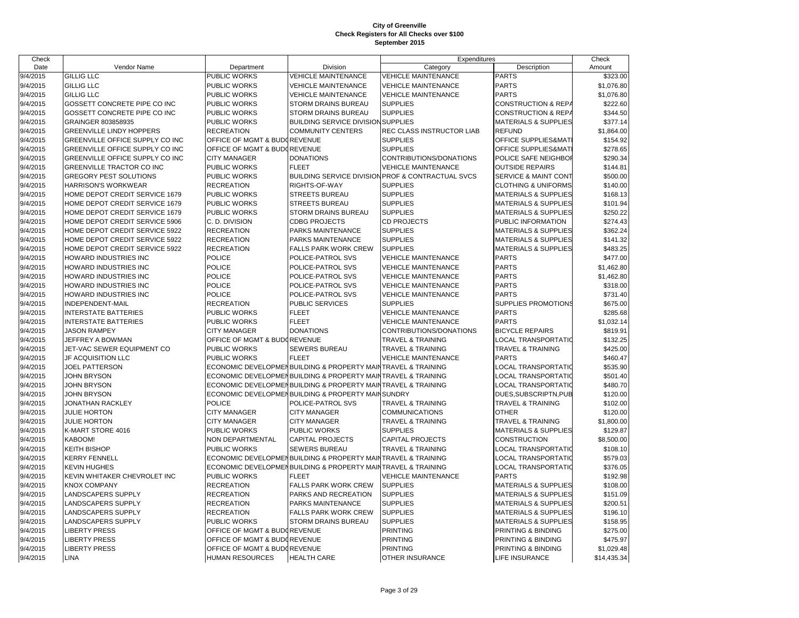| Check    |                                  |                              |                                                              | Expenditures                                                 |                                 | Check       |
|----------|----------------------------------|------------------------------|--------------------------------------------------------------|--------------------------------------------------------------|---------------------------------|-------------|
| Date     | Vendor Name                      | Department                   | Division                                                     | Category                                                     | Description                     | Amount      |
| 9/4/2015 | <b>GILLIG LLC</b>                | PUBLIC WORKS                 | <b>VEHICLE MAINTENANCE</b>                                   | <b>VEHICLE MAINTENANCE</b>                                   | <b>PARTS</b>                    | \$323.00    |
| 9/4/2015 | <b>GILLIG LLC</b>                | PUBLIC WORKS                 | <b>VEHICLE MAINTENANCE</b>                                   | <b>VEHICLE MAINTENANCE</b>                                   | <b>PARTS</b>                    | \$1,076.80  |
| 9/4/2015 | <b>GILLIG LLC</b>                | <b>PUBLIC WORKS</b>          | <b>VEHICLE MAINTENANCE</b>                                   | <b>VEHICLE MAINTENANCE</b>                                   | <b>PARTS</b>                    | \$1,076.80  |
| 9/4/2015 | GOSSETT CONCRETE PIPE CO INC     | <b>PUBLIC WORKS</b>          | <b>STORM DRAINS BUREAU</b>                                   | <b>SUPPLIES</b>                                              | <b>CONSTRUCTION &amp; REPA</b>  | \$222.60    |
| 9/4/2015 | GOSSETT CONCRETE PIPE CO INC     | <b>PUBLIC WORKS</b>          | <b>STORM DRAINS BUREAU</b>                                   | <b>SUPPLIES</b>                                              | <b>CONSTRUCTION &amp; REPA</b>  | \$344.50    |
| 9/4/2015 | GRAINGER 803858935               | <b>PUBLIC WORKS</b>          | <b>BUILDING SERVICE DIVISION SUPPLIES</b>                    |                                                              | <b>MATERIALS &amp; SUPPLIES</b> | \$377.14    |
| 9/4/2015 | <b>GREENVILLE LINDY HOPPERS</b>  | <b>RECREATION</b>            | <b>COMMUNITY CENTERS</b>                                     | REC CLASS INSTRUCTOR LIAB                                    | <b>REFUND</b>                   | \$1,864.00  |
| 9/4/2015 | GREENVILLE OFFICE SUPPLY CO INC  | OFFICE OF MGMT & BUDGREVENUE |                                                              | <b>SUPPLIES</b>                                              | OFFICE SUPPLIES&MAT             | \$154.92    |
| 9/4/2015 | GREENVILLE OFFICE SUPPLY CO INC  | OFFICE OF MGMT & BUDGREVENUE |                                                              | <b>SUPPLIES</b>                                              | OFFICE SUPPLIES&MAT             | \$278.65    |
| 9/4/2015 | GREENVILLE OFFICE SUPPLY CO INC  | <b>CITY MANAGER</b>          | <b>DONATIONS</b>                                             | CONTRIBUTIONS/DONATIONS                                      | POLICE SAFE NEIGHBOI            | \$290.34    |
| 9/4/2015 | <b>GREENVILLE TRACTOR CO INC</b> | <b>PUBLIC WORKS</b>          | <b>FLEET</b>                                                 | <b>VEHICLE MAINTENANCE</b>                                   | <b>OUTSIDE REPAIRS</b>          | \$144.81    |
| 9/4/2015 | <b>GREGORY PEST SOLUTIONS</b>    | <b>PUBLIC WORKS</b>          |                                                              | <b>BUILDING SERVICE DIVISION PROF &amp; CONTRACTUAL SVCS</b> | SERVICE & MAINT CONT            | \$500.00    |
| 9/4/2015 | <b>HARRISON'S WORKWEAR</b>       | <b>RECREATION</b>            | RIGHTS-OF-WAY                                                | <b>SUPPLIES</b>                                              | <b>CLOTHING &amp; UNIFORMS</b>  | \$140.00    |
| 9/4/2015 | HOME DEPOT CREDIT SERVICE 1679   | <b>PUBLIC WORKS</b>          | <b>STREETS BUREAU</b>                                        | <b>SUPPLIES</b>                                              | <b>MATERIALS &amp; SUPPLIES</b> | \$168.13    |
| 9/4/2015 | HOME DEPOT CREDIT SERVICE 1679   | <b>PUBLIC WORKS</b>          | <b>STREETS BUREAU</b>                                        | <b>SUPPLIES</b>                                              | <b>MATERIALS &amp; SUPPLIES</b> | \$101.94    |
| 9/4/2015 | HOME DEPOT CREDIT SERVICE 1679   | PUBLIC WORKS                 | <b>STORM DRAINS BUREAU</b>                                   | <b>SUPPLIES</b>                                              | <b>MATERIALS &amp; SUPPLIES</b> | \$250.22    |
| 9/4/2015 | HOME DEPOT CREDIT SERVICE 5906   | C. D. DIVISION               | <b>CDBG PROJECTS</b>                                         | <b>CD PROJECTS</b>                                           | PUBLIC INFORMATION              | \$274.43    |
| 9/4/2015 | HOME DEPOT CREDIT SERVICE 5922   | <b>RECREATION</b>            | PARKS MAINTENANCE                                            | <b>SUPPLIES</b>                                              | <b>MATERIALS &amp; SUPPLIES</b> | \$362.24    |
| 9/4/2015 | HOME DEPOT CREDIT SERVICE 5922   | <b>RECREATION</b>            | PARKS MAINTENANCE                                            | <b>SUPPLIES</b>                                              | MATERIALS & SUPPLIES            | \$141.32    |
| 9/4/2015 | HOME DEPOT CREDIT SERVICE 5922   | <b>RECREATION</b>            | <b>FALLS PARK WORK CREW</b>                                  | <b>SUPPLIES</b>                                              | <b>MATERIALS &amp; SUPPLIES</b> | \$483.25    |
| 9/4/2015 | HOWARD INDUSTRIES INC            | <b>POLICE</b>                | POLICE-PATROL SVS                                            | <b>VEHICLE MAINTENANCE</b>                                   | <b>PARTS</b>                    | \$477.00    |
| 9/4/2015 | HOWARD INDUSTRIES INC            | <b>POLICE</b>                | POLICE-PATROL SVS                                            | <b>VEHICLE MAINTENANCE</b>                                   | <b>PARTS</b>                    | \$1,462.80  |
| 9/4/2015 | HOWARD INDUSTRIES INC            | <b>POLICE</b>                | POLICE-PATROL SVS                                            | <b>VEHICLE MAINTENANCE</b>                                   | <b>PARTS</b>                    | \$1,462.80  |
| 9/4/2015 | HOWARD INDUSTRIES INC            | <b>POLICE</b>                | POLICE-PATROL SVS                                            | <b>VEHICLE MAINTENANCE</b>                                   | <b>PARTS</b>                    | \$318.00    |
| 9/4/2015 | HOWARD INDUSTRIES INC            | <b>POLICE</b>                | POLICE-PATROL SVS                                            | <b>VEHICLE MAINTENANCE</b>                                   | <b>PARTS</b>                    | \$731.40    |
| 9/4/2015 | INDEPENDENT-MAIL                 | <b>RECREATION</b>            | <b>PUBLIC SERVICES</b>                                       | <b>SUPPLIES</b>                                              | SUPPLIES PROMOTIONS             | \$675.00    |
| 9/4/2015 | <b>INTERSTATE BATTERIES</b>      | PUBLIC WORKS                 | <b>FLEET</b>                                                 | <b>VEHICLE MAINTENANCE</b>                                   | <b>PARTS</b>                    | \$285.68    |
| 9/4/2015 | <b>INTERSTATE BATTERIES</b>      | PUBLIC WORKS                 | <b>FLEET</b>                                                 | <b>VEHICLE MAINTENANCE</b>                                   | <b>PARTS</b>                    | \$1,032.14  |
| 9/4/2015 | <b>JASON RAMPEY</b>              | <b>CITY MANAGER</b>          | <b>DONATIONS</b>                                             | CONTRIBUTIONS/DONATIONS                                      | <b>BICYCLE REPAIRS</b>          | \$819.91    |
| 9/4/2015 | JEFFREY A BOWMAN                 | OFFICE OF MGMT & BUDOREVENUE |                                                              | <b>TRAVEL &amp; TRAINING</b>                                 | <b>LOCAL TRANSPORTATIO</b>      | \$132.25    |
| 9/4/2015 | JET-VAC SEWER EQUIPMENT CO       | <b>PUBLIC WORKS</b>          | SEWERS BUREAU                                                | <b>TRAVEL &amp; TRAINING</b>                                 | <b>TRAVEL &amp; TRAINING</b>    | \$425.00    |
| 9/4/2015 | <b>JF ACQUISITION LLC</b>        | <b>PUBLIC WORKS</b>          | <b>FLEET</b>                                                 | <b>VEHICLE MAINTENANCE</b>                                   | <b>PARTS</b>                    | \$460.47    |
| 9/4/2015 | <b>JOEL PATTERSON</b>            |                              | ECONOMIC DEVELOPMENBUILDING & PROPERTY MAINTRAVEL & TRAINING |                                                              | <b>LOCAL TRANSPORTATIO</b>      | \$535.90    |
| 9/4/2015 | <b>JOHN BRYSON</b>               |                              | ECONOMIC DEVELOPMENBUILDING & PROPERTY MAINTRAVEL & TRAINING |                                                              | LOCAL TRANSPORTATIO             | \$501.40    |
| 9/4/2015 | <b>JOHN BRYSON</b>               |                              | ECONOMIC DEVELOPMENBUILDING & PROPERTY MAINTRAVEL & TRAINING |                                                              | <b>LOCAL TRANSPORTATIO</b>      | \$480.70    |
| 9/4/2015 | <b>JOHN BRYSON</b>               |                              | ECONOMIC DEVELOPMENBUILDING & PROPERTY MAIN SUNDRY           |                                                              | DUES, SUBSCRIPTN, PUB           | \$120.00    |
| 9/4/2015 | <b>JONATHAN RACKLEY</b>          | <b>POLICE</b>                | POLICE-PATROL SVS                                            | TRAVEL & TRAINING                                            | TRAVEL & TRAINING               | \$102.00    |
| 9/4/2015 | <b>JULIE HORTON</b>              | <b>CITY MANAGER</b>          | <b>CITY MANAGER</b>                                          | <b>COMMUNICATIONS</b>                                        | <b>OTHER</b>                    | \$120.00    |
| 9/4/2015 | <b>JULIE HORTON</b>              | <b>CITY MANAGER</b>          | <b>CITY MANAGER</b>                                          | <b>TRAVEL &amp; TRAINING</b>                                 | <b>TRAVEL &amp; TRAINING</b>    | \$1,800.00  |
| 9/4/2015 | K-MART STORE 4016                | <b>PUBLIC WORKS</b>          | PUBLIC WORKS                                                 | <b>SUPPLIES</b>                                              | <b>MATERIALS &amp; SUPPLIES</b> | \$129.87    |
| 9/4/2015 | KABOOM!                          | <b>NON DEPARTMENTAL</b>      | <b>CAPITAL PROJECTS</b>                                      | <b>CAPITAL PROJECTS</b>                                      | <b>CONSTRUCTION</b>             | \$8,500.00  |
| 9/4/2015 | <b>KEITH BISHOP</b>              | <b>PUBLIC WORKS</b>          | <b>SEWERS BUREAU</b>                                         | TRAVEL & TRAINING                                            | LOCAL TRANSPORTATIO             | \$108.10    |
| 9/4/2015 | <b>KERRY FENNELL</b>             |                              | ECONOMIC DEVELOPMENBUILDING & PROPERTY MAIN                  | <b>TRAVEL &amp; TRAINING</b>                                 | LOCAL TRANSPORTATIO             | \$579.03    |
| 9/4/2015 | <b>KEVIN HUGHES</b>              |                              | ECONOMIC DEVELOPMENBUILDING & PROPERTY MAINTRAVEL & TRAINING |                                                              | <b>LOCAL TRANSPORTATIO</b>      | \$376.05    |
| 9/4/2015 | KEVIN WHITAKER CHEVROLET INC     | PUBLIC WORKS                 | <b>FLEET</b>                                                 | <b>VEHICLE MAINTENANCE</b>                                   | <b>PARTS</b>                    | \$192.98    |
| 9/4/2015 | <b>KNOX COMPANY</b>              | <b>RECREATION</b>            | <b>FALLS PARK WORK CREW</b>                                  | <b>SUPPLIES</b>                                              | <b>MATERIALS &amp; SUPPLIES</b> | \$108.00    |
| 9/4/2015 | <b>LANDSCAPERS SUPPLY</b>        | <b>RECREATION</b>            | PARKS AND RECREATION                                         | <b>SUPPLIES</b>                                              | <b>MATERIALS &amp; SUPPLIES</b> | \$151.09    |
| 9/4/2015 | <b>LANDSCAPERS SUPPLY</b>        | <b>RECREATION</b>            | PARKS MAINTENANCE                                            | <b>SUPPLIES</b>                                              | <b>MATERIALS &amp; SUPPLIES</b> | \$200.51    |
| 9/4/2015 | <b>LANDSCAPERS SUPPLY</b>        | <b>RECREATION</b>            | <b>FALLS PARK WORK CREW</b>                                  | <b>SUPPLIES</b>                                              | <b>MATERIALS &amp; SUPPLIES</b> | \$196.10    |
| 9/4/2015 | <b>LANDSCAPERS SUPPLY</b>        | PUBLIC WORKS                 | <b>STORM DRAINS BUREAU</b>                                   | <b>SUPPLIES</b>                                              | <b>MATERIALS &amp; SUPPLIES</b> | \$158.95    |
| 9/4/2015 | <b>LIBERTY PRESS</b>             | OFFICE OF MGMT & BUDOREVENUE |                                                              | <b>PRINTING</b>                                              | PRINTING & BINDING              | \$275.00    |
| 9/4/2015 | <b>LIBERTY PRESS</b>             | OFFICE OF MGMT & BUDGREVENUE |                                                              | <b>PRINTING</b>                                              | PRINTING & BINDING              | \$475.97    |
| 9/4/2015 | <b>LIBERTY PRESS</b>             | OFFICE OF MGMT & BUDGREVENUE |                                                              | <b>PRINTING</b>                                              | PRINTING & BINDING              | \$1,029.48  |
| 9/4/2015 | <b>LINA</b>                      | <b>HUMAN RESOURCES</b>       | <b>HEALTH CARE</b>                                           | OTHER INSURANCE                                              | LIFE INSURANCE                  | \$14,435.34 |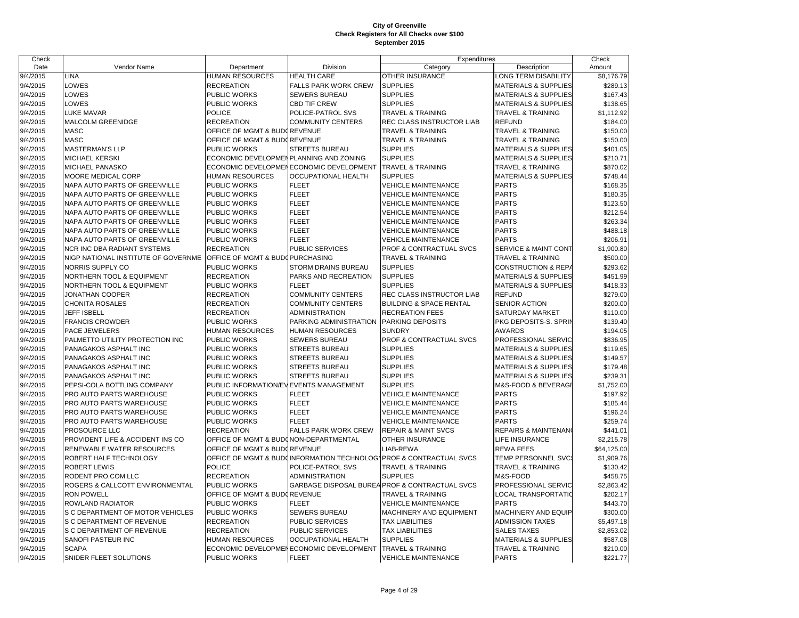| Check    |                                     |                                        |                                         | Expenditures                                                       |                                 | Check       |
|----------|-------------------------------------|----------------------------------------|-----------------------------------------|--------------------------------------------------------------------|---------------------------------|-------------|
| Date     | Vendor Name                         | Department                             | Division                                | Category                                                           | Description                     | Amount      |
| 9/4/2015 | LINA                                | <b>HUMAN RESOURCES</b>                 | <b>HEALTH CARE</b>                      | OTHER INSURANCE                                                    | <b>LONG TERM DISABILITY</b>     | \$8,176.79  |
| 9/4/2015 | LOWES                               | <b>RECREATION</b>                      | FALLS PARK WORK CREW                    | <b>SUPPLIES</b>                                                    | <b>MATERIALS &amp; SUPPLIES</b> | \$289.13    |
| 9/4/2015 | LOWES                               | PUBLIC WORKS                           | <b>SEWERS BUREAU</b>                    | <b>SUPPLIES</b>                                                    | <b>MATERIALS &amp; SUPPLIES</b> | \$167.43    |
| 9/4/2015 | LOWES                               | PUBLIC WORKS                           | <b>CBD TIF CREW</b>                     | <b>SUPPLIES</b>                                                    | <b>MATERIALS &amp; SUPPLIES</b> | \$138.65    |
| 9/4/2015 | LUKE MAVAR                          | <b>POLICE</b>                          | POLICE-PATROL SVS                       | <b>TRAVEL &amp; TRAINING</b>                                       | <b>TRAVEL &amp; TRAINING</b>    | \$1,112.92  |
| 9/4/2015 | MALCOLM GREENIDGE                   | <b>RECREATION</b>                      | <b>COMMUNITY CENTERS</b>                | REC CLASS INSTRUCTOR LIAB                                          | <b>REFUND</b>                   | \$184.00    |
| 9/4/2015 | <b>MASC</b>                         | OFFICE OF MGMT & BUDOREVENUE           |                                         | <b>TRAVEL &amp; TRAINING</b>                                       | <b>TRAVEL &amp; TRAINING</b>    | \$150.00    |
| 9/4/2015 | <b>MASC</b>                         | OFFICE OF MGMT & BUDOREVENUE           |                                         | <b>TRAVEL &amp; TRAINING</b>                                       | <b>TRAVEL &amp; TRAINING</b>    | \$150.00    |
| 9/4/2015 | <b>MASTERMAN'S LLP</b>              | PUBLIC WORKS                           | STREETS BUREAU                          | <b>SUPPLIES</b>                                                    | <b>MATERIALS &amp; SUPPLIES</b> | \$401.05    |
| 9/4/2015 | <b>MICHAEL KERSKI</b>               | ECONOMIC DEVELOPMENPLANNING AND ZONING |                                         | <b>SUPPLIES</b>                                                    | <b>MATERIALS &amp; SUPPLIES</b> | \$210.71    |
| 9/4/2015 | MICHAEL PANASKO                     |                                        | ECONOMIC DEVELOPMENECONOMIC DEVELOPMENT | <b>TRAVEL &amp; TRAINING</b>                                       | <b>TRAVEL &amp; TRAINING</b>    | \$870.02    |
| 9/4/2015 | MOORE MEDICAL CORP                  | <b>HUMAN RESOURCES</b>                 | <b>OCCUPATIONAL HEALTH</b>              | <b>SUPPLIES</b>                                                    | <b>MATERIALS &amp; SUPPLIES</b> | \$748.44    |
| 9/4/2015 | NAPA AUTO PARTS OF GREENVILLE       | PUBLIC WORKS                           | <b>FLEET</b>                            | <b>VEHICLE MAINTENANCE</b>                                         | <b>PARTS</b>                    | \$168.35    |
| 9/4/2015 | NAPA AUTO PARTS OF GREENVILLE       | PUBLIC WORKS                           | <b>FLEET</b>                            | <b>VEHICLE MAINTENANCE</b>                                         | <b>PARTS</b>                    | \$180.35    |
| 9/4/2015 | NAPA AUTO PARTS OF GREENVILLE       | <b>PUBLIC WORKS</b>                    | <b>FLEET</b>                            | <b>VEHICLE MAINTENANCE</b>                                         | <b>PARTS</b>                    | \$123.50    |
| 9/4/2015 | NAPA AUTO PARTS OF GREENVILLE       | PUBLIC WORKS                           | <b>FLEET</b>                            | <b>VEHICLE MAINTENANCE</b>                                         | <b>PARTS</b>                    | \$212.54    |
| 9/4/2015 | NAPA AUTO PARTS OF GREENVILLE       | PUBLIC WORKS                           | <b>FLEET</b>                            | <b>VEHICLE MAINTENANCE</b>                                         | <b>PARTS</b>                    | \$263.34    |
| 9/4/2015 | NAPA AUTO PARTS OF GREENVILLE       | <b>PUBLIC WORKS</b>                    | <b>FLEET</b>                            | <b>VEHICLE MAINTENANCE</b>                                         | <b>PARTS</b>                    | \$488.18    |
| 9/4/2015 | NAPA AUTO PARTS OF GREENVILLE       | PUBLIC WORKS                           | <b>FLEET</b>                            | <b>VEHICLE MAINTENANCE</b>                                         | <b>PARTS</b>                    | \$206.91    |
| 9/4/2015 | NCR INC DBA RADIANT SYSTEMS         | <b>RECREATION</b>                      | <b>PUBLIC SERVICES</b>                  | PROF & CONTRACTUAL SVCS                                            | <b>SERVICE &amp; MAINT CONT</b> | \$1,900.80  |
| 9/4/2015 | NIGP NATIONAL INSTITUTE OF GOVERNME | OFFICE OF MGMT & BUDOPURCHASING        |                                         | <b>TRAVEL &amp; TRAINING</b>                                       | <b>TRAVEL &amp; TRAINING</b>    | \$500.00    |
| 9/4/2015 | NORRIS SUPPLY CO                    | PUBLIC WORKS                           | <b>STORM DRAINS BUREAU</b>              | <b>SUPPLIES</b>                                                    | CONSTRUCTION & REPA             | \$293.62    |
| 9/4/2015 | NORTHERN TOOL & EQUIPMENT           | <b>RECREATION</b>                      | PARKS AND RECREATION                    | <b>SUPPLIES</b>                                                    | <b>MATERIALS &amp; SUPPLIES</b> | \$451.99    |
| 9/4/2015 | NORTHERN TOOL & EQUIPMENT           | PUBLIC WORKS                           | <b>FLEET</b>                            | <b>SUPPLIES</b>                                                    | <b>MATERIALS &amp; SUPPLIES</b> | \$418.33    |
| 9/4/2015 | JONATHAN COOPER                     | <b>RECREATION</b>                      | <b>COMMUNITY CENTERS</b>                | REC CLASS INSTRUCTOR LIAB                                          | <b>REFUND</b>                   | \$279.00    |
| 9/4/2015 | <b>CHONITA ROSALES</b>              | <b>RECREATION</b>                      | <b>COMMUNITY CENTERS</b>                | <b>BUILDING &amp; SPACE RENTAL</b>                                 | <b>SENIOR ACTION</b>            | \$200.00    |
| 9/4/2015 | <b>JEFF ISBELL</b>                  | <b>RECREATION</b>                      | <b>ADMINISTRATION</b>                   | <b>RECREATION FEES</b>                                             | SATURDAY MARKET                 | \$110.00    |
| 9/4/2015 | <b>FRANCIS CROWDER</b>              | PUBLIC WORKS                           | PARKING ADMINISTRATION                  | PARKING DEPOSITS                                                   | PKG DEPOSITS-S. SPRIN           | \$139.40    |
| 9/4/2015 | PACE JEWELERS                       | <b>HUMAN RESOURCES</b>                 | <b>HUMAN RESOURCES</b>                  | <b>SUNDRY</b>                                                      | <b>AWARDS</b>                   | \$194.05    |
| 9/4/2015 | PALMETTO UTILITY PROTECTION INC     | PUBLIC WORKS                           | <b>SEWERS BUREAU</b>                    | PROF & CONTRACTUAL SVCS                                            | PROFESSIONAL SERVIC             | \$836.95    |
| 9/4/2015 | PANAGAKOS ASPHALT INC               | PUBLIC WORKS                           | <b>STREETS BUREAU</b>                   | <b>SUPPLIES</b>                                                    | <b>MATERIALS &amp; SUPPLIES</b> | \$119.65    |
| 9/4/2015 | PANAGAKOS ASPHALT INC               | PUBLIC WORKS                           | <b>STREETS BUREAU</b>                   | <b>SUPPLIES</b>                                                    | MATERIALS & SUPPLIES            | \$149.57    |
| 9/4/2015 | PANAGAKOS ASPHALT INC               | PUBLIC WORKS                           | <b>STREETS BUREAU</b>                   | <b>SUPPLIES</b>                                                    | MATERIALS & SUPPLIES            | \$179.48    |
| 9/4/2015 | PANAGAKOS ASPHALT INC               | PUBLIC WORKS                           | <b>STREETS BUREAU</b>                   | <b>SUPPLIES</b>                                                    | <b>MATERIALS &amp; SUPPLIES</b> | \$239.31    |
| 9/4/2015 | PEPSI-COLA BOTTLING COMPANY         | PUBLIC INFORMATION/EVEVENTS MANAGEMENT |                                         | <b>SUPPLIES</b>                                                    | M&S-FOOD & BEVERAGE             | \$1,752.00  |
| 9/4/2015 | PRO AUTO PARTS WAREHOUSE            | PUBLIC WORKS                           | <b>FLEET</b>                            | <b>VEHICLE MAINTENANCE</b>                                         | <b>PARTS</b>                    | \$197.92    |
| 9/4/2015 | PRO AUTO PARTS WAREHOUSE            | PUBLIC WORKS                           | <b>FLEET</b>                            | <b>VEHICLE MAINTENANCE</b>                                         | <b>PARTS</b>                    | \$185.44    |
| 9/4/2015 | PRO AUTO PARTS WAREHOUSE            | PUBLIC WORKS                           | <b>FLEET</b>                            | <b>VEHICLE MAINTENANCE</b>                                         | <b>PARTS</b>                    | \$196.24    |
| 9/4/2015 | PRO AUTO PARTS WAREHOUSE            | PUBLIC WORKS                           | <b>FLEET</b>                            | <b>VEHICLE MAINTENANCE</b>                                         | <b>PARTS</b>                    | \$259.74    |
| 9/4/2015 | PROSOURCE LLC                       | <b>RECREATION</b>                      | <b>FALLS PARK WORK CREW</b>             | <b>REPAIR &amp; MAINT SVCS</b>                                     | <b>REPAIRS &amp; MAINTENAN</b>  | \$441.01    |
| 9/4/2015 | PROVIDENT LIFE & ACCIDENT INS CO    | OFFICE OF MGMT & BUDONON-DEPARTMENTAL  |                                         | OTHER INSURANCE                                                    | LIFE INSURANCE                  | \$2,215.78  |
| 9/4/2015 | RENEWABLE WATER RESOURCES           | OFFICE OF MGMT & BUDGREVENUE           |                                         | LIAB-REWA                                                          | <b>REWA FEES</b>                | \$64,125.00 |
| 9/4/2015 | ROBERT HALF TECHNOLOGY              |                                        |                                         | OFFICE OF MGMT & BUDCINFORMATION TECHNOLOGYPROF & CONTRACTUAL SVCS | TEMP PERSONNEL SVC:             | \$1,909.76  |
| 9/4/2015 | ROBERT LEWIS                        | <b>POLICE</b>                          | POLICE-PATROL SVS                       | TRAVEL & TRAINING                                                  | <b>TRAVEL &amp; TRAINING</b>    | \$130.42    |
| 9/4/2015 | RODENT PRO.COM LLC                  | <b>RECREATION</b>                      | <b>ADMINISTRATION</b>                   | <b>SUPPLIES</b>                                                    | M&S-FOOD                        | \$458.75    |
| 9/4/2015 | ROGERS & CALLCOTT ENVIRONMENTAL     | PUBLIC WORKS                           |                                         | GARBAGE DISPOSAL BUREA PROF & CONTRACTUAL SVCS                     | PROFESSIONAL SERVIC             | \$2,863.42  |
| 9/4/2015 | <b>RON POWELL</b>                   | OFFICE OF MGMT & BUDOREVENUE           |                                         | <b>TRAVEL &amp; TRAINING</b>                                       | LOCAL TRANSPORTATIO             | \$202.17    |
| 9/4/2015 | ROWLAND RADIATOR                    | PUBLIC WORKS                           | <b>FLEET</b>                            | <b>VEHICLE MAINTENANCE</b>                                         | <b>PARTS</b>                    | \$443.70    |
| 9/4/2015 | S C DEPARTMENT OF MOTOR VEHICLES    | PUBLIC WORKS                           | SEWERS BUREAU                           | MACHINERY AND EQUIPMENT                                            | MACHINERY AND EQUIP             | \$300.00    |
| 9/4/2015 | S C DEPARTMENT OF REVENUE           | <b>RECREATION</b>                      | <b>PUBLIC SERVICES</b>                  | <b>TAX LIABILITIES</b>                                             | <b>ADMISSION TAXES</b>          | \$5,497.18  |
| 9/4/2015 | S C DEPARTMENT OF REVENUE           | <b>RECREATION</b>                      | <b>PUBLIC SERVICES</b>                  | <b>TAX LIABILITIES</b>                                             | <b>SALES TAXES</b>              | \$2,853.02  |
| 9/4/2015 | <b>SANOFI PASTEUR INC</b>           | <b>HUMAN RESOURCES</b>                 | <b>OCCUPATIONAL HEALTH</b>              | <b>SUPPLIES</b>                                                    | <b>MATERIALS &amp; SUPPLIES</b> | \$587.08    |
| 9/4/2015 | <b>SCAPA</b>                        |                                        | ECONOMIC DEVELOPMENECONOMIC DEVELOPMENT | <b>TRAVEL &amp; TRAINING</b>                                       | <b>TRAVEL &amp; TRAINING</b>    | \$210.00    |
| 9/4/2015 | SNIDER FLEET SOLUTIONS              | PUBLIC WORKS                           | <b>FLEET</b>                            | <b>VEHICLE MAINTENANCE</b>                                         | <b>PARTS</b>                    | \$221.77    |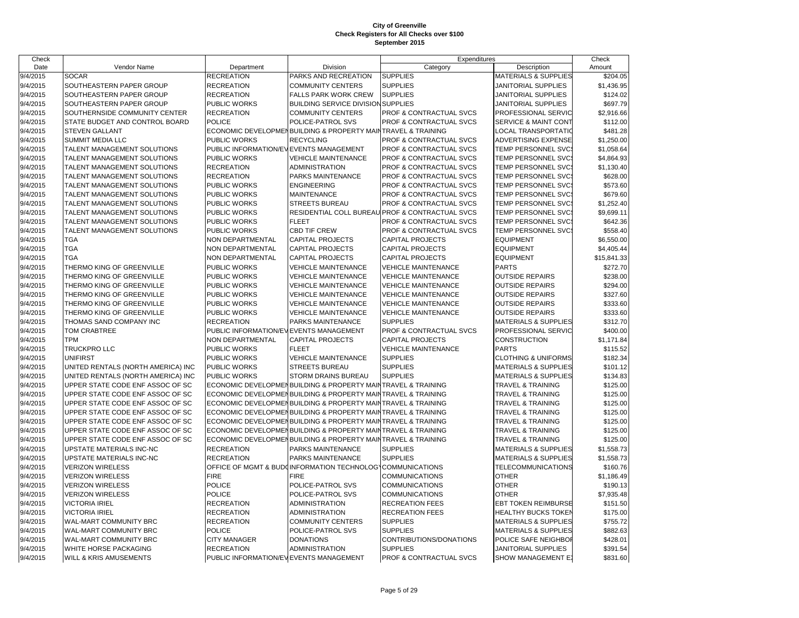| Check    |                                    |                                        |                                                               | Expenditures                                    |                                 | Check       |
|----------|------------------------------------|----------------------------------------|---------------------------------------------------------------|-------------------------------------------------|---------------------------------|-------------|
| Date     | Vendor Name                        | Department                             | Division                                                      | Category                                        | Description                     | Amount      |
| 9/4/2015 | <b>SOCAR</b>                       | <b>RECREATION</b>                      | PARKS AND RECREATION                                          | <b>SUPPLIES</b>                                 | MATERIALS & SUPPLIES            | \$204.05    |
| 9/4/2015 | SOUTHEASTERN PAPER GROUP           | <b>RECREATION</b>                      | <b>COMMUNITY CENTERS</b>                                      | <b>SUPPLIES</b>                                 | JANITORIAL SUPPLIES             | \$1,436.95  |
| 9/4/2015 | SOUTHEASTERN PAPER GROUP           | <b>RECREATION</b>                      | <b>FALLS PARK WORK CREW</b>                                   | <b>SUPPLIES</b>                                 | JANITORIAL SUPPLIES             | \$124.02    |
| 9/4/2015 | SOUTHEASTERN PAPER GROUP           | PUBLIC WORKS                           | BUILDING SERVICE DIVISION SUPPLIES                            |                                                 | JANITORIAL SUPPLIES             | \$697.79    |
| 9/4/2015 | SOUTHERNSIDE COMMUNITY CENTER      | <b>RECREATION</b>                      | <b>COMMUNITY CENTERS</b>                                      | PROF & CONTRACTUAL SVCS                         | PROFESSIONAL SERVIC             | \$2,916.66  |
| 9/4/2015 | STATE BUDGET AND CONTROL BOARD     | <b>POLICE</b>                          | POLICE-PATROL SVS                                             | PROF & CONTRACTUAL SVCS                         | <b>SERVICE &amp; MAINT CONT</b> | \$112.00    |
| 9/4/2015 | <b>STEVEN GALLANT</b>              |                                        | ECONOMIC DEVELOPMEN BUILDING & PROPERTY MAINTRAVEL & TRAINING |                                                 | LOCAL TRANSPORTATIO             | \$481.28    |
| 9/4/2015 | <b>SUMMIT MEDIA LLC</b>            | PUBLIC WORKS                           | <b>RECYCLING</b>                                              | PROF & CONTRACTUAL SVCS                         | ADVERTISING EXPENSE             | \$1,250.00  |
| 9/4/2015 | TALENT MANAGEMENT SOLUTIONS        | PUBLIC INFORMATION/EVEVENTS MANAGEMENT |                                                               | PROF & CONTRACTUAL SVCS                         | TEMP PERSONNEL SVC              | \$1,058.64  |
| 9/4/2015 | TALENT MANAGEMENT SOLUTIONS        | <b>PUBLIC WORKS</b>                    | <b>VEHICLE MAINTENANCE</b>                                    | PROF & CONTRACTUAL SVCS                         | TEMP PERSONNEL SVC:             | \$4,864.93  |
| 9/4/2015 | TALENT MANAGEMENT SOLUTIONS        | <b>RECREATION</b>                      | <b>ADMINISTRATION</b>                                         | PROF & CONTRACTUAL SVCS                         | TEMP PERSONNEL SVC:             | \$1,130.40  |
| 9/4/2015 | TALENT MANAGEMENT SOLUTIONS        | <b>RECREATION</b>                      | PARKS MAINTENANCE                                             | PROF & CONTRACTUAL SVCS                         | TEMP PERSONNEL SVC              | \$628.00    |
| 9/4/2015 | TALENT MANAGEMENT SOLUTIONS        | <b>PUBLIC WORKS</b>                    | <b>ENGINEERING</b>                                            | PROF & CONTRACTUAL SVCS                         | TEMP PERSONNEL SVC:             | \$573.60    |
| 9/4/2015 | TALENT MANAGEMENT SOLUTIONS        | <b>PUBLIC WORKS</b>                    | <b>MAINTENANCE</b>                                            | PROF & CONTRACTUAL SVCS                         | TEMP PERSONNEL SVC:             | \$679.60    |
| 9/4/2015 | TALENT MANAGEMENT SOLUTIONS        | PUBLIC WORKS                           | <b>STREETS BUREAU</b>                                         | PROF & CONTRACTUAL SVCS                         | TEMP PERSONNEL SVC              | \$1,252.40  |
| 9/4/2015 | TALENT MANAGEMENT SOLUTIONS        | <b>PUBLIC WORKS</b>                    |                                                               | RESIDENTIAL COLL BUREAU PROF & CONTRACTUAL SVCS | TEMP PERSONNEL SVC:             | \$9,699.11  |
| 9/4/2015 | TALENT MANAGEMENT SOLUTIONS        | PUBLIC WORKS                           | <b>FLEET</b>                                                  | PROF & CONTRACTUAL SVCS                         | <b>TEMP PERSONNEL SVC:</b>      | \$642.36    |
| 9/4/2015 | TALENT MANAGEMENT SOLUTIONS        | PUBLIC WORKS                           | <b>CBD TIF CREW</b>                                           | PROF & CONTRACTUAL SVCS                         | TEMP PERSONNEL SVC:             | \$558.40    |
| 9/4/2015 | <b>TGA</b>                         | <b>NON DEPARTMENTAL</b>                | <b>CAPITAL PROJECTS</b>                                       | <b>CAPITAL PROJECTS</b>                         | <b>EQUIPMENT</b>                | \$6,550.00  |
| 9/4/2015 | <b>TGA</b>                         | NON DEPARTMENTAL                       | <b>CAPITAL PROJECTS</b>                                       | <b>CAPITAL PROJECTS</b>                         | <b>EQUIPMENT</b>                | \$4,405.44  |
| 9/4/2015 | TGA                                | NON DEPARTMENTAL                       | <b>CAPITAL PROJECTS</b>                                       | <b>CAPITAL PROJECTS</b>                         | <b>EQUIPMENT</b>                | \$15,841.33 |
| 9/4/2015 | THERMO KING OF GREENVILLE          | <b>PUBLIC WORKS</b>                    | <b>VEHICLE MAINTENANCE</b>                                    | <b>VEHICLE MAINTENANCE</b>                      | <b>PARTS</b>                    | \$272.70    |
| 9/4/2015 | THERMO KING OF GREENVILLE          | PUBLIC WORKS                           | VEHICLE MAINTENANCE                                           | <b>VEHICLE MAINTENANCE</b>                      | <b>OUTSIDE REPAIRS</b>          | \$238.00    |
| 9/4/2015 | THERMO KING OF GREENVILLE          | PUBLIC WORKS                           | <b>VEHICLE MAINTENANCE</b>                                    | <b>VEHICLE MAINTENANCE</b>                      | <b>OUTSIDE REPAIRS</b>          | \$294.00    |
| 9/4/2015 | THERMO KING OF GREENVILLE          | PUBLIC WORKS                           | <b>VEHICLE MAINTENANCE</b>                                    | <b>VEHICLE MAINTENANCE</b>                      | <b>OUTSIDE REPAIRS</b>          | \$327.60    |
| 9/4/2015 | THERMO KING OF GREENVILLE          | PUBLIC WORKS                           | <b>VEHICLE MAINTENANCE</b>                                    | <b>VEHICLE MAINTENANCE</b>                      | <b>OUTSIDE REPAIRS</b>          | \$333.60    |
| 9/4/2015 | THERMO KING OF GREENVILLE          | PUBLIC WORKS                           | <b>VEHICLE MAINTENANCE</b>                                    | <b>VEHICLE MAINTENANCE</b>                      | <b>OUTSIDE REPAIRS</b>          | \$333.60    |
| 9/4/2015 | THOMAS SAND COMPANY INC            | <b>RECREATION</b>                      | PARKS MAINTENANCE                                             | <b>SUPPLIES</b>                                 | <b>MATERIALS &amp; SUPPLIES</b> | \$312.70    |
| 9/4/2015 | TOM CRABTREE                       | PUBLIC INFORMATION/EVEVENTS MANAGEMENT |                                                               | PROF & CONTRACTUAL SVCS                         | PROFESSIONAL SERVIC             | \$400.00    |
| 9/4/2015 | <b>TPM</b>                         | NON DEPARTMENTAL                       | <b>CAPITAL PROJECTS</b>                                       | <b>CAPITAL PROJECTS</b>                         | <b>CONSTRUCTION</b>             | \$1,171.84  |
| 9/4/2015 | TRUCKPRO LLC                       | <b>PUBLIC WORKS</b>                    | <b>FLEET</b>                                                  | <b>VEHICLE MAINTENANCE</b>                      | <b>PARTS</b>                    | \$115.52    |
| 9/4/2015 | <b>UNIFIRST</b>                    | <b>PUBLIC WORKS</b>                    | <b>VEHICLE MAINTENANCE</b>                                    | <b>SUPPLIES</b>                                 | <b>CLOTHING &amp; UNIFORMS</b>  | \$182.34    |
| 9/4/2015 | UNITED RENTALS (NORTH AMERICA) INC | <b>PUBLIC WORKS</b>                    | <b>STREETS BUREAU</b>                                         | <b>SUPPLIES</b>                                 | <b>MATERIALS &amp; SUPPLIES</b> | \$101.12    |
| 9/4/2015 | UNITED RENTALS (NORTH AMERICA) INC | <b>PUBLIC WORKS</b>                    | STORM DRAINS BUREAU                                           | <b>SUPPLIES</b>                                 | <b>MATERIALS &amp; SUPPLIES</b> | \$134.83    |
| 9/4/2015 | UPPER STATE CODE ENF ASSOC OF SC   |                                        | ECONOMIC DEVELOPMENBUILDING & PROPERTY MAINTRAVEL & TRAINING  |                                                 | TRAVEL & TRAINING               | \$125.00    |
| 9/4/2015 | UPPER STATE CODE ENF ASSOC OF SC   |                                        | ECONOMIC DEVELOPMENBUILDING & PROPERTY MAIN                   | TRAVEL & TRAINING                               | TRAVEL & TRAINING               | \$125.00    |
| 9/4/2015 | UPPER STATE CODE ENF ASSOC OF SC   |                                        | ECONOMIC DEVELOPMENBUILDING & PROPERTY MAI                    | TRAVEL & TRAINING                               | TRAVEL & TRAINING               | \$125.00    |
| 9/4/2015 | UPPER STATE CODE ENF ASSOC OF SC   |                                        | ECONOMIC DEVELOPMENBUILDING & PROPERTY MAINTRAVEL & TRAINING  |                                                 | TRAVEL & TRAINING               | \$125.00    |
| 9/4/2015 | UPPER STATE CODE ENF ASSOC OF SC   |                                        | ECONOMIC DEVELOPMEN BUILDING & PROPERTY MAIN                  | TRAVEL & TRAINING                               | TRAVEL & TRAINING               | \$125.00    |
| 9/4/2015 | UPPER STATE CODE ENF ASSOC OF SC   |                                        | ECONOMIC DEVELOPMENBUILDING & PROPERTY MAI                    | TRAVEL & TRAINING                               | TRAVEL & TRAINING               | \$125.00    |
| 9/4/2015 | UPPER STATE CODE ENF ASSOC OF SC   |                                        | ECONOMIC DEVELOPMENBUILDING & PROPERTY MAINTRAVEL & TRAINING  |                                                 | TRAVEL & TRAINING               | \$125.00    |
| 9/4/2015 | UPSTATE MATERIALS INC-NC           | <b>RECREATION</b>                      | PARKS MAINTENANCE                                             | <b>SUPPLIES</b>                                 | <b>MATERIALS &amp; SUPPLIES</b> | \$1,558.73  |
| 9/4/2015 | UPSTATE MATERIALS INC-NC           | <b>RECREATION</b>                      | PARKS MAINTENANCE                                             | <b>SUPPLIES</b>                                 | <b>MATERIALS &amp; SUPPLIES</b> | \$1,558.73  |
| 9/4/2015 | <b>VERIZON WIRELESS</b>            |                                        | OFFICE OF MGMT & BUDGINFORMATION TECHNOLOGY COMMUNICATIONS    |                                                 | TELECOMMUNICATIONS              | \$160.76    |
| 9/4/2015 | <b>VERIZON WIRELESS</b>            | <b>FIRE</b>                            | <b>FIRE</b>                                                   | <b>COMMUNICATIONS</b>                           | <b>OTHER</b>                    | \$1,186.49  |
| 9/4/2015 | <b>VERIZON WIRELESS</b>            | <b>POLICE</b>                          | POLICE-PATROL SVS                                             | <b>COMMUNICATIONS</b>                           | <b>OTHER</b>                    | \$190.13    |
| 9/4/2015 | <b>VERIZON WIRELESS</b>            | <b>POLICE</b>                          | POLICE-PATROL SVS                                             | COMMUNICATIONS                                  | <b>OTHER</b>                    | \$7,935.48  |
| 9/4/2015 | <b>VICTORIA IRIEL</b>              | <b>RECREATION</b>                      | <b>ADMINISTRATION</b>                                         | <b>RECREATION FEES</b>                          | <b>EBT TOKEN REIMBURSE</b>      | \$151.50    |
| 9/4/2015 | <b>VICTORIA IRIEL</b>              | <b>RECREATION</b>                      | <b>ADMINISTRATION</b>                                         | <b>RECREATION FEES</b>                          | <b>HEALTHY BUCKS TOKEN</b>      | \$175.00    |
| 9/4/2015 | <b>WAL-MART COMMUNITY BRC</b>      | <b>RECREATION</b>                      | <b>COMMUNITY CENTERS</b>                                      | <b>SUPPLIES</b>                                 | <b>MATERIALS &amp; SUPPLIES</b> | \$755.72    |
| 9/4/2015 | WAL-MART COMMUNITY BRC             | <b>POLICE</b>                          | POLICE-PATROL SVS                                             | <b>SUPPLIES</b>                                 | <b>MATERIALS &amp; SUPPLIES</b> | \$882.63    |
| 9/4/2015 | WAL-MART COMMUNITY BRC             | <b>CITY MANAGER</b>                    | <b>DONATIONS</b>                                              | CONTRIBUTIONS/DONATIONS                         | POLICE SAFE NEIGHBOI            | \$428.01    |
| 9/4/2015 | WHITE HORSE PACKAGING              | <b>RECREATION</b>                      | <b>ADMINISTRATION</b>                                         | <b>SUPPLIES</b>                                 | JANITORIAL SUPPLIES             | \$391.54    |
| 9/4/2015 | WILL & KRIS AMUSEMENTS             | PUBLIC INFORMATION/EVEVENTS MANAGEMENT |                                                               | PROF & CONTRACTUAL SVCS                         | SHOW MANAGEMENT E)              | \$831.60    |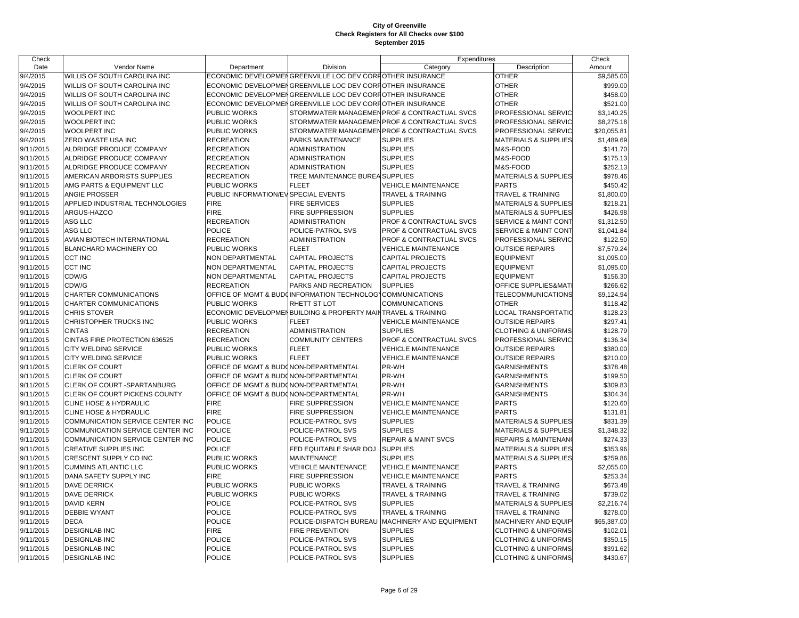| Check              |                                      |                                       |                                                              | Expenditures                                 |                                 | Check       |
|--------------------|--------------------------------------|---------------------------------------|--------------------------------------------------------------|----------------------------------------------|---------------------------------|-------------|
| Date               | Vendor Name                          | Department                            | Division                                                     | Category                                     | Description                     | Amount      |
| $\frac{9}{4/2015}$ | <b>WILLIS OF SOUTH CAROLINA INC</b>  |                                       | ECONOMIC DEVELOPMENGREENVILLE LOC DEV CORPOTHER INSURANCE    |                                              | <b>OTHER</b>                    | \$9.585.00  |
| 9/4/2015           | <b>WILLIS OF SOUTH CAROLINA INC</b>  |                                       | ECONOMIC DEVELOPMENGREENVILLE LOC DEV CORFIOTHER INSURANCE   |                                              | <b>OTHER</b>                    | \$999.00    |
| 9/4/2015           | WILLIS OF SOUTH CAROLINA INC         |                                       | ECONOMIC DEVELOPMENGREENVILLE LOC DEV CORPOTHER INSURANCE    |                                              | <b>OTHER</b>                    | \$458.00    |
| 9/4/2015           | <b>WILLIS OF SOUTH CAROLINA INC</b>  |                                       | ECONOMIC DEVELOPMENGREENVILLE LOC DEV CORFIOTHER INSURANCE   |                                              | <b>OTHER</b>                    | \$521.00    |
| 9/4/2015           | <b>WOOLPERT INC</b>                  | <b>PUBLIC WORKS</b>                   |                                                              | STORMWATER MANAGEMEN PROF & CONTRACTUAL SVCS | PROFESSIONAL SERVIC             | \$3,140.25  |
| 9/4/2015           | <b>WOOLPERT INC</b>                  | PUBLIC WORKS                          |                                                              | STORMWATER MANAGEMEN PROF & CONTRACTUAL SVCS | PROFESSIONAL SERVIC             | \$8,275.18  |
| 9/4/2015           | <b>WOOLPERT INC</b>                  | PUBLIC WORKS                          |                                                              | STORMWATER MANAGEMEN PROF & CONTRACTUAL SVCS | PROFESSIONAL SERVIC             | \$20,055.81 |
| 9/4/2015           | <b>ZERO WASTE USA INC</b>            | <b>RECREATION</b>                     | PARKS MAINTENANCE                                            | <b>SUPPLIES</b>                              | <b>MATERIALS &amp; SUPPLIES</b> | \$1,489.69  |
| 9/11/2015          | ALDRIDGE PRODUCE COMPANY             | <b>RECREATION</b>                     | <b>ADMINISTRATION</b>                                        | <b>SUPPLIES</b>                              | M&S-FOOD                        | \$141.70    |
| 9/11/2015          | <b>ALDRIDGE PRODUCE COMPANY</b>      | <b>RECREATION</b>                     | <b>ADMINISTRATION</b>                                        | <b>SUPPLIES</b>                              | M&S-FOOD                        | \$175.13    |
| 9/11/2015          | ALDRIDGE PRODUCE COMPANY             | <b>RECREATION</b>                     | <b>ADMINISTRATION</b>                                        | <b>SUPPLIES</b>                              | M&S-FOOD                        | \$252.13    |
| 9/11/2015          | AMERICAN ARBORISTS SUPPLIES          | <b>RECREATION</b>                     | TREE MAINTENANCE BUREA SUPPLIES                              |                                              | <b>MATERIALS &amp; SUPPLIES</b> | \$978.46    |
| 9/11/2015          | AMG PARTS & EQUIPMENT LLC            | PUBLIC WORKS                          | <b>FLEET</b>                                                 | <b>VEHICLE MAINTENANCE</b>                   | <b>PARTS</b>                    | \$450.42    |
| 9/11/2015          | <b>ANGIE PROSSER</b>                 | PUBLIC INFORMATION/EV SPECIAL EVENTS  |                                                              | <b>TRAVEL &amp; TRAINING</b>                 | <b>TRAVEL &amp; TRAINING</b>    | \$1,800.00  |
| 9/11/2015          | APPLIED INDUSTRIAL TECHNOLOGIES      | <b>FIRE</b>                           | <b>FIRE SERVICES</b>                                         | <b>SUPPLIES</b>                              | <b>MATERIALS &amp; SUPPLIES</b> | \$218.21    |
| 9/11/2015          | ARGUS-HAZCO                          | <b>FIRE</b>                           | FIRE SUPPRESSION                                             | <b>SUPPLIES</b>                              | <b>MATERIALS &amp; SUPPLIES</b> | \$426.98    |
| 9/11/2015          | <b>ASG LLC</b>                       | <b>RECREATION</b>                     | <b>ADMINISTRATION</b>                                        | <b>PROF &amp; CONTRACTUAL SVCS</b>           | <b>SERVICE &amp; MAINT CONT</b> | \$1,312.50  |
| 9/11/2015          | ASG LLC                              | <b>POLICE</b>                         | POLICE-PATROL SVS                                            | PROF & CONTRACTUAL SVCS                      | <b>SERVICE &amp; MAINT CONT</b> | \$1,041.84  |
| 9/11/2015          | <b>AVIAN BIOTECH INTERNATIONAL</b>   | <b>RECREATION</b>                     | <b>ADMINISTRATION</b>                                        | <b>PROF &amp; CONTRACTUAL SVCS</b>           | PROFESSIONAL SERVIC             | \$122.50    |
| 9/11/2015          | <b>BLANCHARD MACHINERY CO</b>        | <b>PUBLIC WORKS</b>                   | FLEET                                                        | <b>VEHICLE MAINTENANCE</b>                   | <b>OUTSIDE REPAIRS</b>          | \$7,579.24  |
| 9/11/2015          | <b>CCT INC</b>                       | <b>NON DEPARTMENTAL</b>               | CAPITAL PROJECTS                                             | <b>CAPITAL PROJECTS</b>                      | <b>EQUIPMENT</b>                | \$1,095.00  |
| 9/11/2015          | <b>CCT INC</b>                       | NON DEPARTMENTAL                      | <b>CAPITAL PROJECTS</b>                                      | <b>CAPITAL PROJECTS</b>                      | <b>EQUIPMENT</b>                | \$1,095.00  |
| 9/11/2015          | CDW/G                                | <b>NON DEPARTMENTAL</b>               | <b>CAPITAL PROJECTS</b>                                      | <b>CAPITAL PROJECTS</b>                      | <b>EQUIPMENT</b>                | \$156.30    |
| 9/11/2015          | CDW/G                                | <b>RECREATION</b>                     | PARKS AND RECREATION                                         | <b>SUPPLIES</b>                              | OFFICE SUPPLIES&MAT             | \$266.62    |
| 9/11/2015          | CHARTER COMMUNICATIONS               |                                       | OFFICE OF MGMT & BUDGINFORMATION TECHNOLOGYCOMMUNICATIONS    |                                              | TELECOMMUNICATIONS              | \$9,124.94  |
| 9/11/2015          | <b>CHARTER COMMUNICATIONS</b>        | <b>PUBLIC WORKS</b>                   | RHETT ST LOT                                                 | <b>COMMUNICATIONS</b>                        | <b>OTHER</b>                    | \$118.42    |
| 9/11/2015          | <b>CHRIS STOVER</b>                  |                                       | ECONOMIC DEVELOPMENBUILDING & PROPERTY MAINTRAVEL & TRAINING |                                              | LOCAL TRANSPORTATIO             | \$128.23    |
| 9/11/2015          | CHRISTOPHER TRUCKS INC               | PUBLIC WORKS                          | <b>FLEET</b>                                                 | <b>VEHICLE MAINTENANCE</b>                   | <b>OUTSIDE REPAIRS</b>          | \$297.41    |
| 9/11/2015          | <b>CINTAS</b>                        | <b>RECREATION</b>                     | <b>ADMINISTRATION</b>                                        | <b>SUPPLIES</b>                              | <b>CLOTHING &amp; UNIFORMS</b>  | \$128.79    |
| 9/11/2015          | CINTAS FIRE PROTECTION 636525        | <b>RECREATION</b>                     | <b>COMMUNITY CENTERS</b>                                     | PROF & CONTRACTUAL SVCS                      | PROFESSIONAL SERVIC             | \$136.34    |
| 9/11/2015          | <b>CITY WELDING SERVICE</b>          | <b>PUBLIC WORKS</b>                   | <b>FLEET</b>                                                 | <b>VEHICLE MAINTENANCE</b>                   | <b>OUTSIDE REPAIRS</b>          | \$380.00    |
| 9/11/2015          | <b>CITY WELDING SERVICE</b>          | <b>PUBLIC WORKS</b>                   | <b>FLEET</b>                                                 | <b>VEHICLE MAINTENANCE</b>                   | <b>OUTSIDE REPAIRS</b>          | \$210.00    |
| 9/11/2015          | <b>CLERK OF COURT</b>                | OFFICE OF MGMT & BUDONON-DEPARTMENTAL |                                                              | PR-WH                                        | <b>GARNISHMENTS</b>             | \$378.48    |
| 9/11/2015          | <b>CLERK OF COURT</b>                | OFFICE OF MGMT & BUDONON-DEPARTMENTAL |                                                              | PR-WH                                        | <b>GARNISHMENTS</b>             | \$199.50    |
| 9/11/2015          | <b>CLERK OF COURT -SPARTANBURG</b>   | OFFICE OF MGMT & BUDONON-DEPARTMENTAL |                                                              | PR-WH                                        | <b>GARNISHMENTS</b>             | \$309.83    |
| 9/11/2015          | <b>CLERK OF COURT PICKENS COUNTY</b> | OFFICE OF MGMT & BUDONON-DEPARTMENTAL |                                                              | PR-WH                                        | <b>GARNISHMENTS</b>             | \$304.34    |
| 9/11/2015          | <b>CLINE HOSE &amp; HYDRAULIC</b>    | <b>FIRE</b>                           | FIRE SUPPRESSION                                             | <b>VEHICLE MAINTENANCE</b>                   | <b>PARTS</b>                    | \$120.60    |
| 9/11/2015          | <b>CLINE HOSE &amp; HYDRAULIC</b>    | <b>FIRE</b>                           | FIRE SUPPRESSION                                             | <b>VEHICLE MAINTENANCE</b>                   | <b>PARTS</b>                    | \$131.81    |
| 9/11/2015          | COMMUNICATION SERVICE CENTER INC     | <b>POLICE</b>                         | POLICE-PATROL SVS                                            | <b>SUPPLIES</b>                              | <b>MATERIALS &amp; SUPPLIES</b> | \$831.39    |
| 9/11/2015          | COMMUNICATION SERVICE CENTER INC     | <b>POLICE</b>                         | POLICE-PATROL SVS                                            | <b>SUPPLIES</b>                              | <b>MATERIALS &amp; SUPPLIES</b> | \$1,348.32  |
| 9/11/2015          | COMMUNICATION SERVICE CENTER INC     | <b>POLICE</b>                         | POLICE-PATROL SVS                                            | <b>REPAIR &amp; MAINT SVCS</b>               | <b>REPAIRS &amp; MAINTENAN</b>  | \$274.33    |
| 9/11/2015          | <b>CREATIVE SUPPLIES INC</b>         | <b>POLICE</b>                         | FED EQUITABLE SHAR DOJ                                       | <b>SUPPLIES</b>                              | <b>MATERIALS &amp; SUPPLIES</b> | \$353.96    |
| 9/11/2015          | CRESCENT SUPPLY CO INC               | PUBLIC WORKS                          | <b>MAINTENANCE</b>                                           | <b>SUPPLIES</b>                              | <b>MATERIALS &amp; SUPPLIES</b> | \$259.86    |
| 9/11/2015          | <b>CUMMINS ATLANTIC LLC</b>          | <b>PUBLIC WORKS</b>                   | <b>VEHICLE MAINTENANCE</b>                                   | <b>VEHICLE MAINTENANCE</b>                   | <b>PARTS</b>                    | \$2,055.00  |
| 9/11/2015          | DANA SAFETY SUPPLY INC               | <b>FIRE</b>                           | FIRE SUPPRESSION                                             | <b>VEHICLE MAINTENANCE</b>                   | <b>PARTS</b>                    | \$253.34    |
| 9/11/2015          | <b>DAVE DERRICK</b>                  | PUBLIC WORKS                          | <b>PUBLIC WORKS</b>                                          | <b>TRAVEL &amp; TRAINING</b>                 | <b>TRAVEL &amp; TRAINING</b>    | \$673.48    |
| 9/11/2015          | <b>DAVE DERRICK</b>                  | PUBLIC WORKS                          | <b>PUBLIC WORKS</b>                                          | <b>TRAVEL &amp; TRAINING</b>                 | <b>TRAVEL &amp; TRAINING</b>    | \$739.02    |
| 9/11/2015          | <b>DAVID KERN</b>                    | <b>POLICE</b>                         | POLICE-PATROL SVS                                            | <b>SUPPLIES</b>                              | <b>MATERIALS &amp; SUPPLIES</b> | \$2,216.74  |
| 9/11/2015          | <b>DEBBIE WYANT</b>                  | <b>POLICE</b>                         | POLICE-PATROL SVS                                            | <b>TRAVEL &amp; TRAINING</b>                 | <b>TRAVEL &amp; TRAINING</b>    | \$278.00    |
| 9/11/2015          | <b>DECA</b>                          | <b>POLICE</b>                         | POLICE-DISPATCH BUREAU                                       | MACHINERY AND EQUIPMENT                      | MACHINERY AND EQUIP             | \$65,387.00 |
| 9/11/2015          | <b>DESIGNLAB INC</b>                 | <b>FIRE</b>                           | <b>FIRE PREVENTION</b>                                       | <b>SUPPLIES</b>                              | <b>CLOTHING &amp; UNIFORMS</b>  | \$102.01    |
| 9/11/2015          | <b>DESIGNLAB INC</b>                 | <b>POLICE</b>                         | POLICE-PATROL SVS                                            | <b>SUPPLIES</b>                              | <b>CLOTHING &amp; UNIFORMS</b>  | \$350.15    |
| 9/11/2015          | <b>DESIGNLAB INC</b>                 | <b>POLICE</b>                         | POLICE-PATROL SVS                                            | <b>SUPPLIES</b>                              | <b>CLOTHING &amp; UNIFORMS</b>  | \$391.62    |
| 9/11/2015          | <b>DESIGNLAB INC</b>                 | <b>POLICE</b>                         | POLICE-PATROL SVS                                            | <b>SUPPLIES</b>                              | <b>CLOTHING &amp; UNIFORMS</b>  | \$430.67    |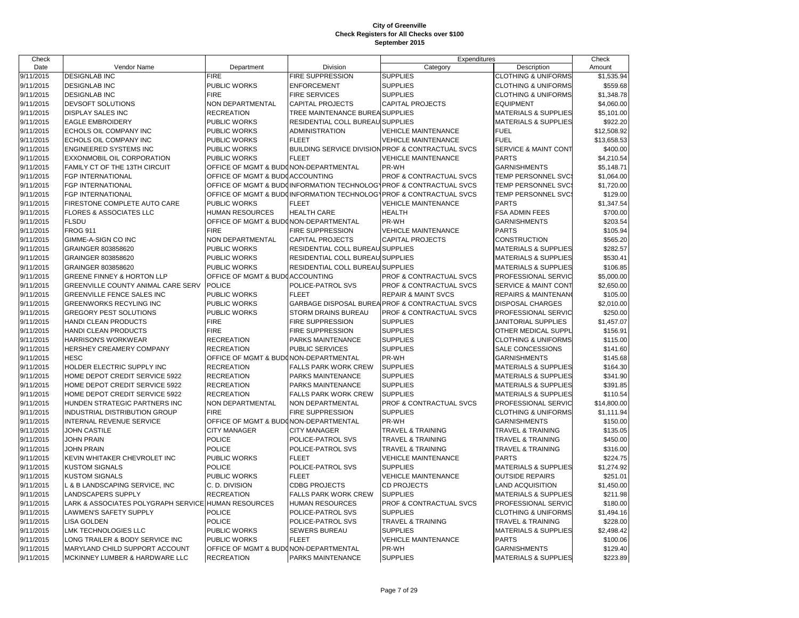| Check     |                                                     |                                                  |                                  | Expenditures                                                       |                                 | Check       |
|-----------|-----------------------------------------------------|--------------------------------------------------|----------------------------------|--------------------------------------------------------------------|---------------------------------|-------------|
| Date      | Vendor Name                                         | Department                                       | Division                         | Category                                                           | Description                     | Amount      |
| 9/11/2015 | <b>DESIGNLAB INC</b>                                | FIRE                                             | <b>FIRE SUPPRESSION</b>          | <b>SUPPLIES</b>                                                    | <b>CLOTHING &amp; UNIFORMS</b>  | \$1,535.94  |
| 9/11/2015 | <b>DESIGNLAB INC</b>                                | PUBLIC WORKS                                     | <b>ENFORCEMENT</b>               | <b>SUPPLIES</b>                                                    | <b>CLOTHING &amp; UNIFORMS</b>  | \$559.68    |
| 9/11/2015 | <b>DESIGNLAB INC</b>                                | <b>FIRE</b>                                      | <b>FIRE SERVICES</b>             | <b>SUPPLIES</b>                                                    | <b>CLOTHING &amp; UNIFORMS</b>  | \$1,348.78  |
| 9/11/2015 | DEVSOFT SOLUTIONS                                   | NON DEPARTMENTAL                                 | <b>CAPITAL PROJECTS</b>          | <b>CAPITAL PROJECTS</b>                                            | <b>EQUIPMENT</b>                | \$4,060.00  |
| 9/11/2015 | <b>DISPLAY SALES INC</b>                            | <b>RECREATION</b>                                | TREE MAINTENANCE BUREA SUPPLIES  |                                                                    | <b>MATERIALS &amp; SUPPLIES</b> | \$5,101.00  |
| 9/11/2015 | <b>EAGLE EMBROIDERY</b>                             | PUBLIC WORKS                                     | RESIDENTIAL COLL BUREAU SUPPLIES |                                                                    | MATERIALS & SUPPLIES            | \$922.20    |
| 9/11/2015 | ECHOLS OIL COMPANY INC                              | PUBLIC WORKS                                     | ADMINISTRATION                   | <b>VEHICLE MAINTENANCE</b>                                         | <b>FUEL</b>                     | \$12,508.92 |
| 9/11/2015 | ECHOLS OIL COMPANY INC                              | PUBLIC WORKS                                     | <b>FLEET</b>                     | <b>VEHICLE MAINTENANCE</b>                                         | <b>FUEL</b>                     | \$13,658.53 |
| 9/11/2015 | <b>ENGINEERED SYSTEMS INC</b>                       | PUBLIC WORKS                                     |                                  | BUILDING SERVICE DIVISION PROF & CONTRACTUAL SVCS                  | SERVICE & MAINT CONT            | \$400.00    |
| 9/11/2015 | EXXONMOBIL OIL CORPORATION                          | PUBLIC WORKS                                     | <b>FLEET</b>                     | <b>VEHICLE MAINTENANCE</b>                                         | <b>PARTS</b>                    | \$4,210.54  |
| 9/11/2015 | FAMILY CT OF THE 13TH CIRCUIT                       | OFFICE OF MGMT & BUDONON-DEPARTMENTAL            |                                  | PR-WH                                                              | <b>GARNISHMENTS</b>             | \$5,148.71  |
| 9/11/2015 | FGP INTERNATIONAL                                   | OFFICE OF MGMT & BUDGACCOUNTING                  |                                  | PROF & CONTRACTUAL SVCS                                            | TEMP PERSONNEL SVC              | \$1,064.00  |
| 9/11/2015 | FGP INTERNATIONAL                                   |                                                  |                                  | OFFICE OF MGMT & BUDCINFORMATION TECHNOLOGYPROF & CONTRACTUAL SVCS | TEMP PERSONNEL SVC:             | \$1,720.00  |
| 9/11/2015 | FGP INTERNATIONAL                                   |                                                  |                                  | OFFICE OF MGMT & BUDCINFORMATION TECHNOLOGYPROF & CONTRACTUAL SVCS | TEMP PERSONNEL SVC:             | \$129.00    |
| 9/11/2015 | FIRESTONE COMPLETE AUTO CARE                        | PUBLIC WORKS                                     | <b>FLEET</b>                     | <b>VEHICLE MAINTENANCE</b>                                         | <b>PARTS</b>                    | \$1,347.54  |
| 9/11/2015 | <b>FLORES &amp; ASSOCIATES LLC</b>                  | HUMAN RESOURCES                                  | HEALTH CARE                      | <b>HEALTH</b>                                                      | FSA ADMIN FEES                  | \$700.00    |
| 9/11/2015 | <b>FLSDU</b>                                        | OFFICE OF MGMT & BUDONON-DEPARTMENTAL            |                                  | PR-WH                                                              | <b>GARNISHMENTS</b>             | \$203.54    |
| 9/11/2015 | <b>FROG 911</b>                                     | <b>FIRE</b>                                      | <b>FIRE SUPPRESSION</b>          | VEHICLE MAINTENANCE                                                | <b>PARTS</b>                    | \$105.94    |
| 9/11/2015 | GIMME-A-SIGN CO INC                                 | NON DEPARTMENTAL                                 | <b>CAPITAL PROJECTS</b>          | CAPITAL PROJECTS                                                   | CONSTRUCTION                    | \$565.20    |
| 9/11/2015 | GRAINGER 803858620                                  | PUBLIC WORKS                                     | RESIDENTIAL COLL BUREAU SUPPLIES |                                                                    | <b>MATERIALS &amp; SUPPLIES</b> | \$282.57    |
| 9/11/2015 | GRAINGER 803858620                                  | PUBLIC WORKS                                     | RESIDENTIAL COLL BUREAU          | <b>SUPPLIES</b>                                                    | <b>MATERIALS &amp; SUPPLIES</b> | \$530.41    |
|           |                                                     |                                                  |                                  |                                                                    |                                 |             |
| 9/11/2015 | GRAINGER 803858620                                  | PUBLIC WORKS                                     | RESIDENTIAL COLL BUREAU SUPPLIES |                                                                    | <b>MATERIALS &amp; SUPPLIES</b> | \$106.85    |
| 9/11/2015 | GREENE FINNEY & HORTON LLP                          | OFFICE OF MGMT & BUDGACCOUNTING<br><b>POLICE</b> |                                  | <b>PROF &amp; CONTRACTUAL SVCS</b>                                 | PROFESSIONAL SERVIC             | \$5,000.00  |
| 9/11/2015 | GREENVILLE COUNTY ANIMAL CARE SERV                  |                                                  | POLICE-PATROL SVS                | PROF & CONTRACTUAL SVCS                                            | <b>SERVICE &amp; MAINT CONT</b> | \$2,650.00  |
| 9/11/2015 | GREENVILLE FENCE SALES INC                          | PUBLIC WORKS                                     | <b>FLEET</b>                     | <b>REPAIR &amp; MAINT SVCS</b>                                     | REPAIRS & MAINTENANO            | \$105.00    |
| 9/11/2015 | <b>GREENWORKS RECYLING INC</b>                      | PUBLIC WORKS                                     |                                  | GARBAGE DISPOSAL BUREA PROF & CONTRACTUAL SVCS                     | <b>DISPOSAL CHARGES</b>         | \$2,010.00  |
| 9/11/2015 | GREGORY PEST SOLUTIONS                              | PUBLIC WORKS                                     | STORM DRAINS BUREAU              | PROF & CONTRACTUAL SVCS                                            | PROFESSIONAL SERVIC             | \$250.00    |
| 9/11/2015 | HANDI CLEAN PRODUCTS                                | <b>FIRE</b>                                      | <b>FIRE SUPPRESSION</b>          | <b>SUPPLIES</b>                                                    | JANITORIAL SUPPLIES             | \$1,457.07  |
| 9/11/2015 | <b>HANDI CLEAN PRODUCTS</b>                         | <b>FIRE</b>                                      | <b>FIRE SUPPRESSION</b>          | <b>SUPPLIES</b>                                                    | OTHER MEDICAL SUPPL             | \$156.91    |
| 9/11/2015 | <b>HARRISON'S WORKWEAR</b>                          | <b>RECREATION</b>                                | PARKS MAINTENANCE                | <b>SUPPLIES</b>                                                    | <b>CLOTHING &amp; UNIFORMS</b>  | \$115.00    |
| 9/11/2015 | HERSHEY CREAMERY COMPANY                            | <b>RECREATION</b>                                | PUBLIC SERVICES                  | <b>SUPPLIES</b>                                                    | SALE CONCESSIONS                | \$141.60    |
| 9/11/2015 | <b>HESC</b>                                         | OFFICE OF MGMT & BUDONON-DEPARTMENTAL            |                                  | PR-WH                                                              | <b>GARNISHMENTS</b>             | \$145.68    |
| 9/11/2015 | HOLDER ELECTRIC SUPPLY INC                          | <b>RECREATION</b>                                | <b>FALLS PARK WORK CREW</b>      | <b>SUPPLIES</b>                                                    | <b>MATERIALS &amp; SUPPLIES</b> | \$164.30    |
| 9/11/2015 | HOME DEPOT CREDIT SERVICE 5922                      | <b>RECREATION</b>                                | PARKS MAINTENANCE                | <b>SUPPLIES</b>                                                    | <b>MATERIALS &amp; SUPPLIES</b> | \$341.90    |
| 9/11/2015 | HOME DEPOT CREDIT SERVICE 5922                      | <b>RECREATION</b>                                | PARKS MAINTENANCE                | <b>SUPPLIES</b>                                                    | <b>MATERIALS &amp; SUPPLIES</b> | \$391.85    |
| 9/11/2015 | HOME DEPOT CREDIT SERVICE 5922                      | <b>RECREATION</b>                                | FALLS PARK WORK CREW             | <b>SUPPLIES</b>                                                    | <b>MATERIALS &amp; SUPPLIES</b> | \$110.54    |
| 9/11/2015 | HUNDEN STRATEGIC PARTNERS INC                       | NON DEPARTMENTAL                                 | NON DEPARTMENTAL                 | PROF & CONTRACTUAL SVCS                                            | PROFESSIONAL SERVIC             | \$14,800.00 |
| 9/11/2015 | INDUSTRIAL DISTRIBUTION GROUP                       | <b>FIRE</b>                                      | FIRE SUPPRESSION                 | <b>SUPPLIES</b>                                                    | <b>CLOTHING &amp; UNIFORMS</b>  | \$1,111.94  |
| 9/11/2015 | INTERNAL REVENUE SERVICE                            | OFFICE OF MGMT & BUDONON-DEPARTMENTAL            |                                  | PR-WH                                                              | <b>GARNISHMENTS</b>             | \$150.00    |
| 9/11/2015 | JOHN CASTILE                                        | <b>CITY MANAGER</b>                              | <b>CITY MANAGER</b>              | TRAVEL & TRAINING                                                  | TRAVEL & TRAINING               | \$135.05    |
| 9/11/2015 | <b>JOHN PRAIN</b>                                   | <b>POLICE</b>                                    | POLICE-PATROL SVS                | TRAVEL & TRAINING                                                  | TRAVEL & TRAINING               | \$450.00    |
| 9/11/2015 | <b>JOHN PRAIN</b>                                   | POLICE                                           | POLICE-PATROL SVS                | TRAVEL & TRAINING                                                  | TRAVEL & TRAINING               | \$316.00    |
| 9/11/2015 | KEVIN WHITAKER CHEVROLET INC                        | PUBLIC WORKS                                     | <b>FLEET</b>                     | <b>VEHICLE MAINTENANCE</b>                                         | <b>PARTS</b>                    | \$224.75    |
| 9/11/2015 | <b>KUSTOM SIGNALS</b>                               | <b>POLICE</b>                                    | POLICE-PATROL SVS                | <b>SUPPLIES</b>                                                    | <b>MATERIALS &amp; SUPPLIES</b> | \$1,274.92  |
| 9/11/2015 | <b>KUSTOM SIGNALS</b>                               | PUBLIC WORKS                                     | <b>FLEET</b>                     | <b>VEHICLE MAINTENANCE</b>                                         | <b>OUTSIDE REPAIRS</b>          | \$251.01    |
| 9/11/2015 | L & B LANDSCAPING SERVICE, INC                      | C. D. DIVISION                                   | <b>CDBG PROJECTS</b>             | <b>CD PROJECTS</b>                                                 | <b>LAND ACQUISITION</b>         | \$1,450.00  |
| 9/11/2015 | <b>LANDSCAPERS SUPPLY</b>                           | <b>RECREATION</b>                                | <b>FALLS PARK WORK CREW</b>      | <b>SUPPLIES</b>                                                    | <b>MATERIALS &amp; SUPPLIES</b> | \$211.98    |
| 9/11/2015 | LARK & ASSOCIATES POLYGRAPH SERVICE HUMAN RESOURCES |                                                  | <b>HUMAN RESOURCES</b>           | PROF & CONTRACTUAL SVCS                                            | PROFESSIONAL SERVIC             | \$180.00    |
| 9/11/2015 | LAWMEN'S SAFETY SUPPLY                              | <b>POLICE</b>                                    | POLICE-PATROL SVS                | <b>SUPPLIES</b>                                                    | <b>CLOTHING &amp; UNIFORMS</b>  | \$1,494.16  |
| 9/11/2015 | LISA GOLDEN                                         | <b>POLICE</b>                                    | POLICE-PATROL SVS                | TRAVEL & TRAINING                                                  | <b>TRAVEL &amp; TRAINING</b>    | \$228.00    |
| 9/11/2015 | LMK TECHNOLOGIES LLC                                | PUBLIC WORKS                                     | SEWERS BUREAU                    | <b>SUPPLIES</b>                                                    | <b>MATERIALS &amp; SUPPLIES</b> | \$2,498.42  |
| 9/11/2015 | LONG TRAILER & BODY SERVICE INC                     | PUBLIC WORKS                                     | <b>FLEET</b>                     | <b>VEHICLE MAINTENANCE</b>                                         | <b>PARTS</b>                    | \$100.06    |
| 9/11/2015 | MARYLAND CHILD SUPPORT ACCOUNT                      | OFFICE OF MGMT & BUDONON-DEPARTMENTAL            |                                  | PR-WH                                                              | <b>GARNISHMENTS</b>             | \$129.40    |
| 9/11/2015 | MCKINNEY LUMBER & HARDWARE LLC                      | <b>RECREATION</b>                                | PARKS MAINTENANCE                | <b>SUPPLIES</b>                                                    | <b>MATERIALS &amp; SUPPLIES</b> | \$223.89    |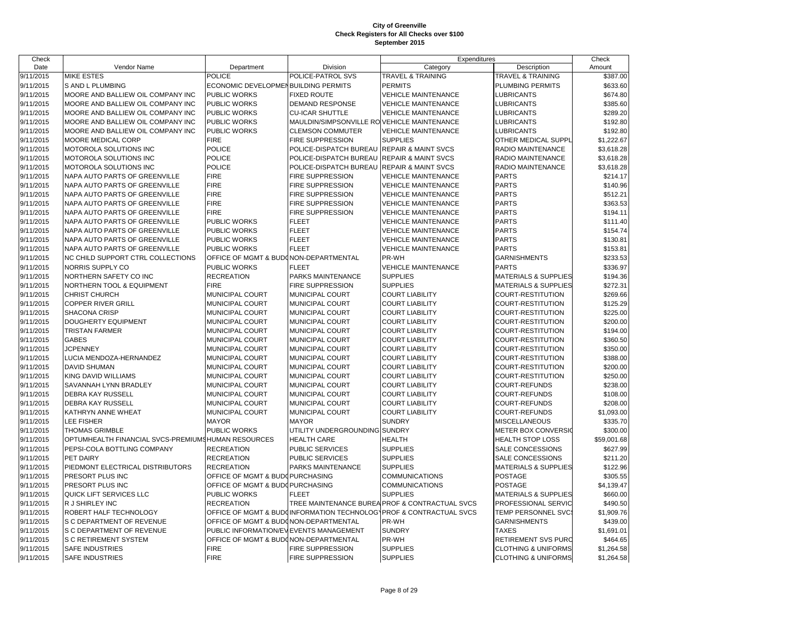| Check     |                                                    |                                        |                                             | Expenditures                                                       |                                 | Check       |
|-----------|----------------------------------------------------|----------------------------------------|---------------------------------------------|--------------------------------------------------------------------|---------------------------------|-------------|
| Date      | Vendor Name                                        | Department                             | Division                                    | Category                                                           | Description                     | Amount      |
| 9/11/2015 | <b>MIKE ESTES</b>                                  | <b>POLICE</b>                          | POLICE-PATROL SVS                           | TRAVEL & TRAINING                                                  | TRAVEL & TRAINING               | \$387.00    |
| 9/11/2015 | S AND L PLUMBING                                   | ECONOMIC DEVELOPMENBUILDING PERMITS    |                                             | <b>PERMITS</b>                                                     | PLUMBING PERMITS                | \$633.60    |
| 9/11/2015 | MOORE AND BALLIEW OIL COMPANY INC                  | PUBLIC WORKS                           | <b>FIXED ROUTE</b>                          | <b>VEHICLE MAINTENANCE</b>                                         | <b>LUBRICANTS</b>               | \$674.80    |
| 9/11/2015 | MOORE AND BALLIEW OIL COMPANY INC                  | <b>PUBLIC WORKS</b>                    | <b>DEMAND RESPONSE</b>                      | <b>VEHICLE MAINTENANCE</b>                                         | <b>LUBRICANTS</b>               | \$385.60    |
| 9/11/2015 | MOORE AND BALLIEW OIL COMPANY INC                  | <b>PUBLIC WORKS</b>                    | <b>CU-ICAR SHUTTLE</b>                      | <b>VEHICLE MAINTENANCE</b>                                         | <b>LUBRICANTS</b>               | \$289.20    |
| 9/11/2015 | MOORE AND BALLIEW OIL COMPANY INC                  | PUBLIC WORKS                           | MAULDIN/SIMPSONVILLE RO VEHICLE MAINTENANCE |                                                                    | LUBRICANTS                      | \$192.80    |
| 9/11/2015 | MOORE AND BALLIEW OIL COMPANY INC                  | PUBLIC WORKS                           | <b>CLEMSON COMMUTER</b>                     | <b>VEHICLE MAINTENANCE</b>                                         | <b>LUBRICANTS</b>               | \$192.80    |
| 9/11/2015 | MOORE MEDICAL CORP                                 | <b>FIRE</b>                            | <b>FIRE SUPPRESSION</b>                     | <b>SUPPLIES</b>                                                    | OTHER MEDICAL SUPPL             | \$1,222.67  |
| 9/11/2015 | MOTOROLA SOLUTIONS INC                             | <b>POLICE</b>                          | POLICE-DISPATCH BUREAU                      | <b>REPAIR &amp; MAINT SVCS</b>                                     | RADIO MAINTENANCE               | \$3,618.28  |
| 9/11/2015 | MOTOROLA SOLUTIONS INC                             | <b>POLICE</b>                          | POLICE-DISPATCH BUREAU                      | <b>REPAIR &amp; MAINT SVCS</b>                                     | RADIO MAINTENANCE               | \$3,618.28  |
| 9/11/2015 | MOTOROLA SOLUTIONS INC                             | <b>POLICE</b>                          | POLICE-DISPATCH BUREAU                      | <b>REPAIR &amp; MAINT SVCS</b>                                     | RADIO MAINTENANCE               | \$3,618.28  |
| 9/11/2015 | NAPA AUTO PARTS OF GREENVILLE                      | <b>FIRE</b>                            | FIRE SUPPRESSION                            | VEHICLE MAINTENANCE                                                | <b>PARTS</b>                    | \$214.17    |
| 9/11/2015 | NAPA AUTO PARTS OF GREENVILLE                      | <b>FIRE</b>                            | <b>FIRE SUPPRESSION</b>                     | <b>VEHICLE MAINTENANCE</b>                                         | <b>PARTS</b>                    | \$140.96    |
| 9/11/2015 | NAPA AUTO PARTS OF GREENVILLE                      | <b>FIRE</b>                            | <b>FIRE SUPPRESSION</b>                     | <b>VEHICLE MAINTENANCE</b>                                         | <b>PARTS</b>                    | \$512.21    |
| 9/11/2015 | NAPA AUTO PARTS OF GREENVILLE                      | <b>FIRE</b>                            | <b>FIRE SUPPRESSION</b>                     | <b>VEHICLE MAINTENANCE</b>                                         | <b>PARTS</b>                    | \$363.53    |
| 9/11/2015 | NAPA AUTO PARTS OF GREENVILLE                      | <b>FIRE</b>                            | <b>FIRE SUPPRESSION</b>                     | <b>VEHICLE MAINTENANCE</b>                                         | <b>PARTS</b>                    | \$194.11    |
| 9/11/2015 | NAPA AUTO PARTS OF GREENVILLE                      | PUBLIC WORKS                           | <b>FLEET</b>                                | <b>VEHICLE MAINTENANCE</b>                                         | <b>PARTS</b>                    | \$111.40    |
| 9/11/2015 | NAPA AUTO PARTS OF GREENVILLE                      | PUBLIC WORKS                           | <b>FLEET</b>                                | <b>VEHICLE MAINTENANCE</b>                                         | <b>PARTS</b>                    | \$154.74    |
| 9/11/2015 | NAPA AUTO PARTS OF GREENVILLE                      | PUBLIC WORKS                           | <b>FLEET</b>                                | <b>VEHICLE MAINTENANCE</b>                                         | <b>PARTS</b>                    | \$130.81    |
| 9/11/2015 | NAPA AUTO PARTS OF GREENVILLE                      | PUBLIC WORKS                           | <b>FLEET</b>                                | <b>VEHICLE MAINTENANCE</b>                                         | <b>PARTS</b>                    | \$153.81    |
| 9/11/2015 | NC CHILD SUPPORT CTRL COLLECTIONS                  | OFFICE OF MGMT & BUDONON-DEPARTMENTAL  |                                             | PR-WH                                                              | <b>GARNISHMENTS</b>             | \$233.53    |
| 9/11/2015 | NORRIS SUPPLY CO                                   | <b>PUBLIC WORKS</b>                    | <b>FLEET</b>                                | <b>VEHICLE MAINTENANCE</b>                                         | <b>PARTS</b>                    | \$336.97    |
| 9/11/2015 | NORTHERN SAFETY CO INC                             | <b>RECREATION</b>                      | PARKS MAINTENANCE                           | <b>SUPPLIES</b>                                                    | <b>MATERIALS &amp; SUPPLIES</b> | \$194.36    |
| 9/11/2015 | NORTHERN TOOL & EQUIPMENT                          | <b>FIRE</b>                            | <b>FIRE SUPPRESSION</b>                     | <b>SUPPLIES</b>                                                    | <b>MATERIALS &amp; SUPPLIES</b> | \$272.31    |
| 9/11/2015 | <b>CHRIST CHURCH</b>                               | MUNICIPAL COURT                        | <b>MUNICIPAL COURT</b>                      | <b>COURT LIABILITY</b>                                             | COURT-RESTITUTION               | \$269.66    |
| 9/11/2015 | COPPER RIVER GRILL                                 | MUNICIPAL COURT                        | MUNICIPAL COURT                             | <b>COURT LIABILITY</b>                                             | COURT-RESTITUTION               | \$125.29    |
| 9/11/2015 | <b>SHACONA CRISP</b>                               | MUNICIPAL COURT                        | MUNICIPAL COURT                             | <b>COURT LIABILITY</b>                                             | COURT-RESTITUTION               | \$225.00    |
| 9/11/2015 | <b>DOUGHERTY EQUIPMENT</b>                         | MUNICIPAL COURT                        | <b>MUNICIPAL COURT</b>                      | <b>COURT LIABILITY</b>                                             | COURT-RESTITUTION               | \$200.00    |
| 9/11/2015 | <b>TRISTAN FARMER</b>                              | MUNICIPAL COURT                        | MUNICIPAL COURT                             | <b>COURT LIABILITY</b>                                             | COURT-RESTITUTION               | \$194.00    |
| 9/11/2015 | <b>GABES</b>                                       | MUNICIPAL COURT                        | MUNICIPAL COURT                             | <b>COURT LIABILITY</b>                                             | COURT-RESTITUTION               | \$360.50    |
| 9/11/2015 | <b>JCPENNEY</b>                                    | MUNICIPAL COURT                        | MUNICIPAL COURT                             | <b>COURT LIABILITY</b>                                             | COURT-RESTITUTION               | \$350.00    |
| 9/11/2015 | LUCIA MENDOZA-HERNANDEZ                            | MUNICIPAL COURT                        | MUNICIPAL COURT                             | <b>COURT LIABILITY</b>                                             | COURT-RESTITUTION               | \$388.00    |
| 9/11/2015 | <b>DAVID SHUMAN</b>                                | MUNICIPAL COURT                        | <b>MUNICIPAL COURT</b>                      | <b>COURT LIABILITY</b>                                             | COURT-RESTITUTION               | \$200.00    |
| 9/11/2015 | KING DAVID WILLIAMS                                | MUNICIPAL COURT                        | MUNICIPAL COURT                             | <b>COURT LIABILITY</b>                                             | COURT-RESTITUTION               | \$250.00    |
| 9/11/2015 | SAVANNAH LYNN BRADLEY                              | MUNICIPAL COURT                        | MUNICIPAL COURT                             | <b>COURT LIABILITY</b>                                             | COURT-REFUNDS                   | \$238.00    |
| 9/11/2015 | <b>DEBRA KAY RUSSELL</b>                           | MUNICIPAL COURT                        | <b>MUNICIPAL COURT</b>                      | <b>COURT LIABILITY</b>                                             | <b>COURT-REFUNDS</b>            | \$108.00    |
| 9/11/2015 | DEBRA KAY RUSSELL                                  | MUNICIPAL COURT                        | MUNICIPAL COURT                             | <b>COURT LIABILITY</b>                                             | COURT-REFUNDS                   | \$208.00    |
| 9/11/2015 | KATHRYN ANNE WHEAT                                 | MUNICIPAL COURT                        | MUNICIPAL COURT                             | <b>COURT LIABILITY</b>                                             | COURT-REFUNDS                   | \$1,093.00  |
| 9/11/2015 | <b>LEE FISHER</b>                                  | <b>MAYOR</b>                           | <b>MAYOR</b>                                | <b>SUNDRY</b>                                                      | <b>MISCELLANEOUS</b>            | \$335.70    |
| 9/11/2015 | THOMAS GRIMBLE                                     | PUBLIC WORKS                           | UTILITY UNDERGROUNDING SUNDRY               |                                                                    | METER BOX CONVERSIO             | \$300.00    |
| 9/11/2015 | OPTUMHEALTH FINANCIAL SVCS-PREMIUMSHUMAN RESOURCES |                                        | <b>HEALTH CARE</b>                          | <b>HEALTH</b>                                                      | <b>HEALTH STOP LOSS</b>         | \$59,001.68 |
| 9/11/2015 | PEPSI-COLA BOTTLING COMPANY                        | <b>RECREATION</b>                      | PUBLIC SERVICES                             | <b>SUPPLIES</b>                                                    | SALE CONCESSIONS                | \$627.99    |
| 9/11/2015 | PET DAIRY                                          | <b>RECREATION</b>                      | <b>PUBLIC SERVICES</b>                      | <b>SUPPLIES</b>                                                    | SALE CONCESSIONS                | \$211.20    |
| 9/11/2015 | PIEDMONT ELECTRICAL DISTRIBUTORS                   | <b>RECREATION</b>                      | PARKS MAINTENANCE                           | <b>SUPPLIES</b>                                                    | <b>MATERIALS &amp; SUPPLIES</b> | \$122.96    |
| 9/11/2015 | PRESORT PLUS INC                                   | OFFICE OF MGMT & BUDOPURCHASING        |                                             | <b>COMMUNICATIONS</b>                                              | <b>POSTAGE</b>                  | \$305.55    |
| 9/11/2015 | PRESORT PLUS INC                                   | OFFICE OF MGMT & BUDOPURCHASING        |                                             | <b>COMMUNICATIONS</b>                                              | <b>POSTAGE</b>                  | \$4,139.47  |
| 9/11/2015 | QUICK LIFT SERVICES LLC                            | PUBLIC WORKS                           | <b>FLEET</b>                                | <b>SUPPLIES</b>                                                    | MATERIALS & SUPPLIES            | \$660.00    |
| 9/11/2015 | R J SHIRLEY INC                                    | <b>RECREATION</b>                      |                                             | TREE MAINTENANCE BUREA PROF & CONTRACTUAL SVCS                     | PROFESSIONAL SERVIC             | \$490.50    |
| 9/11/2015 | ROBERT HALF TECHNOLOGY                             |                                        |                                             | OFFICE OF MGMT & BUDCINFORMATION TECHNOLOGYPROF & CONTRACTUAL SVCS | TEMP PERSONNEL SVC:             | \$1,909.76  |
| 9/11/2015 | S C DEPARTMENT OF REVENUE                          | OFFICE OF MGMT & BUDONON-DEPARTMENTAL  |                                             | PR-WH                                                              | <b>GARNISHMENTS</b>             | \$439.00    |
| 9/11/2015 | S C DEPARTMENT OF REVENUE                          | PUBLIC INFORMATION/EVEVENTS MANAGEMENT |                                             | <b>SUNDRY</b>                                                      | <b>TAXES</b>                    | \$1,691.01  |
| 9/11/2015 | <b>S C RETIREMENT SYSTEM</b>                       | OFFICE OF MGMT & BUDONON-DEPARTMENTAL  |                                             | PR-WH                                                              | RETIREMENT SVS PURC             | \$464.65    |
| 9/11/2015 | <b>SAFE INDUSTRIES</b>                             | <b>FIRE</b>                            | <b>FIRE SUPPRESSION</b>                     | <b>SUPPLIES</b>                                                    | <b>CLOTHING &amp; UNIFORMS</b>  | \$1,264.58  |
| 9/11/2015 | <b>SAFE INDUSTRIES</b>                             | <b>FIRE</b>                            | <b>FIRE SUPPRESSION</b>                     | <b>SUPPLIES</b>                                                    | <b>CLOTHING &amp; UNIFORMS</b>  | \$1,264.58  |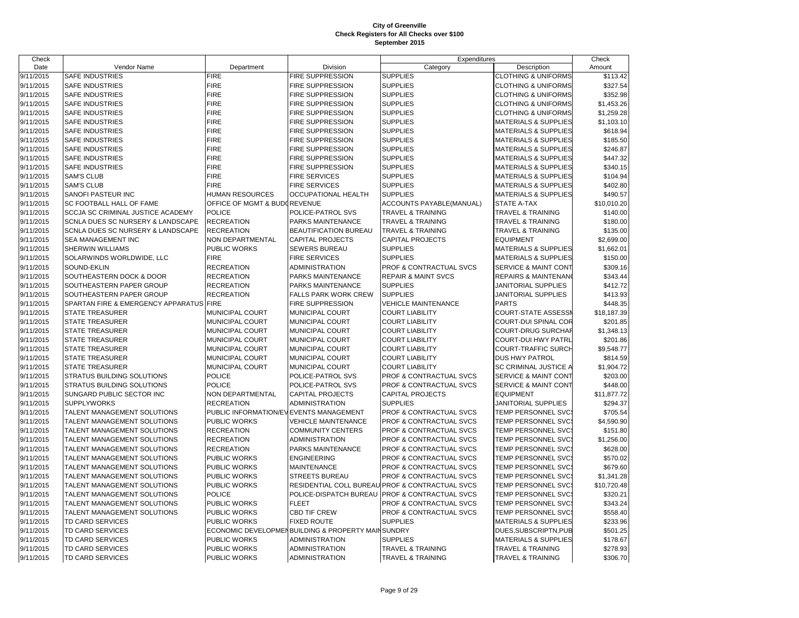| Check     |                                         |                                        |                                                   | Expenditures                                    |                                 | Check       |
|-----------|-----------------------------------------|----------------------------------------|---------------------------------------------------|-------------------------------------------------|---------------------------------|-------------|
| Date      | Vendor Name                             | Department                             | Division                                          | Category                                        | Description                     | Amount      |
| 9/11/2015 | <b>SAFE INDUSTRIES</b>                  | <b>FIRE</b>                            | <b>FIRE SUPPRESSION</b>                           | <b>SUPPLIES</b>                                 | <b>CLOTHING &amp; UNIFORMS</b>  | \$113.42    |
| 9/11/2015 | <b>SAFE INDUSTRIES</b>                  | <b>FIRE</b>                            | FIRE SUPPRESSION                                  | <b>SUPPLIES</b>                                 | <b>CLOTHING &amp; UNIFORMS</b>  | \$327.54    |
| 9/11/2015 | <b>SAFE INDUSTRIES</b>                  | <b>FIRE</b>                            | <b>FIRE SUPPRESSION</b>                           | <b>SUPPLIES</b>                                 | <b>CLOTHING &amp; UNIFORMS</b>  | \$352.98    |
| 9/11/2015 | <b>SAFE INDUSTRIES</b>                  | <b>FIRE</b>                            | <b>FIRE SUPPRESSION</b>                           | <b>SUPPLIES</b>                                 | <b>CLOTHING &amp; UNIFORMS</b>  | \$1,453.26  |
| 9/11/2015 | <b>SAFE INDUSTRIES</b>                  | <b>FIRE</b>                            | <b>FIRE SUPPRESSION</b>                           | <b>SUPPLIES</b>                                 | <b>CLOTHING &amp; UNIFORMS</b>  | \$1,259.28  |
| 9/11/2015 | <b>SAFE INDUSTRIES</b>                  | <b>FIRE</b>                            | <b>FIRE SUPPRESSION</b>                           | <b>SUPPLIES</b>                                 | <b>MATERIALS &amp; SUPPLIES</b> | \$1,103.10  |
| 9/11/2015 | <b>SAFE INDUSTRIES</b>                  | <b>FIRE</b>                            | <b>FIRE SUPPRESSION</b>                           | <b>SUPPLIES</b>                                 | <b>MATERIALS &amp; SUPPLIES</b> | \$618.94    |
| 9/11/2015 | <b>SAFE INDUSTRIES</b>                  | <b>FIRE</b>                            | <b>FIRE SUPPRESSION</b>                           | <b>SUPPLIES</b>                                 | <b>MATERIALS &amp; SUPPLIES</b> | \$185.50    |
| 9/11/2015 | <b>SAFE INDUSTRIES</b>                  | <b>FIRE</b>                            | <b>FIRE SUPPRESSION</b>                           | <b>SUPPLIES</b>                                 | <b>MATERIALS &amp; SUPPLIES</b> | \$246.87    |
| 9/11/2015 | <b>SAFE INDUSTRIES</b>                  | <b>FIRE</b>                            | <b>FIRE SUPPRESSION</b>                           | <b>SUPPLIES</b>                                 | MATERIALS & SUPPLIES            | \$447.32    |
| 9/11/2015 | <b>SAFE INDUSTRIES</b>                  | <b>FIRE</b>                            | <b>FIRE SUPPRESSION</b>                           | <b>SUPPLIES</b>                                 | <b>MATERIALS &amp; SUPPLIES</b> | \$340.15    |
| 9/11/2015 | <b>SAM'S CLUB</b>                       | <b>FIRE</b>                            | <b>FIRE SERVICES</b>                              | <b>SUPPLIES</b>                                 | <b>MATERIALS &amp; SUPPLIES</b> | \$104.94    |
| 9/11/2015 | <b>SAM'S CLUB</b>                       | <b>FIRE</b>                            | <b>FIRE SERVICES</b>                              | <b>SUPPLIES</b>                                 | <b>MATERIALS &amp; SUPPLIES</b> | \$402.80    |
| 9/11/2015 | SANOFI PASTEUR INC                      | <b>HUMAN RESOURCES</b>                 | OCCUPATIONAL HEALTH                               | <b>SUPPLIES</b>                                 | <b>MATERIALS &amp; SUPPLIES</b> | \$490.57    |
| 9/11/2015 | SC FOOTBALL HALL OF FAME                | OFFICE OF MGMT & BUDGREVENUE           |                                                   | ACCOUNTS PAYABLE(MANUAL)                        | STATE A-TAX                     | \$10,010.20 |
| 9/11/2015 | SCCJA SC CRIMINAL JUSTICE ACADEMY       | <b>POLICE</b>                          | POLICE-PATROL SVS                                 | TRAVEL & TRAINING                               | TRAVEL & TRAINING               | \$140.00    |
| 9/11/2015 | SCNLA DUES SC NURSERY & LANDSCAPE       | <b>RECREATION</b>                      | PARKS MAINTENANCE                                 | <b>TRAVEL &amp; TRAINING</b>                    | TRAVEL & TRAINING               | \$180.00    |
| 9/11/2015 | SCNLA DUES SC NURSERY & LANDSCAPE       | <b>RECREATION</b>                      | <b>BEAUTIFICATION BUREAU</b>                      | <b>TRAVEL &amp; TRAINING</b>                    | <b>TRAVEL &amp; TRAINING</b>    | \$135.00    |
| 9/11/2015 | SEA MANAGEMENT INC                      | NON DEPARTMENTAL                       | <b>CAPITAL PROJECTS</b>                           | CAPITAL PROJECTS                                | <b>EQUIPMENT</b>                | \$2,699.00  |
| 9/11/2015 | <b>SHERWIN WILLIAMS</b>                 | PUBLIC WORKS                           | <b>SEWERS BUREAU</b>                              | <b>SUPPLIES</b>                                 | <b>MATERIALS &amp; SUPPLIES</b> | \$1,662.01  |
| 9/11/2015 | SOLARWINDS WORLDWIDE, LLC               | <b>FIRE</b>                            | <b>FIRE SERVICES</b>                              | <b>SUPPLIES</b>                                 | MATERIALS & SUPPLIES            | \$150.00    |
| 9/11/2015 | SOUND-EKLIN                             | <b>RECREATION</b>                      | <b>ADMINISTRATION</b>                             | PROF & CONTRACTUAL SVCS                         | <b>SERVICE &amp; MAINT CONT</b> | \$309.16    |
| 9/11/2015 | SOUTHEASTERN DOCK & DOOR                | <b>RECREATION</b>                      | PARKS MAINTENANCE                                 | <b>REPAIR &amp; MAINT SVCS</b>                  | REPAIRS & MAINTENAN             | \$343.44    |
| 9/11/2015 | SOUTHEASTERN PAPER GROUP                | <b>RECREATION</b>                      | PARKS MAINTENANCE                                 | <b>SUPPLIES</b>                                 | JANITORIAL SUPPLIES             | \$412.72    |
| 9/11/2015 | SOUTHEASTERN PAPER GROUP                | <b>RECREATION</b>                      | <b>FALLS PARK WORK CREW</b>                       | <b>SUPPLIES</b>                                 | JANITORIAL SUPPLIES             | \$413.93    |
| 9/11/2015 | SPARTAN FIRE & EMERGENCY APPARATUS FIRE |                                        | <b>FIRE SUPPRESSION</b>                           | VEHICLE MAINTENANCE                             | <b>PARTS</b>                    | \$448.35    |
| 9/11/2015 | <b>STATE TREASURER</b>                  | MUNICIPAL COURT                        | <b>MUNICIPAL COURT</b>                            | <b>COURT LIABILITY</b>                          | <b>COURT-STATE ASSESSI</b>      | \$18,187.39 |
| 9/11/2015 | <b>STATE TREASURER</b>                  | MUNICIPAL COURT                        | MUNICIPAL COURT                                   | <b>COURT LIABILITY</b>                          | COURT-DUI SPINAL COR            | \$201.85    |
| 9/11/2015 | <b>STATE TREASURER</b>                  | <b>MUNICIPAL COURT</b>                 | MUNICIPAL COURT                                   | <b>COURT LIABILITY</b>                          | <b>COURT-DRUG SURCHAR</b>       | \$1,348.13  |
| 9/11/2015 | <b>STATE TREASURER</b>                  | MUNICIPAL COURT                        | <b>MUNICIPAL COURT</b>                            | <b>COURT LIABILITY</b>                          | <b>COURT-DUI HWY PATRL</b>      | \$201.86    |
| 9/11/2015 | <b>STATE TREASURER</b>                  | MUNICIPAL COURT                        | MUNICIPAL COURT                                   | <b>COURT LIABILITY</b>                          | COURT-TRAFFIC SURCH             | \$9,548.77  |
| 9/11/2015 | <b>STATE TREASURER</b>                  | MUNICIPAL COURT                        | MUNICIPAL COURT                                   | <b>COURT LIABILITY</b>                          | DUS HWY PATROL                  | \$814.59    |
| 9/11/2015 | <b>STATE TREASURER</b>                  | MUNICIPAL COURT                        | MUNICIPAL COURT                                   | <b>COURT LIABILITY</b>                          | SC CRIMINAL JUSTICE A           | \$1,904.72  |
| 9/11/2015 | STRATUS BUILDING SOLUTIONS              | <b>POLICE</b>                          | POLICE-PATROL SVS                                 | PROF & CONTRACTUAL SVCS                         | <b>SERVICE &amp; MAINT CONT</b> | \$203.00    |
| 9/11/2015 | <b>STRATUS BUILDING SOLUTIONS</b>       | <b>POLICE</b>                          | POLICE-PATROL SVS                                 | PROF & CONTRACTUAL SVCS                         | SERVICE & MAINT CONT            | \$448.00    |
| 9/11/2015 | SUNGARD PUBLIC SECTOR INC               | NON DEPARTMENTAL                       | <b>CAPITAL PROJECTS</b>                           | CAPITAL PROJECTS                                | <b>EQUIPMENT</b>                | \$11,877.72 |
| 9/11/2015 | <b>SUPPLYWORKS</b>                      | <b>RECREATION</b>                      | <b>ADMINISTRATION</b>                             | <b>SUPPLIES</b>                                 | JANITORIAL SUPPLIES             | \$294.37    |
| 9/11/2015 | TALENT MANAGEMENT SOLUTIONS             | PUBLIC INFORMATION/EVEVENTS MANAGEMENT |                                                   | PROF & CONTRACTUAL SVCS                         | TEMP PERSONNEL SVC:             | \$705.54    |
| 9/11/2015 | TALENT MANAGEMENT SOLUTIONS             | PUBLIC WORKS                           | <b>VEHICLE MAINTENANCE</b>                        | PROF & CONTRACTUAL SVCS                         | TEMP PERSONNEL SVC              | \$4,590.90  |
| 9/11/2015 | TALENT MANAGEMENT SOLUTIONS             | <b>RECREATION</b>                      | <b>COMMUNITY CENTERS</b>                          | PROF & CONTRACTUAL SVCS                         | TEMP PERSONNEL SVC              | \$151.80    |
| 9/11/2015 | TALENT MANAGEMENT SOLUTIONS             | <b>RECREATION</b>                      | <b>ADMINISTRATION</b>                             | PROF & CONTRACTUAL SVCS                         | TEMP PERSONNEL SVC              | \$1,256.00  |
| 9/11/2015 | TALENT MANAGEMENT SOLUTIONS             | <b>RECREATION</b>                      | PARKS MAINTENANCE                                 | PROF & CONTRACTUAL SVCS                         | TEMP PERSONNEL SVC              | \$628.00    |
| 9/11/2015 | TALENT MANAGEMENT SOLUTIONS             | <b>PUBLIC WORKS</b>                    | <b>ENGINEERING</b>                                | PROF & CONTRACTUAL SVCS                         | TEMP PERSONNEL SVC              | \$570.02    |
| 9/11/2015 | TALENT MANAGEMENT SOLUTIONS             | PUBLIC WORKS                           | <b>MAINTENANCE</b>                                | PROF & CONTRACTUAL SVCS                         | TEMP PERSONNEL SVC:             | \$679.60    |
| 9/11/2015 | TALENT MANAGEMENT SOLUTIONS             | PUBLIC WORKS                           | <b>STREETS BUREAU</b>                             | <b>PROF &amp; CONTRACTUAL SVCS</b>              | TEMP PERSONNEL SVC:             | \$1,341.28  |
| 9/11/2015 | TALENT MANAGEMENT SOLUTIONS             | <b>PUBLIC WORKS</b>                    |                                                   | RESIDENTIAL COLL BUREAU PROF & CONTRACTUAL SVCS | TEMP PERSONNEL SVC              | \$10,720.48 |
| 9/11/2015 | TALENT MANAGEMENT SOLUTIONS             | <b>POLICE</b>                          | POLICE-DISPATCH BUREAU                            | PROF & CONTRACTUAL SVCS                         | TEMP PERSONNEL SVC              | \$320.21    |
| 9/11/2015 | TALENT MANAGEMENT SOLUTIONS             | PUBLIC WORKS                           | <b>FLEET</b>                                      | PROF & CONTRACTUAL SVCS                         | TEMP PERSONNEL SVC:             | \$343.24    |
| 9/11/2015 | TALENT MANAGEMENT SOLUTIONS             | PUBLIC WORKS                           | <b>CBD TIF CREW</b>                               | PROF & CONTRACTUAL SVCS                         | TEMP PERSONNEL SVC              | \$558.40    |
| 9/11/2015 | <b>TD CARD SERVICES</b>                 | <b>PUBLIC WORKS</b>                    | <b>FIXED ROUTE</b>                                | <b>SUPPLIES</b>                                 | <b>MATERIALS &amp; SUPPLIES</b> | \$233.96    |
| 9/11/2015 | TD CARD SERVICES                        |                                        | ECONOMIC DEVELOPMENBUILDING & PROPERTY MAINSUNDRY |                                                 | DUES, SUBSCRIPTN, PUB           | \$501.25    |
| 9/11/2015 | TD CARD SERVICES                        | PUBLIC WORKS                           | <b>ADMINISTRATION</b>                             | <b>SUPPLIES</b>                                 | <b>MATERIALS &amp; SUPPLIES</b> | \$178.67    |
| 9/11/2015 | <b>TD CARD SERVICES</b>                 | <b>PUBLIC WORKS</b>                    | <b>ADMINISTRATION</b>                             | <b>TRAVEL &amp; TRAINING</b>                    | <b>TRAVEL &amp; TRAINING</b>    | \$278.93    |
| 9/11/2015 | TD CARD SERVICES                        | <b>PUBLIC WORKS</b>                    | <b>ADMINISTRATION</b>                             | <b>TRAVEL &amp; TRAINING</b>                    | TRAVEL & TRAINING               | \$306.70    |
|           |                                         |                                        |                                                   |                                                 |                                 |             |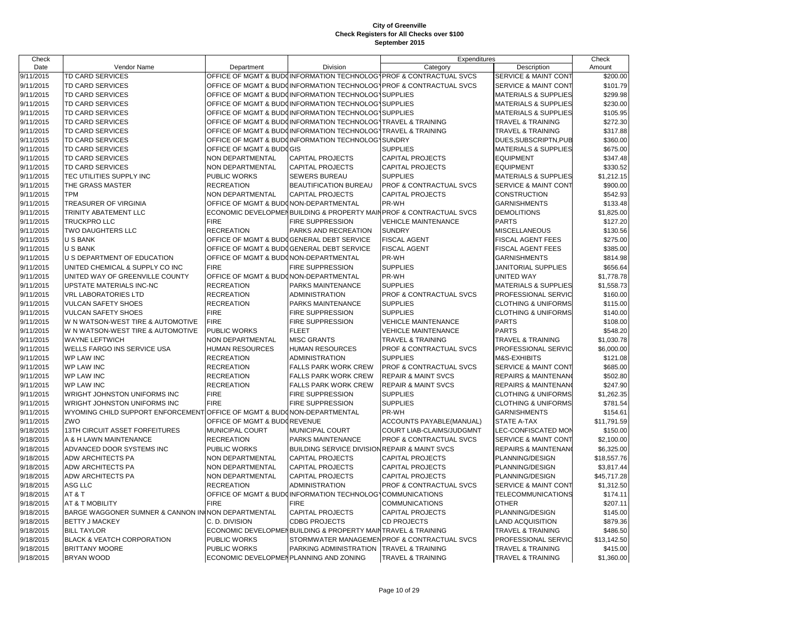| Check                  |                                                                         |                                         |                                                              | Expenditures                                                       |                                 | Check       |
|------------------------|-------------------------------------------------------------------------|-----------------------------------------|--------------------------------------------------------------|--------------------------------------------------------------------|---------------------------------|-------------|
| Date                   | Vendor Name                                                             | Department                              | Division                                                     | Category                                                           | Description                     | Amount      |
| 9/11/2015              | <b>TD CARD SERVICES</b>                                                 |                                         |                                                              | OFFICE OF MGMT & BUDOINFORMATION TECHNOLOGYPROF & CONTRACTUAL SVCS | <b>SERVICE &amp; MAINT CONT</b> | \$200.00    |
| 9/11/2015              | <b>TD CARD SERVICES</b>                                                 |                                         |                                                              | OFFICE OF MGMT & BUDCINFORMATION TECHNOLOGYPROF & CONTRACTUAL SVCS | <b>SERVICE &amp; MAINT CONT</b> | \$101.79    |
| 9/11/2015              | TD CARD SERVICES                                                        |                                         | OFFICE OF MGMT & BUDGINFORMATION TECHNOLOGY SUPPLIES         |                                                                    | <b>MATERIALS &amp; SUPPLIES</b> | \$299.98    |
| 9/11/2015              | <b>TD CARD SERVICES</b>                                                 |                                         | OFFICE OF MGMT & BUDGINFORMATION TECHNOLOGY SUPPLIES         |                                                                    | <b>MATERIALS &amp; SUPPLIES</b> | \$230.00    |
| 9/11/2015              | TD CARD SERVICES                                                        |                                         | OFFICE OF MGMT & BUDGINFORMATION TECHNOLOGY SUPPLIES         |                                                                    | <b>MATERIALS &amp; SUPPLIES</b> | \$105.95    |
| 9/11/2015              | <b>TD CARD SERVICES</b>                                                 |                                         | OFFICE OF MGMT & BUDOINFORMATION TECHNOLOGYTRAVEL & TRAINING |                                                                    | <b>TRAVEL &amp; TRAINING</b>    | \$272.30    |
| 9/11/2015              | <b>TD CARD SERVICES</b>                                                 |                                         | OFFICE OF MGMT & BUDGINFORMATION TECHNOLOG TRAVEL & TRAINING |                                                                    | TRAVEL & TRAINING               | \$317.88    |
| 9/11/2015              | TD CARD SERVICES                                                        |                                         | OFFICE OF MGMT & BUDOINFORMATION TECHNOLOGY SUNDRY           |                                                                    | DUES, SUBSCRIPTN, PUB           | \$360.00    |
| 9/11/2015              | <b>TD CARD SERVICES</b>                                                 | OFFICE OF MGMT & BUDGGIS                |                                                              | <b>SUPPLIES</b>                                                    | <b>MATERIALS &amp; SUPPLIES</b> | \$675.00    |
| 9/11/2015              | TD CARD SERVICES                                                        | NON DEPARTMENTAL                        | <b>CAPITAL PROJECTS</b>                                      | CAPITAL PROJECTS                                                   | <b>EQUIPMENT</b>                | \$347.48    |
| 9/11/2015              | <b>TD CARD SERVICES</b>                                                 | NON DEPARTMENTAL                        | <b>CAPITAL PROJECTS</b>                                      | <b>CAPITAL PROJECTS</b>                                            | <b>EQUIPMENT</b>                | \$330.52    |
| 9/11/2015              | TEC UTILITIES SUPPLY INC                                                | PUBLIC WORKS                            | SEWERS BUREAU                                                | <b>SUPPLIES</b>                                                    | <b>MATERIALS &amp; SUPPLIES</b> | \$1,212.15  |
| 9/11/2015              | THE GRASS MASTER                                                        | <b>RECREATION</b>                       | <b>BEAUTIFICATION BUREAU</b>                                 | PROF & CONTRACTUAL SVCS                                            | SERVICE & MAINT CONT            | \$900.00    |
| 9/11/2015              | <b>TPM</b>                                                              | NON DEPARTMENTAL                        | <b>CAPITAL PROJECTS</b>                                      | <b>CAPITAL PROJECTS</b>                                            | <b>CONSTRUCTION</b>             | \$542.93    |
| 9/11/2015              | TREASURER OF VIRGINIA                                                   | OFFICE OF MGMT & BUDONON-DEPARTMENTAL   |                                                              | PR-WH                                                              | <b>GARNISHMENTS</b>             | \$133.48    |
| 9/11/2015              | TRINITY ABATEMENT LLC                                                   |                                         |                                                              | ECONOMIC DEVELOPMENBUILDING & PROPERTY MAINPROF & CONTRACTUAL SVCS | <b>DEMOLITIONS</b>              | \$1,825.00  |
| 9/11/2015              | <b>TRUCKPRO LLC</b>                                                     | <b>FIRE</b>                             | <b>FIRE SUPPRESSION</b>                                      | <b>VEHICLE MAINTENANCE</b>                                         | <b>PARTS</b>                    | \$127.20    |
| 9/11/2015              | TWO DAUGHTERS LLC                                                       | <b>RECREATION</b>                       | PARKS AND RECREATION                                         | <b>SUNDRY</b>                                                      | <b>MISCELLANEOUS</b>            | \$130.56    |
| 9/11/2015              | <b>USBANK</b>                                                           |                                         | OFFICE OF MGMT & BUDGGENERAL DEBT SERVICE                    | <b>FISCAL AGENT</b>                                                | FISCAL AGENT FEES               | \$275.00    |
| 9/11/2015              | <b>U S BANK</b>                                                         |                                         | OFFICE OF MGMT & BUDGGENERAL DEBT SERVICE                    | <b>FISCAL AGENT</b>                                                | <b>FISCAL AGENT FEES</b>        | \$385.00    |
| 9/11/2015              | U S DEPARTMENT OF EDUCATION                                             | OFFICE OF MGMT & BUDONON-DEPARTMENTAL   |                                                              | PR-WH                                                              | <b>GARNISHMENTS</b>             | \$814.98    |
| 9/11/2015              | UNITED CHEMICAL & SUPPLY CO INC                                         | <b>FIRE</b>                             | FIRE SUPPRESSION                                             | <b>SUPPLIES</b>                                                    | <b>JANITORIAL SUPPLIES</b>      | \$656.64    |
| 9/11/2015              | UNITED WAY OF GREENVILLE COUNTY                                         | OFFICE OF MGMT & BUDONON-DEPARTMENTAL   |                                                              | PR-WH                                                              | <b>UNITED WAY</b>               | \$1,778.78  |
| 9/11/2015              | UPSTATE MATERIALS INC-NC                                                | <b>RECREATION</b>                       | PARKS MAINTENANCE                                            | <b>SUPPLIES</b>                                                    | <b>MATERIALS &amp; SUPPLIES</b> | \$1,558.73  |
| 9/11/2015              | <b>VRL LABORATORIES LTD</b>                                             | <b>RECREATION</b>                       | <b>ADMINISTRATION</b>                                        | PROF & CONTRACTUAL SVCS                                            | PROFESSIONAL SERVIC             | \$160.00    |
| 9/11/2015              | <b>VULCAN SAFETY SHOES</b>                                              | <b>RECREATION</b>                       | PARKS MAINTENANCE                                            | <b>SUPPLIES</b>                                                    | <b>CLOTHING &amp; UNIFORMS</b>  | \$115.00    |
| 9/11/2015              | <b>VULCAN SAFETY SHOES</b>                                              | <b>FIRE</b>                             | <b>FIRE SUPPRESSION</b>                                      | <b>SUPPLIES</b>                                                    | <b>CLOTHING &amp; UNIFORMS</b>  | \$140.00    |
| 9/11/2015              | W N WATSON-WEST TIRE & AUTOMOTIVE                                       | <b>FIRE</b>                             | <b>FIRE SUPPRESSION</b>                                      | <b>VEHICLE MAINTENANCE</b>                                         | <b>PARTS</b>                    | \$108.00    |
| 9/11/2015              | W N WATSON-WEST TIRE & AUTOMOTIVE                                       | <b>PUBLIC WORKS</b>                     | <b>FLEET</b>                                                 | <b>VEHICLE MAINTENANCE</b>                                         | <b>PARTS</b>                    | \$548.20    |
| 9/11/2015              | <b>WAYNE LEFTWICH</b>                                                   | NON DEPARTMENTAL                        | <b>MISC GRANTS</b>                                           | <b>TRAVEL &amp; TRAINING</b>                                       | <b>TRAVEL &amp; TRAINING</b>    | \$1,030.78  |
| 9/11/2015              | <b>WELLS FARGO INS SERVICE USA</b>                                      | <b>HUMAN RESOURCES</b>                  | <b>HUMAN RESOURCES</b>                                       | PROF & CONTRACTUAL SVCS                                            | PROFESSIONAL SERVIC             | \$6,000.00  |
| 9/11/2015              | <b>WP LAW INC</b>                                                       | <b>RECREATION</b>                       | <b>ADMINISTRATION</b>                                        | <b>SUPPLIES</b>                                                    | M&S-EXHIBITS                    | \$121.08    |
| 9/11/2015              | <b>WP LAW INC</b>                                                       | <b>RECREATION</b>                       | <b>FALLS PARK WORK CREW</b>                                  | PROF & CONTRACTUAL SVCS                                            | SERVICE & MAINT CONT            | \$685.00    |
| 9/11/2015              | <b>WP LAW INC</b>                                                       | <b>RECREATION</b>                       | <b>FALLS PARK WORK CREW</b>                                  | <b>REPAIR &amp; MAINT SVCS</b>                                     | <b>REPAIRS &amp; MAINTENAN</b>  | \$502.80    |
| 9/11/2015              | <b>WP LAW INC</b>                                                       | <b>RECREATION</b>                       | <b>FALLS PARK WORK CREW</b>                                  | REPAIR & MAINT SVCS                                                | <b>REPAIRS &amp; MAINTENAN</b>  | \$247.90    |
| 9/11/2015              | WRIGHT JOHNSTON UNIFORMS INC                                            | <b>FIRE</b>                             | <b>FIRE SUPPRESSION</b>                                      | <b>SUPPLIES</b>                                                    | <b>CLOTHING &amp; UNIFORMS</b>  | \$1,262.35  |
| 9/11/2015              | WRIGHT JOHNSTON UNIFORMS INC                                            | <b>FIRE</b>                             | FIRE SUPPRESSION                                             | <b>SUPPLIES</b>                                                    | <b>CLOTHING &amp; UNIFORMS</b>  | \$781.54    |
| 9/11/2015              | WYOMING CHILD SUPPORT ENFORCEMENT OFFICE OF MGMT & BUDONON-DEPARTMENTAL |                                         |                                                              | PR-WH                                                              | <b>GARNISHMENTS</b>             | \$154.61    |
| 9/11/2015              | ZWO                                                                     | OFFICE OF MGMT & BUDGREVENUE            |                                                              | ACCOUNTS PAYABLE(MANUAL)                                           | <b>STATE A-TAX</b>              | \$11,791.59 |
| 9/18/2015              | 13TH CIRCUIT ASSET FORFEITURES                                          | <b>MUNICIPAL COURT</b>                  | <b>MUNICIPAL COURT</b>                                       | COURT LIAB-CLAIMS/JUDGMNT                                          | LEC-CONFISCATED MON             | \$150.00    |
| 9/18/2015              | A & H LAWN MAINTENANCE                                                  | <b>RECREATION</b>                       | PARKS MAINTENANCE                                            | PROF & CONTRACTUAL SVCS                                            | <b>SERVICE &amp; MAINT CONT</b> | \$2,100.00  |
| 9/18/2015              | ADVANCED DOOR SYSTEMS INC                                               | PUBLIC WORKS                            | BUILDING SERVICE DIVISION REPAIR & MAINT SVCS                |                                                                    | REPAIRS & MAINTENANO            | \$6,325.00  |
| 9/18/2015              | <b>ADW ARCHITECTS PA</b>                                                | NON DEPARTMENTAL                        | <b>CAPITAL PROJECTS</b>                                      | <b>CAPITAL PROJECTS</b>                                            | PLANNING/DESIGN                 | \$18,557.76 |
| 9/18/2015              | <b>ADW ARCHITECTS PA</b>                                                | NON DEPARTMENTAL                        | <b>CAPITAL PROJECTS</b>                                      | CAPITAL PROJECTS                                                   | PLANNING/DESIGN                 | \$3,817.44  |
| 9/18/2015              | <b>ADW ARCHITECTS PA</b>                                                | NON DEPARTMENTAL                        | <b>CAPITAL PROJECTS</b>                                      | <b>CAPITAL PROJECTS</b>                                            | PLANNING/DESIGN                 | \$45,717.28 |
| 9/18/2015              | ASG LLC                                                                 | <b>RECREATION</b>                       | <b>ADMINISTRATION</b>                                        | PROF & CONTRACTUAL SVCS                                            | SERVICE & MAINT CONT            | \$1,312.50  |
| 9/18/2015              | AT&T                                                                    |                                         | OFFICE OF MGMT & BUDOINFORMATION TECHNOLOGYCOMMUNICATIONS    |                                                                    | TELECOMMUNICATIONS              | \$174.11    |
|                        |                                                                         | <b>FIRE</b>                             | <b>FIRE</b>                                                  |                                                                    |                                 |             |
| 9/18/2015<br>9/18/2015 | AT & T MOBILITY<br>BARGE WAGGONER SUMNER & CANNON ININON DEPARTMENTAL   |                                         | <b>CAPITAL PROJECTS</b>                                      | <b>COMMUNICATIONS</b><br><b>CAPITAL PROJECTS</b>                   | <b>OTHER</b><br>PLANNING/DESIGN | \$207.11    |
|                        |                                                                         | C. D. DIVISION                          | <b>CDBG PROJECTS</b>                                         | CD PROJECTS                                                        |                                 | \$145.00    |
| 9/18/2015              | <b>BETTY J MACKEY</b>                                                   |                                         |                                                              |                                                                    | <b>LAND ACQUISITION</b>         | \$879.36    |
| 9/18/2015<br>9/18/2015 | <b>BILL TAYLOR</b><br><b>BLACK &amp; VEATCH CORPORATION</b>             | PUBLIC WORKS                            | ECONOMIC DEVELOPMENBUILDING & PROPERTY MAINTRAVEL & TRAINING | STORMWATER MANAGEMEN PROF & CONTRACTUAL SVCS                       | TRAVEL & TRAINING               | \$486.50    |
|                        | <b>BRITTANY MOORE</b>                                                   |                                         |                                                              |                                                                    | PROFESSIONAL SERVIC             | \$13,142.50 |
| 9/18/2015              |                                                                         | PUBLIC WORKS                            | PARKING ADMINISTRATION                                       | <b>TRAVEL &amp; TRAINING</b>                                       | TRAVEL & TRAINING               | \$415.00    |
| 9/18/2015              | <b>BRYAN WOOD</b>                                                       | ECONOMIC DEVELOPMEN PLANNING AND ZONING |                                                              | <b>TRAVEL &amp; TRAINING</b>                                       | TRAVEL & TRAINING               | \$1,360.00  |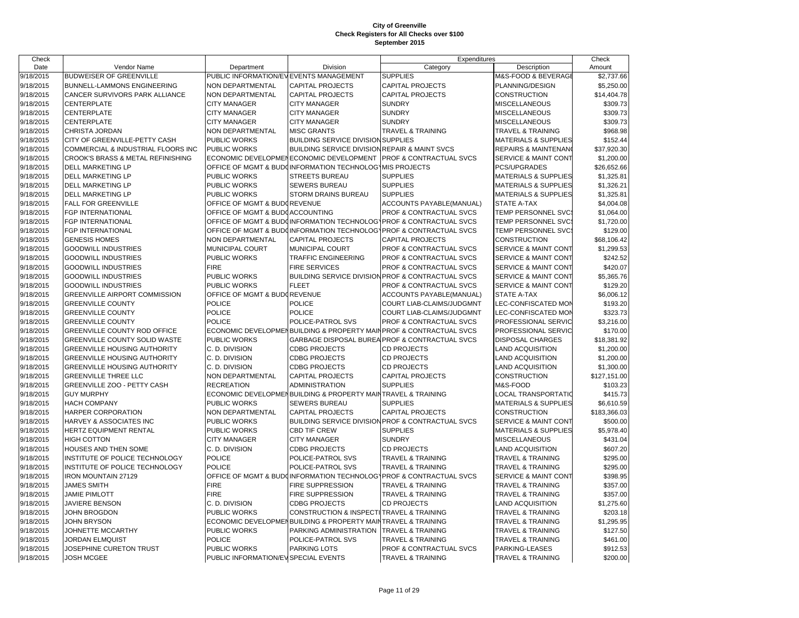| Check     |                                      |                                        |                                                              | Expenditures                                                        |                                 | Check        |
|-----------|--------------------------------------|----------------------------------------|--------------------------------------------------------------|---------------------------------------------------------------------|---------------------------------|--------------|
| Date      | Vendor Name                          | Department                             | Division                                                     | Category                                                            | Description                     | Amount       |
| 9/18/2015 | <b>BUDWEISER OF GREENVILLE</b>       | PUBLIC INFORMATION/EVEVENTS MANAGEMENT |                                                              | <b>SUPPLIES</b>                                                     | M&S-FOOD & BEVERAGI             | \$2,737.66   |
| 9/18/2015 | BUNNELL-LAMMONS ENGINEERING          | <b>NON DEPARTMENTAL</b>                | <b>CAPITAL PROJECTS</b>                                      | <b>CAPITAL PROJECTS</b>                                             | PLANNING/DESIGN                 | \$5,250.00   |
| 9/18/2015 | CANCER SURVIVORS PARK ALLIANCE       | <b>NON DEPARTMENTAL</b>                | <b>CAPITAL PROJECTS</b>                                      | <b>CAPITAL PROJECTS</b>                                             | <b>CONSTRUCTION</b>             | \$14,404.78  |
| 9/18/2015 | CENTERPLATE                          | <b>CITY MANAGER</b>                    | <b>CITY MANAGER</b>                                          | <b>SUNDRY</b>                                                       | MISCELLANEOUS                   | \$309.73     |
| 9/18/2015 | CENTERPLATE                          | <b>CITY MANAGER</b>                    | <b>CITY MANAGER</b>                                          | <b>SUNDRY</b>                                                       | <b>MISCELLANEOUS</b>            | \$309.73     |
| 9/18/2015 | CENTERPLATE                          | <b>CITY MANAGER</b>                    | <b>CITY MANAGER</b>                                          | <b>SUNDRY</b>                                                       | <b>MISCELLANEOUS</b>            | \$309.73     |
| 9/18/2015 | CHRISTA JORDAN                       | NON DEPARTMENTAL                       | <b>MISC GRANTS</b>                                           | <b>TRAVEL &amp; TRAINING</b>                                        | TRAVEL & TRAINING               | \$968.98     |
| 9/18/2015 | CITY OF GREENVILLE-PETTY CASH        | PUBLIC WORKS                           | <b>BUILDING SERVICE DIVISION SUPPLIES</b>                    |                                                                     | <b>MATERIALS &amp; SUPPLIES</b> | \$152.44     |
| 9/18/2015 | COMMERCIAL & INDUSTRIAL FLOORS INC   | PUBLIC WORKS                           | BUILDING SERVICE DIVISION REPAIR & MAINT SVCS                |                                                                     | REPAIRS & MAINTENAN             | \$37,920.30  |
| 9/18/2015 | CROOK'S BRASS & METAL REFINISHING    |                                        | ECONOMIC DEVELOPMENECONOMIC DEVELOPMENT                      | <b>PROF &amp; CONTRACTUAL SVCS</b>                                  | <b>SERVICE &amp; MAINT CONT</b> | \$1,200.00   |
| 9/18/2015 | DELL MARKETING LP                    |                                        | OFFICE OF MGMT & BUDGINFORMATION TECHNOLOGYMIS PROJECTS      |                                                                     | PCS/UPGRADES                    | \$26,652.66  |
| 9/18/2015 | DELL MARKETING LP                    | PUBLIC WORKS                           | <b>STREETS BUREAU</b>                                        | <b>SUPPLIES</b>                                                     | <b>MATERIALS &amp; SUPPLIES</b> | \$1,325.81   |
| 9/18/2015 | <b>DELL MARKETING LP</b>             | PUBLIC WORKS                           | <b>SEWERS BUREAU</b>                                         | <b>SUPPLIES</b>                                                     | <b>MATERIALS &amp; SUPPLIES</b> | \$1,326.21   |
| 9/18/2015 | DELL MARKETING LP                    | PUBLIC WORKS                           | STORM DRAINS BUREAU                                          | <b>SUPPLIES</b>                                                     | <b>MATERIALS &amp; SUPPLIES</b> | \$1,325.81   |
| 9/18/2015 | <b>FALL FOR GREENVILLE</b>           | OFFICE OF MGMT & BUDGREVENUE           |                                                              | ACCOUNTS PAYABLE(MANUAL)                                            | <b>STATE A-TAX</b>              | \$4,004.08   |
| 9/18/2015 | FGP INTERNATIONAL                    | OFFICE OF MGMT & BUDGACCOUNTING        |                                                              | PROF & CONTRACTUAL SVCS                                             | TEMP PERSONNEL SVC              | \$1,064.00   |
| 9/18/2015 | FGP INTERNATIONAL                    |                                        |                                                              | OFFICE OF MGMT & BUDGINFORMATION TECHNOLOGYPROF & CONTRACTUAL SVCS  | TEMP PERSONNEL SVC              | \$1,720.00   |
| 9/18/2015 | FGP INTERNATIONAL                    |                                        |                                                              | OFFICE OF MGMT & BUD(INFORMATION TECHNOLOGYPROF & CONTRACTUAL SVCS  | TEMP PERSONNEL SVC              | \$129.00     |
| 9/18/2015 | <b>GENESIS HOMES</b>                 | NON DEPARTMENTAL                       | <b>CAPITAL PROJECTS</b>                                      | <b>CAPITAL PROJECTS</b>                                             | <b>CONSTRUCTION</b>             | \$68,106.42  |
| 9/18/2015 | <b>GOODWILL INDUSTRIES</b>           | MUNICIPAL COURT                        | <b>MUNICIPAL COURT</b>                                       | PROF & CONTRACTUAL SVCS                                             | <b>SERVICE &amp; MAINT CONT</b> | \$1,299.53   |
| 9/18/2015 | <b>GOODWILL INDUSTRIES</b>           | PUBLIC WORKS                           | <b>TRAFFIC ENGINEERING</b>                                   | PROF & CONTRACTUAL SVCS                                             | <b>SERVICE &amp; MAINT CONT</b> | \$242.52     |
| 9/18/2015 | <b>GOODWILL INDUSTRIES</b>           | <b>FIRE</b>                            | <b>FIRE SERVICES</b>                                         | PROF & CONTRACTUAL SVCS                                             | <b>SERVICE &amp; MAINT CONT</b> | \$420.07     |
| 9/18/2015 | <b>GOODWILL INDUSTRIES</b>           | PUBLIC WORKS                           |                                                              | <b>BUILDING SERVICE DIVISION PROF &amp; CONTRACTUAL SVCS</b>        | <b>SERVICE &amp; MAINT CONT</b> | \$5,365.76   |
| 9/18/2015 | <b>GOODWILL INDUSTRIES</b>           | PUBLIC WORKS                           | <b>FLEET</b>                                                 | PROF & CONTRACTUAL SVCS                                             | <b>SERVICE &amp; MAINT CONT</b> | \$129.20     |
| 9/18/2015 | <b>GREENVILLE AIRPORT COMMISSION</b> | OFFICE OF MGMT & BUDOREVENUE           |                                                              | ACCOUNTS PAYABLE(MANUAL)                                            | <b>STATE A-TAX</b>              | \$6,006.12   |
| 9/18/2015 | <b>GREENVILLE COUNTY</b>             | <b>POLICE</b>                          | <b>POLICE</b>                                                | COURT LIAB-CLAIMS/JUDGMNT                                           | LEC-CONFISCATED MON             | \$193.20     |
| 9/18/2015 | <b>GREENVILLE COUNTY</b>             | POLICE                                 | <b>POLICE</b>                                                | COURT LIAB-CLAIMS/JUDGMNT                                           | LEC-CONFISCATED MOM             | \$323.73     |
| 9/18/2015 | <b>GREENVILLE COUNTY</b>             | <b>POLICE</b>                          | POLICE-PATROL SVS                                            | PROF & CONTRACTUAL SVCS                                             | PROFESSIONAL SERVIC             | \$3,216.00   |
| 9/18/2015 | <b>GREENVILLE COUNTY ROD OFFICE</b>  |                                        |                                                              | ECONOMIC DEVELOPMENBUILDING & PROPERTY MAIN PROF & CONTRACTUAL SVCS | PROFESSIONAL SERVIC             | \$170.00     |
| 9/18/2015 | <b>GREENVILLE COUNTY SOLID WASTE</b> | PUBLIC WORKS                           |                                                              | GARBAGE DISPOSAL BUREA PROF & CONTRACTUAL SVCS                      | <b>DISPOSAL CHARGES</b>         | \$18,381.92  |
| 9/18/2015 | GREENVILLE HOUSING AUTHORITY         | C. D. DIVISION                         | <b>CDBG PROJECTS</b>                                         | <b>CD PROJECTS</b>                                                  | <b>LAND ACQUISITION</b>         | \$1,200.00   |
| 9/18/2015 | <b>GREENVILLE HOUSING AUTHORITY</b>  | C. D. DIVISION                         | <b>CDBG PROJECTS</b>                                         | <b>CD PROJECTS</b>                                                  | <b>LAND ACQUISITION</b>         | \$1,200.00   |
| 9/18/2015 | GREENVILLE HOUSING AUTHORITY         | C. D. DIVISION                         | <b>CDBG PROJECTS</b>                                         | <b>CD PROJECTS</b>                                                  | <b>LAND ACQUISITION</b>         | \$1,300.00   |
| 9/18/2015 | <b>GREENVILLE THREE LLC</b>          | NON DEPARTMENTAL                       | <b>CAPITAL PROJECTS</b>                                      | <b>CAPITAL PROJECTS</b>                                             | <b>CONSTRUCTION</b>             | \$127,151.00 |
| 9/18/2015 | GREENVILLE ZOO - PETTY CASH          | <b>RECREATION</b>                      | <b>ADMINISTRATION</b>                                        | <b>SUPPLIES</b>                                                     | M&S-FOOD                        | \$103.23     |
| 9/18/2015 | <b>GUY MURPHY</b>                    |                                        | ECONOMIC DEVELOPMENBUILDING & PROPERTY MAINTRAVEL & TRAINING |                                                                     | LOCAL TRANSPORTATIO             | \$415.73     |
| 9/18/2015 | <b>HACH COMPANY</b>                  | PUBLIC WORKS                           | <b>SEWERS BUREAU</b>                                         | <b>SUPPLIES</b>                                                     | <b>MATERIALS &amp; SUPPLIES</b> | \$6,610.59   |
| 9/18/2015 | <b>HARPER CORPORATION</b>            | NON DEPARTMENTAL                       | <b>CAPITAL PROJECTS</b>                                      | CAPITAL PROJECTS                                                    | <b>CONSTRUCTION</b>             | \$183,366.03 |
| 9/18/2015 | HARVEY & ASSOCIATES INC              | PUBLIC WORKS                           |                                                              | BUILDING SERVICE DIVISION PROF & CONTRACTUAL SVCS                   | SERVICE & MAINT CONT            | \$500.00     |
| 9/18/2015 | HERTZ EQUIPMENT RENTAL               | PUBLIC WORKS                           | <b>CBD TIF CREW</b>                                          | <b>SUPPLIES</b>                                                     | <b>MATERIALS &amp; SUPPLIES</b> | \$5,978.40   |
| 9/18/2015 | <b>HIGH COTTON</b>                   | <b>CITY MANAGER</b>                    | <b>CITY MANAGER</b>                                          | <b>SUNDRY</b>                                                       | MISCELLANEOUS                   | \$431.04     |
| 9/18/2015 | HOUSES AND THEN SOME                 | C. D. DIVISION                         | <b>CDBG PROJECTS</b>                                         | <b>CD PROJECTS</b>                                                  | <b>LAND ACQUISITION</b>         | \$607.20     |
| 9/18/2015 | INSTITUTE OF POLICE TECHNOLOGY       | <b>POLICE</b>                          | POLICE-PATROL SVS                                            | <b>TRAVEL &amp; TRAINING</b>                                        | TRAVEL & TRAINING               | \$295.00     |
| 9/18/2015 | INSTITUTE OF POLICE TECHNOLOGY       | <b>POLICE</b>                          | POLICE-PATROL SVS                                            | <b>TRAVEL &amp; TRAINING</b>                                        | TRAVEL & TRAINING               | \$295.00     |
| 9/18/2015 | <b>IRON MOUNTAIN 27129</b>           |                                        |                                                              | OFFICE OF MGMT & BUDOINFORMATION TECHNOLOGYPROF & CONTRACTUAL SVCS  | <b>SERVICE &amp; MAINT CONT</b> | \$398.95     |
| 9/18/2015 | <b>JAMES SMITH</b>                   | <b>FIRE</b>                            | FIRE SUPPRESSION                                             | <b>TRAVEL &amp; TRAINING</b>                                        | <b>TRAVEL &amp; TRAINING</b>    | \$357.00     |
| 9/18/2015 | <b>JAMIE PIMLOTT</b>                 | <b>FIRE</b>                            | FIRE SUPPRESSION                                             | <b>TRAVEL &amp; TRAINING</b>                                        | <b>TRAVEL &amp; TRAINING</b>    | \$357.00     |
| 9/18/2015 | <b>JAVIERE BENSON</b>                | C. D. DIVISION                         | <b>CDBG PROJECTS</b>                                         | <b>CD PROJECTS</b>                                                  | <b>LAND ACQUISITION</b>         | \$1,275.60   |
| 9/18/2015 | JOHN BROGDON                         | PUBLIC WORKS                           | <b>CONSTRUCTION &amp; INSPECTI</b>                           | <b>TRAVEL &amp; TRAINING</b>                                        | <b>TRAVEL &amp; TRAINING</b>    | \$203.18     |
| 9/18/2015 | <b>JOHN BRYSON</b>                   |                                        | ECONOMIC DEVELOPMENBUILDING & PROPERTY MAINTRAVEL & TRAINING |                                                                     | <b>TRAVEL &amp; TRAINING</b>    | \$1,295.95   |
| 9/18/2015 | JOHNETTE MCCARTHY                    | PUBLIC WORKS                           | PARKING ADMINISTRATION                                       | <b>TRAVEL &amp; TRAINING</b>                                        | <b>TRAVEL &amp; TRAINING</b>    | \$127.50     |
| 9/18/2015 | JORDAN ELMQUIST                      | <b>POLICE</b>                          | POLICE-PATROL SVS                                            | <b>TRAVEL &amp; TRAINING</b>                                        | <b>TRAVEL &amp; TRAINING</b>    | \$461.00     |
| 9/18/2015 | JOSEPHINE CURETON TRUST              | PUBLIC WORKS                           | <b>PARKING LOTS</b>                                          | PROF & CONTRACTUAL SVCS                                             | PARKING-LEASES                  | \$912.53     |
| 9/18/2015 | <b>JOSH MCGEE</b>                    | PUBLIC INFORMATION/EVISPECIAL EVENTS   |                                                              | <b>TRAVEL &amp; TRAINING</b>                                        | <b>TRAVEL &amp; TRAINING</b>    | \$200.00     |
|           |                                      |                                        |                                                              |                                                                     |                                 |              |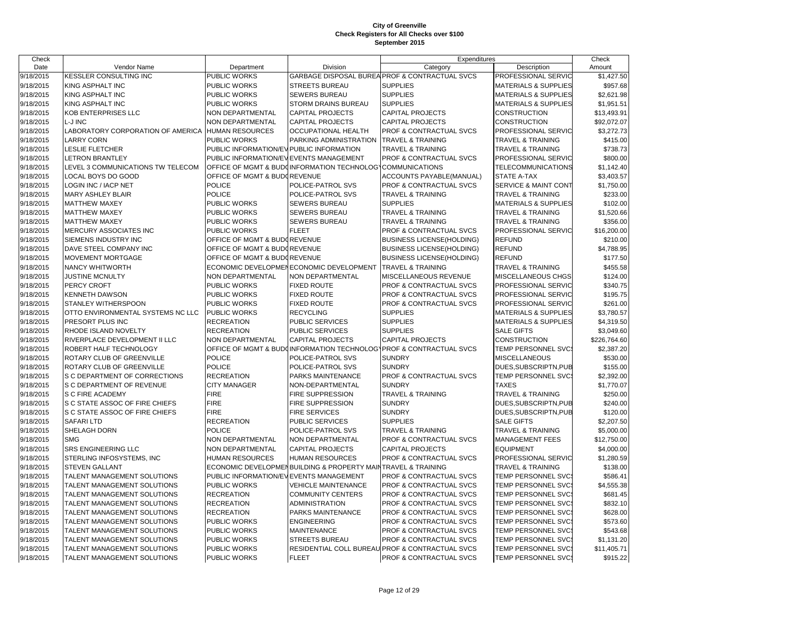| Check     |                                                            |                                          |                                                              | Expenditures                                                       |                                            | Check                |
|-----------|------------------------------------------------------------|------------------------------------------|--------------------------------------------------------------|--------------------------------------------------------------------|--------------------------------------------|----------------------|
| Date      | Vendor Name                                                | Department                               | Division                                                     | Category                                                           | Description                                | Amount               |
| 9/18/2015 | <b>KESSLER CONSULTING INC</b>                              | PUBLIC WORKS                             |                                                              | GARBAGE DISPOSAL BUREA PROF & CONTRACTUAL SVCS                     | PROFESSIONAL SERVIC                        | \$1,427.50           |
| 9/18/2015 | KING ASPHALT INC                                           | PUBLIC WORKS                             | <b>STREETS BUREAU</b>                                        | <b>SUPPLIES</b>                                                    | <b>MATERIALS &amp; SUPPLIES</b>            | \$957.68             |
| 9/18/2015 | KING ASPHALT INC                                           | PUBLIC WORKS                             | SEWERS BUREAU                                                | <b>SUPPLIES</b>                                                    | <b>MATERIALS &amp; SUPPLIES</b>            | \$2,621.98           |
| 9/18/2015 | KING ASPHALT INC                                           | PUBLIC WORKS                             | STORM DRAINS BUREAU                                          | <b>SUPPLIES</b>                                                    | <b>MATERIALS &amp; SUPPLIES</b>            | \$1,951.51           |
| 9/18/2015 | KOB ENTERPRISES LLC                                        | NON DEPARTMENTAL                         | <b>CAPITAL PROJECTS</b>                                      | <b>CAPITAL PROJECTS</b>                                            | CONSTRUCTION                               | \$13,493.91          |
| 9/18/2015 | L-J INC                                                    | NON DEPARTMENTAL                         | <b>CAPITAL PROJECTS</b>                                      | <b>CAPITAL PROJECTS</b>                                            | <b>CONSTRUCTION</b>                        | \$92,072.07          |
| 9/18/2015 | LABORATORY CORPORATION OF AMERICA                          | <b>HUMAN RESOURCES</b>                   | <b>OCCUPATIONAL HEALTH</b>                                   | PROF & CONTRACTUAL SVCS                                            | PROFESSIONAL SERVIC                        | \$3,272.73           |
| 9/18/2015 | <b>LARRY CORN</b>                                          | PUBLIC WORKS                             | PARKING ADMINISTRATION                                       | <b>TRAVEL &amp; TRAINING</b>                                       | TRAVEL & TRAINING                          | \$415.00             |
| 9/18/2015 | <b>LESLIE FLETCHER</b>                                     | PUBLIC INFORMATION/EVIPUBLIC INFORMATION |                                                              | TRAVEL & TRAINING                                                  | <b>TRAVEL &amp; TRAINING</b>               | \$738.73             |
| 9/18/2015 | <b>LETRON BRANTLEY</b>                                     | PUBLIC INFORMATION/EVEVENTS MANAGEMENT   |                                                              | PROF & CONTRACTUAL SVCS                                            | PROFESSIONAL SERVIC                        | \$800.00             |
| 9/18/2015 | LEVEL 3 COMMUNICATIONS TW TELECOM                          |                                          | OFFICE OF MGMT & BUDCINFORMATION TECHNOLOG COMMUNICATIONS    |                                                                    | TELECOMMUNICATIONS                         | \$1,142.40           |
| 9/18/2015 | LOCAL BOYS DO GOOD                                         | OFFICE OF MGMT & BUDOREVENUE             |                                                              | ACCOUNTS PAYABLE(MANUAL)                                           | STATE A-TAX                                | \$3,403.57           |
| 9/18/2015 | LOGIN INC / IACP NET                                       | POLICE                                   | POLICE-PATROL SVS                                            | PROF & CONTRACTUAL SVCS                                            | <b>SERVICE &amp; MAINT CONT</b>            | \$1,750.00           |
| 9/18/2015 | MARY ASHLEY BLAIR                                          | POLICE                                   | POLICE-PATROL SVS                                            | TRAVEL & TRAINING                                                  | TRAVEL & TRAINING                          | \$233.00             |
| 9/18/2015 | <b>MATTHEW MAXEY</b>                                       | PUBLIC WORKS                             | <b>SEWERS BUREAU</b>                                         | <b>SUPPLIES</b>                                                    | <b>MATERIALS &amp; SUPPLIES</b>            | \$102.00             |
| 9/18/2015 | <b>MATTHEW MAXEY</b>                                       | PUBLIC WORKS                             | SEWERS BUREAU                                                | <b>TRAVEL &amp; TRAINING</b>                                       | TRAVEL & TRAINING                          | \$1,520.66           |
| 9/18/2015 | <b>MATTHEW MAXEY</b>                                       | PUBLIC WORKS                             | SEWERS BUREAU                                                | TRAVEL & TRAINING                                                  | TRAVEL & TRAINING                          | \$356.00             |
| 9/18/2015 | MERCURY ASSOCIATES INC                                     | PUBLIC WORKS                             | <b>FLEET</b>                                                 | PROF & CONTRACTUAL SVCS                                            | PROFESSIONAL SERVIC                        | \$16,200.00          |
| 9/18/2015 | SIEMENS INDUSTRY INC                                       | OFFICE OF MGMT & BUDGREVENUE             |                                                              | <b>BUSINESS LICENSE(HOLDING)</b>                                   | <b>REFUND</b>                              | \$210.00             |
| 9/18/2015 | DAVE STEEL COMPANY INC                                     | OFFICE OF MGMT & BUDOREVENUE             |                                                              | <b>BUSINESS LICENSE(HOLDING)</b>                                   | <b>REFUND</b>                              | \$4,788.95           |
| 9/18/2015 | MOVEMENT MORTGAGE                                          | OFFICE OF MGMT & BUDOREVENUE             |                                                              | <b>BUSINESS LICENSE(HOLDING)</b>                                   | <b>REFUND</b>                              | \$177.50             |
| 9/18/2015 | NANCY WHITWORTH                                            |                                          | ECONOMIC DEVELOPMENECONOMIC DEVELOPMENT                      | <b>TRAVEL &amp; TRAINING</b>                                       | <b>TRAVEL &amp; TRAINING</b>               | \$455.58             |
| 9/18/2015 | JUSTINE MCNULTY                                            | NON DEPARTMENTAL                         | NON DEPARTMENTAL                                             | MISCELLANEOUS REVENUE                                              | MISCELLANEOUS CHGS                         | \$124.00             |
| 9/18/2015 | PERCY CROFT                                                | PUBLIC WORKS                             | <b>FIXED ROUTE</b>                                           | PROF & CONTRACTUAL SVCS                                            | PROFESSIONAL SERVIC                        | \$340.75             |
| 9/18/2015 | <b>KENNETH DAWSON</b>                                      | PUBLIC WORKS                             | <b>FIXED ROUTE</b>                                           | PROF & CONTRACTUAL SVCS                                            | PROFESSIONAL SERVIC                        | \$195.75             |
| 9/18/2015 | STANLEY WITHERSPOON                                        | PUBLIC WORKS                             | <b>FIXED ROUTE</b>                                           | PROF & CONTRACTUAL SVCS                                            | PROFESSIONAL SERVIC                        | \$261.00             |
| 9/18/2015 | OTTO ENVIRONMENTAL SYSTEMS NC LLC                          | PUBLIC WORKS                             | <b>RECYCLING</b>                                             | <b>SUPPLIES</b>                                                    | <b>MATERIALS &amp; SUPPLIES</b>            | \$3,780.57           |
| 9/18/2015 | PRESORT PLUS INC                                           | <b>RECREATION</b>                        | PUBLIC SERVICES                                              | <b>SUPPLIES</b>                                                    | <b>MATERIALS &amp; SUPPLIES</b>            | \$4,319.50           |
| 9/18/2015 | RHODE ISLAND NOVELTY                                       | <b>RECREATION</b>                        | PUBLIC SERVICES                                              | <b>SUPPLIES</b>                                                    | <b>SALE GIFTS</b>                          | \$3,049.60           |
| 9/18/2015 | RIVERPLACE DEVELOPMENT II LLC                              | NON DEPARTMENTAL                         | <b>CAPITAL PROJECTS</b>                                      | CAPITAL PROJECTS                                                   | CONSTRUCTION                               | \$226,764.60         |
| 9/18/2015 | ROBERT HALF TECHNOLOGY                                     |                                          |                                                              | OFFICE OF MGMT & BUDUINFORMATION TECHNOLOG\PROF & CONTRACTUAL SVCS | TEMP PERSONNEL SVC:                        | \$2,387.20           |
| 9/18/2015 | ROTARY CLUB OF GREENVILLE                                  | <b>POLICE</b>                            | POLICE-PATROL SVS                                            | <b>SUNDRY</b>                                                      | MISCELLANEOUS                              | \$530.00             |
| 9/18/2015 | ROTARY CLUB OF GREENVILLE                                  | POLICE                                   | POLICE-PATROL SVS                                            | <b>SUNDRY</b>                                                      | DUES, SUBSCRIPTN, PUB                      | \$155.00             |
| 9/18/2015 | S C DEPARTMENT OF CORRECTIONS                              | <b>RECREATION</b>                        | PARKS MAINTENANCE                                            | PROF & CONTRACTUAL SVCS                                            | TEMP PERSONNEL SVC:                        | \$2,392.00           |
| 9/18/2015 | S C DEPARTMENT OF REVENUE                                  | <b>CITY MANAGER</b>                      | NON-DEPARTMENTAL                                             | <b>SUNDRY</b>                                                      | <b>TAXES</b>                               | \$1,770.07           |
| 9/18/2015 | S C FIRE ACADEMY                                           | <b>FIRE</b>                              | FIRE SUPPRESSION                                             | TRAVEL & TRAINING                                                  | TRAVEL & TRAINING                          | \$250.00             |
| 9/18/2015 | S C STATE ASSOC OF FIRE CHIEFS                             | <b>FIRE</b>                              | FIRE SUPPRESSION                                             | <b>SUNDRY</b>                                                      | DUES, SUBSCRIPTN, PUB                      | \$240.00             |
| 9/18/2015 | S C STATE ASSOC OF FIRE CHIEFS                             | <b>FIRE</b>                              | <b>FIRE SERVICES</b>                                         | <b>SUNDRY</b>                                                      | DUES, SUBSCRIPTN, PUB                      | \$120.00             |
| 9/18/2015 | <b>SAFARILTD</b>                                           | <b>RECREATION</b>                        | PUBLIC SERVICES                                              | <b>SUPPLIES</b>                                                    | <b>SALE GIFTS</b>                          | \$2,207.50           |
| 9/18/2015 | SHELAGH DORN                                               | POLICE                                   | POLICE-PATROL SVS                                            | TRAVEL & TRAINING                                                  | TRAVEL & TRAINING                          | \$5,000.00           |
| 9/18/2015 | <b>SMG</b>                                                 | NON DEPARTMENTAL                         | NON DEPARTMENTAL                                             | <b>PROF &amp; CONTRACTUAL SVCS</b>                                 | MANAGEMENT FEES                            | \$12,750.00          |
| 9/18/2015 | SRS ENGINEERING LLC                                        | NON DEPARTMENTAL                         | <b>CAPITAL PROJECTS</b>                                      | <b>CAPITAL PROJECTS</b>                                            | <b>EQUIPMENT</b>                           | \$4,000.00           |
| 9/18/2015 | STERLING INFOSYSTEMS, INC                                  | HUMAN RESOURCES                          | <b>HUMAN RESOURCES</b>                                       | PROF & CONTRACTUAL SVCS                                            | PROFESSIONAL SERVIC                        | \$1,280.59           |
| 9/18/2015 | <b>STEVEN GALLANT</b>                                      |                                          | ECONOMIC DEVELOPMENBUILDING & PROPERTY MAINTRAVEL & TRAINING |                                                                    | <b>TRAVEL &amp; TRAINING</b>               | \$138.00             |
| 9/18/2015 | TALENT MANAGEMENT SOLUTIONS                                | PUBLIC INFORMATION/EVEVENTS MANAGEMENT   |                                                              | PROF & CONTRACTUAL SVCS                                            | TEMP PERSONNEL SVC:                        | \$586.41             |
|           | TALENT MANAGEMENT SOLUTIONS                                | PUBLIC WORKS                             | <b>VEHICLE MAINTENANCE</b>                                   | PROF & CONTRACTUAL SVCS                                            | TEMP PERSONNEL SVC                         | \$4,555.38           |
| 9/18/2015 |                                                            |                                          |                                                              |                                                                    |                                            |                      |
| 9/18/2015 | TALENT MANAGEMENT SOLUTIONS<br>TALENT MANAGEMENT SOLUTIONS | <b>RECREATION</b>                        | <b>COMMUNITY CENTERS</b>                                     | <b>PROF &amp; CONTRACTUAL SVCS</b><br>PROF & CONTRACTUAL SVCS      | TEMP PERSONNEL SVC:<br>TEMP PERSONNEL SVC: | \$681.45<br>\$832.10 |
| 9/18/2015 |                                                            | <b>RECREATION</b>                        | ADMINISTRATION                                               |                                                                    |                                            |                      |
| 9/18/2015 | TALENT MANAGEMENT SOLUTIONS<br>TALENT MANAGEMENT SOLUTIONS | <b>RECREATION</b><br>PUBLIC WORKS        | PARKS MAINTENANCE                                            | PROF & CONTRACTUAL SVCS<br>PROF & CONTRACTUAL SVCS                 | TEMP PERSONNEL SVC                         | \$628.00             |
| 9/18/2015 |                                                            |                                          | <b>ENGINEERING</b>                                           |                                                                    | TEMP PERSONNEL SVC                         | \$573.60             |
| 9/18/2015 | TALENT MANAGEMENT SOLUTIONS                                | PUBLIC WORKS                             | <b>MAINTENANCE</b>                                           | PROF & CONTRACTUAL SVCS                                            | TEMP PERSONNEL SVC                         | \$543.68             |
| 9/18/2015 | TALENT MANAGEMENT SOLUTIONS                                | PUBLIC WORKS                             | <b>STREETS BUREAU</b>                                        | PROF & CONTRACTUAL SVCS                                            | TEMP PERSONNEL SVC                         | \$1,131.20           |
| 9/18/2015 | TALENT MANAGEMENT SOLUTIONS                                | PUBLIC WORKS                             |                                                              | RESIDENTIAL COLL BUREAU PROF & CONTRACTUAL SVCS                    | TEMP PERSONNEL SVC:                        | \$11,405.71          |
| 9/18/2015 | TALENT MANAGEMENT SOLUTIONS                                | PUBLIC WORKS                             | <b>FLEET</b>                                                 | <b>PROF &amp; CONTRACTUAL SVCS</b>                                 | TEMP PERSONNEL SVC:                        | \$915.22             |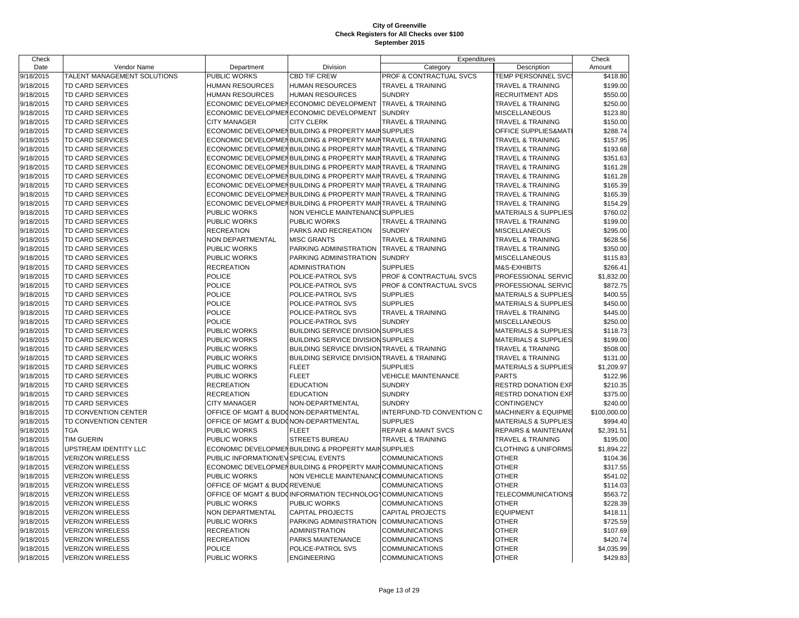| Check     |                             |                                       |                                                                | Expenditures                   |                                 | Check        |
|-----------|-----------------------------|---------------------------------------|----------------------------------------------------------------|--------------------------------|---------------------------------|--------------|
| Date      | Vendor Name                 | Department                            | Division                                                       | Category                       | Description                     | Amount       |
| 9/18/2015 | TALENT MANAGEMENT SOLUTIONS | <b>PUBLIC WORKS</b>                   | <b>CBD TIF CREW</b>                                            | PROF & CONTRACTUAL SVCS        | TEMP PERSONNEL SVC              | \$418.80     |
| 9/18/2015 | <b>TD CARD SERVICES</b>     | <b>HUMAN RESOURCES</b>                | <b>HUMAN RESOURCES</b>                                         | <b>TRAVEL &amp; TRAINING</b>   | <b>TRAVEL &amp; TRAINING</b>    | \$199.00     |
| 9/18/2015 | <b>TD CARD SERVICES</b>     | <b>HUMAN RESOURCES</b>                | <b>HUMAN RESOURCES</b>                                         | <b>SUNDRY</b>                  | <b>RECRUITMENT ADS</b>          | \$550.00     |
| 9/18/2015 | TD CARD SERVICES            |                                       | ECONOMIC DEVELOPMENECONOMIC DEVELOPMENT                        | <b>TRAVEL &amp; TRAINING</b>   | <b>TRAVEL &amp; TRAINING</b>    | \$250.00     |
| 9/18/2015 | TD CARD SERVICES            |                                       | ECONOMIC DEVELOPMENECONOMIC DEVELOPMENT                        | <b>SUNDRY</b>                  | <b>MISCELLANEOUS</b>            | \$123.80     |
| 9/18/2015 | TD CARD SERVICES            | <b>CITY MANAGER</b>                   | <b>CITY CLERK</b>                                              | <b>TRAVEL &amp; TRAINING</b>   | <b>TRAVEL &amp; TRAINING</b>    | \$150.00     |
| 9/18/2015 | <b>TD CARD SERVICES</b>     |                                       | ECONOMIC DEVELOPMENBUILDING & PROPERTY MAIN SUPPLIES           |                                | OFFICE SUPPLIES&MAT             | \$288.74     |
| 9/18/2015 | TD CARD SERVICES            |                                       | ECONOMIC DEVELOPMENBUILDING & PROPERTY MAINTRAVEL & TRAINING   |                                | <b>TRAVEL &amp; TRAINING</b>    | \$157.95     |
| 9/18/2015 | TD CARD SERVICES            |                                       | ECONOMIC DEVELOPMENBUILDING & PROPERTY MAIN                    | <b>TRAVEL &amp; TRAINING</b>   | <b>TRAVEL &amp; TRAINING</b>    | \$193.68     |
| 9/18/2015 | <b>TD CARD SERVICES</b>     |                                       | ECONOMIC DEVELOPMENBUILDING & PROPERTY MAINTRAVEL & TRAINING   |                                | <b>TRAVEL &amp; TRAINING</b>    | \$351.63     |
| 9/18/2015 | TD CARD SERVICES            |                                       | ECONOMIC DEVELOPMEN BUILDING & PROPERTY MAIN TRAVEL & TRAINING |                                | <b>TRAVEL &amp; TRAINING</b>    | \$161.28     |
| 9/18/2015 | TD CARD SERVICES            |                                       | ECONOMIC DEVELOPMENBUILDING & PROPERTY MAIN                    | <b>TRAVEL &amp; TRAINING</b>   | <b>TRAVEL &amp; TRAINING</b>    | \$161.28     |
| 9/18/2015 | TD CARD SERVICES            |                                       | ECONOMIC DEVELOPMENBUILDING & PROPERTY MAINTRAVEL & TRAINING   |                                | <b>TRAVEL &amp; TRAINING</b>    | \$165.39     |
| 9/18/2015 | TD CARD SERVICES            |                                       | ECONOMIC DEVELOPMEN BUILDING & PROPERTY MAIN                   | <b>TRAVEL &amp; TRAINING</b>   | <b>TRAVEL &amp; TRAINING</b>    | \$165.39     |
| 9/18/2015 | TD CARD SERVICES            |                                       | ECONOMIC DEVELOPMENBUILDING & PROPERTY MAIN                    | <b>TRAVEL &amp; TRAINING</b>   | <b>TRAVEL &amp; TRAINING</b>    | \$154.29     |
| 9/18/2015 | TD CARD SERVICES            | PUBLIC WORKS                          | NON VEHICLE MAINTENANCI                                        | <b>SUPPLIES</b>                | <b>MATERIALS &amp; SUPPLIES</b> | \$760.02     |
| 9/18/2015 | TD CARD SERVICES            | <b>PUBLIC WORKS</b>                   | <b>PUBLIC WORKS</b>                                            | <b>TRAVEL &amp; TRAINING</b>   | <b>TRAVEL &amp; TRAINING</b>    | \$199.00     |
| 9/18/2015 | TD CARD SERVICES            | <b>RECREATION</b>                     | PARKS AND RECREATION                                           | <b>SUNDRY</b>                  | MISCELLANEOUS                   | \$295.00     |
| 9/18/2015 | TD CARD SERVICES            | NON DEPARTMENTAL                      | <b>MISC GRANTS</b>                                             | <b>TRAVEL &amp; TRAINING</b>   | <b>TRAVEL &amp; TRAINING</b>    | \$628.56     |
| 9/18/2015 | TD CARD SERVICES            | <b>PUBLIC WORKS</b>                   | PARKING ADMINISTRATION                                         | <b>TRAVEL &amp; TRAINING</b>   | <b>TRAVEL &amp; TRAINING</b>    | \$350.00     |
| 9/18/2015 | TD CARD SERVICES            | PUBLIC WORKS                          | PARKING ADMINISTRATION                                         | <b>SUNDRY</b>                  | MISCELLANEOUS                   | \$115.83     |
| 9/18/2015 | TD CARD SERVICES            | <b>RECREATION</b>                     | <b>ADMINISTRATION</b>                                          | <b>SUPPLIES</b>                | M&S-EXHIBITS                    | \$266.41     |
| 9/18/2015 | TD CARD SERVICES            | <b>POLICE</b>                         | POLICE-PATROL SVS                                              | PROF & CONTRACTUAL SVCS        | PROFESSIONAL SERVIC             | \$1,832.00   |
| 9/18/2015 | <b>TD CARD SERVICES</b>     | <b>POLICE</b>                         | POLICE-PATROL SVS                                              | PROF & CONTRACTUAL SVCS        | PROFESSIONAL SERVIC             | \$872.75     |
| 9/18/2015 | TD CARD SERVICES            | <b>POLICE</b>                         | POLICE-PATROL SVS                                              | <b>SUPPLIES</b>                | <b>MATERIALS &amp; SUPPLIES</b> | \$400.55     |
| 9/18/2015 | TD CARD SERVICES            | <b>POLICE</b>                         | POLICE-PATROL SVS                                              | <b>SUPPLIES</b>                | <b>MATERIALS &amp; SUPPLIES</b> | \$450.00     |
| 9/18/2015 | TD CARD SERVICES            | <b>POLICE</b>                         | POLICE-PATROL SVS                                              | <b>TRAVEL &amp; TRAINING</b>   | <b>TRAVEL &amp; TRAINING</b>    | \$445.00     |
| 9/18/2015 | TD CARD SERVICES            | <b>POLICE</b>                         | POLICE-PATROL SVS                                              | <b>SUNDRY</b>                  | MISCELLANEOUS                   | \$250.00     |
| 9/18/2015 | <b>TD CARD SERVICES</b>     | <b>PUBLIC WORKS</b>                   | <b>BUILDING SERVICE DIVISION SUPPLIES</b>                      |                                | <b>MATERIALS &amp; SUPPLIES</b> | \$118.73     |
| 9/18/2015 | TD CARD SERVICES            | PUBLIC WORKS                          | <b>BUILDING SERVICE DIVISION SUPPLIES</b>                      |                                | <b>MATERIALS &amp; SUPPLIES</b> | \$199.00     |
| 9/18/2015 | TD CARD SERVICES            | <b>PUBLIC WORKS</b>                   | <b>BUILDING SERVICE DIVISION</b>                               | <b>TRAVEL &amp; TRAINING</b>   | <b>TRAVEL &amp; TRAINING</b>    | \$508.00     |
| 9/18/2015 | <b>TD CARD SERVICES</b>     | <b>PUBLIC WORKS</b>                   | <b>BUILDING SERVICE DIVISION TRAVEL &amp; TRAINING</b>         |                                | <b>TRAVEL &amp; TRAINING</b>    | \$131.00     |
| 9/18/2015 | TD CARD SERVICES            | PUBLIC WORKS                          | <b>FLEET</b>                                                   | <b>SUPPLIES</b>                | <b>MATERIALS &amp; SUPPLIES</b> | \$1,209.97   |
| 9/18/2015 | TD CARD SERVICES            | <b>PUBLIC WORKS</b>                   | <b>FLEET</b>                                                   | <b>VEHICLE MAINTENANCE</b>     | <b>PARTS</b>                    | \$122.96     |
| 9/18/2015 | TD CARD SERVICES            | <b>RECREATION</b>                     | <b>EDUCATION</b>                                               | <b>SUNDRY</b>                  | <b>RESTRD DONATION EXP</b>      | \$210.35     |
| 9/18/2015 | TD CARD SERVICES            | <b>RECREATION</b>                     | <b>EDUCATION</b>                                               | <b>SUNDRY</b>                  | <b>RESTRD DONATION EXF</b>      | \$375.00     |
| 9/18/2015 | TD CARD SERVICES            | <b>CITY MANAGER</b>                   | NON-DEPARTMENTAL                                               | <b>SUNDRY</b>                  | CONTINGENCY                     | \$240.00     |
| 9/18/2015 | TD CONVENTION CENTER        | OFFICE OF MGMT & BUDONON-DEPARTMENTAL |                                                                | INTERFUND-TD CONVENTION C      | <b>MACHINERY &amp; EQUIPME</b>  | \$100,000.00 |
| 9/18/2015 | TD CONVENTION CENTER        | OFFICE OF MGMT & BUDONON-DEPARTMENTAL |                                                                | <b>SUPPLIES</b>                | <b>MATERIALS &amp; SUPPLIES</b> | \$994.40     |
| 9/18/2015 | <b>TGA</b>                  | PUBLIC WORKS                          | <b>FLEET</b>                                                   | <b>REPAIR &amp; MAINT SVCS</b> | <b>REPAIRS &amp; MAINTENAN</b>  | \$2,391.51   |
| 9/18/2015 | <b>TIM GUERIN</b>           | <b>PUBLIC WORKS</b>                   | STREETS BUREAU                                                 | <b>TRAVEL &amp; TRAINING</b>   | <b>TRAVEL &amp; TRAINING</b>    | \$195.00     |
| 9/18/2015 | UPSTREAM IDENTITY LLC       |                                       | ECONOMIC DEVELOPMENBUILDING & PROPERTY MAIN SUPPLIES           |                                | <b>CLOTHING &amp; UNIFORMS</b>  | \$1,894.22   |
| 9/18/2015 | <b>VERIZON WIRELESS</b>     | PUBLIC INFORMATION/EVISPECIAL EVENTS  |                                                                | <b>COMMUNICATIONS</b>          | <b>OTHER</b>                    | \$104.36     |
| 9/18/2015 | <b>VERIZON WIRELESS</b>     |                                       | ECONOMIC DEVELOPMENBUILDING & PROPERTY MAIN COMMUNICATIONS     |                                | <b>OTHER</b>                    | \$317.55     |
| 9/18/2015 | <b>VERIZON WIRELESS</b>     | <b>PUBLIC WORKS</b>                   | NON VEHICLE MAINTENANCI COMMUNICATIONS                         |                                | <b>OTHER</b>                    | \$541.02     |
| 9/18/2015 | <b>VERIZON WIRELESS</b>     | OFFICE OF MGMT & BUDOREVENUE          |                                                                | <b>COMMUNICATIONS</b>          | <b>OTHER</b>                    | \$114.03     |
| 9/18/2015 | <b>VERIZON WIRELESS</b>     |                                       | OFFICE OF MGMT & BUDGINFORMATION TECHNOLOGYCOMMUNICATIONS      |                                | <b>TELECOMMUNICATIONS</b>       | \$563.72     |
| 9/18/2015 | <b>VERIZON WIRELESS</b>     | <b>PUBLIC WORKS</b>                   | <b>PUBLIC WORKS</b>                                            | <b>COMMUNICATIONS</b>          | <b>OTHER</b>                    | \$228.39     |
| 9/18/2015 | <b>VERIZON WIRELESS</b>     | NON DEPARTMENTAL                      | <b>CAPITAL PROJECTS</b>                                        | <b>CAPITAL PROJECTS</b>        | <b>EQUIPMENT</b>                | \$418.11     |
| 9/18/2015 | <b>VERIZON WIRELESS</b>     | <b>PUBLIC WORKS</b>                   | PARKING ADMINISTRATION                                         | <b>COMMUNICATIONS</b>          | <b>OTHER</b>                    | \$725.59     |
| 9/18/2015 | <b>VERIZON WIRELESS</b>     | <b>RECREATION</b>                     | <b>ADMINISTRATION</b>                                          | <b>COMMUNICATIONS</b>          | <b>OTHER</b>                    | \$107.69     |
| 9/18/2015 | <b>VERIZON WIRELESS</b>     | <b>RECREATION</b>                     | PARKS MAINTENANCE                                              | <b>COMMUNICATIONS</b>          | <b>OTHER</b>                    | \$420.74     |
| 9/18/2015 | <b>VERIZON WIRELESS</b>     | <b>POLICE</b>                         | POLICE-PATROL SVS                                              | <b>COMMUNICATIONS</b>          | <b>OTHER</b>                    | \$4,035.99   |
| 9/18/2015 | <b>VERIZON WIRELESS</b>     | <b>PUBLIC WORKS</b>                   | <b>ENGINEERING</b>                                             | <b>COMMUNICATIONS</b>          | <b>OTHER</b>                    | \$429.83     |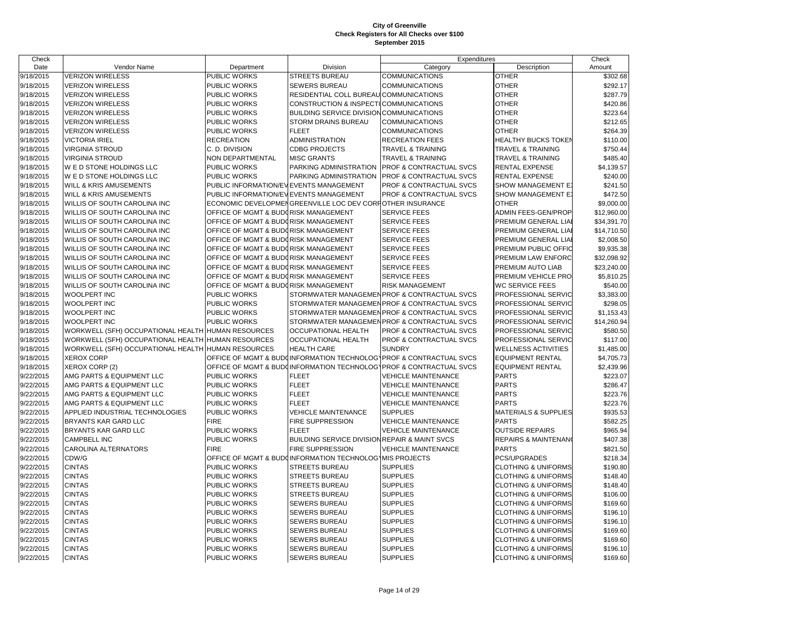| Date<br>Category<br>Vendor Name<br>Department<br>Division<br>Description<br>Amount<br>9/18/2015<br><b>VERIZON WIRELESS</b><br>PUBLIC WORKS<br><b>STREETS BUREAU</b><br><b>OTHER</b><br>COMMUNICATIONS<br>\$302.68<br><b>OTHER</b><br>9/18/2015<br>PUBLIC WORKS<br><b>SEWERS BUREAU</b><br>COMMUNICATIONS<br>\$292.17<br>VERIZON WIRELESS<br><b>OTHER</b><br>9/18/2015<br><b>VERIZON WIRELESS</b><br>PUBLIC WORKS<br>RESIDENTIAL COLL BUREAU COMMUNICATIONS<br>\$287.79<br>9/18/2015<br><b>VERIZON WIRELESS</b><br>PUBLIC WORKS<br>CONSTRUCTION & INSPECTICOMMUNICATIONS<br><b>OTHER</b><br>\$420.86<br><b>OTHER</b><br>9/18/2015<br><b>VERIZON WIRELESS</b><br>PUBLIC WORKS<br>BUILDING SERVICE DIVISION COMMUNICATIONS<br>\$223.64<br><b>OTHER</b><br>9/18/2015<br><b>VERIZON WIRELESS</b><br>PUBLIC WORKS<br>STORM DRAINS BUREAU<br><b>COMMUNICATIONS</b><br>\$212.65<br>9/18/2015<br><b>VERIZON WIRELESS</b><br>PUBLIC WORKS<br><b>FLEET</b><br><b>COMMUNICATIONS</b><br><b>OTHER</b><br>\$264.39<br>9/18/2015<br><b>RECREATION</b><br><b>VICTORIA IRIEL</b><br><b>ADMINISTRATION</b><br><b>RECREATION FEES</b><br><b>HEALTHY BUCKS TOKEN</b><br>\$110.00<br>9/18/2015<br><b>CDBG PROJECTS</b><br><b>TRAVEL &amp; TRAINING</b><br><b>VIRGINIA STROUD</b><br>C. D. DIVISION<br>TRAVEL & TRAINING<br>\$750.44<br>9/18/2015<br><b>VIRGINIA STROUD</b><br>NON DEPARTMENTAL<br><b>TRAVEL &amp; TRAINING</b><br><b>TRAVEL &amp; TRAINING</b><br>\$485.40<br><b>MISC GRANTS</b><br>9/18/2015<br>W E D STONE HOLDINGS LLC<br>PUBLIC WORKS<br>PARKING ADMINISTRATION<br><b>PROF &amp; CONTRACTUAL SVCS</b><br><b>RENTAL EXPENSE</b><br>\$4,139.57<br>9/18/2015<br>PROF & CONTRACTUAL SVCS<br>\$240.00<br>W E D STONE HOLDINGS LLC<br>PUBLIC WORKS<br>PARKING ADMINISTRATION<br><b>RENTAL EXPENSE</b><br>9/18/2015<br>WILL & KRIS AMUSEMENTS<br>PUBLIC INFORMATION/EVEVENTS MANAGEMENT<br>PROF & CONTRACTUAL SVCS<br>SHOW MANAGEMENT E<br>\$241.50<br>9/18/2015<br>WILL & KRIS AMUSEMENTS<br>PUBLIC INFORMATION/EVEVENTS MANAGEMENT<br>PROF & CONTRACTUAL SVCS<br>SHOW MANAGEMENT E<br>\$472.50<br>9/18/2015<br><b>OTHER</b><br>WILLIS OF SOUTH CAROLINA INC<br>ECONOMIC DEVELOPMENGREENVILLE LOC DEV CORFOTHER INSURANCE<br>\$9,000.00<br>9/18/2015<br>WILLIS OF SOUTH CAROLINA INC<br>OFFICE OF MGMT & BUDGRISK MANAGEMENT<br><b>SERVICE FEES</b><br>ADMIN FEES-GEN/PROP<br>\$12,960.00<br>9/18/2015<br>WILLIS OF SOUTH CAROLINA INC<br>OFFICE OF MGMT & BUDGRISK MANAGEMENT<br>SERVICE FEES<br>PREMIUM GENERAL LIA<br>\$34,391.70<br>9/18/2015<br>WILLIS OF SOUTH CAROLINA INC<br>OFFICE OF MGMT & BUDORISK MANAGEMENT<br>SERVICE FEES<br>PREMIUM GENERAL LIA<br>\$14,710.50<br>9/18/2015<br>WILLIS OF SOUTH CAROLINA INC<br>OFFICE OF MGMT & BUDORISK MANAGEMENT<br>SERVICE FEES<br>PREMIUM GENERAL LIA<br>\$2,008.50<br>OFFICE OF MGMT & BUDORISK MANAGEMENT<br>9/18/2015<br>WILLIS OF SOUTH CAROLINA INC<br>SERVICE FEES<br>PREMIUM PUBLIC OFFIC<br>\$9,935.38<br>9/18/2015<br>OFFICE OF MGMT & BUDORISK MANAGEMENT<br>SERVICE FEES<br>WILLIS OF SOUTH CAROLINA INC<br>PREMIUM LAW ENFORC<br>\$32,098.92<br>9/18/2015<br>WILLIS OF SOUTH CAROLINA INC<br>OFFICE OF MGMT & BUDORISK MANAGEMENT<br>SERVICE FEES<br>PREMIUM AUTO LIAB<br>\$23,240.00<br>9/18/2015<br>WILLIS OF SOUTH CAROLINA INC<br>OFFICE OF MGMT & BUDORISK MANAGEMENT<br>SERVICE FEES<br>PREMIUM VEHICLE PRO<br>\$5,810.25<br>9/18/2015<br>WILLIS OF SOUTH CAROLINA INC<br>OFFICE OF MGMT & BUDORISK MANAGEMENT<br>RISK MANAGEMENT<br><b>WC SERVICE FEES</b><br>\$540.00<br>9/18/2015<br><b>WOOLPERT INC</b><br>PUBLIC WORKS<br>STORMWATER MANAGEMEN PROF & CONTRACTUAL SVCS<br>PROFESSIONAL SERVIC<br>\$3,383.00<br><b>WOOLPERT INC</b><br>PUBLIC WORKS<br>STORMWATER MANAGEMEN PROF & CONTRACTUAL SVCS<br>\$298.05<br>9/18/2015<br>PROFESSIONAL SERVIC<br>9/18/2015<br><b>WOOLPERT INC</b><br>STORMWATER MANAGEMEN PROF & CONTRACTUAL SVCS<br>PROFESSIONAL SERVIC<br>PUBLIC WORKS<br>\$1,153.43<br>9/18/2015<br><b>WOOLPERT INC</b><br>PUBLIC WORKS<br>STORMWATER MANAGEMEN PROF & CONTRACTUAL SVCS<br>PROFESSIONAL SERVIC<br>\$14,260.94<br>WORKWELL (SFH) OCCUPATIONAL HEALTH HUMAN RESOURCES<br>9/18/2015<br><b>OCCUPATIONAL HEALTH</b><br>PROF & CONTRACTUAL SVCS<br>PROFESSIONAL SERVIC<br>\$580.50<br>9/18/2015<br>WORKWELL (SFH) OCCUPATIONAL HEALTH HUMAN RESOURCES<br><b>OCCUPATIONAL HEALTH</b><br>PROF & CONTRACTUAL SVCS<br>PROFESSIONAL SERVIC<br>\$117.00<br>9/18/2015<br>WORKWELL (SFH) OCCUPATIONAL HEALTH HUMAN RESOURCES<br><b>SUNDRY</b><br><b>WELLNESS ACTIVITIES</b><br><b>HEALTH CARE</b><br>\$1,485.00<br>OFFICE OF MGMT & BUDOINFORMATION TECHNOLOGYPROF & CONTRACTUAL SVCS<br>9/18/2015<br><b>XEROX CORP</b><br><b>EQUIPMENT RENTAL</b><br>\$4,705.73<br>9/18/2015<br>XEROX CORP (2)<br>OFFICE OF MGMT & BUDCINFORMATION TECHNOLOGYPROF & CONTRACTUAL SVCS<br><b>EQUIPMENT RENTAL</b><br>\$2,439.96<br>9/22/2015<br>AMG PARTS & EQUIPMENT LLC<br>PUBLIC WORKS<br><b>FLEET</b><br><b>VEHICLE MAINTENANCE</b><br><b>PARTS</b><br>\$223.07<br>9/22/2015<br>AMG PARTS & EQUIPMENT LLC<br>PUBLIC WORKS<br><b>FLEET</b><br><b>VEHICLE MAINTENANCE</b><br><b>PARTS</b><br>\$286.47<br>9/22/2015<br>AMG PARTS & EQUIPMENT LLC<br><b>FLEET</b><br><b>PARTS</b><br>\$223.76<br>PUBLIC WORKS<br><b>VEHICLE MAINTENANCE</b><br><b>PARTS</b><br>9/22/2015<br>AMG PARTS & EQUIPMENT LLC<br>PUBLIC WORKS<br><b>FLEET</b><br><b>VEHICLE MAINTENANCE</b><br>\$223.76<br>9/22/2015<br><b>SUPPLIES</b><br>\$935.53<br>APPLIED INDUSTRIAL TECHNOLOGIES<br>PUBLIC WORKS<br><b>VEHICLE MAINTENANCE</b><br><b>MATERIALS &amp; SUPPLIES</b><br>9/22/2015<br><b>FIRE</b><br>FIRE SUPPRESSION<br><b>PARTS</b><br>BRYANTS KAR GARD LLC<br><b>VEHICLE MAINTENANCE</b><br>\$582.25<br>9/22/2015<br>BRYANTS KAR GARD LLC<br><b>PUBLIC WORKS</b><br><b>FLEET</b><br><b>VEHICLE MAINTENANCE</b><br><b>OUTSIDE REPAIRS</b><br>\$965.94<br>9/22/2015<br><b>CAMPBELL INC</b><br><b>PUBLIC WORKS</b><br><b>BUILDING SERVICE DIVISION REPAIR &amp; MAINT SVCS</b><br><b>REPAIRS &amp; MAINTENAN</b><br>\$407.38<br>9/22/2015<br><b>CAROLINA ALTERNATORS</b><br><b>FIRE</b><br><b>FIRE SUPPRESSION</b><br><b>VEHICLE MAINTENANCE</b><br><b>PARTS</b><br>\$821.50<br>9/22/2015<br>CDW/G<br>OFFICE OF MGMT & BUDGINFORMATION TECHNOLOGYMIS PROJECTS<br>PCS/UPGRADES<br>\$218.34<br>9/22/2015<br><b>CINTAS</b><br>PUBLIC WORKS<br><b>STREETS BUREAU</b><br><b>SUPPLIES</b><br><b>CLOTHING &amp; UNIFORMS</b><br>\$190.80<br><b>CINTAS</b><br><b>SUPPLIES</b><br>9/22/2015<br>PUBLIC WORKS<br>STREETS BUREAU<br><b>CLOTHING &amp; UNIFORMS</b><br>\$148.40<br>9/22/2015<br><b>CINTAS</b><br><b>SUPPLIES</b><br>PUBLIC WORKS<br>STREETS BUREAU<br><b>CLOTHING &amp; UNIFORMS</b><br>\$148.40<br><b>CINTAS</b><br><b>SUPPLIES</b><br><b>CLOTHING &amp; UNIFORMS</b><br>9/22/2015<br>PUBLIC WORKS<br>STREETS BUREAU<br>\$106.00<br>9/22/2015<br><b>CINTAS</b><br>PUBLIC WORKS<br>SEWERS BUREAU<br><b>SUPPLIES</b><br><b>CLOTHING &amp; UNIFORMS</b><br>\$169.60<br>9/22/2015<br><b>CINTAS</b><br>PUBLIC WORKS<br>SEWERS BUREAU<br><b>SUPPLIES</b><br><b>CLOTHING &amp; UNIFORMS</b><br>\$196.10<br>9/22/2015<br><b>SUPPLIES</b><br><b>CINTAS</b><br>PUBLIC WORKS<br><b>CLOTHING &amp; UNIFORMS</b><br><b>SEWERS BUREAU</b><br>\$196.10<br><b>SUPPLIES</b><br>9/22/2015<br><b>CINTAS</b><br>PUBLIC WORKS<br>SEWERS BUREAU<br><b>CLOTHING &amp; UNIFORMS</b><br>\$169.60<br>9/22/2015<br><b>CINTAS</b><br><b>SUPPLIES</b><br><b>CLOTHING &amp; UNIFORMS</b><br>PUBLIC WORKS<br>SEWERS BUREAU<br>\$169.60<br>9/22/2015<br><b>CINTAS</b><br>PUBLIC WORKS<br><b>SUPPLIES</b><br><b>CLOTHING &amp; UNIFORMS</b><br><b>SEWERS BUREAU</b><br>\$196.10 | Check     |               |              |                      | Expenditures    |                                | Check    |
|---------------------------------------------------------------------------------------------------------------------------------------------------------------------------------------------------------------------------------------------------------------------------------------------------------------------------------------------------------------------------------------------------------------------------------------------------------------------------------------------------------------------------------------------------------------------------------------------------------------------------------------------------------------------------------------------------------------------------------------------------------------------------------------------------------------------------------------------------------------------------------------------------------------------------------------------------------------------------------------------------------------------------------------------------------------------------------------------------------------------------------------------------------------------------------------------------------------------------------------------------------------------------------------------------------------------------------------------------------------------------------------------------------------------------------------------------------------------------------------------------------------------------------------------------------------------------------------------------------------------------------------------------------------------------------------------------------------------------------------------------------------------------------------------------------------------------------------------------------------------------------------------------------------------------------------------------------------------------------------------------------------------------------------------------------------------------------------------------------------------------------------------------------------------------------------------------------------------------------------------------------------------------------------------------------------------------------------------------------------------------------------------------------------------------------------------------------------------------------------------------------------------------------------------------------------------------------------------------------------------------------------------------------------------------------------------------------------------------------------------------------------------------------------------------------------------------------------------------------------------------------------------------------------------------------------------------------------------------------------------------------------------------------------------------------------------------------------------------------------------------------------------------------------------------------------------------------------------------------------------------------------------------------------------------------------------------------------------------------------------------------------------------------------------------------------------------------------------------------------------------------------------------------------------------------------------------------------------------------------------------------------------------------------------------------------------------------------------------------------------------------------------------------------------------------------------------------------------------------------------------------------------------------------------------------------------------------------------------------------------------------------------------------------------------------------------------------------------------------------------------------------------------------------------------------------------------------------------------------------------------------------------------------------------------------------------------------------------------------------------------------------------------------------------------------------------------------------------------------------------------------------------------------------------------------------------------------------------------------------------------------------------------------------------------------------------------------------------------------------------------------------------------------------------------------------------------------------------------------------------------------------------------------------------------------------------------------------------------------------------------------------------------------------------------------------------------------------------------------------------------------------------------------------------------------------------------------------------------------------------------------------------------------------------------------------------------------------------------------------------------------------------------------------------------------------------------------------------------------------------------------------------------------------------------------------------------------------------------------------------------------------------------------------------------------------------------------------------------------------------------------------------------------------------------------------------------------------------------------------------------------------------------------------------------------------------------------------------------------------------------------------------------------------------------------------------------------------------------------------------------------------------------------------------------------------------------------------------------------------------------------------------------------------------------------------------------------------------------------------------------------------------------------------------------------------------------------------------------------------------------------------------------------------------------------------------------------------------------------------------------------------------------------------------------------------------------------------------------------------------------------------------------------------------------------------------------------------------------------------------------------------------------------------------------------------------------------------------------------------------------------------------------------------------------------------------------------------------------------------------------------------------------------------------------------------------------------------------------------------------------------------------------------------------------------------------------------------------------------------------------------------------------------------------------------------------------------------------------------------------------------------------------------------------------------------------------------------------------------------------------------------------------------------------------------------------|-----------|---------------|--------------|----------------------|-----------------|--------------------------------|----------|
|                                                                                                                                                                                                                                                                                                                                                                                                                                                                                                                                                                                                                                                                                                                                                                                                                                                                                                                                                                                                                                                                                                                                                                                                                                                                                                                                                                                                                                                                                                                                                                                                                                                                                                                                                                                                                                                                                                                                                                                                                                                                                                                                                                                                                                                                                                                                                                                                                                                                                                                                                                                                                                                                                                                                                                                                                                                                                                                                                                                                                                                                                                                                                                                                                                                                                                                                                                                                                                                                                                                                                                                                                                                                                                                                                                                                                                                                                                                                                                                                                                                                                                                                                                                                                                                                                                                                                                                                                                                                                                                                                                                                                                                                                                                                                                                                                                                                                                                                                                                                                                                                                                                                                                                                                                                                                                                                                                                                                                                                                                                                                                                                                                                                                                                                                                                                                                                                                                                                                                                                                                                                                                                                                                                                                                                                                                                                                                                                                                                                                                                                                                                                                                                                                                                                                                                                                                                                                                                                                                                                                                                                                                                                                                                                                                                                                                                                                                                                                                                                                                                                                                                                                                                                                             |           |               |              |                      |                 |                                |          |
|                                                                                                                                                                                                                                                                                                                                                                                                                                                                                                                                                                                                                                                                                                                                                                                                                                                                                                                                                                                                                                                                                                                                                                                                                                                                                                                                                                                                                                                                                                                                                                                                                                                                                                                                                                                                                                                                                                                                                                                                                                                                                                                                                                                                                                                                                                                                                                                                                                                                                                                                                                                                                                                                                                                                                                                                                                                                                                                                                                                                                                                                                                                                                                                                                                                                                                                                                                                                                                                                                                                                                                                                                                                                                                                                                                                                                                                                                                                                                                                                                                                                                                                                                                                                                                                                                                                                                                                                                                                                                                                                                                                                                                                                                                                                                                                                                                                                                                                                                                                                                                                                                                                                                                                                                                                                                                                                                                                                                                                                                                                                                                                                                                                                                                                                                                                                                                                                                                                                                                                                                                                                                                                                                                                                                                                                                                                                                                                                                                                                                                                                                                                                                                                                                                                                                                                                                                                                                                                                                                                                                                                                                                                                                                                                                                                                                                                                                                                                                                                                                                                                                                                                                                                                                             |           |               |              |                      |                 |                                |          |
|                                                                                                                                                                                                                                                                                                                                                                                                                                                                                                                                                                                                                                                                                                                                                                                                                                                                                                                                                                                                                                                                                                                                                                                                                                                                                                                                                                                                                                                                                                                                                                                                                                                                                                                                                                                                                                                                                                                                                                                                                                                                                                                                                                                                                                                                                                                                                                                                                                                                                                                                                                                                                                                                                                                                                                                                                                                                                                                                                                                                                                                                                                                                                                                                                                                                                                                                                                                                                                                                                                                                                                                                                                                                                                                                                                                                                                                                                                                                                                                                                                                                                                                                                                                                                                                                                                                                                                                                                                                                                                                                                                                                                                                                                                                                                                                                                                                                                                                                                                                                                                                                                                                                                                                                                                                                                                                                                                                                                                                                                                                                                                                                                                                                                                                                                                                                                                                                                                                                                                                                                                                                                                                                                                                                                                                                                                                                                                                                                                                                                                                                                                                                                                                                                                                                                                                                                                                                                                                                                                                                                                                                                                                                                                                                                                                                                                                                                                                                                                                                                                                                                                                                                                                                                             |           |               |              |                      |                 |                                |          |
|                                                                                                                                                                                                                                                                                                                                                                                                                                                                                                                                                                                                                                                                                                                                                                                                                                                                                                                                                                                                                                                                                                                                                                                                                                                                                                                                                                                                                                                                                                                                                                                                                                                                                                                                                                                                                                                                                                                                                                                                                                                                                                                                                                                                                                                                                                                                                                                                                                                                                                                                                                                                                                                                                                                                                                                                                                                                                                                                                                                                                                                                                                                                                                                                                                                                                                                                                                                                                                                                                                                                                                                                                                                                                                                                                                                                                                                                                                                                                                                                                                                                                                                                                                                                                                                                                                                                                                                                                                                                                                                                                                                                                                                                                                                                                                                                                                                                                                                                                                                                                                                                                                                                                                                                                                                                                                                                                                                                                                                                                                                                                                                                                                                                                                                                                                                                                                                                                                                                                                                                                                                                                                                                                                                                                                                                                                                                                                                                                                                                                                                                                                                                                                                                                                                                                                                                                                                                                                                                                                                                                                                                                                                                                                                                                                                                                                                                                                                                                                                                                                                                                                                                                                                                                             |           |               |              |                      |                 |                                |          |
|                                                                                                                                                                                                                                                                                                                                                                                                                                                                                                                                                                                                                                                                                                                                                                                                                                                                                                                                                                                                                                                                                                                                                                                                                                                                                                                                                                                                                                                                                                                                                                                                                                                                                                                                                                                                                                                                                                                                                                                                                                                                                                                                                                                                                                                                                                                                                                                                                                                                                                                                                                                                                                                                                                                                                                                                                                                                                                                                                                                                                                                                                                                                                                                                                                                                                                                                                                                                                                                                                                                                                                                                                                                                                                                                                                                                                                                                                                                                                                                                                                                                                                                                                                                                                                                                                                                                                                                                                                                                                                                                                                                                                                                                                                                                                                                                                                                                                                                                                                                                                                                                                                                                                                                                                                                                                                                                                                                                                                                                                                                                                                                                                                                                                                                                                                                                                                                                                                                                                                                                                                                                                                                                                                                                                                                                                                                                                                                                                                                                                                                                                                                                                                                                                                                                                                                                                                                                                                                                                                                                                                                                                                                                                                                                                                                                                                                                                                                                                                                                                                                                                                                                                                                                                             |           |               |              |                      |                 |                                |          |
|                                                                                                                                                                                                                                                                                                                                                                                                                                                                                                                                                                                                                                                                                                                                                                                                                                                                                                                                                                                                                                                                                                                                                                                                                                                                                                                                                                                                                                                                                                                                                                                                                                                                                                                                                                                                                                                                                                                                                                                                                                                                                                                                                                                                                                                                                                                                                                                                                                                                                                                                                                                                                                                                                                                                                                                                                                                                                                                                                                                                                                                                                                                                                                                                                                                                                                                                                                                                                                                                                                                                                                                                                                                                                                                                                                                                                                                                                                                                                                                                                                                                                                                                                                                                                                                                                                                                                                                                                                                                                                                                                                                                                                                                                                                                                                                                                                                                                                                                                                                                                                                                                                                                                                                                                                                                                                                                                                                                                                                                                                                                                                                                                                                                                                                                                                                                                                                                                                                                                                                                                                                                                                                                                                                                                                                                                                                                                                                                                                                                                                                                                                                                                                                                                                                                                                                                                                                                                                                                                                                                                                                                                                                                                                                                                                                                                                                                                                                                                                                                                                                                                                                                                                                                                             |           |               |              |                      |                 |                                |          |
|                                                                                                                                                                                                                                                                                                                                                                                                                                                                                                                                                                                                                                                                                                                                                                                                                                                                                                                                                                                                                                                                                                                                                                                                                                                                                                                                                                                                                                                                                                                                                                                                                                                                                                                                                                                                                                                                                                                                                                                                                                                                                                                                                                                                                                                                                                                                                                                                                                                                                                                                                                                                                                                                                                                                                                                                                                                                                                                                                                                                                                                                                                                                                                                                                                                                                                                                                                                                                                                                                                                                                                                                                                                                                                                                                                                                                                                                                                                                                                                                                                                                                                                                                                                                                                                                                                                                                                                                                                                                                                                                                                                                                                                                                                                                                                                                                                                                                                                                                                                                                                                                                                                                                                                                                                                                                                                                                                                                                                                                                                                                                                                                                                                                                                                                                                                                                                                                                                                                                                                                                                                                                                                                                                                                                                                                                                                                                                                                                                                                                                                                                                                                                                                                                                                                                                                                                                                                                                                                                                                                                                                                                                                                                                                                                                                                                                                                                                                                                                                                                                                                                                                                                                                                                             |           |               |              |                      |                 |                                |          |
|                                                                                                                                                                                                                                                                                                                                                                                                                                                                                                                                                                                                                                                                                                                                                                                                                                                                                                                                                                                                                                                                                                                                                                                                                                                                                                                                                                                                                                                                                                                                                                                                                                                                                                                                                                                                                                                                                                                                                                                                                                                                                                                                                                                                                                                                                                                                                                                                                                                                                                                                                                                                                                                                                                                                                                                                                                                                                                                                                                                                                                                                                                                                                                                                                                                                                                                                                                                                                                                                                                                                                                                                                                                                                                                                                                                                                                                                                                                                                                                                                                                                                                                                                                                                                                                                                                                                                                                                                                                                                                                                                                                                                                                                                                                                                                                                                                                                                                                                                                                                                                                                                                                                                                                                                                                                                                                                                                                                                                                                                                                                                                                                                                                                                                                                                                                                                                                                                                                                                                                                                                                                                                                                                                                                                                                                                                                                                                                                                                                                                                                                                                                                                                                                                                                                                                                                                                                                                                                                                                                                                                                                                                                                                                                                                                                                                                                                                                                                                                                                                                                                                                                                                                                                                             |           |               |              |                      |                 |                                |          |
|                                                                                                                                                                                                                                                                                                                                                                                                                                                                                                                                                                                                                                                                                                                                                                                                                                                                                                                                                                                                                                                                                                                                                                                                                                                                                                                                                                                                                                                                                                                                                                                                                                                                                                                                                                                                                                                                                                                                                                                                                                                                                                                                                                                                                                                                                                                                                                                                                                                                                                                                                                                                                                                                                                                                                                                                                                                                                                                                                                                                                                                                                                                                                                                                                                                                                                                                                                                                                                                                                                                                                                                                                                                                                                                                                                                                                                                                                                                                                                                                                                                                                                                                                                                                                                                                                                                                                                                                                                                                                                                                                                                                                                                                                                                                                                                                                                                                                                                                                                                                                                                                                                                                                                                                                                                                                                                                                                                                                                                                                                                                                                                                                                                                                                                                                                                                                                                                                                                                                                                                                                                                                                                                                                                                                                                                                                                                                                                                                                                                                                                                                                                                                                                                                                                                                                                                                                                                                                                                                                                                                                                                                                                                                                                                                                                                                                                                                                                                                                                                                                                                                                                                                                                                                             |           |               |              |                      |                 |                                |          |
|                                                                                                                                                                                                                                                                                                                                                                                                                                                                                                                                                                                                                                                                                                                                                                                                                                                                                                                                                                                                                                                                                                                                                                                                                                                                                                                                                                                                                                                                                                                                                                                                                                                                                                                                                                                                                                                                                                                                                                                                                                                                                                                                                                                                                                                                                                                                                                                                                                                                                                                                                                                                                                                                                                                                                                                                                                                                                                                                                                                                                                                                                                                                                                                                                                                                                                                                                                                                                                                                                                                                                                                                                                                                                                                                                                                                                                                                                                                                                                                                                                                                                                                                                                                                                                                                                                                                                                                                                                                                                                                                                                                                                                                                                                                                                                                                                                                                                                                                                                                                                                                                                                                                                                                                                                                                                                                                                                                                                                                                                                                                                                                                                                                                                                                                                                                                                                                                                                                                                                                                                                                                                                                                                                                                                                                                                                                                                                                                                                                                                                                                                                                                                                                                                                                                                                                                                                                                                                                                                                                                                                                                                                                                                                                                                                                                                                                                                                                                                                                                                                                                                                                                                                                                                             |           |               |              |                      |                 |                                |          |
|                                                                                                                                                                                                                                                                                                                                                                                                                                                                                                                                                                                                                                                                                                                                                                                                                                                                                                                                                                                                                                                                                                                                                                                                                                                                                                                                                                                                                                                                                                                                                                                                                                                                                                                                                                                                                                                                                                                                                                                                                                                                                                                                                                                                                                                                                                                                                                                                                                                                                                                                                                                                                                                                                                                                                                                                                                                                                                                                                                                                                                                                                                                                                                                                                                                                                                                                                                                                                                                                                                                                                                                                                                                                                                                                                                                                                                                                                                                                                                                                                                                                                                                                                                                                                                                                                                                                                                                                                                                                                                                                                                                                                                                                                                                                                                                                                                                                                                                                                                                                                                                                                                                                                                                                                                                                                                                                                                                                                                                                                                                                                                                                                                                                                                                                                                                                                                                                                                                                                                                                                                                                                                                                                                                                                                                                                                                                                                                                                                                                                                                                                                                                                                                                                                                                                                                                                                                                                                                                                                                                                                                                                                                                                                                                                                                                                                                                                                                                                                                                                                                                                                                                                                                                                             |           |               |              |                      |                 |                                |          |
|                                                                                                                                                                                                                                                                                                                                                                                                                                                                                                                                                                                                                                                                                                                                                                                                                                                                                                                                                                                                                                                                                                                                                                                                                                                                                                                                                                                                                                                                                                                                                                                                                                                                                                                                                                                                                                                                                                                                                                                                                                                                                                                                                                                                                                                                                                                                                                                                                                                                                                                                                                                                                                                                                                                                                                                                                                                                                                                                                                                                                                                                                                                                                                                                                                                                                                                                                                                                                                                                                                                                                                                                                                                                                                                                                                                                                                                                                                                                                                                                                                                                                                                                                                                                                                                                                                                                                                                                                                                                                                                                                                                                                                                                                                                                                                                                                                                                                                                                                                                                                                                                                                                                                                                                                                                                                                                                                                                                                                                                                                                                                                                                                                                                                                                                                                                                                                                                                                                                                                                                                                                                                                                                                                                                                                                                                                                                                                                                                                                                                                                                                                                                                                                                                                                                                                                                                                                                                                                                                                                                                                                                                                                                                                                                                                                                                                                                                                                                                                                                                                                                                                                                                                                                                             |           |               |              |                      |                 |                                |          |
|                                                                                                                                                                                                                                                                                                                                                                                                                                                                                                                                                                                                                                                                                                                                                                                                                                                                                                                                                                                                                                                                                                                                                                                                                                                                                                                                                                                                                                                                                                                                                                                                                                                                                                                                                                                                                                                                                                                                                                                                                                                                                                                                                                                                                                                                                                                                                                                                                                                                                                                                                                                                                                                                                                                                                                                                                                                                                                                                                                                                                                                                                                                                                                                                                                                                                                                                                                                                                                                                                                                                                                                                                                                                                                                                                                                                                                                                                                                                                                                                                                                                                                                                                                                                                                                                                                                                                                                                                                                                                                                                                                                                                                                                                                                                                                                                                                                                                                                                                                                                                                                                                                                                                                                                                                                                                                                                                                                                                                                                                                                                                                                                                                                                                                                                                                                                                                                                                                                                                                                                                                                                                                                                                                                                                                                                                                                                                                                                                                                                                                                                                                                                                                                                                                                                                                                                                                                                                                                                                                                                                                                                                                                                                                                                                                                                                                                                                                                                                                                                                                                                                                                                                                                                                             |           |               |              |                      |                 |                                |          |
|                                                                                                                                                                                                                                                                                                                                                                                                                                                                                                                                                                                                                                                                                                                                                                                                                                                                                                                                                                                                                                                                                                                                                                                                                                                                                                                                                                                                                                                                                                                                                                                                                                                                                                                                                                                                                                                                                                                                                                                                                                                                                                                                                                                                                                                                                                                                                                                                                                                                                                                                                                                                                                                                                                                                                                                                                                                                                                                                                                                                                                                                                                                                                                                                                                                                                                                                                                                                                                                                                                                                                                                                                                                                                                                                                                                                                                                                                                                                                                                                                                                                                                                                                                                                                                                                                                                                                                                                                                                                                                                                                                                                                                                                                                                                                                                                                                                                                                                                                                                                                                                                                                                                                                                                                                                                                                                                                                                                                                                                                                                                                                                                                                                                                                                                                                                                                                                                                                                                                                                                                                                                                                                                                                                                                                                                                                                                                                                                                                                                                                                                                                                                                                                                                                                                                                                                                                                                                                                                                                                                                                                                                                                                                                                                                                                                                                                                                                                                                                                                                                                                                                                                                                                                                             |           |               |              |                      |                 |                                |          |
|                                                                                                                                                                                                                                                                                                                                                                                                                                                                                                                                                                                                                                                                                                                                                                                                                                                                                                                                                                                                                                                                                                                                                                                                                                                                                                                                                                                                                                                                                                                                                                                                                                                                                                                                                                                                                                                                                                                                                                                                                                                                                                                                                                                                                                                                                                                                                                                                                                                                                                                                                                                                                                                                                                                                                                                                                                                                                                                                                                                                                                                                                                                                                                                                                                                                                                                                                                                                                                                                                                                                                                                                                                                                                                                                                                                                                                                                                                                                                                                                                                                                                                                                                                                                                                                                                                                                                                                                                                                                                                                                                                                                                                                                                                                                                                                                                                                                                                                                                                                                                                                                                                                                                                                                                                                                                                                                                                                                                                                                                                                                                                                                                                                                                                                                                                                                                                                                                                                                                                                                                                                                                                                                                                                                                                                                                                                                                                                                                                                                                                                                                                                                                                                                                                                                                                                                                                                                                                                                                                                                                                                                                                                                                                                                                                                                                                                                                                                                                                                                                                                                                                                                                                                                                             |           |               |              |                      |                 |                                |          |
|                                                                                                                                                                                                                                                                                                                                                                                                                                                                                                                                                                                                                                                                                                                                                                                                                                                                                                                                                                                                                                                                                                                                                                                                                                                                                                                                                                                                                                                                                                                                                                                                                                                                                                                                                                                                                                                                                                                                                                                                                                                                                                                                                                                                                                                                                                                                                                                                                                                                                                                                                                                                                                                                                                                                                                                                                                                                                                                                                                                                                                                                                                                                                                                                                                                                                                                                                                                                                                                                                                                                                                                                                                                                                                                                                                                                                                                                                                                                                                                                                                                                                                                                                                                                                                                                                                                                                                                                                                                                                                                                                                                                                                                                                                                                                                                                                                                                                                                                                                                                                                                                                                                                                                                                                                                                                                                                                                                                                                                                                                                                                                                                                                                                                                                                                                                                                                                                                                                                                                                                                                                                                                                                                                                                                                                                                                                                                                                                                                                                                                                                                                                                                                                                                                                                                                                                                                                                                                                                                                                                                                                                                                                                                                                                                                                                                                                                                                                                                                                                                                                                                                                                                                                                                             |           |               |              |                      |                 |                                |          |
|                                                                                                                                                                                                                                                                                                                                                                                                                                                                                                                                                                                                                                                                                                                                                                                                                                                                                                                                                                                                                                                                                                                                                                                                                                                                                                                                                                                                                                                                                                                                                                                                                                                                                                                                                                                                                                                                                                                                                                                                                                                                                                                                                                                                                                                                                                                                                                                                                                                                                                                                                                                                                                                                                                                                                                                                                                                                                                                                                                                                                                                                                                                                                                                                                                                                                                                                                                                                                                                                                                                                                                                                                                                                                                                                                                                                                                                                                                                                                                                                                                                                                                                                                                                                                                                                                                                                                                                                                                                                                                                                                                                                                                                                                                                                                                                                                                                                                                                                                                                                                                                                                                                                                                                                                                                                                                                                                                                                                                                                                                                                                                                                                                                                                                                                                                                                                                                                                                                                                                                                                                                                                                                                                                                                                                                                                                                                                                                                                                                                                                                                                                                                                                                                                                                                                                                                                                                                                                                                                                                                                                                                                                                                                                                                                                                                                                                                                                                                                                                                                                                                                                                                                                                                                             |           |               |              |                      |                 |                                |          |
|                                                                                                                                                                                                                                                                                                                                                                                                                                                                                                                                                                                                                                                                                                                                                                                                                                                                                                                                                                                                                                                                                                                                                                                                                                                                                                                                                                                                                                                                                                                                                                                                                                                                                                                                                                                                                                                                                                                                                                                                                                                                                                                                                                                                                                                                                                                                                                                                                                                                                                                                                                                                                                                                                                                                                                                                                                                                                                                                                                                                                                                                                                                                                                                                                                                                                                                                                                                                                                                                                                                                                                                                                                                                                                                                                                                                                                                                                                                                                                                                                                                                                                                                                                                                                                                                                                                                                                                                                                                                                                                                                                                                                                                                                                                                                                                                                                                                                                                                                                                                                                                                                                                                                                                                                                                                                                                                                                                                                                                                                                                                                                                                                                                                                                                                                                                                                                                                                                                                                                                                                                                                                                                                                                                                                                                                                                                                                                                                                                                                                                                                                                                                                                                                                                                                                                                                                                                                                                                                                                                                                                                                                                                                                                                                                                                                                                                                                                                                                                                                                                                                                                                                                                                                                             |           |               |              |                      |                 |                                |          |
|                                                                                                                                                                                                                                                                                                                                                                                                                                                                                                                                                                                                                                                                                                                                                                                                                                                                                                                                                                                                                                                                                                                                                                                                                                                                                                                                                                                                                                                                                                                                                                                                                                                                                                                                                                                                                                                                                                                                                                                                                                                                                                                                                                                                                                                                                                                                                                                                                                                                                                                                                                                                                                                                                                                                                                                                                                                                                                                                                                                                                                                                                                                                                                                                                                                                                                                                                                                                                                                                                                                                                                                                                                                                                                                                                                                                                                                                                                                                                                                                                                                                                                                                                                                                                                                                                                                                                                                                                                                                                                                                                                                                                                                                                                                                                                                                                                                                                                                                                                                                                                                                                                                                                                                                                                                                                                                                                                                                                                                                                                                                                                                                                                                                                                                                                                                                                                                                                                                                                                                                                                                                                                                                                                                                                                                                                                                                                                                                                                                                                                                                                                                                                                                                                                                                                                                                                                                                                                                                                                                                                                                                                                                                                                                                                                                                                                                                                                                                                                                                                                                                                                                                                                                                                             |           |               |              |                      |                 |                                |          |
|                                                                                                                                                                                                                                                                                                                                                                                                                                                                                                                                                                                                                                                                                                                                                                                                                                                                                                                                                                                                                                                                                                                                                                                                                                                                                                                                                                                                                                                                                                                                                                                                                                                                                                                                                                                                                                                                                                                                                                                                                                                                                                                                                                                                                                                                                                                                                                                                                                                                                                                                                                                                                                                                                                                                                                                                                                                                                                                                                                                                                                                                                                                                                                                                                                                                                                                                                                                                                                                                                                                                                                                                                                                                                                                                                                                                                                                                                                                                                                                                                                                                                                                                                                                                                                                                                                                                                                                                                                                                                                                                                                                                                                                                                                                                                                                                                                                                                                                                                                                                                                                                                                                                                                                                                                                                                                                                                                                                                                                                                                                                                                                                                                                                                                                                                                                                                                                                                                                                                                                                                                                                                                                                                                                                                                                                                                                                                                                                                                                                                                                                                                                                                                                                                                                                                                                                                                                                                                                                                                                                                                                                                                                                                                                                                                                                                                                                                                                                                                                                                                                                                                                                                                                                                             |           |               |              |                      |                 |                                |          |
|                                                                                                                                                                                                                                                                                                                                                                                                                                                                                                                                                                                                                                                                                                                                                                                                                                                                                                                                                                                                                                                                                                                                                                                                                                                                                                                                                                                                                                                                                                                                                                                                                                                                                                                                                                                                                                                                                                                                                                                                                                                                                                                                                                                                                                                                                                                                                                                                                                                                                                                                                                                                                                                                                                                                                                                                                                                                                                                                                                                                                                                                                                                                                                                                                                                                                                                                                                                                                                                                                                                                                                                                                                                                                                                                                                                                                                                                                                                                                                                                                                                                                                                                                                                                                                                                                                                                                                                                                                                                                                                                                                                                                                                                                                                                                                                                                                                                                                                                                                                                                                                                                                                                                                                                                                                                                                                                                                                                                                                                                                                                                                                                                                                                                                                                                                                                                                                                                                                                                                                                                                                                                                                                                                                                                                                                                                                                                                                                                                                                                                                                                                                                                                                                                                                                                                                                                                                                                                                                                                                                                                                                                                                                                                                                                                                                                                                                                                                                                                                                                                                                                                                                                                                                                             |           |               |              |                      |                 |                                |          |
|                                                                                                                                                                                                                                                                                                                                                                                                                                                                                                                                                                                                                                                                                                                                                                                                                                                                                                                                                                                                                                                                                                                                                                                                                                                                                                                                                                                                                                                                                                                                                                                                                                                                                                                                                                                                                                                                                                                                                                                                                                                                                                                                                                                                                                                                                                                                                                                                                                                                                                                                                                                                                                                                                                                                                                                                                                                                                                                                                                                                                                                                                                                                                                                                                                                                                                                                                                                                                                                                                                                                                                                                                                                                                                                                                                                                                                                                                                                                                                                                                                                                                                                                                                                                                                                                                                                                                                                                                                                                                                                                                                                                                                                                                                                                                                                                                                                                                                                                                                                                                                                                                                                                                                                                                                                                                                                                                                                                                                                                                                                                                                                                                                                                                                                                                                                                                                                                                                                                                                                                                                                                                                                                                                                                                                                                                                                                                                                                                                                                                                                                                                                                                                                                                                                                                                                                                                                                                                                                                                                                                                                                                                                                                                                                                                                                                                                                                                                                                                                                                                                                                                                                                                                                                             |           |               |              |                      |                 |                                |          |
|                                                                                                                                                                                                                                                                                                                                                                                                                                                                                                                                                                                                                                                                                                                                                                                                                                                                                                                                                                                                                                                                                                                                                                                                                                                                                                                                                                                                                                                                                                                                                                                                                                                                                                                                                                                                                                                                                                                                                                                                                                                                                                                                                                                                                                                                                                                                                                                                                                                                                                                                                                                                                                                                                                                                                                                                                                                                                                                                                                                                                                                                                                                                                                                                                                                                                                                                                                                                                                                                                                                                                                                                                                                                                                                                                                                                                                                                                                                                                                                                                                                                                                                                                                                                                                                                                                                                                                                                                                                                                                                                                                                                                                                                                                                                                                                                                                                                                                                                                                                                                                                                                                                                                                                                                                                                                                                                                                                                                                                                                                                                                                                                                                                                                                                                                                                                                                                                                                                                                                                                                                                                                                                                                                                                                                                                                                                                                                                                                                                                                                                                                                                                                                                                                                                                                                                                                                                                                                                                                                                                                                                                                                                                                                                                                                                                                                                                                                                                                                                                                                                                                                                                                                                                                             |           |               |              |                      |                 |                                |          |
|                                                                                                                                                                                                                                                                                                                                                                                                                                                                                                                                                                                                                                                                                                                                                                                                                                                                                                                                                                                                                                                                                                                                                                                                                                                                                                                                                                                                                                                                                                                                                                                                                                                                                                                                                                                                                                                                                                                                                                                                                                                                                                                                                                                                                                                                                                                                                                                                                                                                                                                                                                                                                                                                                                                                                                                                                                                                                                                                                                                                                                                                                                                                                                                                                                                                                                                                                                                                                                                                                                                                                                                                                                                                                                                                                                                                                                                                                                                                                                                                                                                                                                                                                                                                                                                                                                                                                                                                                                                                                                                                                                                                                                                                                                                                                                                                                                                                                                                                                                                                                                                                                                                                                                                                                                                                                                                                                                                                                                                                                                                                                                                                                                                                                                                                                                                                                                                                                                                                                                                                                                                                                                                                                                                                                                                                                                                                                                                                                                                                                                                                                                                                                                                                                                                                                                                                                                                                                                                                                                                                                                                                                                                                                                                                                                                                                                                                                                                                                                                                                                                                                                                                                                                                                             |           |               |              |                      |                 |                                |          |
|                                                                                                                                                                                                                                                                                                                                                                                                                                                                                                                                                                                                                                                                                                                                                                                                                                                                                                                                                                                                                                                                                                                                                                                                                                                                                                                                                                                                                                                                                                                                                                                                                                                                                                                                                                                                                                                                                                                                                                                                                                                                                                                                                                                                                                                                                                                                                                                                                                                                                                                                                                                                                                                                                                                                                                                                                                                                                                                                                                                                                                                                                                                                                                                                                                                                                                                                                                                                                                                                                                                                                                                                                                                                                                                                                                                                                                                                                                                                                                                                                                                                                                                                                                                                                                                                                                                                                                                                                                                                                                                                                                                                                                                                                                                                                                                                                                                                                                                                                                                                                                                                                                                                                                                                                                                                                                                                                                                                                                                                                                                                                                                                                                                                                                                                                                                                                                                                                                                                                                                                                                                                                                                                                                                                                                                                                                                                                                                                                                                                                                                                                                                                                                                                                                                                                                                                                                                                                                                                                                                                                                                                                                                                                                                                                                                                                                                                                                                                                                                                                                                                                                                                                                                                                             |           |               |              |                      |                 |                                |          |
|                                                                                                                                                                                                                                                                                                                                                                                                                                                                                                                                                                                                                                                                                                                                                                                                                                                                                                                                                                                                                                                                                                                                                                                                                                                                                                                                                                                                                                                                                                                                                                                                                                                                                                                                                                                                                                                                                                                                                                                                                                                                                                                                                                                                                                                                                                                                                                                                                                                                                                                                                                                                                                                                                                                                                                                                                                                                                                                                                                                                                                                                                                                                                                                                                                                                                                                                                                                                                                                                                                                                                                                                                                                                                                                                                                                                                                                                                                                                                                                                                                                                                                                                                                                                                                                                                                                                                                                                                                                                                                                                                                                                                                                                                                                                                                                                                                                                                                                                                                                                                                                                                                                                                                                                                                                                                                                                                                                                                                                                                                                                                                                                                                                                                                                                                                                                                                                                                                                                                                                                                                                                                                                                                                                                                                                                                                                                                                                                                                                                                                                                                                                                                                                                                                                                                                                                                                                                                                                                                                                                                                                                                                                                                                                                                                                                                                                                                                                                                                                                                                                                                                                                                                                                                             |           |               |              |                      |                 |                                |          |
|                                                                                                                                                                                                                                                                                                                                                                                                                                                                                                                                                                                                                                                                                                                                                                                                                                                                                                                                                                                                                                                                                                                                                                                                                                                                                                                                                                                                                                                                                                                                                                                                                                                                                                                                                                                                                                                                                                                                                                                                                                                                                                                                                                                                                                                                                                                                                                                                                                                                                                                                                                                                                                                                                                                                                                                                                                                                                                                                                                                                                                                                                                                                                                                                                                                                                                                                                                                                                                                                                                                                                                                                                                                                                                                                                                                                                                                                                                                                                                                                                                                                                                                                                                                                                                                                                                                                                                                                                                                                                                                                                                                                                                                                                                                                                                                                                                                                                                                                                                                                                                                                                                                                                                                                                                                                                                                                                                                                                                                                                                                                                                                                                                                                                                                                                                                                                                                                                                                                                                                                                                                                                                                                                                                                                                                                                                                                                                                                                                                                                                                                                                                                                                                                                                                                                                                                                                                                                                                                                                                                                                                                                                                                                                                                                                                                                                                                                                                                                                                                                                                                                                                                                                                                                             |           |               |              |                      |                 |                                |          |
|                                                                                                                                                                                                                                                                                                                                                                                                                                                                                                                                                                                                                                                                                                                                                                                                                                                                                                                                                                                                                                                                                                                                                                                                                                                                                                                                                                                                                                                                                                                                                                                                                                                                                                                                                                                                                                                                                                                                                                                                                                                                                                                                                                                                                                                                                                                                                                                                                                                                                                                                                                                                                                                                                                                                                                                                                                                                                                                                                                                                                                                                                                                                                                                                                                                                                                                                                                                                                                                                                                                                                                                                                                                                                                                                                                                                                                                                                                                                                                                                                                                                                                                                                                                                                                                                                                                                                                                                                                                                                                                                                                                                                                                                                                                                                                                                                                                                                                                                                                                                                                                                                                                                                                                                                                                                                                                                                                                                                                                                                                                                                                                                                                                                                                                                                                                                                                                                                                                                                                                                                                                                                                                                                                                                                                                                                                                                                                                                                                                                                                                                                                                                                                                                                                                                                                                                                                                                                                                                                                                                                                                                                                                                                                                                                                                                                                                                                                                                                                                                                                                                                                                                                                                                                             |           |               |              |                      |                 |                                |          |
|                                                                                                                                                                                                                                                                                                                                                                                                                                                                                                                                                                                                                                                                                                                                                                                                                                                                                                                                                                                                                                                                                                                                                                                                                                                                                                                                                                                                                                                                                                                                                                                                                                                                                                                                                                                                                                                                                                                                                                                                                                                                                                                                                                                                                                                                                                                                                                                                                                                                                                                                                                                                                                                                                                                                                                                                                                                                                                                                                                                                                                                                                                                                                                                                                                                                                                                                                                                                                                                                                                                                                                                                                                                                                                                                                                                                                                                                                                                                                                                                                                                                                                                                                                                                                                                                                                                                                                                                                                                                                                                                                                                                                                                                                                                                                                                                                                                                                                                                                                                                                                                                                                                                                                                                                                                                                                                                                                                                                                                                                                                                                                                                                                                                                                                                                                                                                                                                                                                                                                                                                                                                                                                                                                                                                                                                                                                                                                                                                                                                                                                                                                                                                                                                                                                                                                                                                                                                                                                                                                                                                                                                                                                                                                                                                                                                                                                                                                                                                                                                                                                                                                                                                                                                                             |           |               |              |                      |                 |                                |          |
|                                                                                                                                                                                                                                                                                                                                                                                                                                                                                                                                                                                                                                                                                                                                                                                                                                                                                                                                                                                                                                                                                                                                                                                                                                                                                                                                                                                                                                                                                                                                                                                                                                                                                                                                                                                                                                                                                                                                                                                                                                                                                                                                                                                                                                                                                                                                                                                                                                                                                                                                                                                                                                                                                                                                                                                                                                                                                                                                                                                                                                                                                                                                                                                                                                                                                                                                                                                                                                                                                                                                                                                                                                                                                                                                                                                                                                                                                                                                                                                                                                                                                                                                                                                                                                                                                                                                                                                                                                                                                                                                                                                                                                                                                                                                                                                                                                                                                                                                                                                                                                                                                                                                                                                                                                                                                                                                                                                                                                                                                                                                                                                                                                                                                                                                                                                                                                                                                                                                                                                                                                                                                                                                                                                                                                                                                                                                                                                                                                                                                                                                                                                                                                                                                                                                                                                                                                                                                                                                                                                                                                                                                                                                                                                                                                                                                                                                                                                                                                                                                                                                                                                                                                                                                             |           |               |              |                      |                 |                                |          |
|                                                                                                                                                                                                                                                                                                                                                                                                                                                                                                                                                                                                                                                                                                                                                                                                                                                                                                                                                                                                                                                                                                                                                                                                                                                                                                                                                                                                                                                                                                                                                                                                                                                                                                                                                                                                                                                                                                                                                                                                                                                                                                                                                                                                                                                                                                                                                                                                                                                                                                                                                                                                                                                                                                                                                                                                                                                                                                                                                                                                                                                                                                                                                                                                                                                                                                                                                                                                                                                                                                                                                                                                                                                                                                                                                                                                                                                                                                                                                                                                                                                                                                                                                                                                                                                                                                                                                                                                                                                                                                                                                                                                                                                                                                                                                                                                                                                                                                                                                                                                                                                                                                                                                                                                                                                                                                                                                                                                                                                                                                                                                                                                                                                                                                                                                                                                                                                                                                                                                                                                                                                                                                                                                                                                                                                                                                                                                                                                                                                                                                                                                                                                                                                                                                                                                                                                                                                                                                                                                                                                                                                                                                                                                                                                                                                                                                                                                                                                                                                                                                                                                                                                                                                                                             |           |               |              |                      |                 |                                |          |
|                                                                                                                                                                                                                                                                                                                                                                                                                                                                                                                                                                                                                                                                                                                                                                                                                                                                                                                                                                                                                                                                                                                                                                                                                                                                                                                                                                                                                                                                                                                                                                                                                                                                                                                                                                                                                                                                                                                                                                                                                                                                                                                                                                                                                                                                                                                                                                                                                                                                                                                                                                                                                                                                                                                                                                                                                                                                                                                                                                                                                                                                                                                                                                                                                                                                                                                                                                                                                                                                                                                                                                                                                                                                                                                                                                                                                                                                                                                                                                                                                                                                                                                                                                                                                                                                                                                                                                                                                                                                                                                                                                                                                                                                                                                                                                                                                                                                                                                                                                                                                                                                                                                                                                                                                                                                                                                                                                                                                                                                                                                                                                                                                                                                                                                                                                                                                                                                                                                                                                                                                                                                                                                                                                                                                                                                                                                                                                                                                                                                                                                                                                                                                                                                                                                                                                                                                                                                                                                                                                                                                                                                                                                                                                                                                                                                                                                                                                                                                                                                                                                                                                                                                                                                                             |           |               |              |                      |                 |                                |          |
|                                                                                                                                                                                                                                                                                                                                                                                                                                                                                                                                                                                                                                                                                                                                                                                                                                                                                                                                                                                                                                                                                                                                                                                                                                                                                                                                                                                                                                                                                                                                                                                                                                                                                                                                                                                                                                                                                                                                                                                                                                                                                                                                                                                                                                                                                                                                                                                                                                                                                                                                                                                                                                                                                                                                                                                                                                                                                                                                                                                                                                                                                                                                                                                                                                                                                                                                                                                                                                                                                                                                                                                                                                                                                                                                                                                                                                                                                                                                                                                                                                                                                                                                                                                                                                                                                                                                                                                                                                                                                                                                                                                                                                                                                                                                                                                                                                                                                                                                                                                                                                                                                                                                                                                                                                                                                                                                                                                                                                                                                                                                                                                                                                                                                                                                                                                                                                                                                                                                                                                                                                                                                                                                                                                                                                                                                                                                                                                                                                                                                                                                                                                                                                                                                                                                                                                                                                                                                                                                                                                                                                                                                                                                                                                                                                                                                                                                                                                                                                                                                                                                                                                                                                                                                             |           |               |              |                      |                 |                                |          |
|                                                                                                                                                                                                                                                                                                                                                                                                                                                                                                                                                                                                                                                                                                                                                                                                                                                                                                                                                                                                                                                                                                                                                                                                                                                                                                                                                                                                                                                                                                                                                                                                                                                                                                                                                                                                                                                                                                                                                                                                                                                                                                                                                                                                                                                                                                                                                                                                                                                                                                                                                                                                                                                                                                                                                                                                                                                                                                                                                                                                                                                                                                                                                                                                                                                                                                                                                                                                                                                                                                                                                                                                                                                                                                                                                                                                                                                                                                                                                                                                                                                                                                                                                                                                                                                                                                                                                                                                                                                                                                                                                                                                                                                                                                                                                                                                                                                                                                                                                                                                                                                                                                                                                                                                                                                                                                                                                                                                                                                                                                                                                                                                                                                                                                                                                                                                                                                                                                                                                                                                                                                                                                                                                                                                                                                                                                                                                                                                                                                                                                                                                                                                                                                                                                                                                                                                                                                                                                                                                                                                                                                                                                                                                                                                                                                                                                                                                                                                                                                                                                                                                                                                                                                                                             |           |               |              |                      |                 |                                |          |
|                                                                                                                                                                                                                                                                                                                                                                                                                                                                                                                                                                                                                                                                                                                                                                                                                                                                                                                                                                                                                                                                                                                                                                                                                                                                                                                                                                                                                                                                                                                                                                                                                                                                                                                                                                                                                                                                                                                                                                                                                                                                                                                                                                                                                                                                                                                                                                                                                                                                                                                                                                                                                                                                                                                                                                                                                                                                                                                                                                                                                                                                                                                                                                                                                                                                                                                                                                                                                                                                                                                                                                                                                                                                                                                                                                                                                                                                                                                                                                                                                                                                                                                                                                                                                                                                                                                                                                                                                                                                                                                                                                                                                                                                                                                                                                                                                                                                                                                                                                                                                                                                                                                                                                                                                                                                                                                                                                                                                                                                                                                                                                                                                                                                                                                                                                                                                                                                                                                                                                                                                                                                                                                                                                                                                                                                                                                                                                                                                                                                                                                                                                                                                                                                                                                                                                                                                                                                                                                                                                                                                                                                                                                                                                                                                                                                                                                                                                                                                                                                                                                                                                                                                                                                                             |           |               |              |                      |                 |                                |          |
|                                                                                                                                                                                                                                                                                                                                                                                                                                                                                                                                                                                                                                                                                                                                                                                                                                                                                                                                                                                                                                                                                                                                                                                                                                                                                                                                                                                                                                                                                                                                                                                                                                                                                                                                                                                                                                                                                                                                                                                                                                                                                                                                                                                                                                                                                                                                                                                                                                                                                                                                                                                                                                                                                                                                                                                                                                                                                                                                                                                                                                                                                                                                                                                                                                                                                                                                                                                                                                                                                                                                                                                                                                                                                                                                                                                                                                                                                                                                                                                                                                                                                                                                                                                                                                                                                                                                                                                                                                                                                                                                                                                                                                                                                                                                                                                                                                                                                                                                                                                                                                                                                                                                                                                                                                                                                                                                                                                                                                                                                                                                                                                                                                                                                                                                                                                                                                                                                                                                                                                                                                                                                                                                                                                                                                                                                                                                                                                                                                                                                                                                                                                                                                                                                                                                                                                                                                                                                                                                                                                                                                                                                                                                                                                                                                                                                                                                                                                                                                                                                                                                                                                                                                                                                             |           |               |              |                      |                 |                                |          |
|                                                                                                                                                                                                                                                                                                                                                                                                                                                                                                                                                                                                                                                                                                                                                                                                                                                                                                                                                                                                                                                                                                                                                                                                                                                                                                                                                                                                                                                                                                                                                                                                                                                                                                                                                                                                                                                                                                                                                                                                                                                                                                                                                                                                                                                                                                                                                                                                                                                                                                                                                                                                                                                                                                                                                                                                                                                                                                                                                                                                                                                                                                                                                                                                                                                                                                                                                                                                                                                                                                                                                                                                                                                                                                                                                                                                                                                                                                                                                                                                                                                                                                                                                                                                                                                                                                                                                                                                                                                                                                                                                                                                                                                                                                                                                                                                                                                                                                                                                                                                                                                                                                                                                                                                                                                                                                                                                                                                                                                                                                                                                                                                                                                                                                                                                                                                                                                                                                                                                                                                                                                                                                                                                                                                                                                                                                                                                                                                                                                                                                                                                                                                                                                                                                                                                                                                                                                                                                                                                                                                                                                                                                                                                                                                                                                                                                                                                                                                                                                                                                                                                                                                                                                                                             |           |               |              |                      |                 |                                |          |
|                                                                                                                                                                                                                                                                                                                                                                                                                                                                                                                                                                                                                                                                                                                                                                                                                                                                                                                                                                                                                                                                                                                                                                                                                                                                                                                                                                                                                                                                                                                                                                                                                                                                                                                                                                                                                                                                                                                                                                                                                                                                                                                                                                                                                                                                                                                                                                                                                                                                                                                                                                                                                                                                                                                                                                                                                                                                                                                                                                                                                                                                                                                                                                                                                                                                                                                                                                                                                                                                                                                                                                                                                                                                                                                                                                                                                                                                                                                                                                                                                                                                                                                                                                                                                                                                                                                                                                                                                                                                                                                                                                                                                                                                                                                                                                                                                                                                                                                                                                                                                                                                                                                                                                                                                                                                                                                                                                                                                                                                                                                                                                                                                                                                                                                                                                                                                                                                                                                                                                                                                                                                                                                                                                                                                                                                                                                                                                                                                                                                                                                                                                                                                                                                                                                                                                                                                                                                                                                                                                                                                                                                                                                                                                                                                                                                                                                                                                                                                                                                                                                                                                                                                                                                                             |           |               |              |                      |                 |                                |          |
|                                                                                                                                                                                                                                                                                                                                                                                                                                                                                                                                                                                                                                                                                                                                                                                                                                                                                                                                                                                                                                                                                                                                                                                                                                                                                                                                                                                                                                                                                                                                                                                                                                                                                                                                                                                                                                                                                                                                                                                                                                                                                                                                                                                                                                                                                                                                                                                                                                                                                                                                                                                                                                                                                                                                                                                                                                                                                                                                                                                                                                                                                                                                                                                                                                                                                                                                                                                                                                                                                                                                                                                                                                                                                                                                                                                                                                                                                                                                                                                                                                                                                                                                                                                                                                                                                                                                                                                                                                                                                                                                                                                                                                                                                                                                                                                                                                                                                                                                                                                                                                                                                                                                                                                                                                                                                                                                                                                                                                                                                                                                                                                                                                                                                                                                                                                                                                                                                                                                                                                                                                                                                                                                                                                                                                                                                                                                                                                                                                                                                                                                                                                                                                                                                                                                                                                                                                                                                                                                                                                                                                                                                                                                                                                                                                                                                                                                                                                                                                                                                                                                                                                                                                                                                             |           |               |              |                      |                 |                                |          |
|                                                                                                                                                                                                                                                                                                                                                                                                                                                                                                                                                                                                                                                                                                                                                                                                                                                                                                                                                                                                                                                                                                                                                                                                                                                                                                                                                                                                                                                                                                                                                                                                                                                                                                                                                                                                                                                                                                                                                                                                                                                                                                                                                                                                                                                                                                                                                                                                                                                                                                                                                                                                                                                                                                                                                                                                                                                                                                                                                                                                                                                                                                                                                                                                                                                                                                                                                                                                                                                                                                                                                                                                                                                                                                                                                                                                                                                                                                                                                                                                                                                                                                                                                                                                                                                                                                                                                                                                                                                                                                                                                                                                                                                                                                                                                                                                                                                                                                                                                                                                                                                                                                                                                                                                                                                                                                                                                                                                                                                                                                                                                                                                                                                                                                                                                                                                                                                                                                                                                                                                                                                                                                                                                                                                                                                                                                                                                                                                                                                                                                                                                                                                                                                                                                                                                                                                                                                                                                                                                                                                                                                                                                                                                                                                                                                                                                                                                                                                                                                                                                                                                                                                                                                                                             |           |               |              |                      |                 |                                |          |
|                                                                                                                                                                                                                                                                                                                                                                                                                                                                                                                                                                                                                                                                                                                                                                                                                                                                                                                                                                                                                                                                                                                                                                                                                                                                                                                                                                                                                                                                                                                                                                                                                                                                                                                                                                                                                                                                                                                                                                                                                                                                                                                                                                                                                                                                                                                                                                                                                                                                                                                                                                                                                                                                                                                                                                                                                                                                                                                                                                                                                                                                                                                                                                                                                                                                                                                                                                                                                                                                                                                                                                                                                                                                                                                                                                                                                                                                                                                                                                                                                                                                                                                                                                                                                                                                                                                                                                                                                                                                                                                                                                                                                                                                                                                                                                                                                                                                                                                                                                                                                                                                                                                                                                                                                                                                                                                                                                                                                                                                                                                                                                                                                                                                                                                                                                                                                                                                                                                                                                                                                                                                                                                                                                                                                                                                                                                                                                                                                                                                                                                                                                                                                                                                                                                                                                                                                                                                                                                                                                                                                                                                                                                                                                                                                                                                                                                                                                                                                                                                                                                                                                                                                                                                                             |           |               |              |                      |                 |                                |          |
|                                                                                                                                                                                                                                                                                                                                                                                                                                                                                                                                                                                                                                                                                                                                                                                                                                                                                                                                                                                                                                                                                                                                                                                                                                                                                                                                                                                                                                                                                                                                                                                                                                                                                                                                                                                                                                                                                                                                                                                                                                                                                                                                                                                                                                                                                                                                                                                                                                                                                                                                                                                                                                                                                                                                                                                                                                                                                                                                                                                                                                                                                                                                                                                                                                                                                                                                                                                                                                                                                                                                                                                                                                                                                                                                                                                                                                                                                                                                                                                                                                                                                                                                                                                                                                                                                                                                                                                                                                                                                                                                                                                                                                                                                                                                                                                                                                                                                                                                                                                                                                                                                                                                                                                                                                                                                                                                                                                                                                                                                                                                                                                                                                                                                                                                                                                                                                                                                                                                                                                                                                                                                                                                                                                                                                                                                                                                                                                                                                                                                                                                                                                                                                                                                                                                                                                                                                                                                                                                                                                                                                                                                                                                                                                                                                                                                                                                                                                                                                                                                                                                                                                                                                                                                             |           |               |              |                      |                 |                                |          |
|                                                                                                                                                                                                                                                                                                                                                                                                                                                                                                                                                                                                                                                                                                                                                                                                                                                                                                                                                                                                                                                                                                                                                                                                                                                                                                                                                                                                                                                                                                                                                                                                                                                                                                                                                                                                                                                                                                                                                                                                                                                                                                                                                                                                                                                                                                                                                                                                                                                                                                                                                                                                                                                                                                                                                                                                                                                                                                                                                                                                                                                                                                                                                                                                                                                                                                                                                                                                                                                                                                                                                                                                                                                                                                                                                                                                                                                                                                                                                                                                                                                                                                                                                                                                                                                                                                                                                                                                                                                                                                                                                                                                                                                                                                                                                                                                                                                                                                                                                                                                                                                                                                                                                                                                                                                                                                                                                                                                                                                                                                                                                                                                                                                                                                                                                                                                                                                                                                                                                                                                                                                                                                                                                                                                                                                                                                                                                                                                                                                                                                                                                                                                                                                                                                                                                                                                                                                                                                                                                                                                                                                                                                                                                                                                                                                                                                                                                                                                                                                                                                                                                                                                                                                                                             |           |               |              |                      |                 |                                |          |
|                                                                                                                                                                                                                                                                                                                                                                                                                                                                                                                                                                                                                                                                                                                                                                                                                                                                                                                                                                                                                                                                                                                                                                                                                                                                                                                                                                                                                                                                                                                                                                                                                                                                                                                                                                                                                                                                                                                                                                                                                                                                                                                                                                                                                                                                                                                                                                                                                                                                                                                                                                                                                                                                                                                                                                                                                                                                                                                                                                                                                                                                                                                                                                                                                                                                                                                                                                                                                                                                                                                                                                                                                                                                                                                                                                                                                                                                                                                                                                                                                                                                                                                                                                                                                                                                                                                                                                                                                                                                                                                                                                                                                                                                                                                                                                                                                                                                                                                                                                                                                                                                                                                                                                                                                                                                                                                                                                                                                                                                                                                                                                                                                                                                                                                                                                                                                                                                                                                                                                                                                                                                                                                                                                                                                                                                                                                                                                                                                                                                                                                                                                                                                                                                                                                                                                                                                                                                                                                                                                                                                                                                                                                                                                                                                                                                                                                                                                                                                                                                                                                                                                                                                                                                                             |           |               |              |                      |                 |                                |          |
|                                                                                                                                                                                                                                                                                                                                                                                                                                                                                                                                                                                                                                                                                                                                                                                                                                                                                                                                                                                                                                                                                                                                                                                                                                                                                                                                                                                                                                                                                                                                                                                                                                                                                                                                                                                                                                                                                                                                                                                                                                                                                                                                                                                                                                                                                                                                                                                                                                                                                                                                                                                                                                                                                                                                                                                                                                                                                                                                                                                                                                                                                                                                                                                                                                                                                                                                                                                                                                                                                                                                                                                                                                                                                                                                                                                                                                                                                                                                                                                                                                                                                                                                                                                                                                                                                                                                                                                                                                                                                                                                                                                                                                                                                                                                                                                                                                                                                                                                                                                                                                                                                                                                                                                                                                                                                                                                                                                                                                                                                                                                                                                                                                                                                                                                                                                                                                                                                                                                                                                                                                                                                                                                                                                                                                                                                                                                                                                                                                                                                                                                                                                                                                                                                                                                                                                                                                                                                                                                                                                                                                                                                                                                                                                                                                                                                                                                                                                                                                                                                                                                                                                                                                                                                             |           |               |              |                      |                 |                                |          |
|                                                                                                                                                                                                                                                                                                                                                                                                                                                                                                                                                                                                                                                                                                                                                                                                                                                                                                                                                                                                                                                                                                                                                                                                                                                                                                                                                                                                                                                                                                                                                                                                                                                                                                                                                                                                                                                                                                                                                                                                                                                                                                                                                                                                                                                                                                                                                                                                                                                                                                                                                                                                                                                                                                                                                                                                                                                                                                                                                                                                                                                                                                                                                                                                                                                                                                                                                                                                                                                                                                                                                                                                                                                                                                                                                                                                                                                                                                                                                                                                                                                                                                                                                                                                                                                                                                                                                                                                                                                                                                                                                                                                                                                                                                                                                                                                                                                                                                                                                                                                                                                                                                                                                                                                                                                                                                                                                                                                                                                                                                                                                                                                                                                                                                                                                                                                                                                                                                                                                                                                                                                                                                                                                                                                                                                                                                                                                                                                                                                                                                                                                                                                                                                                                                                                                                                                                                                                                                                                                                                                                                                                                                                                                                                                                                                                                                                                                                                                                                                                                                                                                                                                                                                                                             |           |               |              |                      |                 |                                |          |
|                                                                                                                                                                                                                                                                                                                                                                                                                                                                                                                                                                                                                                                                                                                                                                                                                                                                                                                                                                                                                                                                                                                                                                                                                                                                                                                                                                                                                                                                                                                                                                                                                                                                                                                                                                                                                                                                                                                                                                                                                                                                                                                                                                                                                                                                                                                                                                                                                                                                                                                                                                                                                                                                                                                                                                                                                                                                                                                                                                                                                                                                                                                                                                                                                                                                                                                                                                                                                                                                                                                                                                                                                                                                                                                                                                                                                                                                                                                                                                                                                                                                                                                                                                                                                                                                                                                                                                                                                                                                                                                                                                                                                                                                                                                                                                                                                                                                                                                                                                                                                                                                                                                                                                                                                                                                                                                                                                                                                                                                                                                                                                                                                                                                                                                                                                                                                                                                                                                                                                                                                                                                                                                                                                                                                                                                                                                                                                                                                                                                                                                                                                                                                                                                                                                                                                                                                                                                                                                                                                                                                                                                                                                                                                                                                                                                                                                                                                                                                                                                                                                                                                                                                                                                                             |           |               |              |                      |                 |                                |          |
|                                                                                                                                                                                                                                                                                                                                                                                                                                                                                                                                                                                                                                                                                                                                                                                                                                                                                                                                                                                                                                                                                                                                                                                                                                                                                                                                                                                                                                                                                                                                                                                                                                                                                                                                                                                                                                                                                                                                                                                                                                                                                                                                                                                                                                                                                                                                                                                                                                                                                                                                                                                                                                                                                                                                                                                                                                                                                                                                                                                                                                                                                                                                                                                                                                                                                                                                                                                                                                                                                                                                                                                                                                                                                                                                                                                                                                                                                                                                                                                                                                                                                                                                                                                                                                                                                                                                                                                                                                                                                                                                                                                                                                                                                                                                                                                                                                                                                                                                                                                                                                                                                                                                                                                                                                                                                                                                                                                                                                                                                                                                                                                                                                                                                                                                                                                                                                                                                                                                                                                                                                                                                                                                                                                                                                                                                                                                                                                                                                                                                                                                                                                                                                                                                                                                                                                                                                                                                                                                                                                                                                                                                                                                                                                                                                                                                                                                                                                                                                                                                                                                                                                                                                                                                             |           |               |              |                      |                 |                                |          |
|                                                                                                                                                                                                                                                                                                                                                                                                                                                                                                                                                                                                                                                                                                                                                                                                                                                                                                                                                                                                                                                                                                                                                                                                                                                                                                                                                                                                                                                                                                                                                                                                                                                                                                                                                                                                                                                                                                                                                                                                                                                                                                                                                                                                                                                                                                                                                                                                                                                                                                                                                                                                                                                                                                                                                                                                                                                                                                                                                                                                                                                                                                                                                                                                                                                                                                                                                                                                                                                                                                                                                                                                                                                                                                                                                                                                                                                                                                                                                                                                                                                                                                                                                                                                                                                                                                                                                                                                                                                                                                                                                                                                                                                                                                                                                                                                                                                                                                                                                                                                                                                                                                                                                                                                                                                                                                                                                                                                                                                                                                                                                                                                                                                                                                                                                                                                                                                                                                                                                                                                                                                                                                                                                                                                                                                                                                                                                                                                                                                                                                                                                                                                                                                                                                                                                                                                                                                                                                                                                                                                                                                                                                                                                                                                                                                                                                                                                                                                                                                                                                                                                                                                                                                                                             |           |               |              |                      |                 |                                |          |
|                                                                                                                                                                                                                                                                                                                                                                                                                                                                                                                                                                                                                                                                                                                                                                                                                                                                                                                                                                                                                                                                                                                                                                                                                                                                                                                                                                                                                                                                                                                                                                                                                                                                                                                                                                                                                                                                                                                                                                                                                                                                                                                                                                                                                                                                                                                                                                                                                                                                                                                                                                                                                                                                                                                                                                                                                                                                                                                                                                                                                                                                                                                                                                                                                                                                                                                                                                                                                                                                                                                                                                                                                                                                                                                                                                                                                                                                                                                                                                                                                                                                                                                                                                                                                                                                                                                                                                                                                                                                                                                                                                                                                                                                                                                                                                                                                                                                                                                                                                                                                                                                                                                                                                                                                                                                                                                                                                                                                                                                                                                                                                                                                                                                                                                                                                                                                                                                                                                                                                                                                                                                                                                                                                                                                                                                                                                                                                                                                                                                                                                                                                                                                                                                                                                                                                                                                                                                                                                                                                                                                                                                                                                                                                                                                                                                                                                                                                                                                                                                                                                                                                                                                                                                                             |           |               |              |                      |                 |                                |          |
|                                                                                                                                                                                                                                                                                                                                                                                                                                                                                                                                                                                                                                                                                                                                                                                                                                                                                                                                                                                                                                                                                                                                                                                                                                                                                                                                                                                                                                                                                                                                                                                                                                                                                                                                                                                                                                                                                                                                                                                                                                                                                                                                                                                                                                                                                                                                                                                                                                                                                                                                                                                                                                                                                                                                                                                                                                                                                                                                                                                                                                                                                                                                                                                                                                                                                                                                                                                                                                                                                                                                                                                                                                                                                                                                                                                                                                                                                                                                                                                                                                                                                                                                                                                                                                                                                                                                                                                                                                                                                                                                                                                                                                                                                                                                                                                                                                                                                                                                                                                                                                                                                                                                                                                                                                                                                                                                                                                                                                                                                                                                                                                                                                                                                                                                                                                                                                                                                                                                                                                                                                                                                                                                                                                                                                                                                                                                                                                                                                                                                                                                                                                                                                                                                                                                                                                                                                                                                                                                                                                                                                                                                                                                                                                                                                                                                                                                                                                                                                                                                                                                                                                                                                                                                             |           |               |              |                      |                 |                                |          |
|                                                                                                                                                                                                                                                                                                                                                                                                                                                                                                                                                                                                                                                                                                                                                                                                                                                                                                                                                                                                                                                                                                                                                                                                                                                                                                                                                                                                                                                                                                                                                                                                                                                                                                                                                                                                                                                                                                                                                                                                                                                                                                                                                                                                                                                                                                                                                                                                                                                                                                                                                                                                                                                                                                                                                                                                                                                                                                                                                                                                                                                                                                                                                                                                                                                                                                                                                                                                                                                                                                                                                                                                                                                                                                                                                                                                                                                                                                                                                                                                                                                                                                                                                                                                                                                                                                                                                                                                                                                                                                                                                                                                                                                                                                                                                                                                                                                                                                                                                                                                                                                                                                                                                                                                                                                                                                                                                                                                                                                                                                                                                                                                                                                                                                                                                                                                                                                                                                                                                                                                                                                                                                                                                                                                                                                                                                                                                                                                                                                                                                                                                                                                                                                                                                                                                                                                                                                                                                                                                                                                                                                                                                                                                                                                                                                                                                                                                                                                                                                                                                                                                                                                                                                                                             |           |               |              |                      |                 |                                |          |
|                                                                                                                                                                                                                                                                                                                                                                                                                                                                                                                                                                                                                                                                                                                                                                                                                                                                                                                                                                                                                                                                                                                                                                                                                                                                                                                                                                                                                                                                                                                                                                                                                                                                                                                                                                                                                                                                                                                                                                                                                                                                                                                                                                                                                                                                                                                                                                                                                                                                                                                                                                                                                                                                                                                                                                                                                                                                                                                                                                                                                                                                                                                                                                                                                                                                                                                                                                                                                                                                                                                                                                                                                                                                                                                                                                                                                                                                                                                                                                                                                                                                                                                                                                                                                                                                                                                                                                                                                                                                                                                                                                                                                                                                                                                                                                                                                                                                                                                                                                                                                                                                                                                                                                                                                                                                                                                                                                                                                                                                                                                                                                                                                                                                                                                                                                                                                                                                                                                                                                                                                                                                                                                                                                                                                                                                                                                                                                                                                                                                                                                                                                                                                                                                                                                                                                                                                                                                                                                                                                                                                                                                                                                                                                                                                                                                                                                                                                                                                                                                                                                                                                                                                                                                                             |           |               |              |                      |                 |                                |          |
|                                                                                                                                                                                                                                                                                                                                                                                                                                                                                                                                                                                                                                                                                                                                                                                                                                                                                                                                                                                                                                                                                                                                                                                                                                                                                                                                                                                                                                                                                                                                                                                                                                                                                                                                                                                                                                                                                                                                                                                                                                                                                                                                                                                                                                                                                                                                                                                                                                                                                                                                                                                                                                                                                                                                                                                                                                                                                                                                                                                                                                                                                                                                                                                                                                                                                                                                                                                                                                                                                                                                                                                                                                                                                                                                                                                                                                                                                                                                                                                                                                                                                                                                                                                                                                                                                                                                                                                                                                                                                                                                                                                                                                                                                                                                                                                                                                                                                                                                                                                                                                                                                                                                                                                                                                                                                                                                                                                                                                                                                                                                                                                                                                                                                                                                                                                                                                                                                                                                                                                                                                                                                                                                                                                                                                                                                                                                                                                                                                                                                                                                                                                                                                                                                                                                                                                                                                                                                                                                                                                                                                                                                                                                                                                                                                                                                                                                                                                                                                                                                                                                                                                                                                                                                             |           |               |              |                      |                 |                                |          |
|                                                                                                                                                                                                                                                                                                                                                                                                                                                                                                                                                                                                                                                                                                                                                                                                                                                                                                                                                                                                                                                                                                                                                                                                                                                                                                                                                                                                                                                                                                                                                                                                                                                                                                                                                                                                                                                                                                                                                                                                                                                                                                                                                                                                                                                                                                                                                                                                                                                                                                                                                                                                                                                                                                                                                                                                                                                                                                                                                                                                                                                                                                                                                                                                                                                                                                                                                                                                                                                                                                                                                                                                                                                                                                                                                                                                                                                                                                                                                                                                                                                                                                                                                                                                                                                                                                                                                                                                                                                                                                                                                                                                                                                                                                                                                                                                                                                                                                                                                                                                                                                                                                                                                                                                                                                                                                                                                                                                                                                                                                                                                                                                                                                                                                                                                                                                                                                                                                                                                                                                                                                                                                                                                                                                                                                                                                                                                                                                                                                                                                                                                                                                                                                                                                                                                                                                                                                                                                                                                                                                                                                                                                                                                                                                                                                                                                                                                                                                                                                                                                                                                                                                                                                                                             | 9/22/2015 | <b>CINTAS</b> | PUBLIC WORKS | <b>SEWERS BUREAU</b> | <b>SUPPLIES</b> | <b>CLOTHING &amp; UNIFORMS</b> | \$169.60 |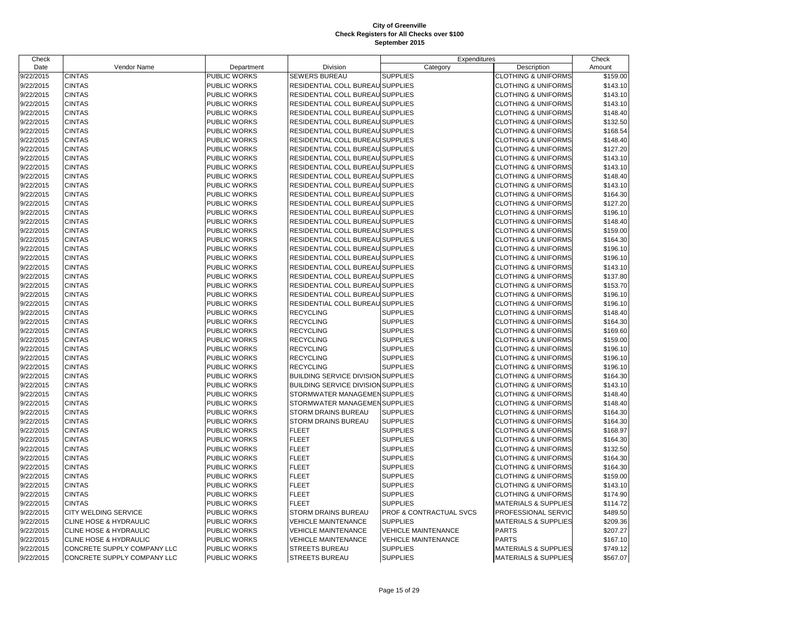# Page 15 of 29

| Check     |                             |                     |                                           | Expenditures               |                                 | Check    |
|-----------|-----------------------------|---------------------|-------------------------------------------|----------------------------|---------------------------------|----------|
| Date      | Vendor Name                 | Department          | Division                                  | Category                   | Description                     | Amount   |
| 9/22/2015 | <b>CINTAS</b>               | PUBLIC WORKS        | <b>SEWERS BUREAU</b>                      | <b>SUPPLIES</b>            | <b>CLOTHING &amp; UNIFORMS</b>  | \$159.00 |
| 9/22/2015 | <b>CINTAS</b>               | PUBLIC WORKS        | RESIDENTIAL COLL BUREAU SUPPLIES          |                            | <b>CLOTHING &amp; UNIFORMS</b>  | \$143.10 |
| 9/22/2015 | <b>CINTAS</b>               | PUBLIC WORKS        | RESIDENTIAL COLL BUREAU SUPPLIES          |                            | <b>CLOTHING &amp; UNIFORMS</b>  | \$143.10 |
| 9/22/2015 | <b>CINTAS</b>               | PUBLIC WORKS        | RESIDENTIAL COLL BUREAU SUPPLIES          |                            | <b>CLOTHING &amp; UNIFORMS</b>  | \$143.10 |
| 9/22/2015 | <b>CINTAS</b>               | PUBLIC WORKS        | RESIDENTIAL COLL BUREAU SUPPLIES          |                            | <b>CLOTHING &amp; UNIFORMS</b>  | \$148.40 |
| 9/22/2015 | <b>CINTAS</b>               | PUBLIC WORKS        | RESIDENTIAL COLL BUREAU SUPPLIES          |                            | <b>CLOTHING &amp; UNIFORMS</b>  | \$132.50 |
| 9/22/2015 | <b>CINTAS</b>               | <b>PUBLIC WORKS</b> | RESIDENTIAL COLL BUREAU SUPPLIES          |                            | <b>CLOTHING &amp; UNIFORMS</b>  | \$168.54 |
| 9/22/2015 | <b>CINTAS</b>               | PUBLIC WORKS        | RESIDENTIAL COLL BUREAU SUPPLIES          |                            | <b>CLOTHING &amp; UNIFORMS</b>  | \$148.40 |
| 9/22/2015 | <b>CINTAS</b>               | PUBLIC WORKS        | RESIDENTIAL COLL BUREAU SUPPLIES          |                            | <b>CLOTHING &amp; UNIFORMS</b>  | \$127.20 |
| 9/22/2015 | <b>CINTAS</b>               | <b>PUBLIC WORKS</b> | RESIDENTIAL COLL BUREAU SUPPLIES          |                            | <b>CLOTHING &amp; UNIFORMS</b>  | \$143.10 |
| 9/22/2015 | <b>CINTAS</b>               | PUBLIC WORKS        | RESIDENTIAL COLL BUREAU SUPPLIES          |                            | <b>CLOTHING &amp; UNIFORMS</b>  | \$143.10 |
| 9/22/2015 | <b>CINTAS</b>               | PUBLIC WORKS        | RESIDENTIAL COLL BUREAU SUPPLIES          |                            | <b>CLOTHING &amp; UNIFORMS</b>  | \$148.40 |
| 9/22/2015 | <b>CINTAS</b>               | PUBLIC WORKS        | RESIDENTIAL COLL BUREAU SUPPLIES          |                            | <b>CLOTHING &amp; UNIFORMS</b>  | \$143.10 |
| 9/22/2015 | <b>CINTAS</b>               | PUBLIC WORKS        | RESIDENTIAL COLL BUREAU SUPPLIES          |                            | <b>CLOTHING &amp; UNIFORMS</b>  | \$164.30 |
| 9/22/2015 | <b>CINTAS</b>               | PUBLIC WORKS        | RESIDENTIAL COLL BUREAU SUPPLIES          |                            | <b>CLOTHING &amp; UNIFORMS</b>  | \$127.20 |
| 9/22/2015 | <b>CINTAS</b>               | PUBLIC WORKS        | RESIDENTIAL COLL BUREAU SUPPLIES          |                            | <b>CLOTHING &amp; UNIFORMS</b>  | \$196.10 |
| 9/22/2015 | <b>CINTAS</b>               | PUBLIC WORKS        | RESIDENTIAL COLL BUREAU SUPPLIES          |                            | <b>CLOTHING &amp; UNIFORMS</b>  | \$148.40 |
| 9/22/2015 | <b>CINTAS</b>               | <b>PUBLIC WORKS</b> | RESIDENTIAL COLL BUREAU SUPPLIES          |                            | <b>CLOTHING &amp; UNIFORMS</b>  | \$159.00 |
| 9/22/2015 | <b>CINTAS</b>               | PUBLIC WORKS        | RESIDENTIAL COLL BUREAU SUPPLIES          |                            | <b>CLOTHING &amp; UNIFORMS</b>  | \$164.30 |
| 9/22/2015 | <b>CINTAS</b>               | PUBLIC WORKS        | RESIDENTIAL COLL BUREAU SUPPLIES          |                            | <b>CLOTHING &amp; UNIFORMS</b>  | \$196.10 |
| 9/22/2015 | <b>CINTAS</b>               | <b>PUBLIC WORKS</b> | RESIDENTIAL COLL BUREAU SUPPLIES          |                            | <b>CLOTHING &amp; UNIFORMS</b>  | \$196.10 |
| 9/22/2015 | <b>CINTAS</b>               | PUBLIC WORKS        | RESIDENTIAL COLL BUREAU SUPPLIES          |                            | <b>CLOTHING &amp; UNIFORMS</b>  | \$143.10 |
| 9/22/2015 | <b>CINTAS</b>               | PUBLIC WORKS        | RESIDENTIAL COLL BUREAU SUPPLIES          |                            | <b>CLOTHING &amp; UNIFORMS</b>  | \$137.80 |
| 9/22/2015 | <b>CINTAS</b>               | <b>PUBLIC WORKS</b> | RESIDENTIAL COLL BUREAU SUPPLIES          |                            | <b>CLOTHING &amp; UNIFORMS</b>  | \$153.70 |
| 9/22/2015 | <b>CINTAS</b>               | PUBLIC WORKS        | RESIDENTIAL COLL BUREAU SUPPLIES          |                            | <b>CLOTHING &amp; UNIFORMS</b>  | \$196.10 |
| 9/22/2015 | <b>CINTAS</b>               | PUBLIC WORKS        | RESIDENTIAL COLL BUREAU SUPPLIES          |                            | <b>CLOTHING &amp; UNIFORMS</b>  | \$196.10 |
| 9/22/2015 | <b>CINTAS</b>               | <b>PUBLIC WORKS</b> | <b>RECYCLING</b>                          | <b>SUPPLIES</b>            | <b>CLOTHING &amp; UNIFORMS</b>  | \$148.40 |
| 9/22/2015 | <b>CINTAS</b>               | PUBLIC WORKS        | <b>RECYCLING</b>                          | <b>SUPPLIES</b>            | <b>CLOTHING &amp; UNIFORMS</b>  | \$164.30 |
| 9/22/2015 | <b>CINTAS</b>               | PUBLIC WORKS        | <b>RECYCLING</b>                          | <b>SUPPLIES</b>            | <b>CLOTHING &amp; UNIFORMS</b>  | \$169.60 |
| 9/22/2015 | <b>CINTAS</b>               | <b>PUBLIC WORKS</b> | <b>RECYCLING</b>                          | <b>SUPPLIES</b>            | <b>CLOTHING &amp; UNIFORMS</b>  | \$159.00 |
| 9/22/2015 | <b>CINTAS</b>               | PUBLIC WORKS        | <b>RECYCLING</b>                          | <b>SUPPLIES</b>            | <b>CLOTHING &amp; UNIFORMS</b>  | \$196.10 |
| 9/22/2015 | <b>CINTAS</b>               | PUBLIC WORKS        | <b>RECYCLING</b>                          | <b>SUPPLIES</b>            | <b>CLOTHING &amp; UNIFORMS</b>  | \$196.10 |
| 9/22/2015 | <b>CINTAS</b>               | <b>PUBLIC WORKS</b> | <b>RECYCLING</b>                          | <b>SUPPLIES</b>            | <b>CLOTHING &amp; UNIFORMS</b>  | \$196.10 |
| 9/22/2015 | <b>CINTAS</b>               | PUBLIC WORKS        | <b>BUILDING SERVICE DIVISION SUPPLIES</b> |                            | <b>CLOTHING &amp; UNIFORMS</b>  | \$164.30 |
| 9/22/2015 | <b>CINTAS</b>               | PUBLIC WORKS        | <b>BUILDING SERVICE DIVISION SUPPLIES</b> |                            | <b>CLOTHING &amp; UNIFORMS</b>  | \$143.10 |
| 9/22/2015 | <b>CINTAS</b>               | <b>PUBLIC WORKS</b> | STORMWATER MANAGEMEN SUPPLIES             |                            | <b>CLOTHING &amp; UNIFORMS</b>  | \$148.40 |
| 9/22/2015 | <b>CINTAS</b>               | PUBLIC WORKS        | STORMWATER MANAGEMEN SUPPLIES             |                            | <b>CLOTHING &amp; UNIFORMS</b>  | \$148.40 |
| 9/22/2015 | <b>CINTAS</b>               | PUBLIC WORKS        | <b>STORM DRAINS BUREAU</b>                | <b>SUPPLIES</b>            | <b>CLOTHING &amp; UNIFORMS</b>  | \$164.30 |
| 9/22/2015 | <b>CINTAS</b>               | <b>PUBLIC WORKS</b> | <b>STORM DRAINS BUREAU</b>                | <b>SUPPLIES</b>            | <b>CLOTHING &amp; UNIFORMS</b>  | \$164.30 |
| 9/22/2015 | <b>CINTAS</b>               | PUBLIC WORKS        | <b>FLEET</b>                              | <b>SUPPLIES</b>            | <b>CLOTHING &amp; UNIFORMS</b>  | \$168.97 |
| 9/22/2015 | <b>CINTAS</b>               | <b>PUBLIC WORKS</b> | <b>FLEET</b>                              | <b>SUPPLIES</b>            | <b>CLOTHING &amp; UNIFORMS</b>  | \$164.30 |
| 9/22/2015 | <b>CINTAS</b>               | PUBLIC WORKS        | <b>FLEET</b>                              | <b>SUPPLIES</b>            | <b>CLOTHING &amp; UNIFORMS</b>  | \$132.50 |
| 9/22/2015 | <b>CINTAS</b>               | PUBLIC WORKS        | <b>FLEET</b>                              | <b>SUPPLIES</b>            | <b>CLOTHING &amp; UNIFORMS</b>  | \$164.30 |
| 9/22/2015 | <b>CINTAS</b>               | <b>PUBLIC WORKS</b> | <b>FLEET</b>                              | <b>SUPPLIES</b>            | <b>CLOTHING &amp; UNIFORMS</b>  | \$164.30 |
| 9/22/2015 | <b>CINTAS</b>               | PUBLIC WORKS        | <b>FLEET</b>                              | <b>SUPPLIES</b>            | <b>CLOTHING &amp; UNIFORMS</b>  | \$159.00 |
| 9/22/2015 | <b>CINTAS</b>               | PUBLIC WORKS        | <b>FLEET</b>                              | <b>SUPPLIES</b>            | <b>CLOTHING &amp; UNIFORMS</b>  | \$143.10 |
| 9/22/2015 | <b>CINTAS</b>               | <b>PUBLIC WORKS</b> | <b>FLEET</b>                              | <b>SUPPLIES</b>            | <b>CLOTHING &amp; UNIFORMS</b>  | \$174.90 |
| 9/22/2015 | <b>CINTAS</b>               | PUBLIC WORKS        | <b>FLEET</b>                              | <b>SUPPLIES</b>            | <b>MATERIALS &amp; SUPPLIES</b> | \$114.72 |
| 9/22/2015 | CITY WELDING SERVICE        | PUBLIC WORKS        | <b>STORM DRAINS BUREAU</b>                | PROF & CONTRACTUAL SVCS    | PROFESSIONAL SERVIC             | \$489.50 |
| 9/22/2015 | CLINE HOSE & HYDRAULIC      | <b>PUBLIC WORKS</b> | <b>VEHICLE MAINTENANCE</b>                | <b>SUPPLIES</b>            | <b>MATERIALS &amp; SUPPLIES</b> | \$209.36 |
| 9/22/2015 | CLINE HOSE & HYDRAULIC      | PUBLIC WORKS        | <b>VEHICLE MAINTENANCE</b>                | <b>VEHICLE MAINTENANCE</b> | <b>PARTS</b>                    | \$207.27 |
| 9/22/2015 | CLINE HOSE & HYDRAULIC      | PUBLIC WORKS        | <b>VEHICLE MAINTENANCE</b>                | <b>VEHICLE MAINTENANCE</b> | <b>PARTS</b>                    | \$167.10 |
| 9/22/2015 | CONCRETE SUPPLY COMPANY LLC | PUBLIC WORKS        | <b>STREETS BUREAU</b>                     | <b>SUPPLIES</b>            | <b>MATERIALS &amp; SUPPLIES</b> | \$749.12 |
| 9/22/2015 | CONCRETE SUPPLY COMPANY LLC | <b>PUBLIC WORKS</b> | <b>STREETS BUREAU</b>                     | <b>SUPPLIES</b>            | <b>MATERIALS &amp; SUPPLIES</b> | \$567.07 |
|           |                             |                     |                                           |                            |                                 |          |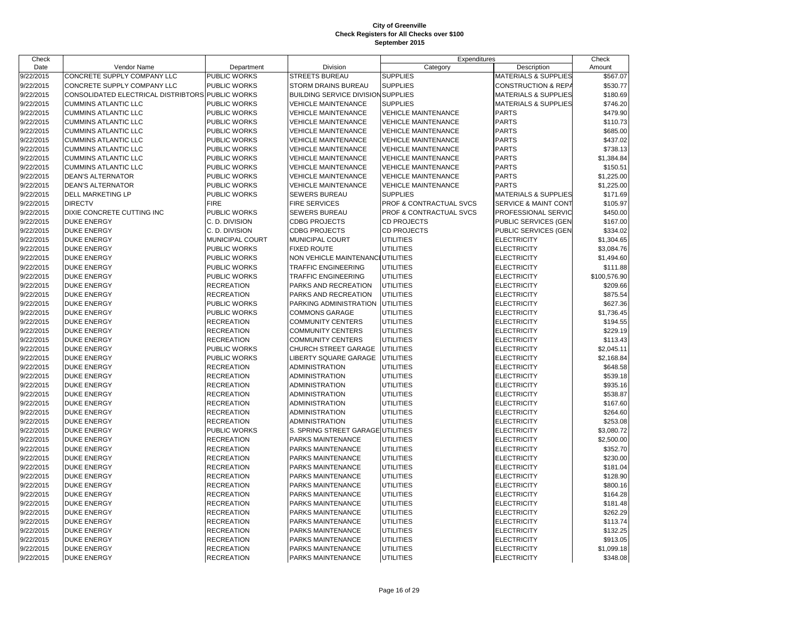| Check     |                                                  |                     |                                           | Expenditures               |                                 | Check        |
|-----------|--------------------------------------------------|---------------------|-------------------------------------------|----------------------------|---------------------------------|--------------|
| Date      | Vendor Name                                      | Department          | Division                                  | Category                   | Description                     | Amount       |
| 9/22/2015 | CONCRETE SUPPLY COMPANY LLC                      | PUBLIC WORKS        | <b>STREETS BUREAU</b>                     | <b>SUPPLIES</b>            | <b>MATERIALS &amp; SUPPLIES</b> | \$567.07     |
| 9/22/2015 | CONCRETE SUPPLY COMPANY LLC                      | PUBLIC WORKS        | <b>STORM DRAINS BUREAU</b>                | <b>SUPPLIES</b>            | <b>CONSTRUCTION &amp; REPA</b>  | \$530.77     |
| 9/22/2015 | CONSOLIDATED ELECTRICAL DISTRIBTORS PUBLIC WORKS |                     | <b>BUILDING SERVICE DIVISION SUPPLIES</b> |                            | <b>MATERIALS &amp; SUPPLIES</b> | \$180.69     |
| 9/22/2015 | <b>CUMMINS ATLANTIC LLC</b>                      | <b>PUBLIC WORKS</b> | <b>VEHICLE MAINTENANCE</b>                | <b>SUPPLIES</b>            | <b>MATERIALS &amp; SUPPLIES</b> | \$746.20     |
| 9/22/2015 | <b>CUMMINS ATLANTIC LLC</b>                      | PUBLIC WORKS        | <b>VEHICLE MAINTENANCE</b>                | <b>VEHICLE MAINTENANCE</b> | <b>PARTS</b>                    | \$479.90     |
| 9/22/2015 | <b>CUMMINS ATLANTIC LLC</b>                      | <b>PUBLIC WORKS</b> | <b>VEHICLE MAINTENANCE</b>                | <b>VEHICLE MAINTENANCE</b> | <b>PARTS</b>                    | \$110.73     |
| 9/22/2015 | <b>CUMMINS ATLANTIC LLC</b>                      | <b>PUBLIC WORKS</b> | <b>VEHICLE MAINTENANCE</b>                | <b>VEHICLE MAINTENANCE</b> | <b>PARTS</b>                    | \$685.00     |
| 9/22/2015 | <b>CUMMINS ATLANTIC LLC</b>                      | PUBLIC WORKS        | <b>VEHICLE MAINTENANCE</b>                | <b>VEHICLE MAINTENANCE</b> | <b>PARTS</b>                    | \$437.02     |
| 9/22/2015 | <b>CUMMINS ATLANTIC LLC</b>                      | PUBLIC WORKS        | <b>VEHICLE MAINTENANCE</b>                | <b>VEHICLE MAINTENANCE</b> | <b>PARTS</b>                    | \$738.13     |
| 9/22/2015 | <b>CUMMINS ATLANTIC LLC</b>                      | <b>PUBLIC WORKS</b> | <b>VEHICLE MAINTENANCE</b>                | <b>VEHICLE MAINTENANCE</b> | <b>PARTS</b>                    | \$1,384.84   |
| 9/22/2015 | <b>CUMMINS ATLANTIC LLC</b>                      | PUBLIC WORKS        | <b>VEHICLE MAINTENANCE</b>                | VEHICLE MAINTENANCE        | <b>PARTS</b>                    | \$150.51     |
| 9/22/2015 | <b>DEAN'S ALTERNATOR</b>                         | PUBLIC WORKS        | <b>VEHICLE MAINTENANCE</b>                | <b>VEHICLE MAINTENANCE</b> | <b>PARTS</b>                    | \$1,225.00   |
| 9/22/2015 | <b>DEAN'S ALTERNATOR</b>                         | <b>PUBLIC WORKS</b> | <b>VEHICLE MAINTENANCE</b>                | VEHICLE MAINTENANCE        | <b>PARTS</b>                    | \$1,225.00   |
| 9/22/2015 | DELL MARKETING LP                                | <b>PUBLIC WORKS</b> | <b>SEWERS BUREAU</b>                      | <b>SUPPLIES</b>            | <b>MATERIALS &amp; SUPPLIES</b> | \$171.69     |
| 9/22/2015 | <b>DIRECTV</b>                                   | <b>FIRE</b>         | <b>FIRE SERVICES</b>                      | PROF & CONTRACTUAL SVCS    | <b>SERVICE &amp; MAINT CONT</b> | \$105.97     |
| 9/22/2015 | DIXIE CONCRETE CUTTING INC                       | <b>PUBLIC WORKS</b> | <b>SEWERS BUREAU</b>                      | PROF & CONTRACTUAL SVCS    | PROFESSIONAL SERVIC             | \$450.00     |
| 9/22/2015 | <b>DUKE ENERGY</b>                               | C. D. DIVISION      | <b>CDBG PROJECTS</b>                      | <b>CD PROJECTS</b>         | PUBLIC SERVICES (GEN            | \$167.00     |
| 9/22/2015 | <b>DUKE ENERGY</b>                               | C. D. DIVISION      | <b>CDBG PROJECTS</b>                      | CD PROJECTS                | PUBLIC SERVICES (GEN            | \$334.02     |
| 9/22/2015 | <b>DUKE ENERGY</b>                               | MUNICIPAL COURT     | MUNICIPAL COURT                           | <b>UTILITIES</b>           | <b>ELECTRICITY</b>              | \$1,304.65   |
| 9/22/2015 | <b>DUKE ENERGY</b>                               | PUBLIC WORKS        | <b>FIXED ROUTE</b>                        | <b>UTILITIES</b>           | <b>ELECTRICITY</b>              | \$3,084.76   |
| 9/22/2015 | <b>DUKE ENERGY</b>                               | PUBLIC WORKS        | NON VEHICLE MAINTENANCI UTILITIES         |                            | <b>ELECTRICITY</b>              | \$1,494.60   |
| 9/22/2015 | <b>DUKE ENERGY</b>                               | PUBLIC WORKS        | <b>TRAFFIC ENGINEERING</b>                | <b>UTILITIES</b>           | <b>ELECTRICITY</b>              | \$111.88     |
| 9/22/2015 | <b>DUKE ENERGY</b>                               | PUBLIC WORKS        | TRAFFIC ENGINEERING                       | <b>UTILITIES</b>           | <b>ELECTRICITY</b>              | \$100,576.90 |
| 9/22/2015 | <b>DUKE ENERGY</b>                               | <b>RECREATION</b>   | PARKS AND RECREATION                      | <b>UTILITIES</b>           | <b>ELECTRICITY</b>              | \$209.66     |
| 9/22/2015 | <b>DUKE ENERGY</b>                               | <b>RECREATION</b>   | PARKS AND RECREATION                      | <b>UTILITIES</b>           | <b>ELECTRICITY</b>              | \$875.54     |
| 9/22/2015 | <b>DUKE ENERGY</b>                               | PUBLIC WORKS        | PARKING ADMINISTRATION                    | <b>UTILITIES</b>           | <b>ELECTRICITY</b>              | \$627.36     |
| 9/22/2015 | <b>DUKE ENERGY</b>                               | PUBLIC WORKS        | <b>COMMONS GARAGE</b>                     | UTILITIES                  | <b>ELECTRICITY</b>              | \$1,736.45   |
| 9/22/2015 | <b>DUKE ENERGY</b>                               | <b>RECREATION</b>   | <b>COMMUNITY CENTERS</b>                  | <b>UTILITIES</b>           | <b>ELECTRICITY</b>              | \$194.55     |
| 9/22/2015 | <b>DUKE ENERGY</b>                               | <b>RECREATION</b>   | <b>COMMUNITY CENTERS</b>                  | <b>UTILITIES</b>           | <b>ELECTRICITY</b>              | \$229.19     |
| 9/22/2015 | <b>DUKE ENERGY</b>                               | <b>RECREATION</b>   | <b>COMMUNITY CENTERS</b>                  | <b>UTILITIES</b>           | <b>ELECTRICITY</b>              | \$113.43     |
| 9/22/2015 | <b>DUKE ENERGY</b>                               | PUBLIC WORKS        | CHURCH STREET GARAGE                      | <b>UTILITIES</b>           | <b>ELECTRICITY</b>              | \$2,045.11   |
| 9/22/2015 | <b>DUKE ENERGY</b>                               | PUBLIC WORKS        | <b>LIBERTY SQUARE GARAGE</b>              | <b>UTILITIES</b>           | <b>ELECTRICITY</b>              | \$2,168.84   |
| 9/22/2015 | <b>DUKE ENERGY</b>                               | <b>RECREATION</b>   | <b>ADMINISTRATION</b>                     | <b>UTILITIES</b>           | <b>ELECTRICITY</b>              | \$648.58     |
| 9/22/2015 | <b>DUKE ENERGY</b>                               | <b>RECREATION</b>   | <b>ADMINISTRATION</b>                     | <b>UTILITIES</b>           | <b>ELECTRICITY</b>              | \$539.18     |
| 9/22/2015 | <b>DUKE ENERGY</b>                               | <b>RECREATION</b>   | <b>ADMINISTRATION</b>                     | <b>UTILITIES</b>           | <b>ELECTRICITY</b>              | \$935.16     |
| 9/22/2015 | <b>DUKE ENERGY</b>                               | <b>RECREATION</b>   | <b>ADMINISTRATION</b>                     | <b>UTILITIES</b>           | <b>ELECTRICITY</b>              | \$538.87     |
| 9/22/2015 | <b>DUKE ENERGY</b>                               | <b>RECREATION</b>   | <b>ADMINISTRATION</b>                     | UTILITIES                  | <b>ELECTRICITY</b>              | \$167.60     |
| 9/22/2015 | <b>DUKE ENERGY</b>                               | <b>RECREATION</b>   | <b>ADMINISTRATION</b>                     | <b>UTILITIES</b>           | <b>ELECTRICITY</b>              | \$264.60     |
| 9/22/2015 | <b>DUKE ENERGY</b>                               | <b>RECREATION</b>   | <b>ADMINISTRATION</b>                     | <b>UTILITIES</b>           | <b>ELECTRICITY</b>              | \$253.08     |
| 9/22/2015 | <b>DUKE ENERGY</b>                               | PUBLIC WORKS        | S. SPRING STREET GARAGE                   | <b>UTILITIES</b>           | <b>ELECTRICITY</b>              | \$3,080.72   |
| 9/22/2015 | <b>DUKE ENERGY</b>                               | <b>RECREATION</b>   | PARKS MAINTENANCE                         | <b>UTILITIES</b>           | <b>ELECTRICITY</b>              | \$2,500.00   |
| 9/22/2015 | <b>DUKE ENERGY</b>                               | <b>RECREATION</b>   | PARKS MAINTENANCE                         | <b>UTILITIES</b>           | <b>ELECTRICITY</b>              | \$352.70     |
| 9/22/2015 | <b>DUKE ENERGY</b>                               | <b>RECREATION</b>   | PARKS MAINTENANCE                         | UTILITIES                  | <b>ELECTRICITY</b>              | \$230.00     |
| 9/22/2015 | <b>DUKE ENERGY</b>                               | <b>RECREATION</b>   | PARKS MAINTENANCE                         | <b>UTILITIES</b>           | <b>ELECTRICITY</b>              | \$181.04     |
| 9/22/2015 | <b>DUKE ENERGY</b>                               | <b>RECREATION</b>   | PARKS MAINTENANCE                         | <b>UTILITIES</b>           | <b>ELECTRICITY</b>              | \$128.90     |
| 9/22/2015 | <b>DUKE ENERGY</b>                               | <b>RECREATION</b>   | PARKS MAINTENANCE                         | UTILITIES                  | <b>ELECTRICITY</b>              | \$800.16     |
| 9/22/2015 | <b>DUKE ENERGY</b>                               | <b>RECREATION</b>   | PARKS MAINTENANCE                         | <b>UTILITIES</b>           | <b>ELECTRICITY</b>              | \$164.28     |
| 9/22/2015 | <b>DUKE ENERGY</b>                               | <b>RECREATION</b>   | PARKS MAINTENANCE                         | <b>UTILITIES</b>           | <b>ELECTRICITY</b>              | \$181.48     |
| 9/22/2015 | <b>DUKE ENERGY</b>                               | <b>RECREATION</b>   | PARKS MAINTENANCE                         | <b>UTILITIES</b>           | <b>ELECTRICITY</b>              | \$262.29     |
| 9/22/2015 | <b>DUKE ENERGY</b>                               | <b>RECREATION</b>   | PARKS MAINTENANCE                         | <b>UTILITIES</b>           | <b>ELECTRICITY</b>              | \$113.74     |
| 9/22/2015 | <b>DUKE ENERGY</b>                               | <b>RECREATION</b>   | PARKS MAINTENANCE                         | <b>UTILITIES</b>           | <b>ELECTRICITY</b>              | \$132.25     |
| 9/22/2015 | <b>DUKE ENERGY</b>                               | <b>RECREATION</b>   | PARKS MAINTENANCE                         | <b>UTILITIES</b>           | <b>ELECTRICITY</b>              | \$913.05     |
| 9/22/2015 | <b>DUKE ENERGY</b>                               | <b>RECREATION</b>   | PARKS MAINTENANCE                         | <b>UTILITIES</b>           | <b>ELECTRICITY</b>              | \$1,099.18   |
| 9/22/2015 | <b>DUKE ENERGY</b>                               | <b>RECREATION</b>   | PARKS MAINTENANCE                         | <b>UTILITIES</b>           | <b>ELECTRICITY</b>              | \$348.08     |
|           |                                                  |                     |                                           |                            |                                 |              |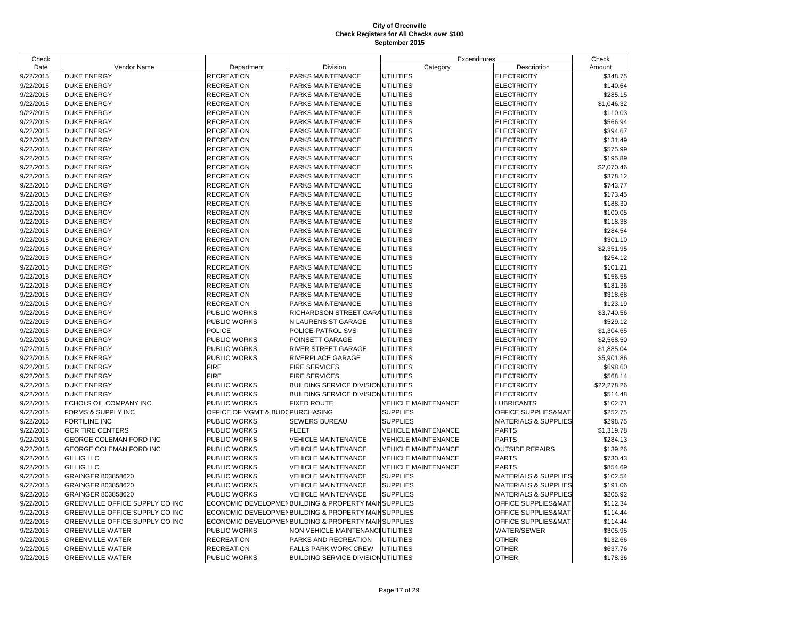| Check     |                                 |                                 |                                                      | Expenditures               |                                 | Check       |
|-----------|---------------------------------|---------------------------------|------------------------------------------------------|----------------------------|---------------------------------|-------------|
| Date      | Vendor Name                     | Department                      | Division                                             | Category                   | Description                     | Amount      |
| 9/22/2015 | <b>DUKE ENERGY</b>              | <b>RECREATION</b>               | PARKS MAINTENANCE                                    | <b>UTILITIES</b>           | <b>ELECTRICITY</b>              | \$348.75    |
| 9/22/2015 | <b>DUKE ENERGY</b>              | <b>RECREATION</b>               | PARKS MAINTENANCE                                    | UTILITIES                  | <b>ELECTRICITY</b>              | \$140.64    |
| 9/22/2015 | <b>DUKE ENERGY</b>              | <b>RECREATION</b>               | PARKS MAINTENANCE                                    | UTILITIES                  | <b>ELECTRICITY</b>              | \$285.15    |
| 9/22/2015 | <b>DUKE ENERGY</b>              | <b>RECREATION</b>               | PARKS MAINTENANCE                                    | <b>UTILITIES</b>           | <b>ELECTRICITY</b>              | \$1,046.32  |
| 9/22/2015 | <b>DUKE ENERGY</b>              | <b>RECREATION</b>               | PARKS MAINTENANCE                                    | <b>UTILITIES</b>           | <b>ELECTRICITY</b>              | \$110.03    |
| 9/22/2015 | <b>DUKE ENERGY</b>              | <b>RECREATION</b>               | PARKS MAINTENANCE                                    | UTILITIES                  | <b>ELECTRICITY</b>              | \$566.94    |
| 9/22/2015 | <b>DUKE ENERGY</b>              | <b>RECREATION</b>               | PARKS MAINTENANCE                                    | <b>UTILITIES</b>           | <b>ELECTRICITY</b>              | \$394.67    |
| 9/22/2015 | <b>DUKE ENERGY</b>              | <b>RECREATION</b>               | PARKS MAINTENANCE                                    | <b>UTILITIES</b>           | <b>ELECTRICITY</b>              | \$131.49    |
| 9/22/2015 | <b>DUKE ENERGY</b>              | <b>RECREATION</b>               | PARKS MAINTENANCE                                    | UTILITIES                  | <b>ELECTRICITY</b>              | \$575.99    |
| 9/22/2015 | <b>DUKE ENERGY</b>              | <b>RECREATION</b>               | PARKS MAINTENANCE                                    | <b>UTILITIES</b>           | ELECTRICITY                     | \$195.89    |
| 9/22/2015 | <b>DUKE ENERGY</b>              | <b>RECREATION</b>               | PARKS MAINTENANCE                                    | <b>UTILITIES</b>           | <b>ELECTRICITY</b>              | \$2,070.46  |
| 9/22/2015 | <b>DUKE ENERGY</b>              | <b>RECREATION</b>               | PARKS MAINTENANCE                                    | <b>UTILITIES</b>           | <b>ELECTRICITY</b>              | \$378.12    |
| 9/22/2015 | <b>DUKE ENERGY</b>              | <b>RECREATION</b>               | PARKS MAINTENANCE                                    | <b>UTILITIES</b>           | ELECTRICITY                     | \$743.77    |
| 9/22/2015 | <b>DUKE ENERGY</b>              | <b>RECREATION</b>               | PARKS MAINTENANCE                                    | <b>UTILITIES</b>           | <b>ELECTRICITY</b>              | \$173.45    |
| 9/22/2015 | <b>DUKE ENERGY</b>              | <b>RECREATION</b>               | PARKS MAINTENANCE                                    | <b>UTILITIES</b>           | <b>ELECTRICITY</b>              | \$188.30    |
| 9/22/2015 | <b>DUKE ENERGY</b>              | <b>RECREATION</b>               | PARKS MAINTENANCE                                    | <b>UTILITIES</b>           | ELECTRICITY                     | \$100.05    |
| 9/22/2015 | <b>DUKE ENERGY</b>              | <b>RECREATION</b>               | PARKS MAINTENANCE                                    | <b>UTILITIES</b>           | <b>ELECTRICITY</b>              | \$118.38    |
| 9/22/2015 | <b>DUKE ENERGY</b>              | <b>RECREATION</b>               | PARKS MAINTENANCE                                    | <b>UTILITIES</b>           | <b>ELECTRICITY</b>              | \$284.54    |
| 9/22/2015 | <b>DUKE ENERGY</b>              | <b>RECREATION</b>               | PARKS MAINTENANCE                                    | <b>UTILITIES</b>           | ELECTRICITY                     | \$301.10    |
| 9/22/2015 | <b>DUKE ENERGY</b>              | <b>RECREATION</b>               | PARKS MAINTENANCE                                    | <b>UTILITIES</b>           | <b>ELECTRICITY</b>              | \$2,351.95  |
| 9/22/2015 | <b>DUKE ENERGY</b>              | <b>RECREATION</b>               | PARKS MAINTENANCE                                    | <b>UTILITIES</b>           | <b>ELECTRICITY</b>              | \$254.12    |
| 9/22/2015 | <b>DUKE ENERGY</b>              | <b>RECREATION</b>               | PARKS MAINTENANCE                                    | <b>UTILITIES</b>           | <b>ELECTRICITY</b>              | \$101.21    |
| 9/22/2015 | <b>DUKE ENERGY</b>              | <b>RECREATION</b>               | PARKS MAINTENANCE                                    | <b>UTILITIES</b>           | ELECTRICITY                     | \$156.55    |
| 9/22/2015 | <b>DUKE ENERGY</b>              | <b>RECREATION</b>               | PARKS MAINTENANCE                                    | <b>UTILITIES</b>           | <b>ELECTRICITY</b>              | \$181.36    |
| 9/22/2015 | <b>DUKE ENERGY</b>              | <b>RECREATION</b>               | PARKS MAINTENANCE                                    | <b>UTILITIES</b>           | <b>ELECTRICITY</b>              | \$318.68    |
| 9/22/2015 | <b>DUKE ENERGY</b>              | <b>RECREATION</b>               | PARKS MAINTENANCE                                    | <b>UTILITIES</b>           | ELECTRICITY                     | \$123.19    |
| 9/22/2015 | <b>DUKE ENERGY</b>              | PUBLIC WORKS                    | RICHARDSON STREET GARAUTILITIES                      |                            | <b>ELECTRICITY</b>              | \$3,740.56  |
| 9/22/2015 | <b>DUKE ENERGY</b>              | PUBLIC WORKS                    | N LAURENS ST GARAGE                                  | <b>UTILITIES</b>           | <b>ELECTRICITY</b>              | \$529.12    |
| 9/22/2015 | <b>DUKE ENERGY</b>              | <b>POLICE</b>                   | POLICE-PATROL SVS                                    | <b>UTILITIES</b>           | <b>ELECTRICITY</b>              | \$1,304.65  |
| 9/22/2015 | <b>DUKE ENERGY</b>              | PUBLIC WORKS                    | POINSETT GARAGE                                      | UTILITIES                  | <b>ELECTRICITY</b>              | \$2,568.50  |
| 9/22/2015 | <b>DUKE ENERGY</b>              | PUBLIC WORKS                    | RIVER STREET GARAGE                                  | <b>UTILITIES</b>           | <b>ELECTRICITY</b>              | \$1,885.04  |
| 9/22/2015 | <b>DUKE ENERGY</b>              | PUBLIC WORKS                    | RIVERPLACE GARAGE                                    | <b>UTILITIES</b>           | ELECTRICITY                     | \$5,901.86  |
| 9/22/2015 | <b>DUKE ENERGY</b>              | <b>FIRE</b>                     | <b>FIRE SERVICES</b>                                 | UTILITIES                  | <b>ELECTRICITY</b>              | \$698.60    |
| 9/22/2015 | <b>DUKE ENERGY</b>              | <b>FIRE</b>                     | <b>FIRE SERVICES</b>                                 | <b>UTILITIES</b>           | <b>ELECTRICITY</b>              | \$568.14    |
| 9/22/2015 | <b>DUKE ENERGY</b>              | PUBLIC WORKS                    | <b>BUILDING SERVICE DIVISION UTILITIES</b>           |                            | ELECTRICITY                     | \$22,278.26 |
| 9/22/2015 | <b>DUKE ENERGY</b>              | PUBLIC WORKS                    | <b>BUILDING SERVICE DIVISION UTILITIES</b>           |                            | <b>ELECTRICITY</b>              | \$514.48    |
| 9/22/2015 | ECHOLS OIL COMPANY INC          | PUBLIC WORKS                    | <b>FIXED ROUTE</b>                                   | <b>VEHICLE MAINTENANCE</b> | <b>LUBRICANTS</b>               | \$102.71    |
| 9/22/2015 | FORMS & SUPPLY INC              | OFFICE OF MGMT & BUDOPURCHASING |                                                      | <b>SUPPLIES</b>            | OFFICE SUPPLIES&MAT             | \$252.75    |
| 9/22/2015 | FORTILINE INC                   | PUBLIC WORKS                    | <b>SEWERS BUREAU</b>                                 | <b>SUPPLIES</b>            | <b>MATERIALS &amp; SUPPLIES</b> | \$298.75    |
| 9/22/2015 | <b>GCR TIRE CENTERS</b>         | PUBLIC WORKS                    | <b>FLEET</b>                                         | <b>VEHICLE MAINTENANCE</b> | <b>PARTS</b>                    | \$1,319.78  |
| 9/22/2015 | GEORGE COLEMAN FORD INC         | PUBLIC WORKS                    | <b>VEHICLE MAINTENANCE</b>                           | <b>VEHICLE MAINTENANCE</b> | <b>PARTS</b>                    | \$284.13    |
| 9/22/2015 | GEORGE COLEMAN FORD INC         | PUBLIC WORKS                    | <b>VEHICLE MAINTENANCE</b>                           | <b>VEHICLE MAINTENANCE</b> | <b>OUTSIDE REPAIRS</b>          | \$139.26    |
| 9/22/2015 | <b>GILLIG LLC</b>               | PUBLIC WORKS                    | <b>VEHICLE MAINTENANCE</b>                           | <b>VEHICLE MAINTENANCE</b> | <b>PARTS</b>                    | \$730.43    |
| 9/22/2015 | <b>GILLIG LLC</b>               | PUBLIC WORKS                    | <b>VEHICLE MAINTENANCE</b>                           | <b>VEHICLE MAINTENANCE</b> | <b>PARTS</b>                    | \$854.69    |
| 9/22/2015 | GRAINGER 803858620              | PUBLIC WORKS                    | <b>VEHICLE MAINTENANCE</b>                           | <b>SUPPLIES</b>            | <b>MATERIALS &amp; SUPPLIES</b> | \$102.54    |
| 9/22/2015 | GRAINGER 803858620              | PUBLIC WORKS                    | <b>VEHICLE MAINTENANCE</b>                           | <b>SUPPLIES</b>            | <b>MATERIALS &amp; SUPPLIES</b> | \$191.06    |
| 9/22/2015 | GRAINGER 803858620              | PUBLIC WORKS                    | <b>VEHICLE MAINTENANCE</b>                           | <b>SUPPLIES</b>            | <b>MATERIALS &amp; SUPPLIES</b> | \$205.92    |
| 9/22/2015 | GREENVILLE OFFICE SUPPLY CO INC |                                 | ECONOMIC DEVELOPMENBUILDING & PROPERTY MAINSUPPLIES  |                            | OFFICE SUPPLIES&MAT             | \$112.34    |
| 9/22/2015 | GREENVILLE OFFICE SUPPLY CO INC |                                 | ECONOMIC DEVELOPMENBUILDING & PROPERTY MAINSUPPLIES  |                            | OFFICE SUPPLIES&MAT             | \$114.44    |
| 9/22/2015 | GREENVILLE OFFICE SUPPLY CO INC |                                 | ECONOMIC DEVELOPMENBUILDING & PROPERTY MAIN SUPPLIES |                            | <b>OFFICE SUPPLIES&amp;MAT</b>  | \$114.44    |
| 9/22/2015 | <b>GREENVILLE WATER</b>         | PUBLIC WORKS                    | NON VEHICLE MAINTENANCI UTILITIES                    |                            | <b>WATER/SEWER</b>              | \$305.95    |
| 9/22/2015 | <b>GREENVILLE WATER</b>         | <b>RECREATION</b>               | PARKS AND RECREATION                                 | UTILITIES                  | <b>OTHER</b>                    | \$132.66    |
| 9/22/2015 | <b>GREENVILLE WATER</b>         | <b>RECREATION</b>               | <b>FALLS PARK WORK CREW</b>                          | <b>UTILITIES</b>           | <b>OTHER</b>                    | \$637.76    |
| 9/22/2015 | <b>GREENVILLE WATER</b>         | <b>PUBLIC WORKS</b>             | <b>BUILDING SERVICE DIVISION UTILITIES</b>           |                            | <b>OTHER</b>                    | \$178.36    |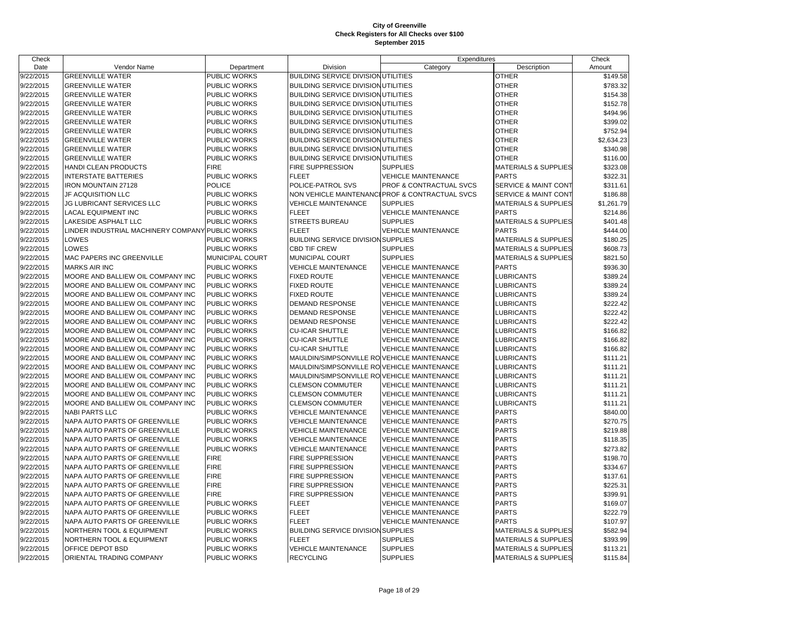| Check     |                                                  |                     |                                             | Expenditures                                    |                                 | Check      |
|-----------|--------------------------------------------------|---------------------|---------------------------------------------|-------------------------------------------------|---------------------------------|------------|
| Date      | Vendor Name                                      | Department          | Division                                    | Category                                        | Description                     | Amount     |
| 9/22/2015 | <b>GREENVILLE WATER</b>                          | PUBLIC WORKS        | <b>BUILDING SERVICE DIVISION UTILITIES</b>  |                                                 | <b>OTHER</b>                    | \$149.58   |
| 9/22/2015 | <b>GREENVILLE WATER</b>                          | PUBLIC WORKS        | <b>BUILDING SERVICE DIVISION UTILITIES</b>  |                                                 | <b>OTHER</b>                    | \$783.32   |
| 9/22/2015 | <b>GREENVILLE WATER</b>                          | PUBLIC WORKS        | BUILDING SERVICE DIVISION UTILITIES         |                                                 | <b>OTHER</b>                    | \$154.38   |
| 9/22/2015 | <b>GREENVILLE WATER</b>                          | PUBLIC WORKS        | <b>BUILDING SERVICE DIVISION UTILITIES</b>  |                                                 | <b>OTHER</b>                    | \$152.78   |
| 9/22/2015 | <b>GREENVILLE WATER</b>                          | PUBLIC WORKS        | BUILDING SERVICE DIVISION UTILITIES         |                                                 | <b>OTHER</b>                    | \$494.96   |
| 9/22/2015 | <b>GREENVILLE WATER</b>                          | PUBLIC WORKS        | BUILDING SERVICE DIVISION UTILITIES         |                                                 | <b>OTHER</b>                    | \$399.02   |
| 9/22/2015 | <b>GREENVILLE WATER</b>                          | PUBLIC WORKS        | <b>BUILDING SERVICE DIVISION UTILITIES</b>  |                                                 | <b>OTHER</b>                    | \$752.94   |
| 9/22/2015 | <b>GREENVILLE WATER</b>                          | PUBLIC WORKS        | <b>BUILDING SERVICE DIVISION UTILITIES</b>  |                                                 | <b>OTHER</b>                    | \$2,634.23 |
| 9/22/2015 | <b>GREENVILLE WATER</b>                          | PUBLIC WORKS        | <b>BUILDING SERVICE DIVISION UTILITIES</b>  |                                                 | <b>OTHER</b>                    | \$340.98   |
| 9/22/2015 | <b>GREENVILLE WATER</b>                          | PUBLIC WORKS        | <b>BUILDING SERVICE DIVISION UTILITIES</b>  |                                                 | <b>OTHER</b>                    | \$116.00   |
| 9/22/2015 | HANDI CLEAN PRODUCTS                             | <b>FIRE</b>         | FIRE SUPPRESSION                            | <b>SUPPLIES</b>                                 | <b>MATERIALS &amp; SUPPLIES</b> | \$323.08   |
| 9/22/2015 | <b>INTERSTATE BATTERIES</b>                      | PUBLIC WORKS        | <b>FLEET</b>                                | <b>VEHICLE MAINTENANCE</b>                      | <b>PARTS</b>                    | \$322.31   |
| 9/22/2015 | <b>IRON MOUNTAIN 27128</b>                       | POLICE              | POLICE-PATROL SVS                           | PROF & CONTRACTUAL SVCS                         | <b>SERVICE &amp; MAINT CONT</b> | \$311.61   |
| 9/22/2015 | JF ACQUISITION LLC                               | PUBLIC WORKS        |                                             | NON VEHICLE MAINTENANCI PROF & CONTRACTUAL SVCS | SERVICE & MAINT CONT            | \$186.88   |
| 9/22/2015 | JG LUBRICANT SERVICES LLC                        | PUBLIC WORKS        | <b>VEHICLE MAINTENANCE</b>                  | <b>SUPPLIES</b>                                 | MATERIALS & SUPPLIES            | \$1,261.79 |
| 9/22/2015 | <b>LACAL EQUIPMENT INC</b>                       | PUBLIC WORKS        | <b>FLEET</b>                                | <b>VEHICLE MAINTENANCE</b>                      | <b>PARTS</b>                    | \$214.86   |
| 9/22/2015 | LAKESIDE ASPHALT LLC                             | PUBLIC WORKS        | <b>STREETS BUREAU</b>                       | <b>SUPPLIES</b>                                 | <b>MATERIALS &amp; SUPPLIES</b> | \$401.48   |
| 9/22/2015 | LINDER INDUSTRIAL MACHINERY COMPANY PUBLIC WORKS |                     | <b>FLEET</b>                                | <b>VEHICLE MAINTENANCE</b>                      | <b>PARTS</b>                    | \$444.00   |
| 9/22/2015 | LOWES                                            | PUBLIC WORKS        | <b>BUILDING SERVICE DIVISION SUPPLIES</b>   |                                                 | MATERIALS & SUPPLIES            | \$180.25   |
| 9/22/2015 | LOWES                                            | PUBLIC WORKS        | <b>CBD TIF CREW</b>                         | <b>SUPPLIES</b>                                 | <b>MATERIALS &amp; SUPPLIES</b> | \$608.73   |
| 9/22/2015 | MAC PAPERS INC GREENVILLE                        | MUNICIPAL COURT     | MUNICIPAL COURT                             | <b>SUPPLIES</b>                                 | <b>MATERIALS &amp; SUPPLIES</b> | \$821.50   |
| 9/22/2015 | <b>MARKS AIR INC</b>                             | PUBLIC WORKS        | <b>VEHICLE MAINTENANCE</b>                  | <b>VEHICLE MAINTENANCE</b>                      | <b>PARTS</b>                    | \$936.30   |
| 9/22/2015 | MOORE AND BALLIEW OIL COMPANY INC                | PUBLIC WORKS        | <b>FIXED ROUTE</b>                          | <b>VEHICLE MAINTENANCE</b>                      | <b>LUBRICANTS</b>               | \$389.24   |
| 9/22/2015 | MOORE AND BALLIEW OIL COMPANY INC                | PUBLIC WORKS        | <b>FIXED ROUTE</b>                          | <b>VEHICLE MAINTENANCE</b>                      | <b>LUBRICANTS</b>               | \$389.24   |
| 9/22/2015 | MOORE AND BALLIEW OIL COMPANY INC                | PUBLIC WORKS        | <b>FIXED ROUTE</b>                          | <b>VEHICLE MAINTENANCE</b>                      | <b>LUBRICANTS</b>               | \$389.24   |
| 9/22/2015 | MOORE AND BALLIEW OIL COMPANY INC                | PUBLIC WORKS        | <b>DEMAND RESPONSE</b>                      | <b>VEHICLE MAINTENANCE</b>                      | <b>LUBRICANTS</b>               | \$222.42   |
| 9/22/2015 | MOORE AND BALLIEW OIL COMPANY INC                | PUBLIC WORKS        | <b>DEMAND RESPONSE</b>                      | <b>VEHICLE MAINTENANCE</b>                      | <b>LUBRICANTS</b>               | \$222.42   |
| 9/22/2015 | MOORE AND BALLIEW OIL COMPANY INC                | <b>PUBLIC WORKS</b> | <b>DEMAND RESPONSE</b>                      | <b>VEHICLE MAINTENANCE</b>                      | <b>LUBRICANTS</b>               | \$222.42   |
| 9/22/2015 | MOORE AND BALLIEW OIL COMPANY INC                | PUBLIC WORKS        | <b>CU-ICAR SHUTTLE</b>                      | <b>VEHICLE MAINTENANCE</b>                      | <b>LUBRICANTS</b>               | \$166.82   |
| 9/22/2015 | MOORE AND BALLIEW OIL COMPANY INC                | PUBLIC WORKS        | <b>CU-ICAR SHUTTLE</b>                      | <b>VEHICLE MAINTENANCE</b>                      | <b>LUBRICANTS</b>               | \$166.82   |
| 9/22/2015 | MOORE AND BALLIEW OIL COMPANY INC                | <b>PUBLIC WORKS</b> | <b>CU-ICAR SHUTTLE</b>                      | <b>VEHICLE MAINTENANCE</b>                      | <b>LUBRICANTS</b>               | \$166.82   |
| 9/22/2015 | MOORE AND BALLIEW OIL COMPANY INC                | <b>PUBLIC WORKS</b> | MAULDIN/SIMPSONVILLE ROVEHICLE MAINTENANCE  |                                                 | <b>LUBRICANTS</b>               | \$111.21   |
| 9/22/2015 | MOORE AND BALLIEW OIL COMPANY INC                | PUBLIC WORKS        | MAULDIN/SIMPSONVILLE RO VEHICLE MAINTENANCE |                                                 | LUBRICANTS                      | \$111.21   |
| 9/22/2015 | MOORE AND BALLIEW OIL COMPANY INC                | <b>PUBLIC WORKS</b> | MAULDIN/SIMPSONVILLE RO VEHICLE MAINTENANCE |                                                 | <b>LUBRICANTS</b>               | \$111.21   |
| 9/22/2015 | MOORE AND BALLIEW OIL COMPANY INC                | <b>PUBLIC WORKS</b> | <b>CLEMSON COMMUTER</b>                     | <b>VEHICLE MAINTENANCE</b>                      | <b>LUBRICANTS</b>               | \$111.21   |
| 9/22/2015 | MOORE AND BALLIEW OIL COMPANY INC                | PUBLIC WORKS        | <b>CLEMSON COMMUTER</b>                     | <b>VEHICLE MAINTENANCE</b>                      | LUBRICANTS                      | \$111.21   |
| 9/22/2015 | MOORE AND BALLIEW OIL COMPANY INC                | <b>PUBLIC WORKS</b> | <b>CLEMSON COMMUTER</b>                     | <b>VEHICLE MAINTENANCE</b>                      | <b>LUBRICANTS</b>               | \$111.21   |
| 9/22/2015 | <b>NABI PARTS LLC</b>                            | <b>PUBLIC WORKS</b> | <b>VEHICLE MAINTENANCE</b>                  | <b>VEHICLE MAINTENANCE</b>                      | <b>PARTS</b>                    | \$840.00   |
| 9/22/2015 | NAPA AUTO PARTS OF GREENVILLE                    | PUBLIC WORKS        | <b>VEHICLE MAINTENANCE</b>                  | <b>VEHICLE MAINTENANCE</b>                      | <b>PARTS</b>                    | \$270.75   |
| 9/22/2015 | NAPA AUTO PARTS OF GREENVILLE                    | PUBLIC WORKS        | <b>VEHICLE MAINTENANCE</b>                  | <b>VEHICLE MAINTENANCE</b>                      | <b>PARTS</b>                    | \$219.88   |
| 9/22/2015 | NAPA AUTO PARTS OF GREENVILLE                    | PUBLIC WORKS        | <b>VEHICLE MAINTENANCE</b>                  | <b>VEHICLE MAINTENANCE</b>                      | <b>PARTS</b>                    | \$118.35   |
| 9/22/2015 | NAPA AUTO PARTS OF GREENVILLE                    | PUBLIC WORKS        | <b>VEHICLE MAINTENANCE</b>                  | <b>VEHICLE MAINTENANCE</b>                      | <b>PARTS</b>                    | \$273.82   |
| 9/22/2015 | NAPA AUTO PARTS OF GREENVILLE                    | <b>FIRE</b>         | FIRE SUPPRESSION                            | <b>VEHICLE MAINTENANCE</b>                      | <b>PARTS</b>                    | \$198.70   |
| 9/22/2015 | NAPA AUTO PARTS OF GREENVILLE                    | <b>FIRE</b>         | FIRE SUPPRESSION                            | <b>VEHICLE MAINTENANCE</b>                      | <b>PARTS</b>                    | \$334.67   |
| 9/22/2015 | NAPA AUTO PARTS OF GREENVILLE                    | <b>FIRE</b>         | FIRE SUPPRESSION                            | <b>VEHICLE MAINTENANCE</b>                      | <b>PARTS</b>                    | \$137.61   |
| 9/22/2015 | NAPA AUTO PARTS OF GREENVILLE                    | <b>FIRE</b>         | <b>FIRE SUPPRESSION</b>                     | <b>VEHICLE MAINTENANCE</b>                      | <b>PARTS</b>                    | \$225.31   |
| 9/22/2015 | NAPA AUTO PARTS OF GREENVILLE                    | <b>FIRE</b>         | FIRE SUPPRESSION                            | <b>VEHICLE MAINTENANCE</b>                      | <b>PARTS</b>                    | \$399.91   |
| 9/22/2015 | NAPA AUTO PARTS OF GREENVILLE                    | PUBLIC WORKS        | <b>FLEET</b>                                | VEHICLE MAINTENANCE                             | <b>PARTS</b>                    | \$169.07   |
| 9/22/2015 | NAPA AUTO PARTS OF GREENVILLE                    | PUBLIC WORKS        | <b>FLEET</b>                                | <b>VEHICLE MAINTENANCE</b>                      | <b>PARTS</b>                    | \$222.79   |
| 9/22/2015 | NAPA AUTO PARTS OF GREENVILLE                    | PUBLIC WORKS        | <b>FLEET</b>                                | <b>VEHICLE MAINTENANCE</b>                      | <b>PARTS</b>                    | \$107.97   |
| 9/22/2015 | NORTHERN TOOL & EQUIPMENT                        | PUBLIC WORKS        | <b>BUILDING SERVICE DIVISION SUPPLIES</b>   |                                                 | <b>MATERIALS &amp; SUPPLIES</b> | \$582.94   |
| 9/22/2015 | NORTHERN TOOL & EQUIPMENT                        | PUBLIC WORKS        | <b>FLEET</b>                                | <b>SUPPLIES</b>                                 | <b>MATERIALS &amp; SUPPLIES</b> | \$393.99   |
| 9/22/2015 | OFFICE DEPOT BSD                                 | PUBLIC WORKS        | <b>VEHICLE MAINTENANCE</b>                  | <b>SUPPLIES</b>                                 | <b>MATERIALS &amp; SUPPLIES</b> | \$113.21   |
| 9/22/2015 | ORIENTAL TRADING COMPANY                         | PUBLIC WORKS        | <b>RECYCLING</b>                            | <b>SUPPLIES</b>                                 | <b>MATERIALS &amp; SUPPLIES</b> | \$115.84   |
|           |                                                  |                     |                                             |                                                 |                                 |            |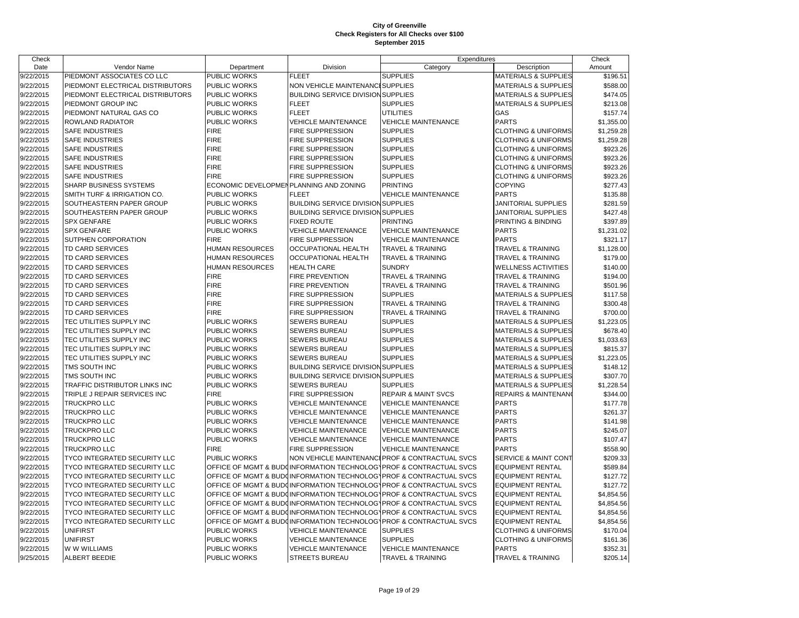| Check                |                                  |                                        |                                           | Expenditures                                                       |                                 | Check      |
|----------------------|----------------------------------|----------------------------------------|-------------------------------------------|--------------------------------------------------------------------|---------------------------------|------------|
| Date                 | Vendor Name                      | Department                             | Division                                  | Category                                                           | Description                     | Amount     |
| $\frac{9}{22}{2015}$ | PIEDMONT ASSOCIATES CO LLC       | <b>PUBLIC WORKS</b>                    | <b>FLEET</b>                              | <b>SUPPLIES</b>                                                    | <b>MATERIALS &amp; SUPPLIES</b> | \$196.51   |
| 9/22/2015            | PIEDMONT ELECTRICAL DISTRIBUTORS | <b>PUBLIC WORKS</b>                    | <b>NON VEHICLE MAINTENANCE</b>            | <b>SUPPLIES</b>                                                    | <b>MATERIALS &amp; SUPPLIES</b> | \$588.00   |
| 9/22/2015            | PIEDMONT ELECTRICAL DISTRIBUTORS | <b>PUBLIC WORKS</b>                    | <b>BUILDING SERVICE DIVISION SUPPLIES</b> |                                                                    | <b>MATERIALS &amp; SUPPLIES</b> | \$474.05   |
| 9/22/2015            | PIEDMONT GROUP INC               | <b>PUBLIC WORKS</b>                    | <b>FLEET</b>                              | <b>SUPPLIES</b>                                                    | <b>MATERIALS &amp; SUPPLIES</b> | \$213.08   |
| 9/22/2015            | PIEDMONT NATURAL GAS CO          | <b>PUBLIC WORKS</b>                    | <b>FLEET</b>                              | <b>UTILITIES</b>                                                   | GAS                             | \$157.74   |
| 9/22/2015            | <b>ROWLAND RADIATOR</b>          | <b>PUBLIC WORKS</b>                    | <b>VEHICLE MAINTENANCE</b>                | <b>VEHICLE MAINTENANCE</b>                                         | <b>PARTS</b>                    | \$1,355.00 |
| 9/22/2015            | <b>SAFE INDUSTRIES</b>           | <b>FIRE</b>                            | <b>FIRE SUPPRESSION</b>                   | <b>SUPPLIES</b>                                                    | <b>CLOTHING &amp; UNIFORMS</b>  | \$1,259.28 |
| 9/22/2015            | <b>SAFE INDUSTRIES</b>           | <b>FIRE</b>                            | <b>FIRE SUPPRESSION</b>                   | <b>SUPPLIES</b>                                                    | <b>CLOTHING &amp; UNIFORMS</b>  | \$1,259.28 |
| 9/22/2015            | SAFE INDUSTRIES                  | <b>FIRE</b>                            | <b>FIRE SUPPRESSION</b>                   | <b>SUPPLIES</b>                                                    | <b>CLOTHING &amp; UNIFORMS</b>  | \$923.26   |
| 9/22/2015            | <b>SAFE INDUSTRIES</b>           | <b>FIRE</b>                            | <b>FIRE SUPPRESSION</b>                   | <b>SUPPLIES</b>                                                    | <b>CLOTHING &amp; UNIFORMS</b>  | \$923.26   |
| 9/22/2015            | <b>SAFE INDUSTRIES</b>           | <b>FIRE</b>                            | <b>FIRE SUPPRESSION</b>                   | <b>SUPPLIES</b>                                                    | <b>CLOTHING &amp; UNIFORMS</b>  | \$923.26   |
| 9/22/2015            | <b>SAFE INDUSTRIES</b>           | <b>FIRE</b>                            | <b>FIRE SUPPRESSION</b>                   | <b>SUPPLIES</b>                                                    | <b>CLOTHING &amp; UNIFORMS</b>  | \$923.26   |
| 9/22/2015            | <b>SHARP BUSINESS SYSTEMS</b>    | ECONOMIC DEVELOPMENPLANNING AND ZONING |                                           | <b>PRINTING</b>                                                    | <b>COPYING</b>                  | \$277.43   |
| 9/22/2015            | SMITH TURF & IRRIGATION CO.      | <b>PUBLIC WORKS</b>                    | <b>FLEET</b>                              | <b>VEHICLE MAINTENANCE</b>                                         | <b>PARTS</b>                    | \$135.88   |
| 9/22/2015            | SOUTHEASTERN PAPER GROUP         | PUBLIC WORKS                           | <b>BUILDING SERVICE DIVISION SUPPLIES</b> |                                                                    | JANITORIAL SUPPLIES             | \$281.59   |
| 9/22/2015            | SOUTHEASTERN PAPER GROUP         | <b>PUBLIC WORKS</b>                    | <b>BUILDING SERVICE DIVISION SUPPLIES</b> |                                                                    | JANITORIAL SUPPLIES             | \$427.48   |
| 9/22/2015            | <b>SPX GENFARE</b>               | <b>PUBLIC WORKS</b>                    | <b>FIXED ROUTE</b>                        | <b>PRINTING</b>                                                    | PRINTING & BINDING              | \$397.89   |
| 9/22/2015            | <b>SPX GENFARE</b>               | PUBLIC WORKS                           | <b>VEHICLE MAINTENANCE</b>                | <b>VEHICLE MAINTENANCE</b>                                         | <b>PARTS</b>                    | \$1,231.02 |
| 9/22/2015            | SUTPHEN CORPORATION              | <b>FIRE</b>                            | <b>FIRE SUPPRESSION</b>                   | <b>VEHICLE MAINTENANCE</b>                                         | <b>PARTS</b>                    | \$321.17   |
| 9/22/2015            | TD CARD SERVICES                 | <b>HUMAN RESOURCES</b>                 | <b>OCCUPATIONAL HEALTH</b>                | <b>TRAVEL &amp; TRAINING</b>                                       | TRAVEL & TRAINING               | \$1,128.00 |
| 9/22/2015            | TD CARD SERVICES                 | <b>HUMAN RESOURCES</b>                 | <b>OCCUPATIONAL HEALTH</b>                | <b>TRAVEL &amp; TRAINING</b>                                       | <b>TRAVEL &amp; TRAINING</b>    | \$179.00   |
| 9/22/2015            | TD CARD SERVICES                 | <b>HUMAN RESOURCES</b>                 | <b>HEALTH CARE</b>                        | <b>SUNDRY</b>                                                      | <b>WELLNESS ACTIVITIES</b>      | \$140.00   |
| 9/22/2015            | TD CARD SERVICES                 | <b>FIRE</b>                            | <b>FIRE PREVENTION</b>                    | <b>TRAVEL &amp; TRAINING</b>                                       | TRAVEL & TRAINING               | \$194.00   |
| 9/22/2015            | TD CARD SERVICES                 | <b>FIRE</b>                            | <b>FIRE PREVENTION</b>                    | <b>TRAVEL &amp; TRAINING</b>                                       | <b>TRAVEL &amp; TRAINING</b>    | \$501.96   |
| 9/22/2015            | TD CARD SERVICES                 | <b>FIRE</b>                            | <b>FIRE SUPPRESSION</b>                   | <b>SUPPLIES</b>                                                    | <b>MATERIALS &amp; SUPPLIES</b> | \$117.58   |
| 9/22/2015            | TD CARD SERVICES                 | <b>FIRE</b>                            | <b>FIRE SUPPRESSION</b>                   | <b>TRAVEL &amp; TRAINING</b>                                       | TRAVEL & TRAINING               | \$300.48   |
| 9/22/2015            | TD CARD SERVICES                 | <b>FIRE</b>                            | <b>FIRE SUPPRESSION</b>                   | <b>TRAVEL &amp; TRAINING</b>                                       | <b>TRAVEL &amp; TRAINING</b>    | \$700.00   |
| 9/22/2015            | TEC UTILITIES SUPPLY INC         | PUBLIC WORKS                           | <b>SEWERS BUREAU</b>                      | <b>SUPPLIES</b>                                                    | <b>MATERIALS &amp; SUPPLIES</b> | \$1,223.05 |
| 9/22/2015            | TEC UTILITIES SUPPLY INC         | PUBLIC WORKS                           | <b>SEWERS BUREAU</b>                      | <b>SUPPLIES</b>                                                    | <b>MATERIALS &amp; SUPPLIES</b> | \$678.40   |
| 9/22/2015            | TEC UTILITIES SUPPLY INC         | <b>PUBLIC WORKS</b>                    | <b>SEWERS BUREAU</b>                      | <b>SUPPLIES</b>                                                    | <b>MATERIALS &amp; SUPPLIES</b> | \$1,033.63 |
| 9/22/2015            | TEC UTILITIES SUPPLY INC         | <b>PUBLIC WORKS</b>                    | <b>SEWERS BUREAU</b>                      | <b>SUPPLIES</b>                                                    | <b>MATERIALS &amp; SUPPLIES</b> | \$815.37   |
| 9/22/2015            | TEC UTILITIES SUPPLY INC         | <b>PUBLIC WORKS</b>                    | <b>SEWERS BUREAU</b>                      | <b>SUPPLIES</b>                                                    | <b>MATERIALS &amp; SUPPLIES</b> | \$1,223.05 |
| 9/22/2015            | TMS SOUTH INC                    | PUBLIC WORKS                           | <b>BUILDING SERVICE DIVISION SUPPLIES</b> |                                                                    | <b>MATERIALS &amp; SUPPLIES</b> | \$148.12   |
| 9/22/2015            | TMS SOUTH INC                    | <b>PUBLIC WORKS</b>                    | <b>BUILDING SERVICE DIVISION SUPPLIES</b> |                                                                    | <b>MATERIALS &amp; SUPPLIES</b> | \$307.70   |
| 9/22/2015            | TRAFFIC DISTRIBUTOR LINKS INC    | <b>PUBLIC WORKS</b>                    | <b>SEWERS BUREAU</b>                      | <b>SUPPLIES</b>                                                    | <b>MATERIALS &amp; SUPPLIES</b> | \$1,228.54 |
| 9/22/2015            | TRIPLE J REPAIR SERVICES INC     | <b>FIRE</b>                            | <b>FIRE SUPPRESSION</b>                   | <b>REPAIR &amp; MAINT SVCS</b>                                     | <b>REPAIRS &amp; MAINTENAN</b>  | \$344.00   |
| 9/22/2015            | TRUCKPRO LLC                     | <b>PUBLIC WORKS</b>                    | <b>VEHICLE MAINTENANCE</b>                | <b>VEHICLE MAINTENANCE</b>                                         | <b>PARTS</b>                    | \$177.78   |
| 9/22/2015            | TRUCKPRO LLC                     | <b>PUBLIC WORKS</b>                    | <b>VEHICLE MAINTENANCE</b>                | <b>VEHICLE MAINTENANCE</b>                                         | <b>PARTS</b>                    | \$261.37   |
| 9/22/2015            | TRUCKPRO LLC                     | <b>PUBLIC WORKS</b>                    | <b>VEHICLE MAINTENANCE</b>                | <b>VEHICLE MAINTENANCE</b>                                         | <b>PARTS</b>                    | \$141.98   |
| 9/22/2015            | TRUCKPRO LLC                     | PUBLIC WORKS                           | <b>VEHICLE MAINTENANCE</b>                | <b>VEHICLE MAINTENANCE</b>                                         | <b>PARTS</b>                    | \$245.07   |
| 9/22/2015            | TRUCKPRO LLC                     | <b>PUBLIC WORKS</b>                    | <b>VEHICLE MAINTENANCE</b>                | <b>VEHICLE MAINTENANCE</b>                                         | <b>PARTS</b>                    | \$107.47   |
| 9/22/2015            | TRUCKPRO LLC                     | <b>FIRE</b>                            | <b>FIRE SUPPRESSION</b>                   | <b>VEHICLE MAINTENANCE</b>                                         | <b>PARTS</b>                    | \$558.90   |
| 9/22/2015            | TYCO INTEGRATED SECURITY LLC     | <b>PUBLIC WORKS</b>                    |                                           | NON VEHICLE MAINTENANCIPROF & CONTRACTUAL SVCS                     | <b>SERVICE &amp; MAINT CONT</b> | \$209.33   |
| 9/22/2015            | TYCO INTEGRATED SECURITY LLC     |                                        |                                           | OFFICE OF MGMT & BUDOINFORMATION TECHNOLOGYPROF & CONTRACTUAL SVCS | <b>EQUIPMENT RENTAL</b>         | \$589.84   |
| 9/22/2015            | TYCO INTEGRATED SECURITY LLC     |                                        |                                           | OFFICE OF MGMT & BUDOINFORMATION TECHNOLOG\PROF & CONTRACTUAL SVCS | <b>EQUIPMENT RENTAL</b>         | \$127.72   |
| 9/22/2015            | TYCO INTEGRATED SECURITY LLC     |                                        |                                           | OFFICE OF MGMT & BUDOINFORMATION TECHNOLOGYPROF & CONTRACTUAL SVCS | <b>EQUIPMENT RENTAL</b>         | \$127.72   |
| 9/22/2015            | TYCO INTEGRATED SECURITY LLC     |                                        |                                           | OFFICE OF MGMT & BUDOINFORMATION TECHNOLOGYPROF & CONTRACTUAL SVCS | <b>EQUIPMENT RENTAL</b>         | \$4,854.56 |
| 9/22/2015            | TYCO INTEGRATED SECURITY LLC     |                                        |                                           | OFFICE OF MGMT & BUDOINFORMATION TECHNOLOGYPROF & CONTRACTUAL SVCS | <b>EQUIPMENT RENTAL</b>         | \$4,854.56 |
| 9/22/2015            | TYCO INTEGRATED SECURITY LLC     |                                        |                                           | OFFICE OF MGMT & BUDOINFORMATION TECHNOLOGYPROF & CONTRACTUAL SVCS | <b>EQUIPMENT RENTAL</b>         | \$4,854.56 |
| 9/22/2015            | TYCO INTEGRATED SECURITY LLC     |                                        |                                           | OFFICE OF MGMT & BUDOINFORMATION TECHNOLOGYPROF & CONTRACTUAL SVCS | <b>EQUIPMENT RENTAL</b>         | \$4,854.56 |
| 9/22/2015            | <b>UNIFIRST</b>                  | <b>PUBLIC WORKS</b>                    | <b>VEHICLE MAINTENANCE</b>                | <b>SUPPLIES</b>                                                    | <b>CLOTHING &amp; UNIFORMS</b>  | \$170.04   |
| 9/22/2015            | <b>UNIFIRST</b>                  | <b>PUBLIC WORKS</b>                    | <b>VEHICLE MAINTENANCE</b>                | <b>SUPPLIES</b>                                                    | <b>CLOTHING &amp; UNIFORMS</b>  | \$161.36   |
| 9/22/2015            | W W WILLIAMS                     | <b>PUBLIC WORKS</b>                    | <b>VEHICLE MAINTENANCE</b>                | <b>VEHICLE MAINTENANCE</b>                                         | <b>PARTS</b>                    | \$352.31   |
| 9/25/2015            | <b>ALBERT BEEDIE</b>             | <b>PUBLIC WORKS</b>                    | <b>STREETS BUREAU</b>                     | <b>TRAVEL &amp; TRAINING</b>                                       | <b>TRAVEL &amp; TRAINING</b>    | \$205.14   |
|                      |                                  |                                        |                                           |                                                                    |                                 |            |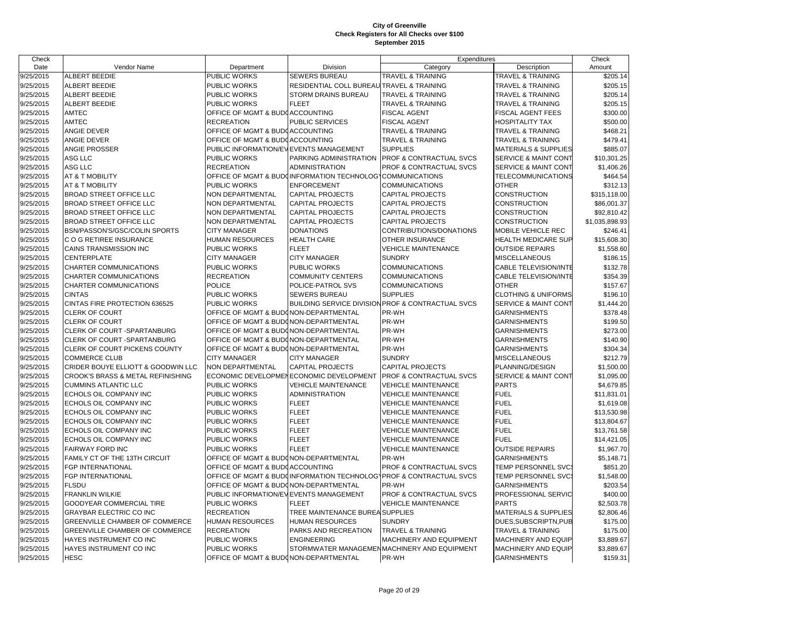| Check     |                                    |                                        |                                                           | Expenditures                                                       |                                 | Check          |
|-----------|------------------------------------|----------------------------------------|-----------------------------------------------------------|--------------------------------------------------------------------|---------------------------------|----------------|
| Date      | Vendor Name                        | Department                             | Division                                                  | Category                                                           | Description                     | Amount         |
| 9/25/2015 | <b>ALBERT BEEDIE</b>               | <b>PUBLIC WORKS</b>                    | <b>SEWERS BUREAU</b>                                      | <b>TRAVEL &amp; TRAINING</b>                                       | <b>TRAVEL &amp; TRAINING</b>    | \$205.14       |
| 9/25/2015 | <b>ALBERT BEEDIE</b>               | PUBLIC WORKS                           | RESIDENTIAL COLL BUREAU TRAVEL & TRAINING                 |                                                                    | <b>TRAVEL &amp; TRAINING</b>    | \$205.15       |
| 9/25/2015 | <b>ALBERT BEEDIE</b>               | <b>PUBLIC WORKS</b>                    | STORM DRAINS BUREAU                                       | TRAVEL & TRAINING                                                  | <b>TRAVEL &amp; TRAINING</b>    | \$205.14       |
| 9/25/2015 | <b>ALBERT BEEDIE</b>               | <b>PUBLIC WORKS</b>                    | <b>FLEET</b>                                              | TRAVEL & TRAINING                                                  | <b>TRAVEL &amp; TRAINING</b>    | \$205.15       |
| 9/25/2015 | AMTEC                              | OFFICE OF MGMT & BUDGACCOUNTING        |                                                           | <b>FISCAL AGENT</b>                                                | FISCAL AGENT FEES               | \$300.00       |
| 9/25/2015 | <b>AMTEC</b>                       | <b>RECREATION</b>                      | PUBLIC SERVICES                                           | <b>FISCAL AGENT</b>                                                | <b>HOSPITALITY TAX</b>          | \$500.00       |
| 9/25/2015 | ANGIE DEVER                        | OFFICE OF MGMT & BUDGACCOUNTING        |                                                           | TRAVEL & TRAINING                                                  | <b>TRAVEL &amp; TRAINING</b>    | \$468.21       |
| 9/25/2015 | ANGIE DEVER                        | OFFICE OF MGMT & BUDGACCOUNTING        |                                                           | TRAVEL & TRAINING                                                  | <b>TRAVEL &amp; TRAINING</b>    | \$479.41       |
| 9/25/2015 | <b>ANGIE PROSSER</b>               | PUBLIC INFORMATION/EVEVENTS MANAGEMENT |                                                           | <b>SUPPLIES</b>                                                    | <b>MATERIALS &amp; SUPPLIES</b> | \$885.07       |
| 9/25/2015 | ASG LLC                            | <b>PUBLIC WORKS</b>                    | PARKING ADMINISTRATION                                    | PROF & CONTRACTUAL SVCS                                            | <b>SERVICE &amp; MAINT CONT</b> | \$10,301.25    |
| 9/25/2015 | ASG LLC                            | <b>RECREATION</b>                      | ADMINISTRATION                                            | PROF & CONTRACTUAL SVCS                                            | <b>SERVICE &amp; MAINT CONT</b> | \$1,406.26     |
| 9/25/2015 | AT & T MOBILITY                    |                                        | OFFICE OF MGMT & BUDGINFORMATION TECHNOLOG COMMUNICATIONS |                                                                    | <b>TELECOMMUNICATIONS</b>       | \$464.54       |
| 9/25/2015 | AT & T MOBILITY                    | <b>PUBLIC WORKS</b>                    | <b>ENFORCEMENT</b>                                        | <b>COMMUNICATIONS</b>                                              | <b>OTHER</b>                    | \$312.13       |
| 9/25/2015 | BROAD STREET OFFICE LLC            | NON DEPARTMENTAL                       | <b>CAPITAL PROJECTS</b>                                   | <b>CAPITAL PROJECTS</b>                                            | CONSTRUCTION                    | \$315,118.00   |
| 9/25/2015 | <b>BROAD STREET OFFICE LLC</b>     | <b>NON DEPARTMENTAL</b>                | <b>CAPITAL PROJECTS</b>                                   | <b>CAPITAL PROJECTS</b>                                            | <b>CONSTRUCTION</b>             | \$86,001.37    |
| 9/25/2015 | BROAD STREET OFFICE LLC            | <b>NON DEPARTMENTAL</b>                | <b>CAPITAL PROJECTS</b>                                   | <b>CAPITAL PROJECTS</b>                                            | <b>CONSTRUCTION</b>             | \$92,810.42    |
| 9/25/2015 | BROAD STREET OFFICE LLC            | <b>NON DEPARTMENTAL</b>                | <b>CAPITAL PROJECTS</b>                                   | <b>CAPITAL PROJECTS</b>                                            | CONSTRUCTION                    | \$1,035,898.93 |
| 9/25/2015 | BSN/PASSON'S/GSC/COLIN SPORTS      | <b>CITY MANAGER</b>                    | <b>DONATIONS</b>                                          | CONTRIBUTIONS/DONATIONS                                            | MOBILE VEHICLE REC              | \$246.41       |
| 9/25/2015 | C O G RETIREE INSURANCE            | <b>HUMAN RESOURCES</b>                 | <b>HEALTH CARE</b>                                        | OTHER INSURANCE                                                    | <b>HEALTH MEDICARE SUP</b>      | \$15,608.30    |
| 9/25/2015 | CAINS TRANSMISSION INC             | PUBLIC WORKS                           | <b>FLEET</b>                                              | <b>VEHICLE MAINTENANCE</b>                                         | <b>OUTSIDE REPAIRS</b>          | \$1,558.60     |
| 9/25/2015 | <b>CENTERPLATE</b>                 | <b>CITY MANAGER</b>                    | <b>CITY MANAGER</b>                                       | <b>SUNDRY</b>                                                      | <b>MISCELLANEOUS</b>            | \$186.15       |
| 9/25/2015 | CHARTER COMMUNICATIONS             | <b>PUBLIC WORKS</b>                    | <b>PUBLIC WORKS</b>                                       | <b>COMMUNICATIONS</b>                                              | <b>CABLE TELEVISION/INTE</b>    | \$132.78       |
| 9/25/2015 | CHARTER COMMUNICATIONS             | <b>RECREATION</b>                      | <b>COMMUNITY CENTERS</b>                                  | <b>COMMUNICATIONS</b>                                              | CABLE TELEVISION/INTE           | \$354.39       |
| 9/25/2015 | CHARTER COMMUNICATIONS             | <b>POLICE</b>                          | POLICE-PATROL SVS                                         | <b>COMMUNICATIONS</b>                                              | <b>OTHER</b>                    | \$157.67       |
| 9/25/2015 | <b>CINTAS</b>                      | <b>PUBLIC WORKS</b>                    | <b>SEWERS BUREAU</b>                                      | <b>SUPPLIES</b>                                                    | <b>CLOTHING &amp; UNIFORMS</b>  | \$196.10       |
| 9/25/2015 | CINTAS FIRE PROTECTION 636525      | <b>PUBLIC WORKS</b>                    |                                                           | BUILDING SERVICE DIVISION PROF & CONTRACTUAL SVCS                  | <b>SERVICE &amp; MAINT CONT</b> | \$1,444.20     |
| 9/25/2015 | <b>CLERK OF COURT</b>              | OFFICE OF MGMT & BUDGNON-DEPARTMENTAL  |                                                           | PR-WH                                                              | <b>GARNISHMENTS</b>             | \$378.48       |
| 9/25/2015 | <b>CLERK OF COURT</b>              | OFFICE OF MGMT & BUDONON-DEPARTMENTAL  |                                                           | PR-WH                                                              | <b>GARNISHMENTS</b>             | \$199.50       |
| 9/25/2015 | CLERK OF COURT -SPARTANBURG        | OFFICE OF MGMT & BUDONON-DEPARTMENTAL  |                                                           | PR-WH                                                              | <b>GARNISHMENTS</b>             | \$273.00       |
| 9/25/2015 | <b>CLERK OF COURT -SPARTANBURG</b> | OFFICE OF MGMT & BUDGNON-DEPARTMENTAL  |                                                           | PR-WH                                                              | <b>GARNISHMENTS</b>             | \$140.90       |
| 9/25/2015 | CLERK OF COURT PICKENS COUNTY      | OFFICE OF MGMT & BUDONON-DEPARTMENTAL  |                                                           | PR-WH                                                              | <b>GARNISHMENTS</b>             | \$304.34       |
| 9/25/2015 | <b>COMMERCE CLUB</b>               | <b>CITY MANAGER</b>                    | <b>CITY MANAGER</b>                                       | <b>SUNDRY</b>                                                      | <b>MISCELLANEOUS</b>            | \$212.79       |
| 9/25/2015 | CRIDER BOUYE ELLIOTT & GOODWIN LLC | <b>NON DEPARTMENTAL</b>                | <b>CAPITAL PROJECTS</b>                                   | <b>CAPITAL PROJECTS</b>                                            | PLANNING/DESIGN                 | \$1,500.00     |
| 9/25/2015 | CROOK'S BRASS & METAL REFINISHING  |                                        | ECONOMIC DEVELOPMENECONOMIC DEVELOPMENT                   | PROF & CONTRACTUAL SVCS                                            | <b>SERVICE &amp; MAINT CONT</b> | \$1,095.00     |
| 9/25/2015 | <b>CUMMINS ATLANTIC LLC</b>        | <b>PUBLIC WORKS</b>                    | <b>VEHICLE MAINTENANCE</b>                                | <b>VEHICLE MAINTENANCE</b>                                         | <b>PARTS</b>                    | \$4,679.85     |
| 9/25/2015 | ECHOLS OIL COMPANY INC             | <b>PUBLIC WORKS</b>                    | <b>ADMINISTRATION</b>                                     | <b>VEHICLE MAINTENANCE</b>                                         | <b>FUEL</b>                     | \$11,831.01    |
| 9/25/2015 | ECHOLS OIL COMPANY INC             | <b>PUBLIC WORKS</b>                    | <b>FLEET</b>                                              | <b>VEHICLE MAINTENANCE</b>                                         | <b>FUEL</b>                     | \$1,619.08     |
| 9/25/2015 | ECHOLS OIL COMPANY INC             | <b>PUBLIC WORKS</b>                    | <b>FLEET</b>                                              | <b>VEHICLE MAINTENANCE</b>                                         | <b>FUEL</b>                     | \$13,530.98    |
| 9/25/2015 | ECHOLS OIL COMPANY INC             | <b>PUBLIC WORKS</b>                    | <b>FLEET</b>                                              | <b>VEHICLE MAINTENANCE</b>                                         | <b>FUEL</b>                     | \$13,804.67    |
| 9/25/2015 | ECHOLS OIL COMPANY INC             | <b>PUBLIC WORKS</b>                    | <b>FLEET</b>                                              | <b>VEHICLE MAINTENANCE</b>                                         | <b>FUEL</b>                     | \$13,761.58    |
| 9/25/2015 | ECHOLS OIL COMPANY INC             | <b>PUBLIC WORKS</b>                    | <b>FLEET</b>                                              | <b>VEHICLE MAINTENANCE</b>                                         | <b>FUEL</b>                     | \$14,421.05    |
| 9/25/2015 | <b>FAIRWAY FORD INC</b>            | <b>PUBLIC WORKS</b>                    | <b>FLEET</b>                                              | <b>VEHICLE MAINTENANCE</b>                                         | <b>OUTSIDE REPAIRS</b>          | \$1,967.70     |
| 9/25/2015 | FAMILY CT OF THE 13TH CIRCUIT      | OFFICE OF MGMT & BUDONON-DEPARTMENTAL  |                                                           | PR-WH                                                              | <b>GARNISHMENTS</b>             | \$5,148.71     |
| 9/25/2015 | FGP INTERNATIONAL                  | OFFICE OF MGMT & BUDGACCOUNTING        |                                                           | PROF & CONTRACTUAL SVCS                                            | TEMP PERSONNEL SVC              | \$851.20       |
| 9/25/2015 | FGP INTERNATIONAL                  |                                        |                                                           | OFFICE OF MGMT & BUDOINFORMATION TECHNOLOGYPROF & CONTRACTUAL SVCS | TEMP PERSONNEL SVC:             | \$1,548.00     |
| 9/25/2015 | <b>FLSDU</b>                       | OFFICE OF MGMT & BUDONON-DEPARTMENTAL  |                                                           | PR-WH                                                              | <b>GARNISHMENTS</b>             | \$203.54       |
| 9/25/2015 | <b>FRANKLIN WILKIE</b>             | PUBLIC INFORMATION/EVEVENTS MANAGEMENT |                                                           | PROF & CONTRACTUAL SVCS                                            | PROFESSIONAL SERVIC             | \$400.00       |
| 9/25/2015 | <b>GOODYEAR COMMERCIAL TIRE</b>    | <b>PUBLIC WORKS</b>                    | <b>FLEET</b>                                              | <b>VEHICLE MAINTENANCE</b>                                         | <b>PARTS</b>                    | \$2,503.78     |
| 9/25/2015 | <b>GRAYBAR ELECTRIC CO INC</b>     | <b>RECREATION</b>                      | TREE MAINTENANCE BUREA SUPPLIES                           |                                                                    | <b>MATERIALS &amp; SUPPLIES</b> | \$2,806.46     |
| 9/25/2015 | GREENVILLE CHAMBER OF COMMERCE     | <b>HUMAN RESOURCES</b>                 | <b>HUMAN RESOURCES</b>                                    | <b>SUNDRY</b>                                                      | DUES, SUBSCRIPTN, PUB           | \$175.00       |
| 9/25/2015 | GREENVILLE CHAMBER OF COMMERCE     | <b>RECREATION</b>                      | PARKS AND RECREATION                                      | TRAVEL & TRAINING                                                  | TRAVEL & TRAINING               | \$175.00       |
| 9/25/2015 | HAYES INSTRUMENT CO INC            | <b>PUBLIC WORKS</b>                    | <b>ENGINEERING</b>                                        | MACHINERY AND EQUIPMENT                                            | MACHINERY AND EQUIP             | \$3,889.67     |
| 9/25/2015 | HAYES INSTRUMENT CO INC            | <b>PUBLIC WORKS</b>                    |                                                           | STORMWATER MANAGEMEN MACHINERY AND EQUIPMENT                       | MACHINERY AND EQUIP             | \$3,889.67     |
| 9/25/2015 | <b>HESC</b>                        | OFFICE OF MGMT & BUDONON-DEPARTMENTAL  |                                                           | PR-WH                                                              | <b>GARNISHMENTS</b>             | \$159.31       |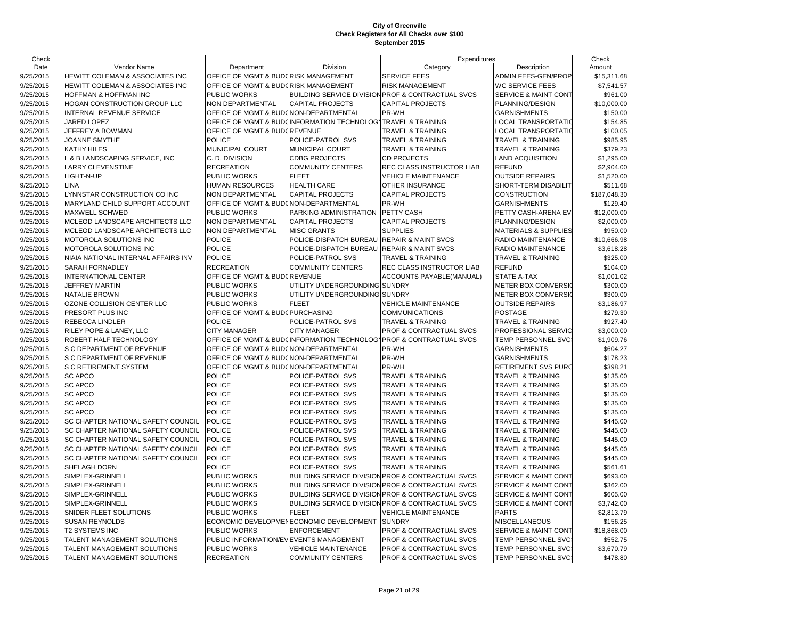| Check     |                                           |                                        |                                                              | Expenditures                                                       |                                 | Check        |
|-----------|-------------------------------------------|----------------------------------------|--------------------------------------------------------------|--------------------------------------------------------------------|---------------------------------|--------------|
| Date      | Vendor Name                               | Department                             | Division                                                     | Category                                                           | Description                     | Amount       |
| 9/25/2015 | HEWITT COLEMAN & ASSOCIATES INC           | OFFICE OF MGMT & BUDORISK MANAGEMENT   |                                                              | SERVICE FEES                                                       | ADMIN FEES-GEN/PROP             | \$15,311.68  |
| 9/25/2015 | HEWITT COLEMAN & ASSOCIATES INC           | OFFICE OF MGMT & BUDGRISK MANAGEMENT   |                                                              | <b>RISK MANAGEMENT</b>                                             | WC SERVICE FEES                 | \$7,541.57   |
| 9/25/2015 | HOFFMAN & HOFFMAN INC                     | <b>PUBLIC WORKS</b>                    | <b>BUILDING SERVICE DIVISION</b>                             | <b>PROF &amp; CONTRACTUAL SVCS</b>                                 | <b>SERVICE &amp; MAINT CONT</b> | \$961.00     |
| 9/25/2015 | HOGAN CONSTRUCTION GROUP LLC              | NON DEPARTMENTAL                       | <b>CAPITAL PROJECTS</b>                                      | <b>CAPITAL PROJECTS</b>                                            | PLANNING/DESIGN                 | \$10,000.00  |
| 9/25/2015 | INTERNAL REVENUE SERVICE                  | OFFICE OF MGMT & BUDONON-DEPARTMENTAL  |                                                              | PR-WH                                                              | <b>GARNISHMENTS</b>             | \$150.00     |
| 9/25/2015 | JARED LOPEZ                               |                                        | OFFICE OF MGMT & BUDOINFORMATION TECHNOLOGYTRAVEL & TRAINING |                                                                    | LOCAL TRANSPORTATIC             | \$154.85     |
| 9/25/2015 | JEFFREY A BOWMAN                          | OFFICE OF MGMT & BUDGREVENUE           |                                                              | TRAVEL & TRAINING                                                  | LOCAL TRANSPORTATIO             | \$100.05     |
| 9/25/2015 | JOANNE SMYTHE                             | <b>POLICE</b>                          | POLICE-PATROL SVS                                            | <b>TRAVEL &amp; TRAINING</b>                                       | <b>TRAVEL &amp; TRAINING</b>    | \$985.95     |
| 9/25/2015 | <b>KATHY HILES</b>                        | MUNICIPAL COURT                        | MUNICIPAL COURT                                              | TRAVEL & TRAINING                                                  | TRAVEL & TRAINING               | \$379.23     |
| 9/25/2015 | L & B LANDSCAPING SERVICE, INC            | C. D. DIVISION                         | <b>CDBG PROJECTS</b>                                         | <b>CD PROJECTS</b>                                                 | LAND ACQUISITION                | \$1,295.00   |
| 9/25/2015 | <b>LARRY CLEVENSTINE</b>                  | <b>RECREATION</b>                      | <b>COMMUNITY CENTERS</b>                                     | REC CLASS INSTRUCTOR LIAB                                          | <b>REFUND</b>                   | \$2,904.00   |
| 9/25/2015 | LIGHT-N-UP                                | PUBLIC WORKS                           | <b>FLEET</b>                                                 | <b>VEHICLE MAINTENANCE</b>                                         | <b>OUTSIDE REPAIRS</b>          | \$1,520.00   |
| 9/25/2015 | LINA                                      | <b>HUMAN RESOURCES</b>                 | <b>HEALTH CARE</b>                                           | OTHER INSURANCE                                                    | SHORT-TERM DISABILIT            | \$511.68     |
| 9/25/2015 | LYNNSTAR CONSTRUCTION CO INC              | NON DEPARTMENTAL                       | <b>CAPITAL PROJECTS</b>                                      | <b>CAPITAL PROJECTS</b>                                            | CONSTRUCTION                    | \$187,048.30 |
| 9/25/2015 | MARYLAND CHILD SUPPORT ACCOUNT            | OFFICE OF MGMT & BUDONON-DEPARTMENTAL  |                                                              | PR-WH                                                              | <b>GARNISHMENTS</b>             | \$129.40     |
| 9/25/2015 | <b>MAXWELL SCHWED</b>                     | PUBLIC WORKS                           | PARKING ADMINISTRATION                                       | PETTY CASH                                                         | PETTY CASH-ARENA EV             | \$12,000.00  |
| 9/25/2015 | MCLEOD LANDSCAPE ARCHITECTS LLC           | <b>NON DEPARTMENTAL</b>                | <b>CAPITAL PROJECTS</b>                                      | <b>CAPITAL PROJECTS</b>                                            | PLANNING/DESIGN                 | \$2,000.00   |
| 9/25/2015 | MCLEOD LANDSCAPE ARCHITECTS LLC           | NON DEPARTMENTAL                       | <b>MISC GRANTS</b>                                           | <b>SUPPLIES</b>                                                    | <b>MATERIALS &amp; SUPPLIES</b> | \$950.00     |
| 9/25/2015 | MOTOROLA SOLUTIONS INC                    | <b>POLICE</b>                          | POLICE-DISPATCH BUREAU                                       | <b>REPAIR &amp; MAINT SVCS</b>                                     | RADIO MAINTENANCE               | \$10,666.98  |
| 9/25/2015 | MOTOROLA SOLUTIONS INC                    | <b>POLICE</b>                          | POLICE-DISPATCH BUREAU                                       | <b>REPAIR &amp; MAINT SVCS</b>                                     | RADIO MAINTENANCE               | \$3,618.28   |
| 9/25/2015 | NIAIA NATIONAL INTERNAL AFFAIRS INV       | <b>POLICE</b>                          | POLICE-PATROL SVS                                            | TRAVEL & TRAINING                                                  | TRAVEL & TRAINING               | \$325.00     |
| 9/25/2015 | <b>SARAH FORNADLEY</b>                    | <b>RECREATION</b>                      | <b>COMMUNITY CENTERS</b>                                     | REC CLASS INSTRUCTOR LIAB                                          | <b>REFUND</b>                   | \$104.00     |
| 9/25/2015 | INTERNATIONAL CENTER                      | OFFICE OF MGMT & BUDGREVENUE           |                                                              | ACCOUNTS PAYABLE(MANUAL)                                           | STATE A-TAX                     | \$1,001.02   |
| 9/25/2015 | <b>JEFFREY MARTIN</b>                     | PUBLIC WORKS                           | UTILITY UNDERGROUNDING SUNDRY                                |                                                                    | <b>METER BOX CONVERSIO</b>      | \$300.00     |
| 9/25/2015 | <b>NATALIE BROWN</b>                      | PUBLIC WORKS                           | UTILITY UNDERGROUNDING SUNDRY                                |                                                                    | <b>METER BOX CONVERSIO</b>      | \$300.00     |
| 9/25/2015 | OZONE COLLISION CENTER LLC                | PUBLIC WORKS                           | <b>FLEET</b>                                                 | <b>VEHICLE MAINTENANCE</b>                                         | <b>OUTSIDE REPAIRS</b>          | \$3,186.97   |
| 9/25/2015 | PRESORT PLUS INC                          | OFFICE OF MGMT & BUDOPURCHASING        |                                                              | <b>COMMUNICATIONS</b>                                              | <b>POSTAGE</b>                  | \$279.30     |
| 9/25/2015 | REBECCA LINDLER                           | <b>POLICE</b>                          | POLICE-PATROL SVS                                            | TRAVEL & TRAINING                                                  | TRAVEL & TRAINING               | \$927.40     |
| 9/25/2015 | RILEY POPE & LANEY, LLC                   | <b>CITY MANAGER</b>                    | <b>CITY MANAGER</b>                                          | PROF & CONTRACTUAL SVCS                                            | PROFESSIONAL SERVIC             | \$3,000.00   |
| 9/25/2015 | ROBERT HALF TECHNOLOGY                    |                                        |                                                              | OFFICE OF MGMT & BUDCINFORMATION TECHNOLOGYPROF & CONTRACTUAL SVCS | TEMP PERSONNEL SVC:             | \$1,909.76   |
| 9/25/2015 | S C DEPARTMENT OF REVENUE                 | OFFICE OF MGMT & BUDONON-DEPARTMENTAL  |                                                              | PR-WH                                                              | <b>GARNISHMENTS</b>             | \$604.27     |
| 9/25/2015 | S C DEPARTMENT OF REVENUE                 | OFFICE OF MGMT & BUDONON-DEPARTMENTAL  |                                                              | PR-WH                                                              | <b>GARNISHMENTS</b>             | \$178.23     |
| 9/25/2015 | S C RETIREMENT SYSTEM                     | OFFICE OF MGMT & BUDONON-DEPARTMENTAL  |                                                              | PR-WH                                                              | RETIREMENT SVS PURC             | \$398.21     |
| 9/25/2015 | <b>SC APCO</b>                            | <b>POLICE</b>                          | POLICE-PATROL SVS                                            | <b>TRAVEL &amp; TRAINING</b>                                       | <b>TRAVEL &amp; TRAINING</b>    | \$135.00     |
| 9/25/2015 | <b>SC APCO</b>                            | <b>POLICE</b>                          | POLICE-PATROL SVS                                            | <b>TRAVEL &amp; TRAINING</b>                                       | TRAVEL & TRAINING               | \$135.00     |
| 9/25/2015 | <b>SC APCO</b>                            | <b>POLICE</b>                          | POLICE-PATROL SVS                                            | TRAVEL & TRAINING                                                  | TRAVEL & TRAINING               | \$135.00     |
| 9/25/2015 | <b>SC APCO</b>                            | <b>POLICE</b>                          | POLICE-PATROL SVS                                            | <b>TRAVEL &amp; TRAINING</b>                                       | TRAVEL & TRAINING               | \$135.00     |
| 9/25/2015 | <b>SC APCO</b>                            | <b>POLICE</b>                          | POLICE-PATROL SVS                                            | <b>TRAVEL &amp; TRAINING</b>                                       | TRAVEL & TRAINING               | \$135.00     |
| 9/25/2015 | <b>SC CHAPTER NATIONAL SAFETY COUNCIL</b> | <b>POLICE</b>                          | POLICE-PATROL SVS                                            | TRAVEL & TRAINING                                                  | TRAVEL & TRAINING               | \$445.00     |
| 9/25/2015 | SC CHAPTER NATIONAL SAFETY COUNCIL        | <b>POLICE</b>                          | POLICE-PATROL SVS                                            | TRAVEL & TRAINING                                                  | TRAVEL & TRAINING               | \$445.00     |
| 9/25/2015 | SC CHAPTER NATIONAL SAFETY COUNCIL        | <b>POLICE</b>                          | POLICE-PATROL SVS                                            | TRAVEL & TRAINING                                                  | TRAVEL & TRAINING               | \$445.00     |
| 9/25/2015 | SC CHAPTER NATIONAL SAFETY COUNCIL        | <b>POLICE</b>                          | POLICE-PATROL SVS                                            | TRAVEL & TRAINING                                                  | TRAVEL & TRAINING               | \$445.00     |
| 9/25/2015 | SC CHAPTER NATIONAL SAFETY COUNCIL        | <b>POLICE</b>                          | POLICE-PATROL SVS                                            | TRAVEL & TRAINING                                                  | TRAVEL & TRAINING               | \$445.00     |
| 9/25/2015 | SHELAGH DORN                              | <b>POLICE</b>                          | POLICE-PATROL SVS                                            | TRAVEL & TRAINING                                                  | <b>TRAVEL &amp; TRAINING</b>    | \$561.61     |
| 9/25/2015 | SIMPLEX-GRINNELL                          | PUBLIC WORKS                           |                                                              | BUILDING SERVICE DIVISION PROF & CONTRACTUAL SVCS                  | <b>SERVICE &amp; MAINT CONT</b> | \$693.00     |
| 9/25/2015 | SIMPLEX-GRINNELL                          | PUBLIC WORKS                           |                                                              | BUILDING SERVICE DIVISION PROF & CONTRACTUAL SVCS                  | <b>SERVICE &amp; MAINT CONT</b> | \$362.00     |
| 9/25/2015 | SIMPLEX-GRINNELL                          | PUBLIC WORKS                           | <b>BUILDING SERVICE DIVISION</b>                             | PROF & CONTRACTUAL SVCS                                            | <b>SERVICE &amp; MAINT CONT</b> | \$605.00     |
| 9/25/2015 | SIMPLEX-GRINNELL                          | PUBLIC WORKS                           |                                                              | BUILDING SERVICE DIVISION PROF & CONTRACTUAL SVCS                  | <b>SERVICE &amp; MAINT CONT</b> | \$3,742.00   |
| 9/25/2015 | SNIDER FLEET SOLUTIONS                    | PUBLIC WORKS                           | <b>FLEET</b>                                                 | <b>VEHICLE MAINTENANCE</b>                                         | <b>PARTS</b>                    | \$2,813.79   |
| 9/25/2015 | <b>SUSAN REYNOLDS</b>                     |                                        | ECONOMIC DEVELOPMENECONOMIC DEVELOPMENT                      | <b>SUNDRY</b>                                                      | MISCELLANEOUS                   | \$156.25     |
| 9/25/2015 | <b>T2 SYSTEMS INC</b>                     | PUBLIC WORKS                           | <b>ENFORCEMENT</b>                                           | PROF & CONTRACTUAL SVCS                                            | <b>SERVICE &amp; MAINT CONT</b> | \$18,868.00  |
| 9/25/2015 | TALENT MANAGEMENT SOLUTIONS               | PUBLIC INFORMATION/EVEVENTS MANAGEMENT |                                                              | PROF & CONTRACTUAL SVCS                                            | <b>TEMP PERSONNEL SVC:</b>      | \$552.75     |
| 9/25/2015 | TALENT MANAGEMENT SOLUTIONS               | <b>PUBLIC WORKS</b>                    | <b>VEHICLE MAINTENANCE</b>                                   | PROF & CONTRACTUAL SVCS                                            | TEMP PERSONNEL SVC:             | \$3,670.79   |
| 9/25/2015 | TALENT MANAGEMENT SOLUTIONS               | <b>RECREATION</b>                      | <b>COMMUNITY CENTERS</b>                                     | PROF & CONTRACTUAL SVCS                                            | TEMP PERSONNEL SVC:             | \$478.80     |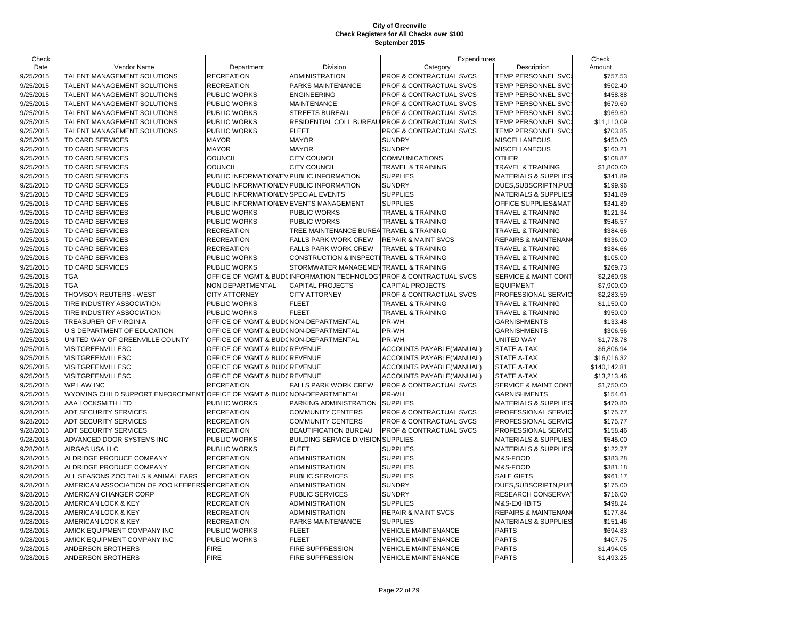| Check     |                                                |                                          |                                           | Expenditures                                                       |                                 | Check        |
|-----------|------------------------------------------------|------------------------------------------|-------------------------------------------|--------------------------------------------------------------------|---------------------------------|--------------|
| Date      | Vendor Name                                    | Department                               | Division                                  | Category                                                           | Description                     | Amount       |
| 9/25/2015 | TALENT MANAGEMENT SOLUTIONS                    | <b>RECREATION</b>                        | <b>ADMINISTRATION</b>                     | PROF & CONTRACTUAL SVCS                                            | TEMP PERSONNEL SVCS             | \$757.53     |
| 9/25/2015 | TALENT MANAGEMENT SOLUTIONS                    | <b>RECREATION</b>                        | PARKS MAINTENANCE                         | PROF & CONTRACTUAL SVCS                                            | TEMP PERSONNEL SVC:             | \$502.40     |
| 9/25/2015 | TALENT MANAGEMENT SOLUTIONS                    | PUBLIC WORKS                             | <b>ENGINEERING</b>                        | PROF & CONTRACTUAL SVCS                                            | TEMP PERSONNEL SVC              | \$458.88     |
| 9/25/2015 | TALENT MANAGEMENT SOLUTIONS                    | PUBLIC WORKS                             | <b>MAINTENANCE</b>                        | PROF & CONTRACTUAL SVCS                                            | TEMP PERSONNEL SVC:             | \$679.60     |
| 9/25/2015 | TALENT MANAGEMENT SOLUTIONS                    | PUBLIC WORKS                             | <b>STREETS BUREAU</b>                     | PROF & CONTRACTUAL SVCS                                            | TEMP PERSONNEL SVC:             | \$969.60     |
| 9/25/2015 | TALENT MANAGEMENT SOLUTIONS                    | PUBLIC WORKS                             |                                           | RESIDENTIAL COLL BUREAU PROF & CONTRACTUAL SVCS                    | TEMP PERSONNEL SVC:             | \$11,110.09  |
| 9/25/2015 | TALENT MANAGEMENT SOLUTIONS                    | PUBLIC WORKS                             | <b>FLEET</b>                              | PROF & CONTRACTUAL SVCS                                            | TEMP PERSONNEL SVC:             | \$703.85     |
| 9/25/2015 | TD CARD SERVICES                               | <b>MAYOR</b>                             | <b>MAYOR</b>                              | <b>SUNDRY</b>                                                      | <b>MISCELLANEOUS</b>            | \$450.00     |
| 9/25/2015 | TD CARD SERVICES                               | <b>MAYOR</b>                             | <b>MAYOR</b>                              | <b>SUNDRY</b>                                                      | MISCELLANEOUS                   | \$160.21     |
| 9/25/2015 | TD CARD SERVICES                               | COUNCIL                                  | <b>CITY COUNCIL</b>                       | <b>COMMUNICATIONS</b>                                              | <b>OTHER</b>                    | \$108.87     |
| 9/25/2015 | TD CARD SERVICES                               | <b>COUNCIL</b>                           | <b>CITY COUNCIL</b>                       | <b>TRAVEL &amp; TRAINING</b>                                       | TRAVEL & TRAINING               | \$1,800.00   |
| 9/25/2015 | TD CARD SERVICES                               | PUBLIC INFORMATION/EVIPUBLIC INFORMATION |                                           | <b>SUPPLIES</b>                                                    | <b>MATERIALS &amp; SUPPLIES</b> | \$341.89     |
| 9/25/2015 | TD CARD SERVICES                               | PUBLIC INFORMATION/EVPUBLIC INFORMATION  |                                           | <b>SUNDRY</b>                                                      | DUES, SUBSCRIPTN, PUB           | \$199.96     |
| 9/25/2015 | TD CARD SERVICES                               | PUBLIC INFORMATION/EV SPECIAL EVENTS     |                                           | <b>SUPPLIES</b>                                                    | <b>MATERIALS &amp; SUPPLIES</b> | \$341.89     |
| 9/25/2015 | TD CARD SERVICES                               | PUBLIC INFORMATION/EVEVENTS MANAGEMENT   |                                           | <b>SUPPLIES</b>                                                    | OFFICE SUPPLIES&MAT             | \$341.89     |
| 9/25/2015 | TD CARD SERVICES                               | PUBLIC WORKS                             | PUBLIC WORKS                              | <b>TRAVEL &amp; TRAINING</b>                                       | TRAVEL & TRAINING               | \$121.34     |
| 9/25/2015 | TD CARD SERVICES                               | PUBLIC WORKS                             | <b>PUBLIC WORKS</b>                       | <b>TRAVEL &amp; TRAINING</b>                                       | TRAVEL & TRAINING               | \$546.57     |
| 9/25/2015 | TD CARD SERVICES                               | <b>RECREATION</b>                        | TREE MAINTENANCE BUREA                    | <b>TRAVEL &amp; TRAINING</b>                                       | TRAVEL & TRAINING               | \$384.66     |
| 9/25/2015 | TD CARD SERVICES                               | <b>RECREATION</b>                        | <b>FALLS PARK WORK CREW</b>               | <b>REPAIR &amp; MAINT SVCS</b>                                     | <b>REPAIRS &amp; MAINTENANO</b> | \$336.00     |
| 9/25/2015 | TD CARD SERVICES                               | <b>RECREATION</b>                        | <b>FALLS PARK WORK CREW</b>               | <b>TRAVEL &amp; TRAINING</b>                                       | <b>TRAVEL &amp; TRAINING</b>    | \$384.66     |
| 9/25/2015 | TD CARD SERVICES                               | PUBLIC WORKS                             | <b>CONSTRUCTION &amp; INSPECTI</b>        | <b>TRAVEL &amp; TRAINING</b>                                       | TRAVEL & TRAINING               | \$105.00     |
| 9/25/2015 | TD CARD SERVICES                               | PUBLIC WORKS                             | STORMWATER MANAGEMEI                      | <b>TRAVEL &amp; TRAINING</b>                                       | TRAVEL & TRAINING               | \$269.73     |
| 9/25/2015 | <b>TGA</b>                                     |                                          |                                           | OFFICE OF MGMT & BUDCINFORMATION TECHNOLOGYPROF & CONTRACTUAL SVCS | <b>SERVICE &amp; MAINT CONT</b> | \$2,260.98   |
| 9/25/2015 | <b>TGA</b>                                     | NON DEPARTMENTAL                         | <b>CAPITAL PROJECTS</b>                   | <b>CAPITAL PROJECTS</b>                                            | <b>EQUIPMENT</b>                | \$7,900.00   |
| 9/25/2015 | THOMSON REUTERS - WEST                         | <b>CITY ATTORNEY</b>                     | <b>CITY ATTORNEY</b>                      | PROF & CONTRACTUAL SVCS                                            | PROFESSIONAL SERVIC             | \$2,283.59   |
| 9/25/2015 | TIRE INDUSTRY ASSOCIATION                      | PUBLIC WORKS                             | <b>FLEET</b>                              | <b>TRAVEL &amp; TRAINING</b>                                       | TRAVEL & TRAINING               | \$1,150.00   |
| 9/25/2015 | TIRE INDUSTRY ASSOCIATION                      | PUBLIC WORKS                             | <b>FLEET</b>                              | <b>TRAVEL &amp; TRAINING</b>                                       | <b>TRAVEL &amp; TRAINING</b>    | \$950.00     |
| 9/25/2015 | TREASURER OF VIRGINIA                          | OFFICE OF MGMT & BUDONON-DEPARTMENTAL    |                                           | PR-WH                                                              | <b>GARNISHMENTS</b>             | \$133.48     |
| 9/25/2015 | U S DEPARTMENT OF EDUCATION                    | OFFICE OF MGMT & BUDONON-DEPARTMENTAL    |                                           | PR-WH                                                              | <b>GARNISHMENTS</b>             | \$306.56     |
| 9/25/2015 | UNITED WAY OF GREENVILLE COUNTY                | OFFICE OF MGMT & BUDONON-DEPARTMENTAL    |                                           | PR-WH                                                              | UNITED WAY                      | \$1,778.78   |
| 9/25/2015 | VISITGREENVILLESC                              | OFFICE OF MGMT & BUDGREVENUE             |                                           | ACCOUNTS PAYABLE(MANUAL)                                           | <b>STATE A-TAX</b>              | \$6,806.94   |
| 9/25/2015 | VISITGREENVILLESC                              | OFFICE OF MGMT & BUDOREVENUE             |                                           | ACCOUNTS PAYABLE(MANUAL)                                           | <b>STATE A-TAX</b>              | \$16,016.32  |
| 9/25/2015 | VISITGREENVILLESC                              | OFFICE OF MGMT & BUDOREVENUE             |                                           | ACCOUNTS PAYABLE(MANUAL)                                           | STATE A-TAX                     | \$140,142.81 |
| 9/25/2015 | VISITGREENVILLESC                              | OFFICE OF MGMT & BUDGREVENUE             |                                           | ACCOUNTS PAYABLE(MANUAL)                                           | <b>STATE A-TAX</b>              | \$13,213.46  |
| 9/25/2015 | <b>WP LAW INC</b>                              | <b>RECREATION</b>                        | <b>FALLS PARK WORK CREW</b>               | PROF & CONTRACTUAL SVCS                                            | SERVICE & MAINT CONT            | \$1,750.00   |
| 9/25/2015 | WYOMING CHILD SUPPORT ENFORCEMENT              | OFFICE OF MGMT & BUDONON-DEPARTMENTAL    |                                           | PR-WH                                                              | <b>GARNISHMENTS</b>             | \$154.61     |
| 9/28/2015 | AAA LOCKSMITH LTD                              | PUBLIC WORKS                             | PARKING ADMINISTRATION                    | <b>SUPPLIES</b>                                                    | <b>MATERIALS &amp; SUPPLIES</b> | \$470.80     |
| 9/28/2015 | ADT SECURITY SERVICES                          | <b>RECREATION</b>                        | <b>COMMUNITY CENTERS</b>                  | PROF & CONTRACTUAL SVCS                                            | PROFESSIONAL SERVIC             | \$175.77     |
| 9/28/2015 | <b>ADT SECURITY SERVICES</b>                   | <b>RECREATION</b>                        | <b>COMMUNITY CENTERS</b>                  | <b>PROF &amp; CONTRACTUAL SVCS</b>                                 | PROFESSIONAL SERVIC             | \$175.77     |
| 9/28/2015 | <b>ADT SECURITY SERVICES</b>                   | <b>RECREATION</b>                        | <b>BEAUTIFICATION BUREAU</b>              | PROF & CONTRACTUAL SVCS                                            | PROFESSIONAL SERVIC             | \$158.46     |
| 9/28/2015 | ADVANCED DOOR SYSTEMS INC                      | PUBLIC WORKS                             | <b>BUILDING SERVICE DIVISION SUPPLIES</b> |                                                                    | <b>MATERIALS &amp; SUPPLIES</b> | \$545.00     |
| 9/28/2015 | AIRGAS USA LLC                                 | PUBLIC WORKS                             | <b>FLEET</b>                              | <b>SUPPLIES</b>                                                    | <b>MATERIALS &amp; SUPPLIES</b> | \$122.77     |
| 9/28/2015 | ALDRIDGE PRODUCE COMPANY                       | <b>RECREATION</b>                        | <b>ADMINISTRATION</b>                     | <b>SUPPLIES</b>                                                    | M&S-FOOD                        | \$383.28     |
| 9/28/2015 | ALDRIDGE PRODUCE COMPANY                       | <b>RECREATION</b>                        | <b>ADMINISTRATION</b>                     | <b>SUPPLIES</b>                                                    | M&S-FOOD                        | \$381.18     |
| 9/28/2015 | ALL SEASONS ZOO TAILS & ANIMAL EARS            | <b>RECREATION</b>                        | <b>PUBLIC SERVICES</b>                    | <b>SUPPLIES</b>                                                    | <b>SALE GIFTS</b>               | \$961.17     |
| 9/28/2015 | AMERICAN ASSOCIATION OF ZOO KEEPERS RECREATION |                                          | <b>ADMINISTRATION</b>                     | <b>SUNDRY</b>                                                      | DUES, SUBSCRIPTN, PUB           | \$175.00     |
| 9/28/2015 | AMERICAN CHANGER CORP                          | <b>RECREATION</b>                        | <b>PUBLIC SERVICES</b>                    | <b>SUNDRY</b>                                                      | RESEARCH CONSERVAT              | \$716.00     |
| 9/28/2015 | AMERICAN LOCK & KEY                            | <b>RECREATION</b>                        | ADMINISTRATION                            | <b>SUPPLIES</b>                                                    | M&S-EXHIBITS                    | \$498.24     |
| 9/28/2015 | AMERICAN LOCK & KEY                            | <b>RECREATION</b>                        | <b>ADMINISTRATION</b>                     | <b>REPAIR &amp; MAINT SVCS</b>                                     | <b>REPAIRS &amp; MAINTENAN</b>  | \$177.84     |
| 9/28/2015 | AMERICAN LOCK & KEY                            | <b>RECREATION</b>                        | <b>PARKS MAINTENANCE</b>                  | <b>SUPPLIES</b>                                                    | <b>MATERIALS &amp; SUPPLIES</b> | \$151.46     |
| 9/28/2015 | AMICK EQUIPMENT COMPANY INC                    | PUBLIC WORKS                             | <b>FLEET</b>                              | <b>VEHICLE MAINTENANCE</b>                                         | <b>PARTS</b>                    | \$694.83     |
| 9/28/2015 | AMICK EQUIPMENT COMPANY INC                    | PUBLIC WORKS                             | <b>FLEET</b>                              | <b>VEHICLE MAINTENANCE</b>                                         | <b>PARTS</b>                    | \$407.75     |
| 9/28/2015 | ANDERSON BROTHERS                              | <b>FIRE</b>                              | <b>FIRE SUPPRESSION</b>                   | <b>VEHICLE MAINTENANCE</b>                                         | <b>PARTS</b>                    | \$1,494.05   |
| 9/28/2015 | ANDERSON BROTHERS                              | <b>FIRE</b>                              | <b>FIRE SUPPRESSION</b>                   | <b>VEHICLE MAINTENANCE</b>                                         | <b>PARTS</b>                    | \$1,493.25   |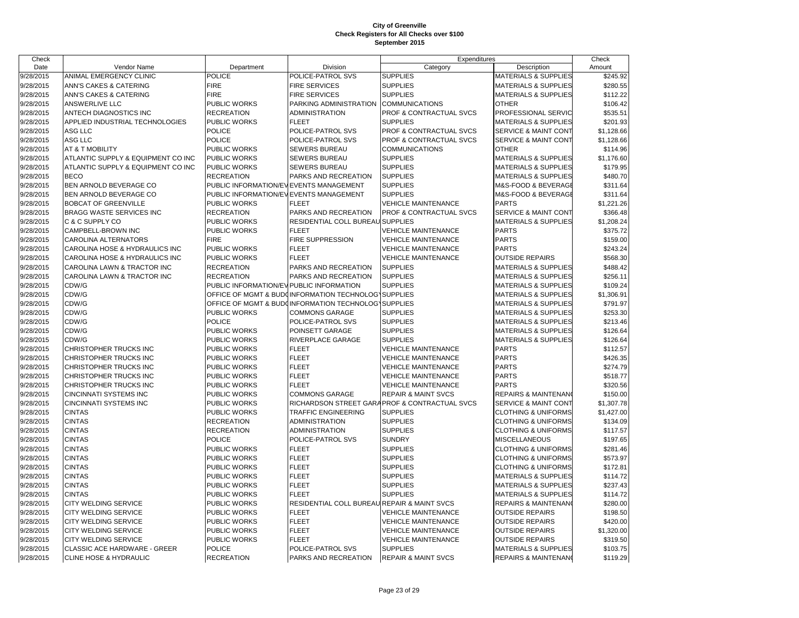| Check     |                                     |                                         |                                                      | Expenditures                                  |                                 | Check      |
|-----------|-------------------------------------|-----------------------------------------|------------------------------------------------------|-----------------------------------------------|---------------------------------|------------|
| Date      | Vendor Name                         | Department                              | Division                                             | Category                                      | Description                     | Amount     |
| 9/28/2015 | ANIMAL EMERGENCY CLINIC             | <b>POLICE</b>                           | POLICE-PATROL SVS                                    | <b>SUPPLIES</b>                               | <b>MATERIALS &amp; SUPPLIES</b> | \$245.92   |
| 9/28/2015 | ANN'S CAKES & CATERING              | <b>FIRE</b>                             | <b>FIRE SERVICES</b>                                 | <b>SUPPLIES</b>                               | <b>MATERIALS &amp; SUPPLIES</b> | \$280.55   |
| 9/28/2015 | ANN'S CAKES & CATERING              | <b>FIRE</b>                             | <b>FIRE SERVICES</b>                                 | <b>SUPPLIES</b>                               | <b>MATERIALS &amp; SUPPLIES</b> | \$112.22   |
| 9/28/2015 | <b>ANSWERLIVE LLC</b>               | PUBLIC WORKS                            | PARKING ADMINISTRATION                               | COMMUNICATIONS                                | <b>OTHER</b>                    | \$106.42   |
| 9/28/2015 | ANTECH DIAGNOSTICS INC              | <b>RECREATION</b>                       | <b>ADMINISTRATION</b>                                | PROF & CONTRACTUAL SVCS                       | PROFESSIONAL SERVIC             | \$535.51   |
| 9/28/2015 | APPLIED INDUSTRIAL TECHNOLOGIES     | PUBLIC WORKS                            | <b>FLEET</b>                                         | <b>SUPPLIES</b>                               | <b>MATERIALS &amp; SUPPLIES</b> | \$201.93   |
| 9/28/2015 | ASG LLC                             | <b>POLICE</b>                           | POLICE-PATROL SVS                                    | PROF & CONTRACTUAL SVCS                       | SERVICE & MAINT CONT            | \$1,128.66 |
| 9/28/2015 | ASG LLC                             | POLICE                                  | POLICE-PATROL SVS                                    | PROF & CONTRACTUAL SVCS                       | <b>SERVICE &amp; MAINT CONT</b> | \$1,128.66 |
| 9/28/2015 | AT & T MOBILITY                     | PUBLIC WORKS                            | <b>SEWERS BUREAU</b>                                 | <b>COMMUNICATIONS</b>                         | <b>OTHER</b>                    | \$114.96   |
| 9/28/2015 | ATLANTIC SUPPLY & EQUIPMENT CO INC  | <b>PUBLIC WORKS</b>                     | <b>SEWERS BUREAU</b>                                 | <b>SUPPLIES</b>                               | <b>MATERIALS &amp; SUPPLIES</b> | \$1,176.60 |
| 9/28/2015 | ATLANTIC SUPPLY & EQUIPMENT CO INC  | <b>PUBLIC WORKS</b>                     | <b>SEWERS BUREAU</b>                                 | <b>SUPPLIES</b>                               | <b>MATERIALS &amp; SUPPLIES</b> | \$179.95   |
| 9/28/2015 | <b>BECO</b>                         | <b>RECREATION</b>                       | PARKS AND RECREATION                                 | <b>SUPPLIES</b>                               | <b>MATERIALS &amp; SUPPLIES</b> | \$480.70   |
| 9/28/2015 | BEN ARNOLD BEVERAGE CO              | PUBLIC INFORMATION/EVEVENTS MANAGEMENT  |                                                      | <b>SUPPLIES</b>                               | M&S-FOOD & BEVERAGE             | \$311.64   |
| 9/28/2015 | BEN ARNOLD BEVERAGE CO              | PUBLIC INFORMATION/EVEVENTS MANAGEMENT  |                                                      | <b>SUPPLIES</b>                               | M&S-FOOD & BEVERAGE             | \$311.64   |
| 9/28/2015 | <b>BOBCAT OF GREENVILLE</b>         | <b>PUBLIC WORKS</b>                     | <b>FLEET</b>                                         | <b>VEHICLE MAINTENANCE</b>                    | <b>PARTS</b>                    | \$1,221.26 |
| 9/28/2015 | <b>BRAGG WASTE SERVICES INC</b>     | <b>RECREATION</b>                       | PARKS AND RECREATION                                 | PROF & CONTRACTUAL SVCS                       | SERVICE & MAINT CONT            | \$366.48   |
| 9/28/2015 | C & C SUPPLY CO                     | PUBLIC WORKS                            | RESIDENTIAL COLL BUREAU SUPPLIES                     |                                               | <b>MATERIALS &amp; SUPPLIES</b> | \$1,208.24 |
| 9/28/2015 | CAMPBELL-BROWN INC                  | PUBLIC WORKS                            | <b>FLEET</b>                                         | <b>VEHICLE MAINTENANCE</b>                    | PARTS                           | \$375.72   |
| 9/28/2015 | <b>CAROLINA ALTERNATORS</b>         | <b>FIRE</b>                             | <b>FIRE SUPPRESSION</b>                              | <b>VEHICLE MAINTENANCE</b>                    | <b>PARTS</b>                    | \$159.00   |
| 9/28/2015 | CAROLINA HOSE & HYDRAULICS INC      | PUBLIC WORKS                            | <b>FLEET</b>                                         | <b>VEHICLE MAINTENANCE</b>                    | <b>PARTS</b>                    | \$243.24   |
| 9/28/2015 | CAROLINA HOSE & HYDRAULICS INC      | PUBLIC WORKS                            | <b>FLEET</b>                                         | <b>VEHICLE MAINTENANCE</b>                    | <b>OUTSIDE REPAIRS</b>          | \$568.30   |
| 9/28/2015 | CAROLINA LAWN & TRACTOR INC         | <b>RECREATION</b>                       | PARKS AND RECREATION                                 | <b>SUPPLIES</b>                               | <b>MATERIALS &amp; SUPPLIES</b> | \$488.42   |
| 9/28/2015 | CAROLINA LAWN & TRACTOR INC         | <b>RECREATION</b>                       | PARKS AND RECREATION                                 | <b>SUPPLIES</b>                               | <b>MATERIALS &amp; SUPPLIES</b> | \$256.11   |
| 9/28/2015 | CDW/G                               | PUBLIC INFORMATION/EVPUBLIC INFORMATION |                                                      | <b>SUPPLIES</b>                               | <b>MATERIALS &amp; SUPPLIES</b> | \$109.24   |
| 9/28/2015 | CDW/G                               |                                         | OFFICE OF MGMT & BUDGINFORMATION TECHNOLOGY SUPPLIES |                                               | <b>MATERIALS &amp; SUPPLIES</b> | \$1,306.91 |
| 9/28/2015 | CDW/G                               |                                         | OFFICE OF MGMT & BUDGINFORMATION TECHNOLOGY SUPPLIES |                                               | <b>MATERIALS &amp; SUPPLIES</b> | \$791.97   |
| 9/28/2015 | CDW/G                               | PUBLIC WORKS                            | <b>COMMONS GARAGE</b>                                | <b>SUPPLIES</b>                               | <b>MATERIALS &amp; SUPPLIES</b> | \$253.30   |
| 9/28/2015 | CDW/G                               | <b>POLICE</b>                           | POLICE-PATROL SVS                                    | <b>SUPPLIES</b>                               | <b>MATERIALS &amp; SUPPLIES</b> | \$213.46   |
| 9/28/2015 | CDW/G                               | PUBLIC WORKS                            | POINSETT GARAGE                                      | <b>SUPPLIES</b>                               | <b>MATERIALS &amp; SUPPLIES</b> | \$126.64   |
| 9/28/2015 | CDW/G                               | PUBLIC WORKS                            | RIVERPLACE GARAGE                                    | <b>SUPPLIES</b>                               | <b>MATERIALS &amp; SUPPLIES</b> | \$126.64   |
| 9/28/2015 | CHRISTOPHER TRUCKS INC              | PUBLIC WORKS                            | <b>FLEET</b>                                         | <b>VEHICLE MAINTENANCE</b>                    | <b>PARTS</b>                    | \$112.57   |
| 9/28/2015 | CHRISTOPHER TRUCKS INC              | PUBLIC WORKS                            | <b>FLEET</b>                                         | <b>VEHICLE MAINTENANCE</b>                    | <b>PARTS</b>                    | \$426.35   |
| 9/28/2015 | CHRISTOPHER TRUCKS INC              | PUBLIC WORKS                            | <b>FLEET</b>                                         | <b>VEHICLE MAINTENANCE</b>                    | <b>PARTS</b>                    | \$274.79   |
| 9/28/2015 | CHRISTOPHER TRUCKS INC              | PUBLIC WORKS                            | <b>FLEET</b>                                         | <b>VEHICLE MAINTENANCE</b>                    | <b>PARTS</b>                    | \$518.77   |
| 9/28/2015 | CHRISTOPHER TRUCKS INC              | PUBLIC WORKS                            | <b>FLEET</b>                                         | <b>VEHICLE MAINTENANCE</b>                    | <b>PARTS</b>                    | \$320.56   |
| 9/28/2015 | CINCINNATI SYSTEMS INC              | PUBLIC WORKS                            | <b>COMMONS GARAGE</b>                                | <b>REPAIR &amp; MAINT SVCS</b>                | <b>REPAIRS &amp; MAINTENAN</b>  | \$150.00   |
| 9/28/2015 | <b>CINCINNATI SYSTEMS INC</b>       | PUBLIC WORKS                            |                                                      | RICHARDSON STREET GARAPROF & CONTRACTUAL SVCS | <b>SERVICE &amp; MAINT CONT</b> | \$1,307.78 |
| 9/28/2015 | <b>CINTAS</b>                       | PUBLIC WORKS                            | <b>TRAFFIC ENGINEERING</b>                           | <b>SUPPLIES</b>                               | <b>CLOTHING &amp; UNIFORMS</b>  | \$1,427.00 |
| 9/28/2015 | <b>CINTAS</b>                       | <b>RECREATION</b>                       | <b>ADMINISTRATION</b>                                | <b>SUPPLIES</b>                               | <b>CLOTHING &amp; UNIFORMS</b>  | \$134.09   |
| 9/28/2015 | <b>CINTAS</b>                       | <b>RECREATION</b>                       | <b>ADMINISTRATION</b>                                | <b>SUPPLIES</b>                               | <b>CLOTHING &amp; UNIFORMS</b>  | \$117.57   |
| 9/28/2015 | <b>CINTAS</b>                       | <b>POLICE</b>                           | POLICE-PATROL SVS                                    | <b>SUNDRY</b>                                 | MISCELLANEOUS                   | \$197.65   |
| 9/28/2015 | <b>CINTAS</b>                       | PUBLIC WORKS                            | <b>FLEET</b>                                         | <b>SUPPLIES</b>                               | <b>CLOTHING &amp; UNIFORMS</b>  | \$281.46   |
| 9/28/2015 | <b>CINTAS</b>                       | PUBLIC WORKS                            | <b>FLEET</b>                                         | <b>SUPPLIES</b>                               | <b>CLOTHING &amp; UNIFORMS</b>  | \$573.97   |
| 9/28/2015 | <b>CINTAS</b>                       | PUBLIC WORKS                            | <b>FLEET</b>                                         | <b>SUPPLIES</b>                               | <b>CLOTHING &amp; UNIFORMS</b>  | \$172.81   |
| 9/28/2015 | <b>CINTAS</b>                       | PUBLIC WORKS                            | <b>FLEET</b>                                         | <b>SUPPLIES</b>                               | <b>MATERIALS &amp; SUPPLIES</b> | \$114.72   |
| 9/28/2015 | <b>CINTAS</b>                       | PUBLIC WORKS                            | <b>FLEET</b>                                         | <b>SUPPLIES</b>                               | <b>MATERIALS &amp; SUPPLIES</b> | \$237.43   |
| 9/28/2015 | <b>CINTAS</b>                       | PUBLIC WORKS                            | <b>FLEET</b>                                         | <b>SUPPLIES</b>                               | <b>MATERIALS &amp; SUPPLIES</b> | \$114.72   |
| 9/28/2015 | <b>CITY WELDING SERVICE</b>         | PUBLIC WORKS                            | RESIDENTIAL COLL BUREAU REPAIR & MAINT SVCS          |                                               | <b>REPAIRS &amp; MAINTENAN</b>  | \$280.00   |
| 9/28/2015 | <b>CITY WELDING SERVICE</b>         | PUBLIC WORKS                            | <b>FLEET</b>                                         | <b>VEHICLE MAINTENANCE</b>                    | <b>OUTSIDE REPAIRS</b>          | \$198.50   |
| 9/28/2015 | <b>CITY WELDING SERVICE</b>         | PUBLIC WORKS                            | <b>FLEET</b>                                         | <b>VEHICLE MAINTENANCE</b>                    | <b>OUTSIDE REPAIRS</b>          | \$420.00   |
| 9/28/2015 | <b>CITY WELDING SERVICE</b>         | PUBLIC WORKS                            | <b>FLEET</b>                                         | <b>VEHICLE MAINTENANCE</b>                    | <b>OUTSIDE REPAIRS</b>          | \$1,320.00 |
| 9/28/2015 | CITY WELDING SERVICE                | PUBLIC WORKS                            | <b>FLEET</b>                                         | <b>VEHICLE MAINTENANCE</b>                    | <b>OUTSIDE REPAIRS</b>          | \$319.50   |
| 9/28/2015 | <b>CLASSIC ACE HARDWARE - GREER</b> | <b>POLICE</b>                           | POLICE-PATROL SVS                                    | <b>SUPPLIES</b>                               | <b>MATERIALS &amp; SUPPLIES</b> | \$103.75   |
| 9/28/2015 | <b>CLINE HOSE &amp; HYDRAULIC</b>   | <b>RECREATION</b>                       | PARKS AND RECREATION                                 | <b>REPAIR &amp; MAINT SVCS</b>                | <b>REPAIRS &amp; MAINTENANO</b> | \$119.29   |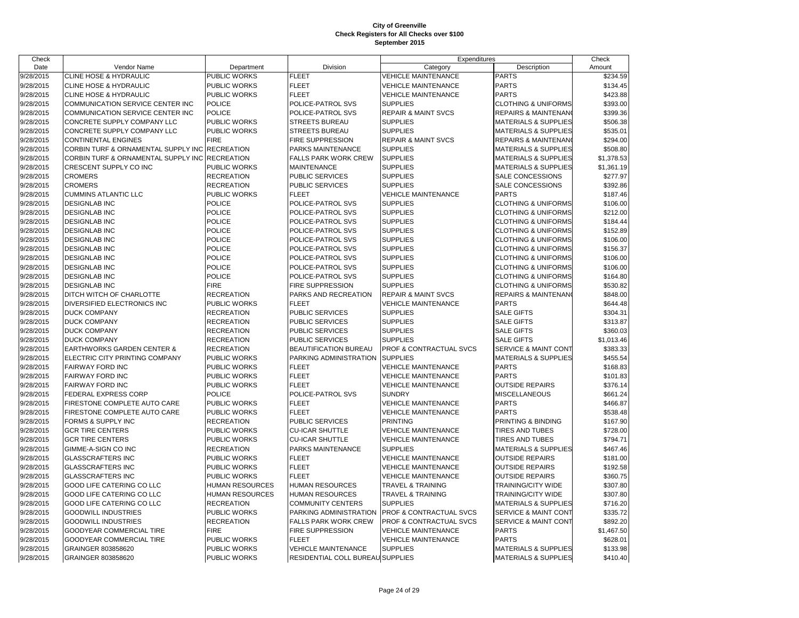| Check     |                                       |                     |                                  | Expenditures                   |                                 | Check      |
|-----------|---------------------------------------|---------------------|----------------------------------|--------------------------------|---------------------------------|------------|
| Date      | Vendor Name                           | Department          | Division                         | Category                       | Description                     | Amount     |
| 9/28/2015 | <b>CLINE HOSE &amp; HYDRAULIC</b>     | PUBLIC WORKS        | <b>FLEET</b>                     | <b>VEHICLE MAINTENANCE</b>     | <b>PARTS</b>                    | \$234.59   |
| 9/28/2015 | <b>CLINE HOSE &amp; HYDRAULIC</b>     | PUBLIC WORKS        | <b>FLEET</b>                     | <b>VEHICLE MAINTENANCE</b>     | <b>PARTS</b>                    | \$134.45   |
| 9/28/2015 | CLINE HOSE & HYDRAULIC                | PUBLIC WORKS        | <b>FLEET</b>                     | <b>VEHICLE MAINTENANCE</b>     | <b>PARTS</b>                    | \$423.88   |
| 9/28/2015 | COMMUNICATION SERVICE CENTER INC      | <b>POLICE</b>       | POLICE-PATROL SVS                | <b>SUPPLIES</b>                | <b>CLOTHING &amp; UNIFORMS</b>  | \$393.00   |
| 9/28/2015 | COMMUNICATION SERVICE CENTER INC      | <b>POLICE</b>       | POLICE-PATROL SVS                | <b>REPAIR &amp; MAINT SVCS</b> | <b>REPAIRS &amp; MAINTENAN</b>  | \$399.36   |
| 9/28/2015 | CONCRETE SUPPLY COMPANY LLC           | PUBLIC WORKS        | STREETS BUREAU                   | <b>SUPPLIES</b>                | <b>MATERIALS &amp; SUPPLIES</b> | \$506.38   |
| 9/28/2015 | CONCRETE SUPPLY COMPANY LLC           | <b>PUBLIC WORKS</b> | <b>STREETS BUREAU</b>            | <b>SUPPLIES</b>                | <b>MATERIALS &amp; SUPPLIES</b> | \$535.01   |
| 9/28/2015 | <b>CONTINENTAL ENGINES</b>            | <b>FIRE</b>         | FIRE SUPPRESSION                 | <b>REPAIR &amp; MAINT SVCS</b> | <b>REPAIRS &amp; MAINTENAN</b>  | \$294.00   |
| 9/28/2015 | CORBIN TURF & ORNAMENTAL SUPPLY INC   | <b>RECREATION</b>   | PARKS MAINTENANCE                | <b>SUPPLIES</b>                | <b>MATERIALS &amp; SUPPLIES</b> | \$508.80   |
| 9/28/2015 | CORBIN TURF & ORNAMENTAL SUPPLY INC   | <b>RECREATION</b>   | <b>FALLS PARK WORK CREW</b>      | <b>SUPPLIES</b>                | <b>MATERIALS &amp; SUPPLIES</b> | \$1,378.53 |
| 9/28/2015 | CRESCENT SUPPLY CO INC                | PUBLIC WORKS        | <b>MAINTENANCE</b>               | <b>SUPPLIES</b>                | <b>MATERIALS &amp; SUPPLIES</b> | \$1,361.19 |
| 9/28/2015 | <b>CROMERS</b>                        | <b>RECREATION</b>   | PUBLIC SERVICES                  | <b>SUPPLIES</b>                | SALE CONCESSIONS                | \$277.97   |
| 9/28/2015 | <b>CROMERS</b>                        | <b>RECREATION</b>   | PUBLIC SERVICES                  | <b>SUPPLIES</b>                | SALE CONCESSIONS                | \$392.86   |
| 9/28/2015 | <b>CUMMINS ATLANTIC LLC</b>           | PUBLIC WORKS        | <b>FLEET</b>                     | <b>VEHICLE MAINTENANCE</b>     | <b>PARTS</b>                    | \$187.46   |
| 9/28/2015 | <b>DESIGNLAB INC</b>                  | <b>POLICE</b>       | POLICE-PATROL SVS                | <b>SUPPLIES</b>                | <b>CLOTHING &amp; UNIFORMS</b>  | \$106.00   |
| 9/28/2015 | <b>DESIGNLAB INC</b>                  | <b>POLICE</b>       | POLICE-PATROL SVS                | <b>SUPPLIES</b>                | <b>CLOTHING &amp; UNIFORMS</b>  | \$212.00   |
| 9/28/2015 | <b>DESIGNLAB INC</b>                  | <b>POLICE</b>       | POLICE-PATROL SVS                | <b>SUPPLIES</b>                | <b>CLOTHING &amp; UNIFORMS</b>  | \$184.44   |
| 9/28/2015 | <b>DESIGNLAB INC</b>                  | <b>POLICE</b>       | POLICE-PATROL SVS                | <b>SUPPLIES</b>                | <b>CLOTHING &amp; UNIFORMS</b>  | \$152.89   |
| 9/28/2015 | <b>DESIGNLAB INC</b>                  | <b>POLICE</b>       | POLICE-PATROL SVS                | <b>SUPPLIES</b>                | <b>CLOTHING &amp; UNIFORMS</b>  | \$106.00   |
| 9/28/2015 | <b>DESIGNLAB INC</b>                  | <b>POLICE</b>       | POLICE-PATROL SVS                | <b>SUPPLIES</b>                | <b>CLOTHING &amp; UNIFORMS</b>  | \$156.37   |
| 9/28/2015 | <b>DESIGNLAB INC</b>                  | <b>POLICE</b>       | POLICE-PATROL SVS                | <b>SUPPLIES</b>                | <b>CLOTHING &amp; UNIFORMS</b>  | \$106.00   |
| 9/28/2015 | <b>DESIGNLAB INC</b>                  | <b>POLICE</b>       | POLICE-PATROL SVS                | <b>SUPPLIES</b>                | <b>CLOTHING &amp; UNIFORMS</b>  | \$106.00   |
| 9/28/2015 | <b>DESIGNLAB INC</b>                  | <b>POLICE</b>       | POLICE-PATROL SVS                | <b>SUPPLIES</b>                | <b>CLOTHING &amp; UNIFORMS</b>  | \$164.80   |
| 9/28/2015 | <b>DESIGNLAB INC</b>                  | <b>FIRE</b>         | <b>FIRE SUPPRESSION</b>          | <b>SUPPLIES</b>                | <b>CLOTHING &amp; UNIFORMS</b>  | \$530.82   |
| 9/28/2015 | DITCH WITCH OF CHARLOTTE              | <b>RECREATION</b>   | PARKS AND RECREATION             | <b>REPAIR &amp; MAINT SVCS</b> | REPAIRS & MAINTENANO            | \$848.00   |
| 9/28/2015 | DIVERSIFIED ELECTRONICS INC           | PUBLIC WORKS        | <b>FLEET</b>                     | <b>VEHICLE MAINTENANCE</b>     | <b>PARTS</b>                    | \$644.48   |
| 9/28/2015 | <b>DUCK COMPANY</b>                   | <b>RECREATION</b>   | PUBLIC SERVICES                  | <b>SUPPLIES</b>                | <b>SALE GIFTS</b>               | \$304.31   |
| 9/28/2015 | <b>DUCK COMPANY</b>                   | <b>RECREATION</b>   | PUBLIC SERVICES                  | <b>SUPPLIES</b>                | <b>SALE GIFTS</b>               | \$313.87   |
| 9/28/2015 | <b>DUCK COMPANY</b>                   | <b>RECREATION</b>   | PUBLIC SERVICES                  | <b>SUPPLIES</b>                | <b>SALE GIFTS</b>               | \$360.03   |
| 9/28/2015 | <b>DUCK COMPANY</b>                   | <b>RECREATION</b>   | PUBLIC SERVICES                  | <b>SUPPLIES</b>                | <b>SALE GIFTS</b>               | \$1,013.46 |
| 9/28/2015 | <b>EARTHWORKS GARDEN CENTER &amp;</b> | <b>RECREATION</b>   | BEAUTIFICATION BUREAU            | PROF & CONTRACTUAL SVCS        | <b>SERVICE &amp; MAINT CONT</b> | \$383.33   |
| 9/28/2015 | ELECTRIC CITY PRINTING COMPANY        | PUBLIC WORKS        | PARKING ADMINISTRATION           | <b>SUPPLIES</b>                | <b>MATERIALS &amp; SUPPLIES</b> | \$455.54   |
| 9/28/2015 | <b>FAIRWAY FORD INC</b>               | PUBLIC WORKS        | <b>FLEET</b>                     | <b>VEHICLE MAINTENANCE</b>     | PARTS                           | \$168.83   |
| 9/28/2015 | <b>FAIRWAY FORD INC</b>               | PUBLIC WORKS        | <b>FLEET</b>                     | <b>VEHICLE MAINTENANCE</b>     | <b>PARTS</b>                    | \$101.83   |
| 9/28/2015 | <b>FAIRWAY FORD INC</b>               | PUBLIC WORKS        | <b>FLEET</b>                     | <b>VEHICLE MAINTENANCE</b>     | <b>OUTSIDE REPAIRS</b>          | \$376.14   |
| 9/28/2015 | FEDERAL EXPRESS CORP                  | <b>POLICE</b>       | POLICE-PATROL SVS                | <b>SUNDRY</b>                  | <b>MISCELLANEOUS</b>            | \$661.24   |
| 9/28/2015 | FIRESTONE COMPLETE AUTO CARE          | PUBLIC WORKS        | <b>FLEET</b>                     | <b>VEHICLE MAINTENANCE</b>     | <b>PARTS</b>                    | \$466.87   |
| 9/28/2015 | FIRESTONE COMPLETE AUTO CARE          | PUBLIC WORKS        | <b>FLEET</b>                     | <b>VEHICLE MAINTENANCE</b>     | <b>PARTS</b>                    | \$538.48   |
| 9/28/2015 | FORMS & SUPPLY INC                    | <b>RECREATION</b>   | PUBLIC SERVICES                  | <b>PRINTING</b>                | PRINTING & BINDING              | \$167.90   |
| 9/28/2015 | <b>GCR TIRE CENTERS</b>               | PUBLIC WORKS        | <b>CU-ICAR SHUTTLE</b>           | <b>VEHICLE MAINTENANCE</b>     | <b>TIRES AND TUBES</b>          | \$728.00   |
| 9/28/2015 | <b>GCR TIRE CENTERS</b>               | PUBLIC WORKS        | <b>CU-ICAR SHUTTLE</b>           | <b>VEHICLE MAINTENANCE</b>     | <b>TIRES AND TUBES</b>          | \$794.71   |
| 9/28/2015 | GIMME-A-SIGN CO INC                   | <b>RECREATION</b>   | PARKS MAINTENANCE                | <b>SUPPLIES</b>                | <b>MATERIALS &amp; SUPPLIES</b> | \$467.46   |
| 9/28/2015 | <b>GLASSCRAFTERS INC</b>              | PUBLIC WORKS        | <b>FLEET</b>                     | <b>VEHICLE MAINTENANCE</b>     | <b>OUTSIDE REPAIRS</b>          | \$181.00   |
| 9/28/2015 | <b>GLASSCRAFTERS INC</b>              | PUBLIC WORKS        | <b>FLEET</b>                     | <b>VEHICLE MAINTENANCE</b>     | <b>OUTSIDE REPAIRS</b>          | \$192.58   |
| 9/28/2015 | <b>GLASSCRAFTERS INC</b>              | PUBLIC WORKS        | <b>FLEET</b>                     | <b>VEHICLE MAINTENANCE</b>     | <b>OUTSIDE REPAIRS</b>          | \$360.75   |
| 9/28/2015 | <b>GOOD LIFE CATERING CO LLC</b>      | HUMAN RESOURCES     | <b>HUMAN RESOURCES</b>           | TRAVEL & TRAINING              | <b>TRAINING/CITY WIDE</b>       | \$307.80   |
| 9/28/2015 | GOOD LIFE CATERING CO LLC             | HUMAN RESOURCES     | <b>HUMAN RESOURCES</b>           | TRAVEL & TRAINING              | TRAINING/CITY WIDE              | \$307.80   |
| 9/28/2015 | <b>GOOD LIFE CATERING CO LLC</b>      | <b>RECREATION</b>   | <b>COMMUNITY CENTERS</b>         | <b>SUPPLIES</b>                | <b>MATERIALS &amp; SUPPLIES</b> | \$716.20   |
| 9/28/2015 | <b>GOODWILL INDUSTRIES</b>            | PUBLIC WORKS        | PARKING ADMINISTRATION           | PROF & CONTRACTUAL SVCS        | SERVICE & MAINT CONT            | \$335.72   |
| 9/28/2015 | <b>GOODWILL INDUSTRIES</b>            | <b>RECREATION</b>   | <b>FALLS PARK WORK CREW</b>      | PROF & CONTRACTUAL SVCS        | SERVICE & MAINT CONT            | \$892.20   |
| 9/28/2015 | <b>GOODYEAR COMMERCIAL TIRE</b>       | <b>FIRE</b>         | <b>FIRE SUPPRESSION</b>          | <b>VEHICLE MAINTENANCE</b>     | <b>PARTS</b>                    | \$1,467.50 |
| 9/28/2015 | GOODYEAR COMMERCIAL TIRE              | PUBLIC WORKS        | <b>FLEET</b>                     | <b>VEHICLE MAINTENANCE</b>     | <b>PARTS</b>                    | \$628.01   |
| 9/28/2015 | GRAINGER 803858620                    | PUBLIC WORKS        | <b>VEHICLE MAINTENANCE</b>       | <b>SUPPLIES</b>                | <b>MATERIALS &amp; SUPPLIES</b> | \$133.98   |
| 9/28/2015 | GRAINGER 803858620                    | <b>PUBLIC WORKS</b> | RESIDENTIAL COLL BUREAU SUPPLIES |                                | <b>MATERIALS &amp; SUPPLIES</b> | \$410.40   |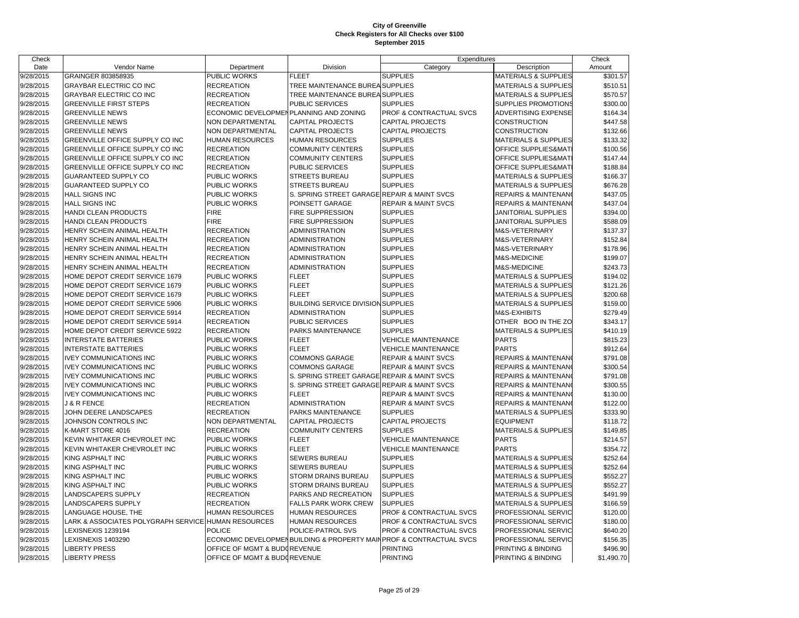| Check     |                                                     |                                        |                                             | Expenditures                                                        |                                 | Check      |
|-----------|-----------------------------------------------------|----------------------------------------|---------------------------------------------|---------------------------------------------------------------------|---------------------------------|------------|
| Date      | Vendor Name                                         | Department                             | Division                                    | Category                                                            | Description                     | Amount     |
| 9/28/2015 | GRAINGER 803858935                                  | PUBLIC WORKS                           | <b>FLEET</b>                                | <b>SUPPLIES</b>                                                     | <b>MATERIALS &amp; SUPPLIES</b> | \$301.57   |
| 9/28/2015 | <b>GRAYBAR ELECTRIC CO INC</b>                      | <b>RECREATION</b>                      | TREE MAINTENANCE BUREA SUPPLIES             |                                                                     | <b>MATERIALS &amp; SUPPLIES</b> | \$510.51   |
| 9/28/2015 | <b>GRAYBAR ELECTRIC CO INC</b>                      | <b>RECREATION</b>                      | TREE MAINTENANCE BUREA SUPPLIES             |                                                                     | <b>MATERIALS &amp; SUPPLIES</b> | \$570.57   |
| 9/28/2015 | <b>GREENVILLE FIRST STEPS</b>                       | <b>RECREATION</b>                      | PUBLIC SERVICES                             | <b>SUPPLIES</b>                                                     | SUPPLIES PROMOTIONS             | \$300.00   |
| 9/28/2015 | <b>GREENVILLE NEWS</b>                              | ECONOMIC DEVELOPMENPLANNING AND ZONING |                                             | PROF & CONTRACTUAL SVCS                                             | <b>ADVERTISING EXPENSE</b>      | \$164.34   |
| 9/28/2015 | <b>GREENVILLE NEWS</b>                              | NON DEPARTMENTAL                       | <b>CAPITAL PROJECTS</b>                     | <b>CAPITAL PROJECTS</b>                                             | CONSTRUCTION                    | \$447.58   |
| 9/28/2015 | <b>GREENVILLE NEWS</b>                              | NON DEPARTMENTAL                       | <b>CAPITAL PROJECTS</b>                     | <b>CAPITAL PROJECTS</b>                                             | <b>CONSTRUCTION</b>             | \$132.66   |
| 9/28/2015 | GREENVILLE OFFICE SUPPLY CO INC                     | <b>HUMAN RESOURCES</b>                 | HUMAN RESOURCES                             | <b>SUPPLIES</b>                                                     | <b>MATERIALS &amp; SUPPLIES</b> | \$133.32   |
| 9/28/2015 | GREENVILLE OFFICE SUPPLY CO INC                     | <b>RECREATION</b>                      | <b>COMMUNITY CENTERS</b>                    | <b>SUPPLIES</b>                                                     | OFFICE SUPPLIES&MAT             | \$100.56   |
| 9/28/2015 | GREENVILLE OFFICE SUPPLY CO INC                     | <b>RECREATION</b>                      | COMMUNITY CENTERS                           | <b>SUPPLIES</b>                                                     | OFFICE SUPPLIES&MAT             | \$147.44   |
| 9/28/2015 | GREENVILLE OFFICE SUPPLY CO INC                     | <b>RECREATION</b>                      | PUBLIC SERVICES                             | <b>SUPPLIES</b>                                                     | OFFICE SUPPLIES&MAT             | \$188.84   |
| 9/28/2015 | GUARANTEED SUPPLY CO                                | PUBLIC WORKS                           | <b>STREETS BUREAU</b>                       | <b>SUPPLIES</b>                                                     | <b>MATERIALS &amp; SUPPLIES</b> | \$166.37   |
| 9/28/2015 | GUARANTEED SUPPLY CO                                | PUBLIC WORKS                           | STREETS BUREAU                              | <b>SUPPLIES</b>                                                     | <b>MATERIALS &amp; SUPPLIES</b> | \$676.28   |
| 9/28/2015 | <b>HALL SIGNS INC</b>                               | PUBLIC WORKS                           | S. SPRING STREET GARAGE REPAIR & MAINT SVCS |                                                                     | <b>REPAIRS &amp; MAINTENAN</b>  | \$437.05   |
| 9/28/2015 | HALL SIGNS INC                                      | PUBLIC WORKS                           | POINSETT GARAGE                             | <b>REPAIR &amp; MAINT SVCS</b>                                      | <b>REPAIRS &amp; MAINTENAN</b>  | \$437.04   |
| 9/28/2015 | HANDI CLEAN PRODUCTS                                | <b>FIRE</b>                            | FIRE SUPPRESSION                            | <b>SUPPLIES</b>                                                     | JANITORIAL SUPPLIES             | \$394.00   |
| 9/28/2015 | HANDI CLEAN PRODUCTS                                | <b>FIRE</b>                            | FIRE SUPPRESSION                            | <b>SUPPLIES</b>                                                     | JANITORIAL SUPPLIES             | \$588.09   |
| 9/28/2015 | HENRY SCHEIN ANIMAL HEALTH                          | <b>RECREATION</b>                      | ADMINISTRATION                              | <b>SUPPLIES</b>                                                     | M&S-VETERINARY                  | \$137.37   |
| 9/28/2015 | HENRY SCHEIN ANIMAL HEALTH                          | <b>RECREATION</b>                      | <b>ADMINISTRATION</b>                       | <b>SUPPLIES</b>                                                     | M&S-VETERINARY                  | \$152.84   |
| 9/28/2015 | HENRY SCHEIN ANIMAL HEALTH                          | <b>RECREATION</b>                      | <b>ADMINISTRATION</b>                       | <b>SUPPLIES</b>                                                     | M&S-VETERINARY                  | \$178.96   |
| 9/28/2015 | HENRY SCHEIN ANIMAL HEALTH                          | <b>RECREATION</b>                      | ADMINISTRATION                              | <b>SUPPLIES</b>                                                     | <b>M&amp;S-MEDICINE</b>         | \$199.07   |
| 9/28/2015 | HENRY SCHEIN ANIMAL HEALTH                          | <b>RECREATION</b>                      | <b>ADMINISTRATION</b>                       | <b>SUPPLIES</b>                                                     | M&S-MEDICINE                    | \$243.73   |
| 9/28/2015 | HOME DEPOT CREDIT SERVICE 1679                      | PUBLIC WORKS                           | <b>FLEET</b>                                | <b>SUPPLIES</b>                                                     | <b>MATERIALS &amp; SUPPLIES</b> | \$194.02   |
| 9/28/2015 | HOME DEPOT CREDIT SERVICE 1679                      | PUBLIC WORKS                           | <b>FLEET</b>                                | <b>SUPPLIES</b>                                                     | <b>MATERIALS &amp; SUPPLIES</b> | \$121.26   |
| 9/28/2015 | HOME DEPOT CREDIT SERVICE 1679                      | <b>PUBLIC WORKS</b>                    | <b>FLEET</b>                                | <b>SUPPLIES</b>                                                     | MATERIALS & SUPPLIES            | \$200.68   |
| 9/28/2015 | HOME DEPOT CREDIT SERVICE 5906                      | PUBLIC WORKS                           | <b>BUILDING SERVICE DIVISION SUPPLIES</b>   |                                                                     | <b>MATERIALS &amp; SUPPLIES</b> | \$159.00   |
| 9/28/2015 | HOME DEPOT CREDIT SERVICE 5914                      | <b>RECREATION</b>                      | <b>ADMINISTRATION</b>                       | <b>SUPPLIES</b>                                                     | M&S-EXHIBITS                    | \$279.49   |
| 9/28/2015 | HOME DEPOT CREDIT SERVICE 5914                      | <b>RECREATION</b>                      | PUBLIC SERVICES                             | <b>SUPPLIES</b>                                                     | OTHER BOO IN THE ZO             | \$343.17   |
| 9/28/2015 | HOME DEPOT CREDIT SERVICE 5922                      | <b>RECREATION</b>                      | PARKS MAINTENANCE                           | <b>SUPPLIES</b>                                                     | <b>MATERIALS &amp; SUPPLIES</b> | \$410.19   |
| 9/28/2015 | <b>INTERSTATE BATTERIES</b>                         | PUBLIC WORKS                           | <b>FLEET</b>                                | <b>VEHICLE MAINTENANCE</b>                                          | <b>PARTS</b>                    | \$815.23   |
| 9/28/2015 | <b>INTERSTATE BATTERIES</b>                         | PUBLIC WORKS                           | <b>FLEET</b>                                | <b>VEHICLE MAINTENANCE</b>                                          | <b>PARTS</b>                    | \$912.64   |
| 9/28/2015 | <b>IVEY COMMUNICATIONS INC</b>                      | PUBLIC WORKS                           | <b>COMMONS GARAGE</b>                       | <b>REPAIR &amp; MAINT SVCS</b>                                      | <b>REPAIRS &amp; MAINTENANO</b> | \$791.08   |
| 9/28/2015 | <b>IVEY COMMUNICATIONS INC</b>                      | PUBLIC WORKS                           | COMMONS GARAGE                              | <b>REPAIR &amp; MAINT SVCS</b>                                      | REPAIRS & MAINTENAN             | \$300.54   |
| 9/28/2015 | <b>IVEY COMMUNICATIONS INC</b>                      | PUBLIC WORKS                           | S. SPRING STREET GARAGE REPAIR & MAINT SVCS |                                                                     | <b>REPAIRS &amp; MAINTENAN</b>  | \$791.08   |
| 9/28/2015 | <b>IVEY COMMUNICATIONS INC</b>                      | PUBLIC WORKS                           | S. SPRING STREET GARAGE REPAIR & MAINT SVCS |                                                                     | REPAIRS & MAINTENAN             | \$300.55   |
| 9/28/2015 | <b>IVEY COMMUNICATIONS INC</b>                      | PUBLIC WORKS                           | <b>FLEET</b>                                | <b>REPAIR &amp; MAINT SVCS</b>                                      | REPAIRS & MAINTENAN             | \$130.00   |
| 9/28/2015 | <b>J &amp; R FENCE</b>                              | <b>RECREATION</b>                      | <b>ADMINISTRATION</b>                       | <b>REPAIR &amp; MAINT SVCS</b>                                      | REPAIRS & MAINTENAN             | \$122.00   |
| 9/28/2015 | JOHN DEERE LANDSCAPES                               | <b>RECREATION</b>                      | PARKS MAINTENANCE                           | <b>SUPPLIES</b>                                                     | <b>MATERIALS &amp; SUPPLIES</b> | \$333.90   |
| 9/28/2015 | JOHNSON CONTROLS INC                                | NON DEPARTMENTAL                       | CAPITAL PROJECTS                            | <b>CAPITAL PROJECTS</b>                                             | <b>EQUIPMENT</b>                | \$118.72   |
| 9/28/2015 | K-MART STORE 4016                                   | <b>RECREATION</b>                      | <b>COMMUNITY CENTERS</b>                    | <b>SUPPLIES</b>                                                     | MATERIALS & SUPPLIES            | \$149.85   |
| 9/28/2015 | KEVIN WHITAKER CHEVROLET INC                        | PUBLIC WORKS                           | <b>FLEET</b>                                | <b>VEHICLE MAINTENANCE</b>                                          | <b>PARTS</b>                    | \$214.57   |
| 9/28/2015 | KEVIN WHITAKER CHEVROLET INC                        | PUBLIC WORKS                           | <b>FLEET</b>                                | <b>VEHICLE MAINTENANCE</b>                                          | <b>PARTS</b>                    | \$354.72   |
| 9/28/2015 | KING ASPHALT INC                                    | PUBLIC WORKS                           | SEWERS BUREAU                               | <b>SUPPLIES</b>                                                     | <b>MATERIALS &amp; SUPPLIES</b> | \$252.64   |
| 9/28/2015 | <b>KING ASPHALT INC</b>                             | PUBLIC WORKS                           | <b>SEWERS BUREAU</b>                        | <b>SUPPLIES</b>                                                     | <b>MATERIALS &amp; SUPPLIES</b> | \$252.64   |
| 9/28/2015 | KING ASPHALT INC                                    | PUBLIC WORKS                           | STORM DRAINS BUREAU                         | <b>SUPPLIES</b>                                                     | <b>MATERIALS &amp; SUPPLIES</b> | \$552.27   |
| 9/28/2015 | KING ASPHALT INC                                    | PUBLIC WORKS                           | STORM DRAINS BUREAU                         | <b>SUPPLIES</b>                                                     | <b>MATERIALS &amp; SUPPLIES</b> | \$552.27   |
| 9/28/2015 | LANDSCAPERS SUPPLY                                  | <b>RECREATION</b>                      | PARKS AND RECREATION                        | <b>SUPPLIES</b>                                                     | <b>MATERIALS &amp; SUPPLIES</b> | \$491.99   |
| 9/28/2015 | LANDSCAPERS SUPPLY                                  | <b>RECREATION</b>                      | <b>FALLS PARK WORK CREW</b>                 | <b>SUPPLIES</b>                                                     | MATERIALS & SUPPLIES            | \$166.59   |
| 9/28/2015 | LANGUAGE HOUSE, THE                                 | <b>HUMAN RESOURCES</b>                 | HUMAN RESOURCES                             | PROF & CONTRACTUAL SVCS                                             | PROFESSIONAL SERVIC             | \$120.00   |
| 9/28/2015 | LARK & ASSOCIATES POLYGRAPH SERVICE HUMAN RESOURCES |                                        | HUMAN RESOURCES                             | PROF & CONTRACTUAL SVCS                                             | PROFESSIONAL SERVIC             | \$180.00   |
| 9/28/2015 | LEXISNEXIS 1239194                                  | <b>POLICE</b>                          | POLICE-PATROL SVS                           | PROF & CONTRACTUAL SVCS                                             | PROFESSIONAL SERVIC             | \$640.20   |
| 9/28/2015 | LEXISNEXIS 1403290                                  |                                        |                                             | ECONOMIC DEVELOPMENBUILDING & PROPERTY MAIN PROF & CONTRACTUAL SVCS | PROFESSIONAL SERVIC             | \$156.35   |
| 9/28/2015 | <b>LIBERTY PRESS</b>                                | OFFICE OF MGMT & BUDGREVENUE           |                                             | <b>PRINTING</b>                                                     | PRINTING & BINDING              | \$496.90   |
| 9/28/2015 | <b>LIBERTY PRESS</b>                                | OFFICE OF MGMT & BUDOREVENUE           |                                             | <b>PRINTING</b>                                                     | PRINTING & BINDING              | \$1,490.70 |
|           |                                                     |                                        |                                             |                                                                     |                                 |            |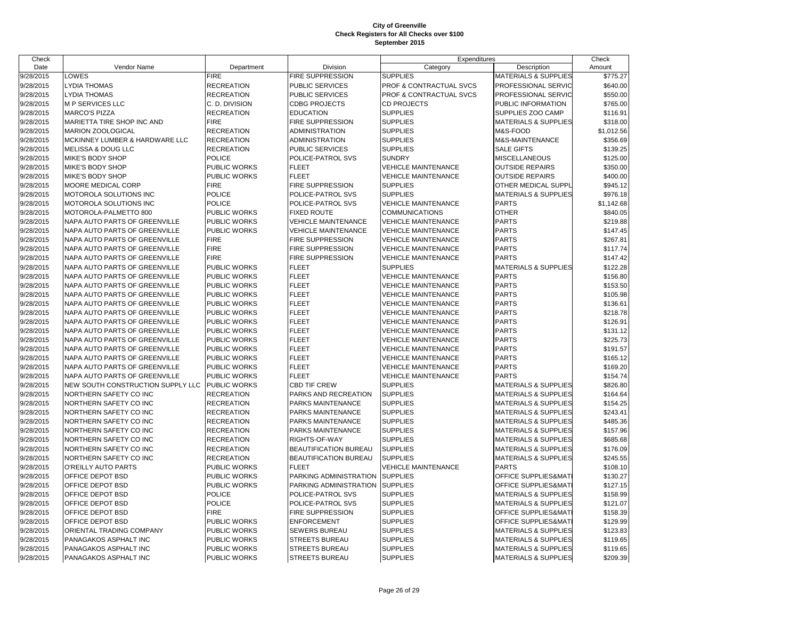| Check     |                                   |                     |                              | Expenditures               |                                 | Check      |
|-----------|-----------------------------------|---------------------|------------------------------|----------------------------|---------------------------------|------------|
| Date      | Vendor Name                       | Department          | Division                     | Category                   | Description                     | Amount     |
| 9/28/2015 | LOWES                             | <b>FIRE</b>         | FIRE SUPPRESSION             | <b>SUPPLIES</b>            | <b>MATERIALS &amp; SUPPLIES</b> | \$775.27   |
| 9/28/2015 | <b>LYDIA THOMAS</b>               | <b>RECREATION</b>   | PUBLIC SERVICES              | PROF & CONTRACTUAL SVCS    | PROFESSIONAL SERVIC             | \$640.00   |
| 9/28/2015 | <b>LYDIA THOMAS</b>               | <b>RECREATION</b>   | <b>PUBLIC SERVICES</b>       | PROF & CONTRACTUAL SVCS    | PROFESSIONAL SERVIC             | \$550.00   |
| 9/28/2015 | M P SERVICES LLC                  | C. D. DIVISION      | <b>CDBG PROJECTS</b>         | <b>CD PROJECTS</b>         | PUBLIC INFORMATION              | \$765.00   |
| 9/28/2015 | <b>MARCO'S PIZZA</b>              | <b>RECREATION</b>   | <b>EDUCATION</b>             | <b>SUPPLIES</b>            | SUPPLIES ZOO CAMP               | \$116.91   |
| 9/28/2015 | MARIETTA TIRE SHOP INC AND        | <b>FIRE</b>         | <b>FIRE SUPPRESSION</b>      | <b>SUPPLIES</b>            | <b>MATERIALS &amp; SUPPLIES</b> | \$318.00   |
| 9/28/2015 | MARION ZOOLOGICAL                 | <b>RECREATION</b>   | <b>ADMINISTRATION</b>        | <b>SUPPLIES</b>            | M&S-FOOD                        | \$1,012.56 |
| 9/28/2015 | MCKINNEY LUMBER & HARDWARE LLC    | <b>RECREATION</b>   | <b>ADMINISTRATION</b>        | <b>SUPPLIES</b>            | M&S-MAINTENANCE                 | \$356.69   |
| 9/28/2015 | <b>MELISSA &amp; DOUG LLC</b>     | <b>RECREATION</b>   | <b>PUBLIC SERVICES</b>       | <b>SUPPLIES</b>            | <b>SALE GIFTS</b>               | \$139.25   |
| 9/28/2015 | MIKE'S BODY SHOP                  | <b>POLICE</b>       | POLICE-PATROL SVS            | <b>SUNDRY</b>              | <b>MISCELLANEOUS</b>            | \$125.00   |
| 9/28/2015 | <b>MIKE'S BODY SHOP</b>           | PUBLIC WORKS        | <b>FLEET</b>                 | <b>VEHICLE MAINTENANCE</b> | <b>OUTSIDE REPAIRS</b>          | \$350.00   |
| 9/28/2015 | MIKE'S BODY SHOP                  | PUBLIC WORKS        | <b>FLEET</b>                 | <b>VEHICLE MAINTENANCE</b> | <b>OUTSIDE REPAIRS</b>          | \$400.00   |
| 9/28/2015 | <b>MOORE MEDICAL CORP</b>         | <b>FIRE</b>         | <b>FIRE SUPPRESSION</b>      | <b>SUPPLIES</b>            | OTHER MEDICAL SUPPL             | \$945.12   |
| 9/28/2015 | MOTOROLA SOLUTIONS INC            | <b>POLICE</b>       | POLICE-PATROL SVS            | <b>SUPPLIES</b>            | <b>MATERIALS &amp; SUPPLIES</b> | \$976.18   |
| 9/28/2015 | MOTOROLA SOLUTIONS INC            | <b>POLICE</b>       | POLICE-PATROL SVS            | <b>VEHICLE MAINTENANCE</b> | <b>PARTS</b>                    | \$1,142.68 |
| 9/28/2015 | MOTOROLA-PALMETTO 800             | PUBLIC WORKS        | <b>FIXED ROUTE</b>           | <b>COMMUNICATIONS</b>      | <b>OTHER</b>                    | \$840.05   |
| 9/28/2015 | NAPA AUTO PARTS OF GREENVILLE     | PUBLIC WORKS        | <b>VEHICLE MAINTENANCE</b>   | <b>VEHICLE MAINTENANCE</b> | <b>PARTS</b>                    | \$219.88   |
| 9/28/2015 | NAPA AUTO PARTS OF GREENVILLE     | <b>PUBLIC WORKS</b> | <b>VEHICLE MAINTENANCE</b>   | <b>VEHICLE MAINTENANCE</b> | <b>PARTS</b>                    | \$147.45   |
| 9/28/2015 | NAPA AUTO PARTS OF GREENVILLE     | <b>FIRE</b>         | <b>FIRE SUPPRESSION</b>      | <b>VEHICLE MAINTENANCE</b> | <b>PARTS</b>                    | \$267.81   |
| 9/28/2015 | NAPA AUTO PARTS OF GREENVILLE     | <b>FIRE</b>         | <b>FIRE SUPPRESSION</b>      | <b>VEHICLE MAINTENANCE</b> | <b>PARTS</b>                    | \$117.74   |
| 9/28/2015 | NAPA AUTO PARTS OF GREENVILLE     | <b>FIRE</b>         | <b>FIRE SUPPRESSION</b>      | <b>VEHICLE MAINTENANCE</b> | <b>PARTS</b>                    | \$147.42   |
| 9/28/2015 | NAPA AUTO PARTS OF GREENVILLE     | PUBLIC WORKS        | <b>FLEET</b>                 | <b>SUPPLIES</b>            | <b>MATERIALS &amp; SUPPLIES</b> | \$122.28   |
| 9/28/2015 | NAPA AUTO PARTS OF GREENVILLE     | PUBLIC WORKS        | <b>FLEET</b>                 | <b>VEHICLE MAINTENANCE</b> | <b>PARTS</b>                    | \$156.80   |
| 9/28/2015 | NAPA AUTO PARTS OF GREENVILLE     | PUBLIC WORKS        | <b>FLEET</b>                 | <b>VEHICLE MAINTENANCE</b> | <b>PARTS</b>                    | \$153.50   |
| 9/28/2015 | NAPA AUTO PARTS OF GREENVILLE     | PUBLIC WORKS        | <b>FLEET</b>                 | <b>VEHICLE MAINTENANCE</b> | <b>PARTS</b>                    | \$105.98   |
| 9/28/2015 | NAPA AUTO PARTS OF GREENVILLE     | <b>PUBLIC WORKS</b> | <b>FLEET</b>                 | <b>VEHICLE MAINTENANCE</b> | <b>PARTS</b>                    | \$136.61   |
| 9/28/2015 | NAPA AUTO PARTS OF GREENVILLE     | PUBLIC WORKS        | <b>FLEET</b>                 | <b>VEHICLE MAINTENANCE</b> | <b>PARTS</b>                    | \$218.78   |
| 9/28/2015 | NAPA AUTO PARTS OF GREENVILLE     | <b>PUBLIC WORKS</b> | <b>FLEET</b>                 | <b>VEHICLE MAINTENANCE</b> | <b>PARTS</b>                    | \$126.91   |
| 9/28/2015 | NAPA AUTO PARTS OF GREENVILLE     | <b>PUBLIC WORKS</b> | <b>FLEET</b>                 | <b>VEHICLE MAINTENANCE</b> | <b>PARTS</b>                    | \$131.12   |
| 9/28/2015 | NAPA AUTO PARTS OF GREENVILLE     | PUBLIC WORKS        | <b>FLEET</b>                 | <b>VEHICLE MAINTENANCE</b> | <b>PARTS</b>                    | \$225.73   |
| 9/28/2015 | NAPA AUTO PARTS OF GREENVILLE     | PUBLIC WORKS        | <b>FLEET</b>                 | <b>VEHICLE MAINTENANCE</b> | <b>PARTS</b>                    | \$191.57   |
| 9/28/2015 | NAPA AUTO PARTS OF GREENVILLE     | PUBLIC WORKS        | <b>FLEET</b>                 | <b>VEHICLE MAINTENANCE</b> | <b>PARTS</b>                    | \$165.12   |
| 9/28/2015 | NAPA AUTO PARTS OF GREENVILLE     | PUBLIC WORKS        | <b>FLEET</b>                 | <b>VEHICLE MAINTENANCE</b> | <b>PARTS</b>                    | \$169.20   |
| 9/28/2015 | NAPA AUTO PARTS OF GREENVILLE     | <b>PUBLIC WORKS</b> | <b>FLEET</b>                 | <b>VEHICLE MAINTENANCE</b> | <b>PARTS</b>                    | \$154.74   |
| 9/28/2015 | NEW SOUTH CONSTRUCTION SUPPLY LLC | PUBLIC WORKS        | <b>CBD TIF CREW</b>          | <b>SUPPLIES</b>            | <b>MATERIALS &amp; SUPPLIES</b> | \$826.80   |
| 9/28/2015 | NORTHERN SAFETY CO INC            | <b>RECREATION</b>   | PARKS AND RECREATION         | <b>SUPPLIES</b>            | <b>MATERIALS &amp; SUPPLIES</b> | \$164.64   |
| 9/28/2015 | NORTHERN SAFETY CO INC            | <b>RECREATION</b>   | PARKS MAINTENANCE            | <b>SUPPLIES</b>            | <b>MATERIALS &amp; SUPPLIES</b> | \$154.25   |
| 9/28/2015 | NORTHERN SAFETY CO INC            | <b>RECREATION</b>   | PARKS MAINTENANCE            | <b>SUPPLIES</b>            | <b>MATERIALS &amp; SUPPLIES</b> | \$243.41   |
| 9/28/2015 | NORTHERN SAFETY CO INC            | <b>RECREATION</b>   | PARKS MAINTENANCE            | <b>SUPPLIES</b>            | <b>MATERIALS &amp; SUPPLIES</b> | \$485.36   |
| 9/28/2015 | NORTHERN SAFETY CO INC            | <b>RECREATION</b>   | <b>PARKS MAINTENANCE</b>     | <b>SUPPLIES</b>            | <b>MATERIALS &amp; SUPPLIES</b> | \$157.96   |
| 9/28/2015 | NORTHERN SAFETY CO INC            | <b>RECREATION</b>   | RIGHTS-OF-WAY                | <b>SUPPLIES</b>            | <b>MATERIALS &amp; SUPPLIES</b> | \$685.68   |
| 9/28/2015 | NORTHERN SAFETY CO INC            | <b>RECREATION</b>   | <b>BEAUTIFICATION BUREAU</b> | <b>SUPPLIES</b>            | <b>MATERIALS &amp; SUPPLIES</b> | \$176.09   |
| 9/28/2015 | NORTHERN SAFETY CO INC            | <b>RECREATION</b>   | <b>BEAUTIFICATION BUREAU</b> | <b>SUPPLIES</b>            | <b>MATERIALS &amp; SUPPLIES</b> | \$245.55   |
| 9/28/2015 | O'REILLY AUTO PARTS               | PUBLIC WORKS        | <b>FLEET</b>                 | <b>VEHICLE MAINTENANCE</b> | <b>PARTS</b>                    | \$108.10   |
| 9/28/2015 | OFFICE DEPOT BSD                  | PUBLIC WORKS        | PARKING ADMINISTRATION       | <b>SUPPLIES</b>            | OFFICE SUPPLIES&MAT             | \$130.27   |
| 9/28/2015 | OFFICE DEPOT BSD                  | PUBLIC WORKS        | PARKING ADMINISTRATION       | <b>SUPPLIES</b>            | OFFICE SUPPLIES&MAT             | \$127.15   |
| 9/28/2015 | OFFICE DEPOT BSD                  | <b>POLICE</b>       | POLICE-PATROL SVS            | <b>SUPPLIES</b>            | <b>MATERIALS &amp; SUPPLIES</b> | \$158.99   |
| 9/28/2015 | OFFICE DEPOT BSD                  | <b>POLICE</b>       | POLICE-PATROL SVS            | <b>SUPPLIES</b>            | <b>MATERIALS &amp; SUPPLIES</b> | \$121.07   |
| 9/28/2015 | OFFICE DEPOT BSD                  | <b>FIRE</b>         | <b>FIRE SUPPRESSION</b>      | <b>SUPPLIES</b>            | OFFICE SUPPLIES&MAT             | \$158.39   |
| 9/28/2015 | OFFICE DEPOT BSD                  | PUBLIC WORKS        | <b>ENFORCEMENT</b>           | <b>SUPPLIES</b>            | OFFICE SUPPLIES&MAT             | \$129.99   |
| 9/28/2015 | ORIENTAL TRADING COMPANY          | PUBLIC WORKS        | <b>SEWERS BUREAU</b>         | <b>SUPPLIES</b>            | <b>MATERIALS &amp; SUPPLIES</b> | \$123.83   |
| 9/28/2015 | PANAGAKOS ASPHALT INC             | PUBLIC WORKS        | <b>STREETS BUREAU</b>        | <b>SUPPLIES</b>            | <b>MATERIALS &amp; SUPPLIES</b> | \$119.65   |
| 9/28/2015 | PANAGAKOS ASPHALT INC             | PUBLIC WORKS        | <b>STREETS BUREAU</b>        | <b>SUPPLIES</b>            | <b>MATERIALS &amp; SUPPLIES</b> | \$119.65   |
| 9/28/2015 | PANAGAKOS ASPHALT INC             | <b>PUBLIC WORKS</b> | <b>STREETS BUREAU</b>        | <b>SUPPLIES</b>            | <b>MATERIALS &amp; SUPPLIES</b> | \$209.39   |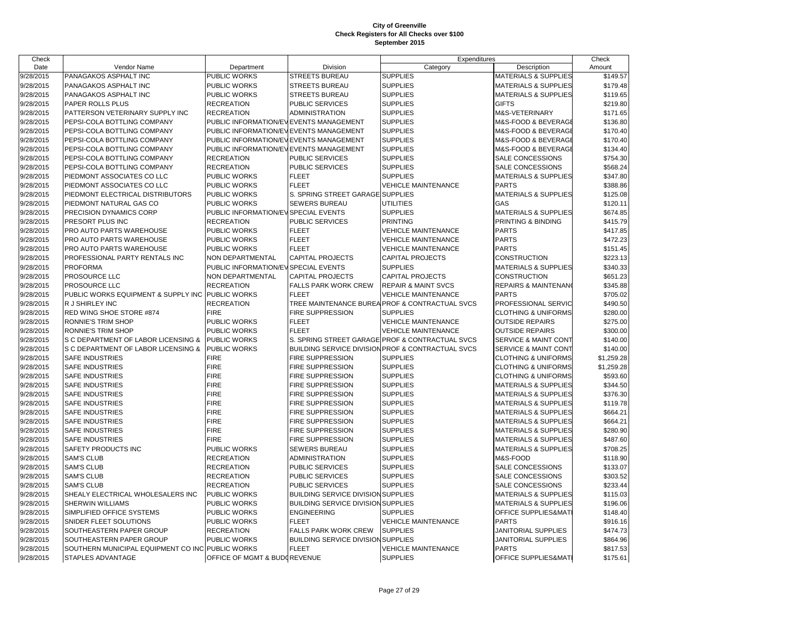| Check     |                                                  |                                        |                                           | Expenditures                                                 |                                 | Check      |
|-----------|--------------------------------------------------|----------------------------------------|-------------------------------------------|--------------------------------------------------------------|---------------------------------|------------|
| Date      | Vendor Name                                      | Department                             | Division                                  | Category                                                     | Description                     | Amount     |
| 9/28/2015 | PANAGAKOS ASPHALT INC                            | PUBLIC WORKS                           | <b>STREETS BUREAU</b>                     | <b>SUPPLIES</b>                                              | <b>MATERIALS &amp; SUPPLIES</b> | \$149.57   |
| 9/28/2015 | PANAGAKOS ASPHALT INC                            | <b>PUBLIC WORKS</b>                    | <b>STREETS BUREAU</b>                     | <b>SUPPLIES</b>                                              | <b>MATERIALS &amp; SUPPLIES</b> | \$179.48   |
| 9/28/2015 | PANAGAKOS ASPHALT INC                            | <b>PUBLIC WORKS</b>                    | <b>STREETS BUREAU</b>                     | <b>SUPPLIES</b>                                              | <b>MATERIALS &amp; SUPPLIES</b> | \$119.65   |
| 9/28/2015 | PAPER ROLLS PLUS                                 | <b>RECREATION</b>                      | <b>PUBLIC SERVICES</b>                    | <b>SUPPLIES</b>                                              | <b>GIFTS</b>                    | \$219.80   |
| 9/28/2015 | PATTERSON VETERINARY SUPPLY INC                  | <b>RECREATION</b>                      | <b>ADMINISTRATION</b>                     | <b>SUPPLIES</b>                                              | M&S-VETERINARY                  | \$171.65   |
| 9/28/2015 | PEPSI-COLA BOTTLING COMPANY                      | PUBLIC INFORMATION/EVEVENTS MANAGEMENT |                                           | <b>SUPPLIES</b>                                              | M&S-FOOD & BEVERAGE             | \$136.80   |
| 9/28/2015 | PEPSI-COLA BOTTLING COMPANY                      | PUBLIC INFORMATION/EVEVENTS MANAGEMENT |                                           | <b>SUPPLIES</b>                                              | M&S-FOOD & BEVERAGE             | \$170.40   |
| 9/28/2015 | PEPSI-COLA BOTTLING COMPANY                      | PUBLIC INFORMATION/EVEVENTS MANAGEMENT |                                           | <b>SUPPLIES</b>                                              | M&S-FOOD & BEVERAGE             | \$170.40   |
| 9/28/2015 | PEPSI-COLA BOTTLING COMPANY                      | PUBLIC INFORMATION/EVEVENTS MANAGEMENT |                                           | <b>SUPPLIES</b>                                              | M&S-FOOD & BEVERAGE             | \$134.40   |
| 9/28/2015 | PEPSI-COLA BOTTLING COMPANY                      | <b>RECREATION</b>                      | PUBLIC SERVICES                           | <b>SUPPLIES</b>                                              | SALE CONCESSIONS                | \$754.30   |
| 9/28/2015 | PEPSI-COLA BOTTLING COMPANY                      | <b>RECREATION</b>                      | <b>PUBLIC SERVICES</b>                    | <b>SUPPLIES</b>                                              | SALE CONCESSIONS                | \$568.24   |
| 9/28/2015 | PIEDMONT ASSOCIATES CO LLC                       | <b>PUBLIC WORKS</b>                    | <b>FLEET</b>                              | <b>SUPPLIES</b>                                              | <b>MATERIALS &amp; SUPPLIES</b> | \$347.80   |
| 9/28/2015 | PIEDMONT ASSOCIATES CO LLC                       | <b>PUBLIC WORKS</b>                    | <b>FLEET</b>                              | <b>VEHICLE MAINTENANCE</b>                                   | <b>PARTS</b>                    | \$388.86   |
| 9/28/2015 | PIEDMONT ELECTRICAL DISTRIBUTORS                 | <b>PUBLIC WORKS</b>                    | S. SPRING STREET GARAGE                   | <b>SUPPLIES</b>                                              | <b>MATERIALS &amp; SUPPLIES</b> | \$125.08   |
| 9/28/2015 | PIEDMONT NATURAL GAS CO                          | <b>PUBLIC WORKS</b>                    | <b>SEWERS BUREAU</b>                      | UTILITIES                                                    | GAS                             | \$120.11   |
| 9/28/2015 | PRECISION DYNAMICS CORP                          | PUBLIC INFORMATION/EV SPECIAL EVENTS   |                                           | <b>SUPPLIES</b>                                              | <b>MATERIALS &amp; SUPPLIES</b> | \$674.85   |
| 9/28/2015 | PRESORT PLUS INC                                 | <b>RECREATION</b>                      | PUBLIC SERVICES                           | <b>PRINTING</b>                                              | PRINTING & BINDING              | \$415.79   |
| 9/28/2015 | PRO AUTO PARTS WAREHOUSE                         | <b>PUBLIC WORKS</b>                    | <b>FLEET</b>                              | <b>VEHICLE MAINTENANCE</b>                                   | <b>PARTS</b>                    | \$417.85   |
| 9/28/2015 | PRO AUTO PARTS WAREHOUSE                         | PUBLIC WORKS                           | <b>FLEET</b>                              | <b>VEHICLE MAINTENANCE</b>                                   | <b>PARTS</b>                    | \$472.23   |
| 9/28/2015 | PRO AUTO PARTS WAREHOUSE                         | PUBLIC WORKS                           | <b>FLEET</b>                              | <b>VEHICLE MAINTENANCE</b>                                   | <b>PARTS</b>                    | \$151.45   |
| 9/28/2015 | PROFESSIONAL PARTY RENTALS INC                   | <b>NON DEPARTMENTAL</b>                | <b>CAPITAL PROJECTS</b>                   | <b>CAPITAL PROJECTS</b>                                      | <b>CONSTRUCTION</b>             | \$223.13   |
| 9/28/2015 | <b>PROFORMA</b>                                  | PUBLIC INFORMATION/EV SPECIAL EVENTS   |                                           | <b>SUPPLIES</b>                                              | <b>MATERIALS &amp; SUPPLIES</b> | \$340.33   |
| 9/28/2015 | PROSOURCE LLC                                    | <b>NON DEPARTMENTAL</b>                | <b>CAPITAL PROJECTS</b>                   | <b>CAPITAL PROJECTS</b>                                      | <b>CONSTRUCTION</b>             | \$651.23   |
| 9/28/2015 | PROSOURCE LLC                                    | <b>RECREATION</b>                      | <b>FALLS PARK WORK CREW</b>               | <b>REPAIR &amp; MAINT SVCS</b>                               | <b>REPAIRS &amp; MAINTENANO</b> | \$345.88   |
| 9/28/2015 | PUBLIC WORKS EQUIPMENT & SUPPLY INC PUBLIC WORKS |                                        | <b>FLEET</b>                              | <b>VEHICLE MAINTENANCE</b>                                   | <b>PARTS</b>                    | \$705.02   |
| 9/28/2015 | R J SHIRLEY INC                                  | <b>RECREATION</b>                      |                                           | TREE MAINTENANCE BUREA PROF & CONTRACTUAL SVCS               | PROFESSIONAL SERVIC             | \$490.50   |
| 9/28/2015 | RED WING SHOE STORE #874                         | <b>FIRE</b>                            | <b>FIRE SUPPRESSION</b>                   | <b>SUPPLIES</b>                                              | <b>CLOTHING &amp; UNIFORMS</b>  | \$280.00   |
| 9/28/2015 | RONNIE'S TRIM SHOP                               | PUBLIC WORKS                           | <b>FLEET</b>                              | <b>VEHICLE MAINTENANCE</b>                                   | <b>OUTSIDE REPAIRS</b>          | \$275.00   |
| 9/28/2015 | <b>RONNIE'S TRIM SHOP</b>                        | <b>PUBLIC WORKS</b>                    | <b>FLEET</b>                              | <b>VEHICLE MAINTENANCE</b>                                   | <b>OUTSIDE REPAIRS</b>          | \$300.00   |
| 9/28/2015 | S C DEPARTMENT OF LABOR LICENSING &              | PUBLIC WORKS                           | S. SPRING STREET GARAGE                   | PROF & CONTRACTUAL SVCS                                      | SERVICE & MAINT CONT            | \$140.00   |
| 9/28/2015 | S C DEPARTMENT OF LABOR LICENSING &              | <b>PUBLIC WORKS</b>                    |                                           | <b>BUILDING SERVICE DIVISION PROF &amp; CONTRACTUAL SVCS</b> | SERVICE & MAINT CONT            | \$140.00   |
| 9/28/2015 | <b>SAFE INDUSTRIES</b>                           | <b>FIRE</b>                            | <b>FIRE SUPPRESSION</b>                   | <b>SUPPLIES</b>                                              | <b>CLOTHING &amp; UNIFORMS</b>  | \$1,259.28 |
| 9/28/2015 | <b>SAFE INDUSTRIES</b>                           | <b>FIRE</b>                            | <b>FIRE SUPPRESSION</b>                   | <b>SUPPLIES</b>                                              | <b>CLOTHING &amp; UNIFORMS</b>  | \$1,259.28 |
| 9/28/2015 | <b>SAFE INDUSTRIES</b>                           | <b>FIRE</b>                            | <b>FIRE SUPPRESSION</b>                   | <b>SUPPLIES</b>                                              | <b>CLOTHING &amp; UNIFORMS</b>  | \$593.60   |
| 9/28/2015 | <b>SAFE INDUSTRIES</b>                           | <b>FIRE</b>                            | <b>FIRE SUPPRESSION</b>                   | <b>SUPPLIES</b>                                              | <b>MATERIALS &amp; SUPPLIES</b> | \$344.50   |
| 9/28/2015 | <b>SAFE INDUSTRIES</b>                           | <b>FIRE</b>                            | <b>FIRE SUPPRESSION</b>                   | <b>SUPPLIES</b>                                              | <b>MATERIALS &amp; SUPPLIES</b> | \$376.30   |
| 9/28/2015 | <b>SAFE INDUSTRIES</b>                           | <b>FIRE</b>                            | <b>FIRE SUPPRESSION</b>                   | <b>SUPPLIES</b>                                              | <b>MATERIALS &amp; SUPPLIES</b> | \$119.78   |
| 9/28/2015 | SAFE INDUSTRIES                                  | <b>FIRE</b>                            | <b>FIRE SUPPRESSION</b>                   | <b>SUPPLIES</b>                                              | <b>MATERIALS &amp; SUPPLIES</b> | \$664.21   |
| 9/28/2015 | SAFE INDUSTRIES                                  | <b>FIRE</b>                            | <b>FIRE SUPPRESSION</b>                   | <b>SUPPLIES</b>                                              | <b>MATERIALS &amp; SUPPLIES</b> | \$664.21   |
| 9/28/2015 | SAFE INDUSTRIES                                  | <b>FIRE</b>                            | <b>FIRE SUPPRESSION</b>                   | <b>SUPPLIES</b>                                              | <b>MATERIALS &amp; SUPPLIES</b> | \$280.90   |
| 9/28/2015 | SAFE INDUSTRIES                                  | <b>FIRE</b>                            | <b>FIRE SUPPRESSION</b>                   | <b>SUPPLIES</b>                                              | <b>MATERIALS &amp; SUPPLIES</b> | \$487.60   |
| 9/28/2015 | SAFETY PRODUCTS INC                              | PUBLIC WORKS                           | <b>SEWERS BUREAU</b>                      | <b>SUPPLIES</b>                                              | <b>MATERIALS &amp; SUPPLIES</b> | \$708.25   |
| 9/28/2015 | <b>SAM'S CLUB</b>                                | <b>RECREATION</b>                      | <b>ADMINISTRATION</b>                     | <b>SUPPLIES</b>                                              | M&S-FOOD                        | \$118.90   |
| 9/28/2015 | <b>SAM'S CLUB</b>                                | <b>RECREATION</b>                      | <b>PUBLIC SERVICES</b>                    | <b>SUPPLIES</b>                                              | SALE CONCESSIONS                | \$133.07   |
| 9/28/2015 | <b>SAM'S CLUB</b>                                | <b>RECREATION</b>                      | <b>PUBLIC SERVICES</b>                    | <b>SUPPLIES</b>                                              | SALE CONCESSIONS                | \$303.52   |
| 9/28/2015 | <b>SAM'S CLUB</b>                                | <b>RECREATION</b>                      | PUBLIC SERVICES                           | <b>SUPPLIES</b>                                              | SALE CONCESSIONS                | \$233.44   |
| 9/28/2015 | SHEALY ELECTRICAL WHOLESALERS INC                | <b>PUBLIC WORKS</b>                    | <b>BUILDING SERVICE DIVISION SUPPLIES</b> |                                                              | <b>MATERIALS &amp; SUPPLIES</b> | \$115.03   |
| 9/28/2015 | <b>SHERWIN WILLIAMS</b>                          | PUBLIC WORKS                           | <b>BUILDING SERVICE DIVISION SUPPLIES</b> |                                                              | <b>MATERIALS &amp; SUPPLIES</b> | \$196.06   |
| 9/28/2015 | SIMPLIFIED OFFICE SYSTEMS                        | <b>PUBLIC WORKS</b>                    | <b>ENGINEERING</b>                        | <b>SUPPLIES</b>                                              | OFFICE SUPPLIES&MAT             | \$148.40   |
| 9/28/2015 | SNIDER FLEET SOLUTIONS                           | PUBLIC WORKS                           | <b>FLEET</b>                              | <b>VEHICLE MAINTENANCE</b>                                   | <b>PARTS</b>                    | \$916.16   |
| 9/28/2015 | SOUTHEASTERN PAPER GROUP                         | <b>RECREATION</b>                      | <b>FALLS PARK WORK CREW</b>               | <b>SUPPLIES</b>                                              | JANITORIAL SUPPLIES             | \$474.73   |
| 9/28/2015 | SOUTHEASTERN PAPER GROUP                         | PUBLIC WORKS                           | <b>BUILDING SERVICE DIVISION SUPPLIES</b> |                                                              | JANITORIAL SUPPLIES             | \$864.96   |
| 9/28/2015 | SOUTHERN MUNICIPAL EQUIPMENT CO INC PUBLIC WORKS |                                        | <b>FLEET</b>                              | <b>VEHICLE MAINTENANCE</b>                                   | <b>PARTS</b>                    | \$817.53   |
| 9/28/2015 | STAPLES ADVANTAGE                                | OFFICE OF MGMT & BUDOREVENUE           |                                           | <b>SUPPLIES</b>                                              | OFFICE SUPPLIES&MATI            | \$175.61   |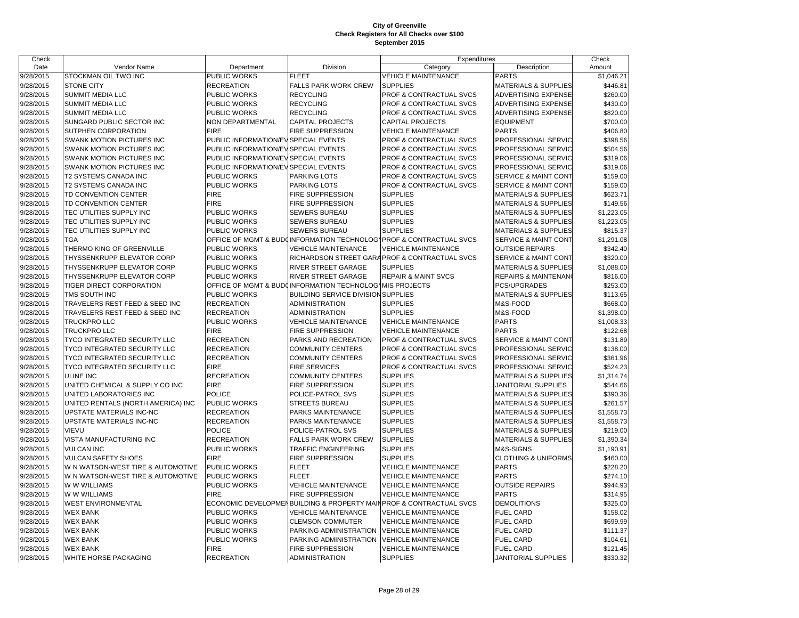| Check     |                                     |                                      |                                                         | Expenditures                                                        |                                 | Check      |
|-----------|-------------------------------------|--------------------------------------|---------------------------------------------------------|---------------------------------------------------------------------|---------------------------------|------------|
| Date      | Vendor Name                         | Department                           | Division                                                | Category                                                            | Description                     | Amount     |
| 9/28/2015 | <b>STOCKMAN OIL TWO INC</b>         | PUBLIC WORKS                         | <b>FLEET</b>                                            | <b>VEHICLE MAINTENANCE</b>                                          | <b>PARTS</b>                    | \$1,046.21 |
| 9/28/2015 | <b>STONE CITY</b>                   | <b>RECREATION</b>                    | <b>FALLS PARK WORK CREW</b>                             | <b>SUPPLIES</b>                                                     | <b>MATERIALS &amp; SUPPLIES</b> | \$446.81   |
| 9/28/2015 | <b>SUMMIT MEDIA LLC</b>             | PUBLIC WORKS                         | <b>RECYCLING</b>                                        | PROF & CONTRACTUAL SVCS                                             | <b>ADVERTISING EXPENSE</b>      | \$260.00   |
| 9/28/2015 | <b>SUMMIT MEDIA LLC</b>             | <b>PUBLIC WORKS</b>                  | <b>RECYCLING</b>                                        | PROF & CONTRACTUAL SVCS                                             | ADVERTISING EXPENSE             | \$430.00   |
| 9/28/2015 | <b>SUMMIT MEDIA LLC</b>             | PUBLIC WORKS                         | <b>RECYCLING</b>                                        | PROF & CONTRACTUAL SVCS                                             | ADVERTISING EXPENSE             | \$820.00   |
| 9/28/2015 | SUNGARD PUBLIC SECTOR INC           | NON DEPARTMENTAL                     | CAPITAL PROJECTS                                        | <b>CAPITAL PROJECTS</b>                                             | <b>EQUIPMENT</b>                | \$700.00   |
| 9/28/2015 | <b>SUTPHEN CORPORATION</b>          | <b>FIRE</b>                          | FIRE SUPPRESSION                                        | <b>VEHICLE MAINTENANCE</b>                                          | <b>PARTS</b>                    | \$406.80   |
| 9/28/2015 | SWANK MOTION PICTURES INC           | PUBLIC INFORMATION/EVISPECIAL EVENTS |                                                         | PROF & CONTRACTUAL SVCS                                             | PROFESSIONAL SERVIC             | \$398.56   |
| 9/28/2015 | SWANK MOTION PICTURES INC           | PUBLIC INFORMATION/EVISPECIAL EVENTS |                                                         | PROF & CONTRACTUAL SVCS                                             | PROFESSIONAL SERVIC             | \$504.56   |
| 9/28/2015 | <b>SWANK MOTION PICTURES INC</b>    | PUBLIC INFORMATION/EVISPECIAL EVENTS |                                                         | PROF & CONTRACTUAL SVCS                                             | PROFESSIONAL SERVIC             | \$319.06   |
| 9/28/2015 | <b>SWANK MOTION PICTURES INC</b>    | PUBLIC INFORMATION/EVISPECIAL EVENTS |                                                         | PROF & CONTRACTUAL SVCS                                             | PROFESSIONAL SERVIC             | \$319.06   |
| 9/28/2015 | T2 SYSTEMS CANADA INC               | <b>PUBLIC WORKS</b>                  | PARKING LOTS                                            | PROF & CONTRACTUAL SVCS                                             | SERVICE & MAINT CONT            | \$159.00   |
| 9/28/2015 | T2 SYSTEMS CANADA INC               | PUBLIC WORKS                         | <b>PARKING LOTS</b>                                     | PROF & CONTRACTUAL SVCS                                             | SERVICE & MAINT CONT            | \$159.00   |
| 9/28/2015 | TD CONVENTION CENTER                | <b>FIRE</b>                          | <b>FIRE SUPPRESSION</b>                                 | <b>SUPPLIES</b>                                                     | <b>MATERIALS &amp; SUPPLIES</b> | \$623.71   |
| 9/28/2015 | TD CONVENTION CENTER                | <b>FIRE</b>                          | <b>FIRE SUPPRESSION</b>                                 | <b>SUPPLIES</b>                                                     | <b>MATERIALS &amp; SUPPLIES</b> | \$149.56   |
| 9/28/2015 | TEC UTILITIES SUPPLY INC            | PUBLIC WORKS                         | <b>SEWERS BUREAU</b>                                    | <b>SUPPLIES</b>                                                     | <b>MATERIALS &amp; SUPPLIES</b> | \$1,223.05 |
| 9/28/2015 | TEC UTILITIES SUPPLY INC            | PUBLIC WORKS                         | <b>SEWERS BUREAU</b>                                    | <b>SUPPLIES</b>                                                     | <b>MATERIALS &amp; SUPPLIES</b> | \$1,223.05 |
| 9/28/2015 | TEC UTILITIES SUPPLY INC            | PUBLIC WORKS                         | <b>SEWERS BUREAU</b>                                    | <b>SUPPLIES</b>                                                     | <b>MATERIALS &amp; SUPPLIES</b> | \$815.37   |
| 9/28/2015 | <b>TGA</b>                          |                                      |                                                         | OFFICE OF MGMT & BUDOINFORMATION TECHNOLOGYPROF & CONTRACTUAL SVCS  | SERVICE & MAINT CONT            | \$1,291.08 |
| 9/28/2015 | THERMO KING OF GREENVILLE           | PUBLIC WORKS                         | <b>VEHICLE MAINTENANCE</b>                              | <b>VEHICLE MAINTENANCE</b>                                          | <b>OUTSIDE REPAIRS</b>          | \$342.40   |
| 9/28/2015 | THYSSENKRUPP ELEVATOR CORP          | PUBLIC WORKS                         |                                                         | RICHARDSON STREET GARAPROF & CONTRACTUAL SVCS                       | SERVICE & MAINT CONT            | \$320.00   |
| 9/28/2015 | <b>THYSSENKRUPP ELEVATOR CORP</b>   | PUBLIC WORKS                         | RIVER STREET GARAGE                                     | <b>SUPPLIES</b>                                                     | <b>MATERIALS &amp; SUPPLIES</b> | \$1,088.00 |
| 9/28/2015 | THYSSENKRUPP ELEVATOR CORP          | PUBLIC WORKS                         | RIVER STREET GARAGE                                     | <b>REPAIR &amp; MAINT SVCS</b>                                      | <b>REPAIRS &amp; MAINTENANO</b> | \$816.00   |
| 9/28/2015 | TIGER DIRECT CORPORATION            |                                      | OFFICE OF MGMT & BUDGINFORMATION TECHNOLOG MIS PROJECTS |                                                                     | PCS/UPGRADES                    | \$253.00   |
| 9/28/2015 | <b>TMS SOUTH INC</b>                | PUBLIC WORKS                         | <b>BUILDING SERVICE DIVISION SUPPLIES</b>               |                                                                     | <b>MATERIALS &amp; SUPPLIES</b> | \$113.65   |
| 9/28/2015 | TRAVELERS REST FEED & SEED INC      | <b>RECREATION</b>                    | <b>ADMINISTRATION</b>                                   | <b>SUPPLIES</b>                                                     | M&S-FOOD                        | \$668.00   |
| 9/28/2015 | TRAVELERS REST FEED & SEED INC      | <b>RECREATION</b>                    | <b>ADMINISTRATION</b>                                   | <b>SUPPLIES</b>                                                     | M&S-FOOD                        | \$1,398.00 |
| 9/28/2015 | <b>TRUCKPRO LLC</b>                 | PUBLIC WORKS                         | <b>VEHICLE MAINTENANCE</b>                              | <b>VEHICLE MAINTENANCE</b>                                          | <b>PARTS</b>                    | \$1,008.33 |
| 9/28/2015 | <b>TRUCKPRO LLC</b>                 | <b>FIRE</b>                          | <b>FIRE SUPPRESSION</b>                                 | <b>VEHICLE MAINTENANCE</b>                                          | <b>PARTS</b>                    | \$122.68   |
| 9/28/2015 | TYCO INTEGRATED SECURITY LLC        | <b>RECREATION</b>                    | PARKS AND RECREATION                                    | PROF & CONTRACTUAL SVCS                                             | SERVICE & MAINT CONT            | \$131.89   |
| 9/28/2015 | <b>TYCO INTEGRATED SECURITY LLC</b> | <b>RECREATION</b>                    | <b>COMMUNITY CENTERS</b>                                | PROF & CONTRACTUAL SVCS                                             | PROFESSIONAL SERVIC             | \$138.00   |
| 9/28/2015 | TYCO INTEGRATED SECURITY LLC        | <b>RECREATION</b>                    | <b>COMMUNITY CENTERS</b>                                | PROF & CONTRACTUAL SVCS                                             | PROFESSIONAL SERVIC             | \$361.96   |
| 9/28/2015 | TYCO INTEGRATED SECURITY LLC        | <b>FIRE</b>                          | <b>FIRE SERVICES</b>                                    | PROF & CONTRACTUAL SVCS                                             | PROFESSIONAL SERVIC             | \$524.23   |
| 9/28/2015 | <b>ULINE INC</b>                    | <b>RECREATION</b>                    | <b>COMMUNITY CENTERS</b>                                | <b>SUPPLIES</b>                                                     | MATERIALS & SUPPLIES            | \$1,314.74 |
| 9/28/2015 | UNITED CHEMICAL & SUPPLY CO INC     | <b>FIRE</b>                          | <b>FIRE SUPPRESSION</b>                                 | <b>SUPPLIES</b>                                                     | <b>JANITORIAL SUPPLIES</b>      | \$544.66   |
| 9/28/2015 | UNITED LABORATORIES INC             | <b>POLICE</b>                        | POLICE-PATROL SVS                                       | <b>SUPPLIES</b>                                                     | <b>MATERIALS &amp; SUPPLIES</b> | \$390.36   |
| 9/28/2015 | UNITED RENTALS (NORTH AMERICA) INC  | PUBLIC WORKS                         | <b>STREETS BUREAU</b>                                   | <b>SUPPLIES</b>                                                     | <b>MATERIALS &amp; SUPPLIES</b> | \$261.57   |
| 9/28/2015 | UPSTATE MATERIALS INC-NC            | <b>RECREATION</b>                    | PARKS MAINTENANCE                                       | <b>SUPPLIES</b>                                                     | <b>MATERIALS &amp; SUPPLIES</b> | \$1,558.73 |
| 9/28/2015 | UPSTATE MATERIALS INC-NC            | <b>RECREATION</b>                    | PARKS MAINTENANCE                                       | <b>SUPPLIES</b>                                                     | <b>MATERIALS &amp; SUPPLIES</b> | \$1,558.73 |
| 9/28/2015 | <b>VIEVU</b>                        | <b>POLICE</b>                        | POLICE-PATROL SVS                                       | <b>SUPPLIES</b>                                                     | <b>MATERIALS &amp; SUPPLIES</b> | \$219.00   |
| 9/28/2015 | <b>VISTA MANUFACTURING INC</b>      | <b>RECREATION</b>                    | FALLS PARK WORK CREW                                    | <b>SUPPLIES</b>                                                     | <b>MATERIALS &amp; SUPPLIES</b> | \$1,390.34 |
| 9/28/2015 | <b>VULCAN INC</b>                   | PUBLIC WORKS                         | TRAFFIC ENGINEERING                                     | <b>SUPPLIES</b>                                                     | M&S-SIGNS                       | \$1,190.91 |
| 9/28/2015 | <b>VULCAN SAFETY SHOES</b>          | <b>FIRE</b>                          | <b>FIRE SUPPRESSION</b>                                 | <b>SUPPLIES</b>                                                     | <b>CLOTHING &amp; UNIFORMS</b>  | \$460.00   |
| 9/28/2015 | W N WATSON-WEST TIRE & AUTOMOTIVE   | PUBLIC WORKS                         | <b>FLEET</b>                                            | <b>VEHICLE MAINTENANCE</b>                                          | <b>PARTS</b>                    | \$228.20   |
| 9/28/2015 | W N WATSON-WEST TIRE & AUTOMOTIVE   | PUBLIC WORKS                         | <b>FLEET</b>                                            | <b>VEHICLE MAINTENANCE</b>                                          | <b>PARTS</b>                    | \$274.10   |
| 9/28/2015 | W W WILLIAMS                        | PUBLIC WORKS                         | <b>VEHICLE MAINTENANCE</b>                              | <b>VEHICLE MAINTENANCE</b>                                          | <b>OUTSIDE REPAIRS</b>          | \$944.93   |
| 9/28/2015 | W W WILLIAMS                        | <b>FIRE</b>                          | <b>FIRE SUPPRESSION</b>                                 | <b>VEHICLE MAINTENANCE</b>                                          | <b>PARTS</b>                    | \$314.95   |
| 9/28/2015 | <b>WEST ENVIRONMENTAL</b>           |                                      |                                                         | ECONOMIC DEVELOPMENBUILDING & PROPERTY MAIN PROF & CONTRACTUAL SVCS | <b>DEMOLITIONS</b>              | \$325.00   |
| 9/28/2015 | <b>WEX BANK</b>                     | PUBLIC WORKS                         | <b>VEHICLE MAINTENANCE</b>                              | <b>VEHICLE MAINTENANCE</b>                                          | <b>FUEL CARD</b>                | \$158.02   |
| 9/28/2015 | <b>WEX BANK</b>                     | PUBLIC WORKS                         | <b>CLEMSON COMMUTER</b>                                 | <b>VEHICLE MAINTENANCE</b>                                          | <b>FUEL CARD</b>                | \$699.99   |
| 9/28/2015 | <b>WEX BANK</b>                     | PUBLIC WORKS                         | PARKING ADMINISTRATION                                  | <b>VEHICLE MAINTENANCE</b>                                          | <b>FUEL CARD</b>                | \$111.37   |
| 9/28/2015 | <b>WEX BANK</b>                     | PUBLIC WORKS                         | PARKING ADMINISTRATION                                  | <b>VEHICLE MAINTENANCE</b>                                          | <b>FUEL CARD</b>                | \$104.61   |
| 9/28/2015 | <b>WEX BANK</b>                     | <b>FIRE</b>                          | <b>FIRE SUPPRESSION</b>                                 | <b>VEHICLE MAINTENANCE</b>                                          | <b>FUEL CARD</b>                | \$121.45   |
| 9/28/2015 | WHITE HORSE PACKAGING               | <b>RECREATION</b>                    | <b>ADMINISTRATION</b>                                   | <b>SUPPLIES</b>                                                     | JANITORIAL SUPPLIES             | \$330.32   |